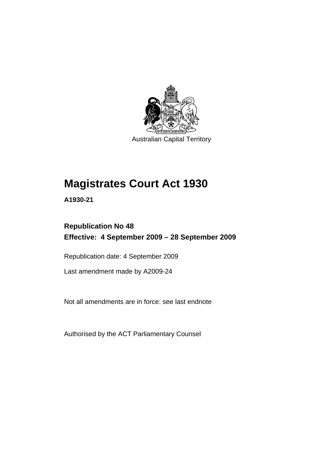

Australian Capital Territory

# **[Magistrates Court Act 1930](#page-16-0)**

**A1930-21** 

## **Republication No 48 Effective: 4 September 2009 – 28 September 2009**

Republication date: 4 September 2009

Last amendment made by A2009-24

Not all amendments are in force: see last endnote

Authorised by the ACT Parliamentary Counsel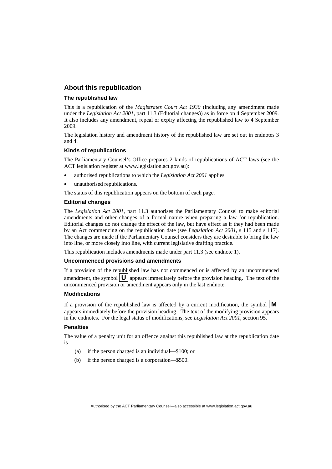#### **About this republication**

#### **The republished law**

This is a republication of the *Magistrates Court Act 1930* (including any amendment made under the *Legislation Act 2001*, part 11.3 (Editorial changes)) as in force on 4 September 2009*.*  It also includes any amendment, repeal or expiry affecting the republished law to 4 September 2009.

The legislation history and amendment history of the republished law are set out in endnotes 3 and 4.

#### **Kinds of republications**

The Parliamentary Counsel's Office prepares 2 kinds of republications of ACT laws (see the ACT legislation register at www.legislation.act.gov.au):

- authorised republications to which the *Legislation Act 2001* applies
- unauthorised republications.

The status of this republication appears on the bottom of each page.

#### **Editorial changes**

The *Legislation Act 2001*, part 11.3 authorises the Parliamentary Counsel to make editorial amendments and other changes of a formal nature when preparing a law for republication. Editorial changes do not change the effect of the law, but have effect as if they had been made by an Act commencing on the republication date (see *Legislation Act 2001*, s 115 and s 117). The changes are made if the Parliamentary Counsel considers they are desirable to bring the law into line, or more closely into line, with current legislative drafting practice.

This republication includes amendments made under part 11.3 (see endnote 1).

#### **Uncommenced provisions and amendments**

If a provision of the republished law has not commenced or is affected by an uncommenced amendment, the symbol  $\mathbf{U}$  appears immediately before the provision heading. The text of the uncommenced provision  $\overline{or}$  amendment appears only in the last endnote.

#### **Modifications**

If a provision of the republished law is affected by a current modification, the symbol  $\mathbf{M}$ appears immediately before the provision heading. The text of the modifying provision appears in the endnotes. For the legal status of modifications, see *Legislation Act 2001*, section 95.

#### **Penalties**

The value of a penalty unit for an offence against this republished law at the republication date is—

- (a) if the person charged is an individual—\$100; or
- (b) if the person charged is a corporation—\$500.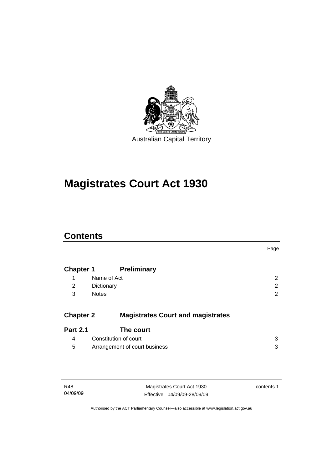

# **[Magistrates Court Act 1930](#page-16-0)**

### **Contents**

|                  |                                          | Page           |
|------------------|------------------------------------------|----------------|
| <b>Chapter 1</b> | <b>Preliminary</b>                       |                |
| 1                | Name of Act                              | 2              |
| 2                | Dictionary                               | $\overline{2}$ |
| 3                | <b>Notes</b>                             | 2              |
| <b>Chapter 2</b> | <b>Magistrates Court and magistrates</b> |                |
| <b>Part 2.1</b>  | The court                                |                |
| 4                | Constitution of court                    | 3              |
| 5                | Arrangement of court business            | 3              |

| R48      | Magistrates Court Act 1930   | contents 1 |
|----------|------------------------------|------------|
| 04/09/09 | Effective: 04/09/09-28/09/09 |            |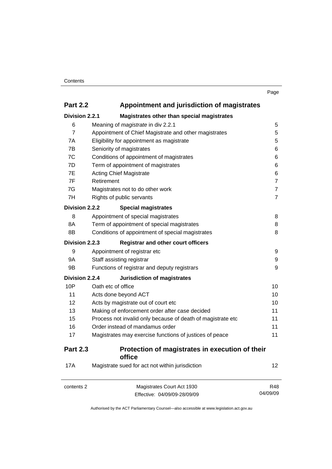| I<br>. .<br>٧ |
|---------------|
|---------------|

| <b>Part 2.2</b> | Appointment and jurisdiction of magistrates |
|-----------------|---------------------------------------------|
| Division 2.2.1  | Magistrates other than special magistrates  |

|                 | magistrates other than special magistrates                  |                |
|-----------------|-------------------------------------------------------------|----------------|
| 6               | Meaning of <i>magistrate</i> in div 2.2.1                   | 5              |
| $\overline{7}$  | Appointment of Chief Magistrate and other magistrates       | 5              |
| 7A              | Eligibility for appointment as magistrate                   | 5              |
| 7B              | Seniority of magistrates                                    | 6              |
| 7C              | Conditions of appointment of magistrates                    | 6              |
| 7D              | Term of appointment of magistrates                          | 6              |
| 7E              | <b>Acting Chief Magistrate</b>                              | 6              |
| 7F              | Retirement                                                  | $\overline{7}$ |
| 7G              | Magistrates not to do other work                            | $\overline{7}$ |
| 7H              | Rights of public servants                                   | $\overline{7}$ |
| Division 2.2.2  | <b>Special magistrates</b>                                  |                |
| 8               | Appointment of special magistrates                          | 8              |
| 8A              | Term of appointment of special magistrates                  | 8              |
| 8B              | Conditions of appointment of special magistrates            | 8              |
| Division 2.2.3  | <b>Registrar and other court officers</b>                   |                |
| 9               | Appointment of registrar etc                                | 9              |
| 9Α              | Staff assisting registrar                                   | 9              |
| 9B              | Functions of registrar and deputy registrars                | 9              |
| Division 2.2.4  | Jurisdiction of magistrates                                 |                |
| 10P             | Oath etc of office                                          | 10             |
| 11              | Acts done beyond ACT                                        | 10             |
| 12              | Acts by magistrate out of court etc                         | 10             |
| 13              | Making of enforcement order after case decided              | 11             |
| 15              | Process not invalid only because of death of magistrate etc | 11             |
| 16              | Order instead of mandamus order                             | 11             |
| 17              | Magistrates may exercise functions of justices of peace     | 11             |
| <b>Part 2.3</b> | Protection of magistrates in execution of their<br>office   |                |
| <b>17A</b>      | Magistrate sued for act not within jurisdiction             | 12             |
| contents 2      | Magistrates Court Act 1930                                  | R48            |

Effective: 04/09/09-28/09/09

R48 04/09/09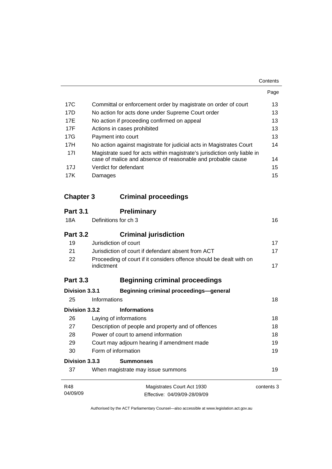|                  |                                                                                   | Page |
|------------------|-----------------------------------------------------------------------------------|------|
| 17 <sub>C</sub>  | Committal or enforcement order by magistrate on order of court                    | 13   |
| 17D              | No action for acts done under Supreme Court order                                 | 13   |
| 17E              | No action if proceeding confirmed on appeal                                       | 13   |
| 17F              | Actions in cases prohibited                                                       | 13   |
| 17G              | Payment into court                                                                | 13   |
| 17H              | No action against magistrate for judicial acts in Magistrates Court               | 14   |
| 17 <sup>1</sup>  | Magistrate sued for acts within magistrate's jurisdiction only liable in          |      |
|                  | case of malice and absence of reasonable and probable cause                       | 14   |
| 17J              | Verdict for defendant                                                             | 15   |
| 17K              | Damages                                                                           | 15   |
|                  |                                                                                   |      |
| <b>Chapter 3</b> | <b>Criminal proceedings</b>                                                       |      |
| <b>Part 3.1</b>  | <b>Preliminary</b>                                                                |      |
| <b>18A</b>       | Definitions for ch 3                                                              | 16   |
| <b>Part 3.2</b>  | <b>Criminal jurisdiction</b>                                                      |      |
| 19               | Jurisdiction of court                                                             | 17   |
| 21               | Jurisdiction of court if defendant absent from ACT                                | 17   |
| 22               | Proceeding of court if it considers offence should be dealt with on<br>indictment | 17   |
|                  |                                                                                   |      |
| <b>Part 3.3</b>  | <b>Beginning criminal proceedings</b>                                             |      |
| Division 3.3.1   | Beginning criminal proceedings—general                                            |      |

|                       | $100$ guidenly vehicles proceduring gonoran        |            |
|-----------------------|----------------------------------------------------|------------|
| 25                    | Informations                                       | 18         |
| <b>Division 3.3.2</b> | <b>Informations</b>                                |            |
| 26                    | Laying of informations                             | 18         |
| 27                    | Description of people and property and of offences | 18         |
| 28                    | Power of court to amend information                | 18         |
| 29                    | Court may adjourn hearing if amendment made        | 19         |
| 30                    | Form of information                                | 19         |
| Division 3.3.3        | <b>Summonses</b>                                   |            |
| 37                    | When magistrate may issue summons                  | 19         |
| <b>R48</b>            | Magistrates Court Act 1930                         | contents 3 |
| 04/09/09              | Effective: 04/09/09-28/09/09                       |            |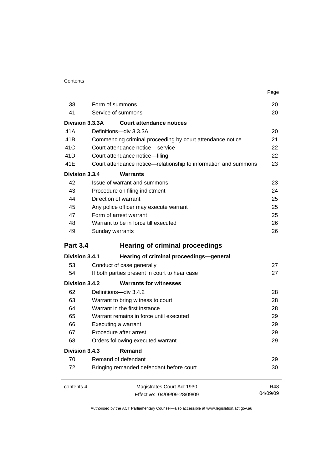|                 |                                                                 | Page     |
|-----------------|-----------------------------------------------------------------|----------|
| 38              | Form of summons                                                 | 20       |
| 41              | Service of summons                                              | 20       |
| Division 3.3.3A | Court attendance notices                                        |          |
| 41 A            | Definitions-div 3.3.3A                                          | 20       |
| 41 <sub>B</sub> | Commencing criminal proceeding by court attendance notice       | 21       |
| 41C             | Court attendance notice-service                                 | 22       |
| 41 <sub>D</sub> | Court attendance notice-filing                                  | 22       |
| 41E             | Court attendance notice—relationship to information and summons | 23       |
| Division 3.3.4  | Warrants                                                        |          |
| 42              | Issue of warrant and summons                                    | 23       |
| 43              | Procedure on filing indictment                                  | 24       |
| 44              | Direction of warrant                                            | 25       |
| 45              | Any police officer may execute warrant                          | 25       |
| 47              | Form of arrest warrant                                          | 25       |
| 48              | Warrant to be in force till executed                            | 26       |
| 49              | Sunday warrants                                                 | 26       |
| <b>Part 3.4</b> | <b>Hearing of criminal proceedings</b>                          |          |
| Division 3.4.1  | Hearing of criminal proceedings-general                         |          |
| 53              | Conduct of case generally                                       | 27       |
| 54              | If both parties present in court to hear case                   | 27       |
| Division 3.4.2  | <b>Warrants for witnesses</b>                                   |          |
| 62              | Definitions-div 3.4.2                                           | 28       |
| 63              | Warrant to bring witness to court                               | 28       |
| 64              | Warrant in the first instance                                   | 28       |
| 65              | Warrant remains in force until executed                         | 29       |
| 66              | Executing a warrant                                             | 29       |
| 67              | Procedure after arrest                                          | 29       |
| 68              | Orders following executed warrant                               | 29       |
| Division 3.4.3  | Remand                                                          |          |
| 70              | Remand of defendant                                             | 29       |
| 72              | Bringing remanded defendant before court                        | 30       |
| contents 4      | Magistrates Court Act 1930                                      | R48      |
|                 | Effective: 04/09/09-28/09/09                                    | 04/09/09 |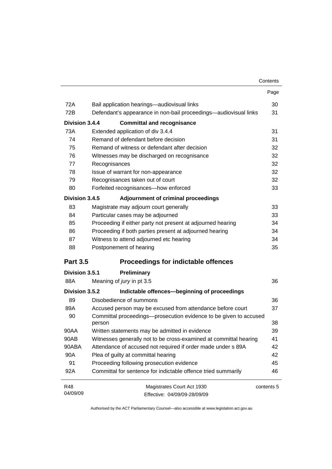|                 |                                                                   | Contents   |
|-----------------|-------------------------------------------------------------------|------------|
|                 |                                                                   | Page       |
| 72A             | Bail application hearings-audiovisual links                       | 30         |
| 72B             | Defendant's appearance in non-bail proceedings—audiovisual links  | 31         |
| Division 3.4.4  | <b>Committal and recognisance</b>                                 |            |
| 73A             | Extended application of div 3.4.4                                 | 31         |
| 74              | Remand of defendant before decision                               | 31         |
| 75              | Remand of witness or defendant after decision                     | 32         |
| 76              | Witnesses may be discharged on recognisance                       | 32         |
| 77              | Recognisances                                                     | 32         |
| 78              | Issue of warrant for non-appearance                               | 32         |
| 79              | Recognisances taken out of court                                  | 32         |
| 80              | Forfeited recognisances-how enforced                              | 33         |
| Division 3.4.5  | Adjournment of criminal proceedings                               |            |
| 83              | Magistrate may adjourn court generally                            | 33         |
| 84              | Particular cases may be adjourned                                 | 33         |
| 85              | Proceeding if either party not present at adjourned hearing       | 34         |
| 86              | Proceeding if both parties present at adjourned hearing           | 34         |
| 87              | Witness to attend adjourned etc hearing                           | 34         |
| 88              | Postponement of hearing                                           | 35         |
| <b>Part 3.5</b> | <b>Proceedings for indictable offences</b>                        |            |
| Division 3.5.1  | Preliminary                                                       |            |
| 88A             | Meaning of jury in pt 3.5                                         | 36         |
| Division 3.5.2  | Indictable offences-beginning of proceedings                      |            |
| 89              | Disobedience of summons                                           | 36         |
| 89A             | Accused person may be excused from attendance before court        | 37         |
| 90              | Committal proceedings-prosecution evidence to be given to accused |            |
|                 | person                                                            | 38         |
| 90AA            | Written statements may be admitted in evidence                    | 39         |
| 90AB            | Witnesses generally not to be cross-examined at committal hearing | 41         |
| 90ABA           | Attendance of accused not required if order made under s 89A      | 42         |
| 90A             | Plea of guilty at committal hearing                               | 42         |
| 91              | Proceeding following prosecution evidence                         | 45         |
| 92A             | Committal for sentence for indictable offence tried summarily     | 46         |
| R48             | Magistrates Court Act 1930                                        | contents 5 |
| 04/09/09        | Effective: 04/09/09-28/09/09                                      |            |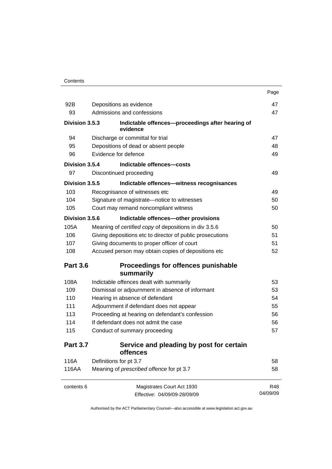|                 |                            |                                                              | Page     |
|-----------------|----------------------------|--------------------------------------------------------------|----------|
| 92B             |                            | Depositions as evidence                                      | 47       |
| 93              | Admissions and confessions |                                                              | 47       |
| Division 3.5.3  |                            | Indictable offences-proceedings after hearing of<br>evidence |          |
| 94              |                            | Discharge or committal for trial                             | 47       |
| 95              |                            | Depositions of dead or absent people                         | 48       |
| 96              |                            | Evidence for defence                                         | 49       |
| Division 3.5.4  |                            | Indictable offences-costs                                    |          |
| 97              |                            | Discontinued proceeding                                      | 49       |
| Division 3.5.5  |                            | Indictable offences-witness recognisances                    |          |
| 103             |                            | Recognisance of witnesses etc                                | 49       |
| 104             |                            | Signature of magistrate-notice to witnesses                  | 50       |
| 105             |                            | Court may remand noncompliant witness                        | 50       |
| Division 3.5.6  |                            | Indictable offences-other provisions                         |          |
| 105A            |                            | Meaning of certified copy of depositions in div 3.5.6        | 50       |
| 106             |                            | Giving depositions etc to director of public prosecutions    | 51       |
| 107             |                            | Giving documents to proper officer of court                  | 51       |
| 108             |                            | Accused person may obtain copies of depositions etc          | 52       |
| <b>Part 3.6</b> |                            | Proceedings for offences punishable                          |          |
|                 |                            | summarily                                                    |          |
| 108A            |                            | Indictable offences dealt with summarily                     | 53       |
| 109             |                            | Dismissal or adjournment in absence of informant             | 53       |
| 110             |                            | Hearing in absence of defendant                              | 54       |
| 111             |                            | Adjournment if defendant does not appear                     | 55       |
| 113             |                            | Proceeding at hearing on defendant's confession              | 56       |
| 114             |                            | If defendant does not admit the case                         | 56       |
| 115             |                            | Conduct of summary proceeding                                | 57       |
| <b>Part 3.7</b> |                            | Service and pleading by post for certain<br>offences         |          |
| 116A            |                            | Definitions for pt 3.7                                       | 58       |
| 116AA           |                            | Meaning of prescribed offence for pt 3.7                     | 58       |
| contents 6      |                            | Magistrates Court Act 1930                                   | R48      |
|                 |                            | Effective: 04/09/09-28/09/09                                 | 04/09/09 |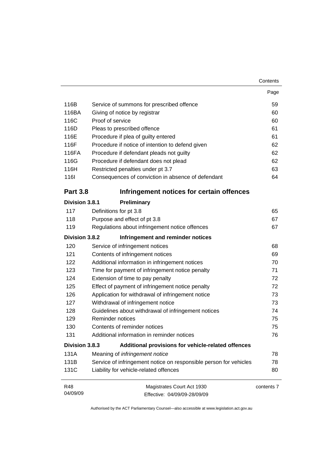|                 |                                                                   | Page       |
|-----------------|-------------------------------------------------------------------|------------|
| 116B            | Service of summons for prescribed offence                         | 59         |
| 116BA           | Giving of notice by registrar                                     | 60         |
| 116C            | Proof of service                                                  | 60         |
| 116D            | Pleas to prescribed offence                                       | 61         |
| 116E            | Procedure if plea of guilty entered                               | 61         |
| 116F            | Procedure if notice of intention to defend given                  | 62         |
| 116FA           | Procedure if defendant pleads not guilty                          | 62         |
| 116G            | Procedure if defendant does not plead                             | 62         |
| 116H            | Restricted penalties under pt 3.7                                 | 63         |
| <b>116l</b>     | Consequences of conviction in absence of defendant                | 64         |
| <b>Part 3.8</b> | Infringement notices for certain offences                         |            |
| Division 3.8.1  | Preliminary                                                       |            |
| 117             | Definitions for pt 3.8                                            | 65         |
| 118             | Purpose and effect of pt 3.8                                      | 67         |
| 119             | Regulations about infringement notice offences                    | 67         |
| Division 3.8.2  | Infringement and reminder notices                                 |            |
| 120             | Service of infringement notices                                   | 68         |
| 121             | Contents of infringement notices                                  | 69         |
| 122             | Additional information in infringement notices                    | 70         |
| 123             | Time for payment of infringement notice penalty                   | 71         |
| 124             | Extension of time to pay penalty                                  | 72         |
| 125             | Effect of payment of infringement notice penalty                  | 72         |
| 126             | Application for withdrawal of infringement notice                 | 73         |
| 127             | Withdrawal of infringement notice                                 | 73         |
| 128             | Guidelines about withdrawal of infringement notices               | 74         |
| 129             | Reminder notices                                                  | 75         |
| 130             | Contents of reminder notices                                      | 75         |
| 131             | Additional information in reminder notices                        | 76         |
| Division 3.8.3  | Additional provisions for vehicle-related offences                |            |
| 131A            | Meaning of infringement notice                                    | 78         |
| 131B            | Service of infringement notice on responsible person for vehicles | 78         |
| 131C            | Liability for vehicle-related offences                            | 80         |
| R48             | Magistrates Court Act 1930                                        | contents 7 |
| 04/09/09        | Effective: 04/09/09-28/09/09                                      |            |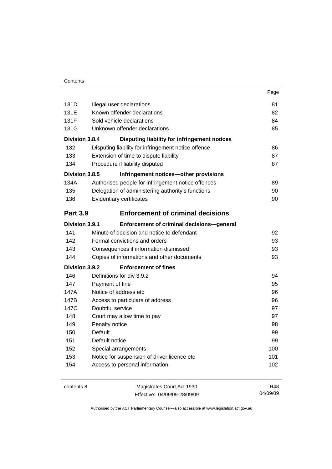|                 |                                                     | Page |
|-----------------|-----------------------------------------------------|------|
| 131D            | Illegal user declarations                           | 81   |
| 131E            | Known offender declarations                         | 82   |
| 131F            | Sold vehicle declarations                           | 84   |
| 131G            | Unknown offender declarations                       | 85   |
| Division 3.8.4  | Disputing liability for infringement notices        |      |
| 132             | Disputing liability for infringement notice offence | 86   |
| 133             | Extension of time to dispute liability              | 87   |
| 134             | Procedure if liability disputed                     | 87   |
| Division 3.8.5  | Infringement notices-other provisions               |      |
| 134A            | Authorised people for infringement notice offences  | 89   |
| 135             | Delegation of administering authority's functions   | 90   |
| 136             | Evidentiary certificates                            | 90   |
| <b>Part 3.9</b> | <b>Enforcement of criminal decisions</b>            |      |
| Division 3.9.1  | Enforcement of criminal decisions-general           |      |
| 141             | Minute of decision and notice to defendant          | 92   |
| 142             | Formal convictions and orders                       | 93   |
| 143             | Consequences if information dismissed               | 93   |
| 144             | Copies of informations and other documents          | 93   |
| Division 3.9.2  | <b>Enforcement of fines</b>                         |      |
| 146             | Definitions for div 3.9.2                           | 94   |
| 147             | Payment of fine                                     | 95   |
| 147A            | Notice of address etc                               | 96   |
| 147B            | Access to particulars of address                    | 96   |
| 147C            | Doubtful service                                    | 97   |
| 148             | Court may allow time to pay                         | 97   |
| 149             | Penalty notice                                      | 98   |
| 150             | Default                                             | 99   |
| 151             | Default notice                                      | 99   |
| 152             | Special arrangements                                | 100  |
| 153             | Notice for suspension of driver licence etc         | 101  |
| 154             | Access to personal information                      | 102  |

contents 8 Magistrates Court Act 1930 Effective: 04/09/09-28/09/09

R48 04/09/09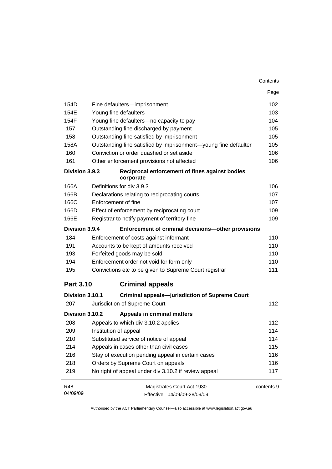|                  |                                         |                                                                 | Contents   |
|------------------|-----------------------------------------|-----------------------------------------------------------------|------------|
|                  |                                         |                                                                 | Page       |
| 154D             |                                         | Fine defaulters-imprisonment                                    | 102        |
| 154E             | Young fine defaulters                   |                                                                 | 103        |
| 154F             |                                         | Young fine defaulters-no capacity to pay                        | 104        |
| 157              |                                         | Outstanding fine discharged by payment                          | 105        |
| 158              |                                         | Outstanding fine satisfied by imprisonment                      | 105        |
| 158A             |                                         | Outstanding fine satisfied by imprisonment-young fine defaulter | 105        |
| 160              |                                         | Conviction or order quashed or set aside                        | 106        |
| 161              |                                         | Other enforcement provisions not affected                       | 106        |
| Division 3.9.3   |                                         | Reciprocal enforcement of fines against bodies<br>corporate     |            |
| 166A             |                                         | Definitions for div 3.9.3                                       | 106        |
| 166B             |                                         | Declarations relating to reciprocating courts                   | 107        |
| 166C             |                                         | Enforcement of fine                                             | 107        |
| 166D             |                                         | Effect of enforcement by reciprocating court                    | 109        |
| 166E             |                                         | Registrar to notify payment of territory fine                   | 109        |
| Division 3.9.4   |                                         | Enforcement of criminal decisions-other provisions              |            |
| 184              |                                         | Enforcement of costs against informant                          | 110        |
| 191              |                                         | Accounts to be kept of amounts received                         | 110        |
| 193              |                                         | Forfeited goods may be sold                                     | 110        |
| 194              |                                         | Enforcement order not void for form only                        | 110        |
| 195              |                                         | Convictions etc to be given to Supreme Court registrar          | 111        |
| <b>Part 3.10</b> |                                         | <b>Criminal appeals</b>                                         |            |
| Division 3.10.1  |                                         | <b>Criminal appeals-jurisdiction of Supreme Court</b>           |            |
| 207              |                                         | Jurisdiction of Supreme Court                                   | 112        |
| Division 3.10.2  |                                         | <b>Appeals in criminal matters</b>                              |            |
| 208              |                                         | Appeals to which div 3.10.2 applies                             | 112        |
| 209              |                                         | Institution of appeal                                           |            |
| 210              | Substituted service of notice of appeal |                                                                 | 114        |
| 214              | Appeals in cases other than civil cases |                                                                 | 115        |
| 216              |                                         | Stay of execution pending appeal in certain cases               | 116        |
| 218              |                                         | Orders by Supreme Court on appeals                              | 116        |
| 219              |                                         | No right of appeal under div 3.10.2 if review appeal            | 117        |
| R48              |                                         | Magistrates Court Act 1930                                      | contents 9 |
| 04/09/09         |                                         | Effective: 04/09/09-28/09/09                                    |            |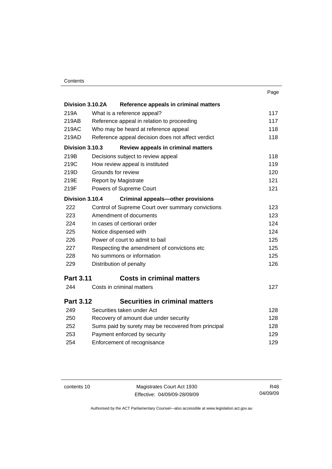| × | ٧ |
|---|---|

| Division 3.10.2A | Reference appeals in criminal matters               |     |
|------------------|-----------------------------------------------------|-----|
| 219A             | What is a reference appeal?                         | 117 |
| 219AB            | Reference appeal in relation to proceeding          | 117 |
| 219AC            | Who may be heard at reference appeal                | 118 |
| 219AD            | Reference appeal decision does not affect verdict   | 118 |
| Division 3.10.3  | Review appeals in criminal matters                  |     |
| 219B             | Decisions subject to review appeal                  | 118 |
| 219C             | How review appeal is instituted                     | 119 |
| 219D             | Grounds for review                                  | 120 |
| 219E             | <b>Report by Magistrate</b>                         | 121 |
| 219F             | Powers of Supreme Court                             | 121 |
| Division 3.10.4  | <b>Criminal appeals-other provisions</b>            |     |
| 222              | Control of Supreme Court over summary convictions   | 123 |
| 223              | Amendment of documents                              | 123 |
| 224              | In cases of certiorari order                        | 124 |
| 225              | Notice dispensed with                               | 124 |
| 226              | Power of court to admit to bail                     | 125 |
| 227              | Respecting the amendment of convictions etc         | 125 |
| 228              | No summons or information                           | 125 |
| 229              | Distribution of penalty                             | 126 |
| <b>Part 3.11</b> | <b>Costs in criminal matters</b>                    |     |
| 244              | Costs in criminal matters                           | 127 |
| <b>Part 3.12</b> | <b>Securities in criminal matters</b>               |     |
| 249              | Securities taken under Act                          | 128 |
| 250              | Recovery of amount due under security               | 128 |
| 252              | Sums paid by surety may be recovered from principal | 128 |
| 253              | Payment enforced by security                        | 129 |
| 254              | Enforcement of recognisance                         | 129 |
|                  |                                                     |     |

contents 10 Magistrates Court Act 1930 Effective: 04/09/09-28/09/09

R48 04/09/09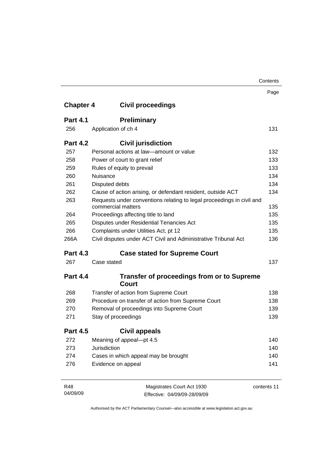|                  |                                                                                             | Contents    |
|------------------|---------------------------------------------------------------------------------------------|-------------|
|                  |                                                                                             | Page        |
| <b>Chapter 4</b> | <b>Civil proceedings</b>                                                                    |             |
| <b>Part 4.1</b>  | <b>Preliminary</b>                                                                          |             |
| 256              | Application of ch 4                                                                         | 131         |
| <b>Part 4.2</b>  | <b>Civil jurisdiction</b>                                                                   |             |
| 257              | Personal actions at law—amount or value                                                     | 132         |
| 258              | Power of court to grant relief                                                              | 133         |
| 259              | Rules of equity to prevail                                                                  | 133         |
| 260              | Nuisance                                                                                    | 134         |
| 261              | Disputed debts                                                                              | 134         |
| 262              | Cause of action arising, or defendant resident, outside ACT                                 | 134         |
| 263              | Requests under conventions relating to legal proceedings in civil and<br>commercial matters | 135         |
| 264              | Proceedings affecting title to land                                                         | 135         |
| 265              | Disputes under Residential Tenancies Act                                                    | 135         |
| 266              | Complaints under Utilities Act, pt 12                                                       | 135         |
| 266A             | Civil disputes under ACT Civil and Administrative Tribunal Act                              | 136         |
| <b>Part 4.3</b>  | <b>Case stated for Supreme Court</b>                                                        |             |
| 267              | Case stated                                                                                 | 137         |
| <b>Part 4.4</b>  | <b>Transfer of proceedings from or to Supreme</b><br><b>Court</b>                           |             |
| 268              | Transfer of action from Supreme Court                                                       | 138         |
| 269              | Procedure on transfer of action from Supreme Court                                          | 138         |
| 270              | Removal of proceedings into Supreme Court                                                   | 139         |
| 271              | Stay of proceedings                                                                         | 139         |
| <b>Part 4.5</b>  | <b>Civil appeals</b>                                                                        |             |
| 272              | Meaning of appeal-pt 4.5                                                                    | 140         |
| 273              | Jurisdiction                                                                                | 140         |
| 274              | Cases in which appeal may be brought                                                        | 140         |
| 276              | Evidence on appeal                                                                          | 141         |
| R48              | Magistrates Court Act 1930                                                                  | contents 11 |

Effective: 04/09/09-28/09/09

04/09/09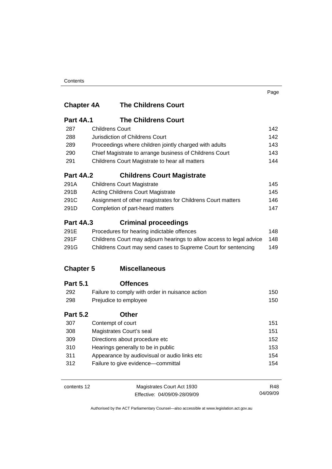### **Chapter 4A The Childrens Court**

| <b>Part 4A.1</b>                                | <b>The Childrens Court</b>                                         |                |
|-------------------------------------------------|--------------------------------------------------------------------|----------------|
| 287                                             | <b>Childrens Court</b>                                             | 142            |
| 288                                             | Jurisdiction of Childrens Court                                    | 142            |
| 289                                             | Proceedings where children jointly charged with adults             | 143            |
| 290                                             | Chief Magistrate to arrange business of Childrens Court            | 143            |
| 291                                             | Childrens Court Magistrate to hear all matters                     |                |
| <b>Part 4A.2</b>                                | <b>Childrens Court Magistrate</b>                                  |                |
| 291A                                            | <b>Childrens Court Magistrate</b>                                  | 145            |
| 291B                                            | Acting Childrens Court Magistrate                                  | 145            |
| 291C                                            | Assignment of other magistrates for Childrens Court matters<br>146 |                |
| 291D                                            | Completion of part-heard matters                                   | 147            |
| <b>Part 4A.3</b><br><b>Criminal proceedings</b> |                                                                    |                |
|                                                 | Description of the book and the Potal Hotel (for a con-            | $\overline{1}$ |

| 291E | Procedures for hearing indictable offences                           | 148 |
|------|----------------------------------------------------------------------|-----|
| 291F | Childrens Court may adjourn hearings to allow access to legal advice | 148 |
| 291G | Childrens Court may send cases to Supreme Court for sentencing       | 149 |

### **Chapter 5 Miscellaneous**

| <b>Part 5.1</b> | <b>Offences</b>                                 |     |
|-----------------|-------------------------------------------------|-----|
| 292             | Failure to comply with order in nuisance action | 150 |
| 298             | Prejudice to employee                           | 150 |
| <b>Part 5.2</b> | Other                                           |     |
| 307             | Contempt of court                               | 151 |
| 308             | Magistrates Court's seal                        | 151 |
| 309             | Directions about procedure etc                  | 152 |
| 310             | Hearings generally to be in public              | 153 |
| 311             | Appearance by audiovisual or audio links etc    | 154 |
| 312             | Failure to give evidence-committal              | 154 |

contents 12 Magistrates Court Act 1930 Effective: 04/09/09-28/09/09 R48 04/09/09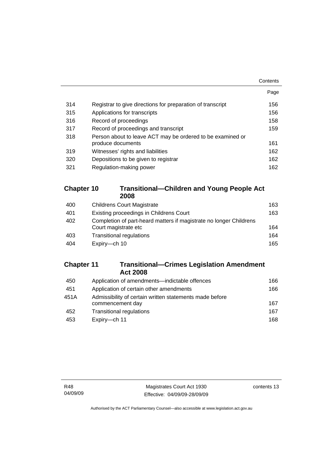|     |                                                            | Contents |
|-----|------------------------------------------------------------|----------|
|     |                                                            | Page     |
| 314 | Registrar to give directions for preparation of transcript | 156      |
| 315 | Applications for transcripts                               | 156      |
| 316 | Record of proceedings                                      | 158      |
| 317 | Record of proceedings and transcript                       | 159      |
| 318 | Person about to leave ACT may be ordered to be examined or |          |
|     | produce documents                                          | 161      |
| 319 | Witnesses' rights and liabilities                          | 162      |
| 320 | Depositions to be given to registrar                       | 162      |
| 321 | Regulation-making power                                    | 162      |

#### **Chapter 10 Transitional—Children and Young People Act 2008**

| 400 | <b>Childrens Court Magistrate</b>                                                          | 163 |
|-----|--------------------------------------------------------------------------------------------|-----|
| 401 | Existing proceedings in Childrens Court                                                    | 163 |
| 402 | Completion of part-heard matters if magistrate no longer Childrens<br>Court magistrate etc | 164 |
| 403 | <b>Transitional regulations</b>                                                            | 164 |
| 404 | Expiry-ch 10                                                                               | 165 |

#### **Chapter 11 Transitional—Crimes Legislation Amendment Act 2008**

| 450  | Application of amendments-indictable offences           | 166 |
|------|---------------------------------------------------------|-----|
| 451  | Application of certain other amendments                 | 166 |
| 451A | Admissibility of certain written statements made before |     |
|      | commencement day                                        | 167 |
| 452  | <b>Transitional regulations</b>                         | 167 |
| 453  | Expiry-ch 11                                            | 168 |
|      |                                                         |     |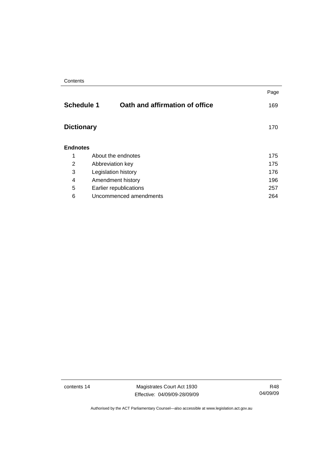|                   |                                | Page |
|-------------------|--------------------------------|------|
| <b>Schedule 1</b> | Oath and affirmation of office | 169  |
| <b>Dictionary</b> |                                | 170  |
| <b>Endnotes</b>   |                                |      |
| 1                 | About the endnotes             | 175  |
| 2                 | Abbreviation key               | 175  |
| 3                 | Legislation history            | 176  |
| 4                 | Amendment history              | 196  |
| 5                 | Earlier republications         | 257  |
| 6                 | Uncommenced amendments<br>264  |      |

contents 14 Magistrates Court Act 1930 Effective: 04/09/09-28/09/09

R48 04/09/09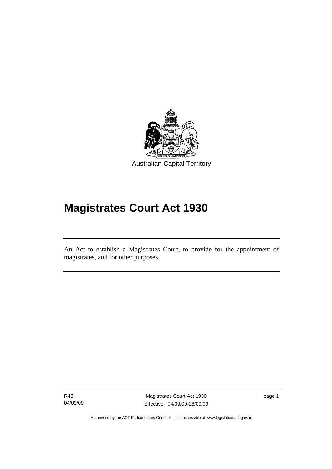<span id="page-16-0"></span>

# **Magistrates Court Act 1930**

An Act to establish a Magistrates Court, to provide for the appointment of magistrates, and for other purposes

R48 04/09/09

l

Magistrates Court Act 1930 Effective: 04/09/09-28/09/09 page 1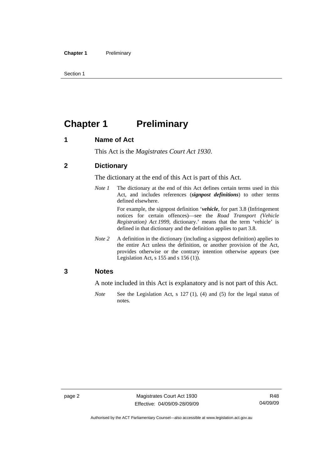<span id="page-17-0"></span>Section 1

# **Chapter 1** Preliminary

#### **1 Name of Act**

This Act is the *Magistrates Court Act 1930*.

#### **2 Dictionary**

The dictionary at the end of this Act is part of this Act.

*Note 1* The dictionary at the end of this Act defines certain terms used in this Act, and includes references (*signpost definitions*) to other terms defined elsewhere.

> For example, the signpost definition '*vehicle*, for part 3.8 (Infringement notices for certain offences)—see the *Road Transport (Vehicle Registration) Act 1999*, dictionary.' means that the term 'vehicle' is defined in that dictionary and the definition applies to part 3.8.

*Note 2* A definition in the dictionary (including a signpost definition) applies to the entire Act unless the definition, or another provision of the Act, provides otherwise or the contrary intention otherwise appears (see Legislation Act, s 155 and s 156 (1)).

#### **3 Notes**

A note included in this Act is explanatory and is not part of this Act.

*Note* See the Legislation Act, s 127 (1), (4) and (5) for the legal status of notes.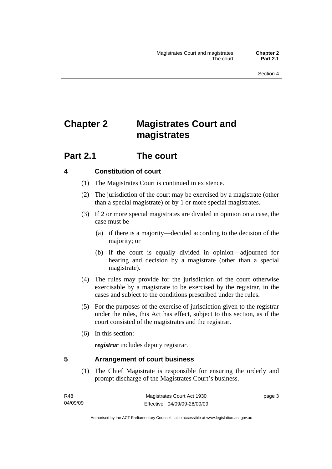# <span id="page-18-0"></span>**Chapter 2 Magistrates Court and magistrates**

### **Part 2.1 The court**

#### **4 Constitution of court**

- (1) The Magistrates Court is continued in existence.
- (2) The jurisdiction of the court may be exercised by a magistrate (other than a special magistrate) or by 1 or more special magistrates.
- (3) If 2 or more special magistrates are divided in opinion on a case, the case must be—
	- (a) if there is a majority—decided according to the decision of the majority; or
	- (b) if the court is equally divided in opinion—adjourned for hearing and decision by a magistrate (other than a special magistrate).
- (4) The rules may provide for the jurisdiction of the court otherwise exercisable by a magistrate to be exercised by the registrar, in the cases and subject to the conditions prescribed under the rules.
- (5) For the purposes of the exercise of jurisdiction given to the registrar under the rules, this Act has effect, subject to this section, as if the court consisted of the magistrates and the registrar.
- (6) In this section:

*registrar* includes deputy registrar.

#### **5 Arrangement of court business**

 (1) The Chief Magistrate is responsible for ensuring the orderly and prompt discharge of the Magistrates Court's business.

Authorised by the ACT Parliamentary Counsel—also accessible at www.legislation.act.gov.au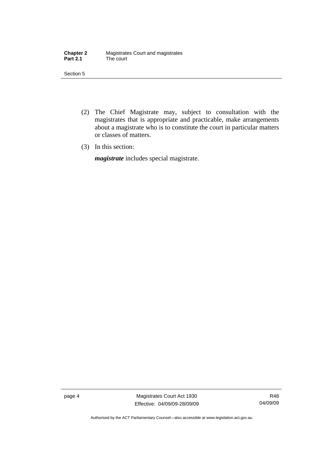| <b>Chapter 2</b> | Magistrates Court and magistrates |
|------------------|-----------------------------------|
| <b>Part 2.1</b>  | The court                         |

Section 5

- (2) The Chief Magistrate may, subject to consultation with the magistrates that is appropriate and practicable, make arrangements about a magistrate who is to constitute the court in particular matters or classes of matters.
- (3) In this section:

*magistrate* includes special magistrate.

page 4 Magistrates Court Act 1930 Effective: 04/09/09-28/09/09

R48 04/09/09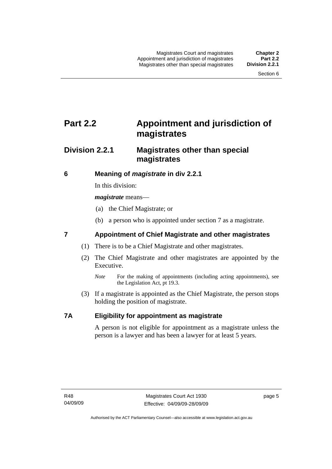# <span id="page-20-0"></span>**Part 2.2 Appointment and jurisdiction of magistrates**

### **Division 2.2.1 Magistrates other than special magistrates**

#### **6 Meaning of** *magistrate* **in div 2.2.1**

In this division:

*magistrate* means—

- (a) the Chief Magistrate; or
- (b) a person who is appointed under section 7 as a magistrate.

#### **7 Appointment of Chief Magistrate and other magistrates**

- (1) There is to be a Chief Magistrate and other magistrates.
- (2) The Chief Magistrate and other magistrates are appointed by the Executive.
	- *Note* For the making of appointments (including acting appointments), see the Legislation Act, pt 19.3.
- (3) If a magistrate is appointed as the Chief Magistrate, the person stops holding the position of magistrate.

#### **7A Eligibility for appointment as magistrate**

A person is not eligible for appointment as a magistrate unless the person is a lawyer and has been a lawyer for at least 5 years.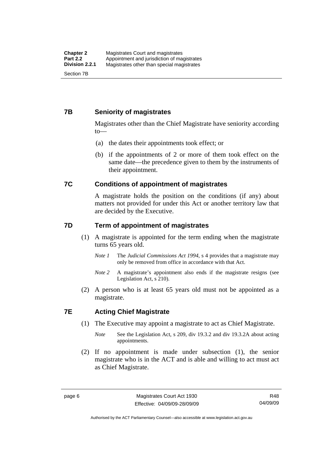#### <span id="page-21-0"></span>**7B Seniority of magistrates**

Magistrates other than the Chief Magistrate have seniority according to—

- (a) the dates their appointments took effect; or
- (b) if the appointments of 2 or more of them took effect on the same date—the precedence given to them by the instruments of their appointment.

#### **7C Conditions of appointment of magistrates**

A magistrate holds the position on the conditions (if any) about matters not provided for under this Act or another territory law that are decided by the Executive.

#### **7D Term of appointment of magistrates**

- (1) A magistrate is appointed for the term ending when the magistrate turns 65 years old.
	- *Note 1* The *Judicial Commissions Act 1994*, s 4 provides that a magistrate may only be removed from office in accordance with that Act.
	- *Note 2* A magistrate's appointment also ends if the magistrate resigns (see Legislation Act, s 210).
- (2) A person who is at least 65 years old must not be appointed as a magistrate.

#### **7E Acting Chief Magistrate**

- (1) The Executive may appoint a magistrate to act as Chief Magistrate.
	- *Note* See the Legislation Act, s 209, div 19.3.2 and div 19.3.2A about acting appointments.
- (2) If no appointment is made under subsection (1), the senior magistrate who is in the ACT and is able and willing to act must act as Chief Magistrate.

Authorised by the ACT Parliamentary Counsel—also accessible at www.legislation.act.gov.au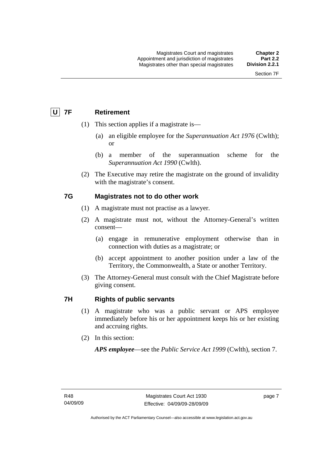### <span id="page-22-0"></span> **U 7F Retirement**

- (1) This section applies if a magistrate is—
	- (a) an eligible employee for the *Superannuation Act 1976* (Cwlth); or
	- (b) a member of the superannuation scheme for the *Superannuation Act 1990* (Cwlth).
- (2) The Executive may retire the magistrate on the ground of invalidity with the magistrate's consent.

#### **7G Magistrates not to do other work**

- (1) A magistrate must not practise as a lawyer.
- (2) A magistrate must not, without the Attorney-General's written consent—
	- (a) engage in remunerative employment otherwise than in connection with duties as a magistrate; or
	- (b) accept appointment to another position under a law of the Territory, the Commonwealth, a State or another Territory.
- (3) The Attorney-General must consult with the Chief Magistrate before giving consent.

#### **7H Rights of public servants**

- (1) A magistrate who was a public servant or APS employee immediately before his or her appointment keeps his or her existing and accruing rights.
- (2) In this section:

*APS employee*—see the *Public Service Act 1999* (Cwlth), section 7.

page 7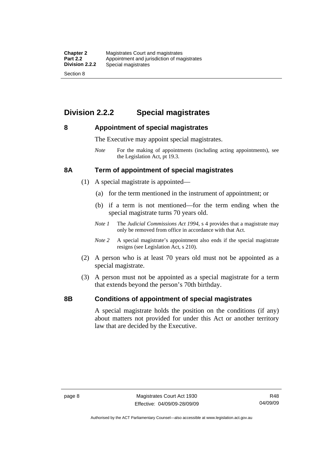### <span id="page-23-0"></span>**Division 2.2.2 Special magistrates**

#### **8 Appointment of special magistrates**

The Executive may appoint special magistrates.

*Note* For the making of appointments (including acting appointments), see the Legislation Act, pt 19.3.

#### **8A Term of appointment of special magistrates**

- (1) A special magistrate is appointed—
	- (a) for the term mentioned in the instrument of appointment; or
	- (b) if a term is not mentioned—for the term ending when the special magistrate turns 70 years old.
	- *Note 1* The *Judicial Commissions Act 1994*, s 4 provides that a magistrate may only be removed from office in accordance with that Act.
	- *Note 2* A special magistrate's appointment also ends if the special magistrate resigns (see Legislation Act, s 210).
- (2) A person who is at least 70 years old must not be appointed as a special magistrate.
- (3) A person must not be appointed as a special magistrate for a term that extends beyond the person's 70th birthday.

#### **8B Conditions of appointment of special magistrates**

A special magistrate holds the position on the conditions (if any) about matters not provided for under this Act or another territory law that are decided by the Executive.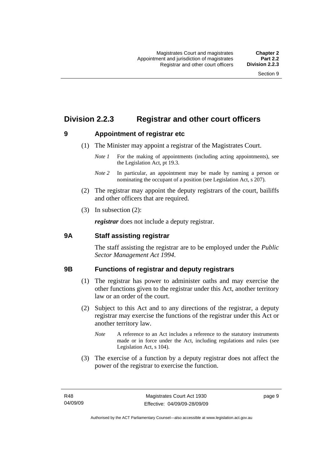### <span id="page-24-0"></span>**Division 2.2.3 Registrar and other court officers**

#### **9 Appointment of registrar etc**

- (1) The Minister may appoint a registrar of the Magistrates Court.
	- *Note 1* For the making of appointments (including acting appointments), see the Legislation Act, pt 19.3.
	- *Note 2* In particular, an appointment may be made by naming a person or nominating the occupant of a position (see Legislation Act, s 207).
- (2) The registrar may appoint the deputy registrars of the court, bailiffs and other officers that are required.
- (3) In subsection (2):

*registrar* does not include a deputy registrar.

#### **9A Staff assisting registrar**

The staff assisting the registrar are to be employed under the *Public Sector Management Act 1994*.

#### **9B Functions of registrar and deputy registrars**

- (1) The registrar has power to administer oaths and may exercise the other functions given to the registrar under this Act, another territory law or an order of the court.
- (2) Subject to this Act and to any directions of the registrar, a deputy registrar may exercise the functions of the registrar under this Act or another territory law.
	- *Note* A reference to an Act includes a reference to the statutory instruments made or in force under the Act, including regulations and rules (see Legislation Act, s 104).
- (3) The exercise of a function by a deputy registrar does not affect the power of the registrar to exercise the function.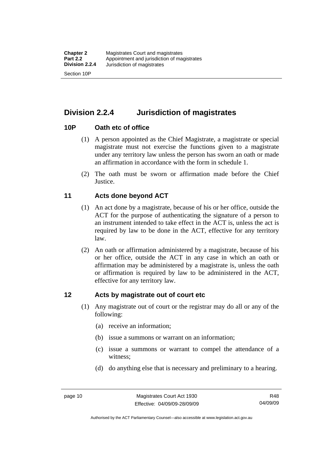<span id="page-25-0"></span>**Division 2.2.4 Jurisdiction of magistrates** 

#### **10P Oath etc of office**

- (1) A person appointed as the Chief Magistrate, a magistrate or special magistrate must not exercise the functions given to a magistrate under any territory law unless the person has sworn an oath or made an affirmation in accordance with the form in schedule 1.
- (2) The oath must be sworn or affirmation made before the Chief **Justice**.

#### **11 Acts done beyond ACT**

- (1) An act done by a magistrate, because of his or her office, outside the ACT for the purpose of authenticating the signature of a person to an instrument intended to take effect in the ACT is, unless the act is required by law to be done in the ACT, effective for any territory law.
- (2) An oath or affirmation administered by a magistrate, because of his or her office, outside the ACT in any case in which an oath or affirmation may be administered by a magistrate is, unless the oath or affirmation is required by law to be administered in the ACT, effective for any territory law.

#### **12 Acts by magistrate out of court etc**

- (1) Any magistrate out of court or the registrar may do all or any of the following:
	- (a) receive an information;
	- (b) issue a summons or warrant on an information;
	- (c) issue a summons or warrant to compel the attendance of a witness;
	- (d) do anything else that is necessary and preliminary to a hearing.

Authorised by the ACT Parliamentary Counsel—also accessible at www.legislation.act.gov.au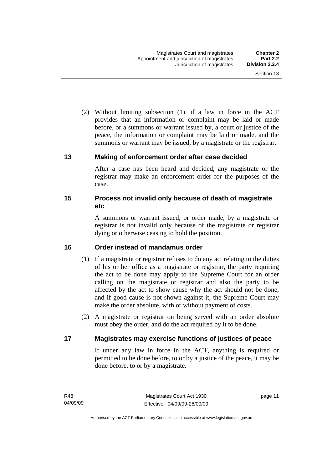<span id="page-26-0"></span> (2) Without limiting subsection (1), if a law in force in the ACT provides that an information or complaint may be laid or made before, or a summons or warrant issued by, a court or justice of the peace, the information or complaint may be laid or made, and the summons or warrant may be issued, by a magistrate or the registrar.

#### **13 Making of enforcement order after case decided**

After a case has been heard and decided, any magistrate or the registrar may make an enforcement order for the purposes of the case.

#### **15 Process not invalid only because of death of magistrate etc**

A summons or warrant issued, or order made, by a magistrate or registrar is not invalid only because of the magistrate or registrar dying or otherwise ceasing to hold the position.

#### **16 Order instead of mandamus order**

- (1) If a magistrate or registrar refuses to do any act relating to the duties of his or her office as a magistrate or registrar, the party requiring the act to be done may apply to the Supreme Court for an order calling on the magistrate or registrar and also the party to be affected by the act to show cause why the act should not be done, and if good cause is not shown against it, the Supreme Court may make the order absolute, with or without payment of costs.
- (2) A magistrate or registrar on being served with an order absolute must obey the order, and do the act required by it to be done.

#### **17 Magistrates may exercise functions of justices of peace**

If under any law in force in the ACT, anything is required or permitted to be done before, to or by a justice of the peace, it may be done before, to or by a magistrate.

page 11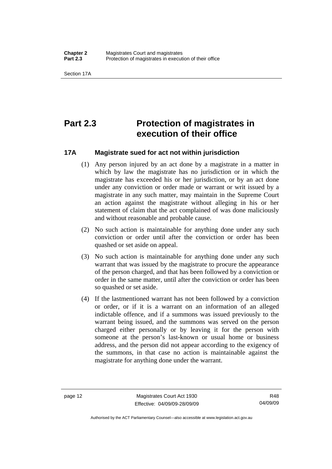<span id="page-27-0"></span>Section 17A

# **Part 2.3 Protection of magistrates in execution of their office**

#### **17A Magistrate sued for act not within jurisdiction**

- (1) Any person injured by an act done by a magistrate in a matter in which by law the magistrate has no jurisdiction or in which the magistrate has exceeded his or her jurisdiction, or by an act done under any conviction or order made or warrant or writ issued by a magistrate in any such matter, may maintain in the Supreme Court an action against the magistrate without alleging in his or her statement of claim that the act complained of was done maliciously and without reasonable and probable cause.
- (2) No such action is maintainable for anything done under any such conviction or order until after the conviction or order has been quashed or set aside on appeal.
- (3) No such action is maintainable for anything done under any such warrant that was issued by the magistrate to procure the appearance of the person charged, and that has been followed by a conviction or order in the same matter, until after the conviction or order has been so quashed or set aside.
- (4) If the lastmentioned warrant has not been followed by a conviction or order, or if it is a warrant on an information of an alleged indictable offence, and if a summons was issued previously to the warrant being issued, and the summons was served on the person charged either personally or by leaving it for the person with someone at the person's last-known or usual home or business address, and the person did not appear according to the exigency of the summons, in that case no action is maintainable against the magistrate for anything done under the warrant.

Authorised by the ACT Parliamentary Counsel—also accessible at www.legislation.act.gov.au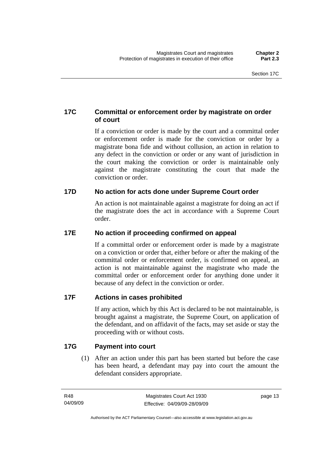#### <span id="page-28-0"></span>**17C Committal or enforcement order by magistrate on order of court**

If a conviction or order is made by the court and a committal order or enforcement order is made for the conviction or order by a magistrate bona fide and without collusion, an action in relation to any defect in the conviction or order or any want of jurisdiction in the court making the conviction or order is maintainable only against the magistrate constituting the court that made the conviction or order.

#### **17D No action for acts done under Supreme Court order**

An action is not maintainable against a magistrate for doing an act if the magistrate does the act in accordance with a Supreme Court order.

#### **17E No action if proceeding confirmed on appeal**

If a committal order or enforcement order is made by a magistrate on a conviction or order that, either before or after the making of the committal order or enforcement order, is confirmed on appeal, an action is not maintainable against the magistrate who made the committal order or enforcement order for anything done under it because of any defect in the conviction or order.

#### **17F Actions in cases prohibited**

If any action, which by this Act is declared to be not maintainable, is brought against a magistrate, the Supreme Court, on application of the defendant, and on affidavit of the facts, may set aside or stay the proceeding with or without costs.

#### **17G Payment into court**

 (1) After an action under this part has been started but before the case has been heard, a defendant may pay into court the amount the defendant considers appropriate.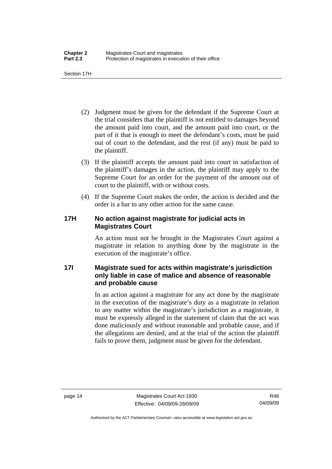<span id="page-29-0"></span>Section 17H

- (2) Judgment must be given for the defendant if the Supreme Court at the trial considers that the plaintiff is not entitled to damages beyond the amount paid into court, and the amount paid into court, or the part of it that is enough to meet the defendant's costs, must be paid out of court to the defendant, and the rest (if any) must be paid to the plaintiff.
- (3) If the plaintiff accepts the amount paid into court in satisfaction of the plaintiff's damages in the action, the plaintiff may apply to the Supreme Court for an order for the payment of the amount out of court to the plaintiff, with or without costs.
- (4) If the Supreme Court makes the order, the action is decided and the order is a bar to any other action for the same cause.

#### **17H No action against magistrate for judicial acts in Magistrates Court**

An action must not be brought in the Magistrates Court against a magistrate in relation to anything done by the magistrate in the execution of the magistrate's office.

#### **17I Magistrate sued for acts within magistrate's jurisdiction only liable in case of malice and absence of reasonable and probable cause**

In an action against a magistrate for any act done by the magistrate in the execution of the magistrate's duty as a magistrate in relation to any matter within the magistrate's jurisdiction as a magistrate, it must be expressly alleged in the statement of claim that the act was done maliciously and without reasonable and probable cause, and if the allegations are denied, and at the trial of the action the plaintiff fails to prove them, judgment must be given for the defendant.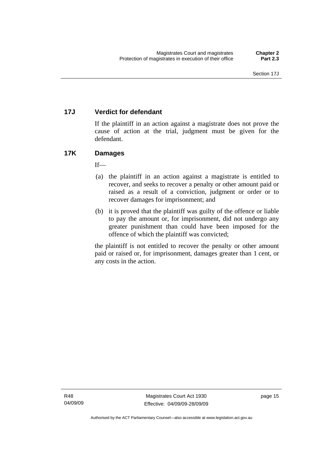#### <span id="page-30-0"></span>**17J Verdict for defendant**

If the plaintiff in an action against a magistrate does not prove the cause of action at the trial, judgment must be given for the defendant.

#### **17K Damages**

 $If$ —

- (a) the plaintiff in an action against a magistrate is entitled to recover, and seeks to recover a penalty or other amount paid or raised as a result of a conviction, judgment or order or to recover damages for imprisonment; and
- (b) it is proved that the plaintiff was guilty of the offence or liable to pay the amount or, for imprisonment, did not undergo any greater punishment than could have been imposed for the offence of which the plaintiff was convicted;

the plaintiff is not entitled to recover the penalty or other amount paid or raised or, for imprisonment, damages greater than 1 cent, or any costs in the action.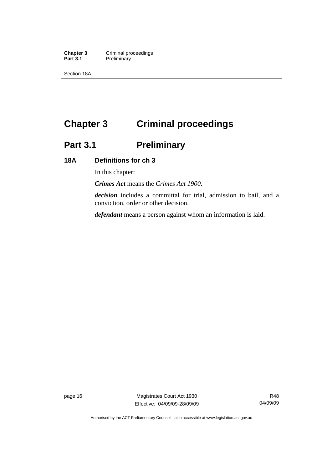<span id="page-31-0"></span>**Chapter 3 Criminal proceedings**<br> **Part 3.1 Preliminary Preliminary** 

Section 18A

# **Chapter 3 Criminal proceedings**

# **Part 3.1 Preliminary**

#### **18A Definitions for ch 3**

In this chapter:

*Crimes Act* means the *Crimes Act 1900*.

*decision* includes a committal for trial, admission to bail, and a conviction, order or other decision.

*defendant* means a person against whom an information is laid.

page 16 Magistrates Court Act 1930 Effective: 04/09/09-28/09/09

R48 04/09/09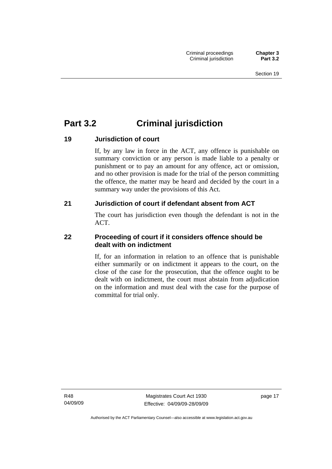## <span id="page-32-0"></span>**Part 3.2 Criminal jurisdiction**

#### **19 Jurisdiction of court**

If, by any law in force in the ACT, any offence is punishable on summary conviction or any person is made liable to a penalty or punishment or to pay an amount for any offence, act or omission, and no other provision is made for the trial of the person committing the offence, the matter may be heard and decided by the court in a summary way under the provisions of this Act.

#### **21 Jurisdiction of court if defendant absent from ACT**

The court has jurisdiction even though the defendant is not in the ACT.

#### **22 Proceeding of court if it considers offence should be dealt with on indictment**

If, for an information in relation to an offence that is punishable either summarily or on indictment it appears to the court, on the close of the case for the prosecution, that the offence ought to be dealt with on indictment, the court must abstain from adjudication on the information and must deal with the case for the purpose of committal for trial only.

R48 04/09/09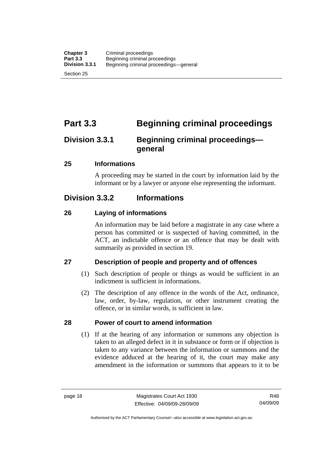<span id="page-33-0"></span>Section 25

## **Part 3.3 Beginning criminal proceedings**

### **Division 3.3.1 Beginning criminal proceedings general**

#### **25 Informations**

A proceeding may be started in the court by information laid by the informant or by a lawyer or anyone else representing the informant.

### **Division 3.3.2 Informations**

#### **26 Laying of informations**

An information may be laid before a magistrate in any case where a person has committed or is suspected of having committed, in the ACT, an indictable offence or an offence that may be dealt with summarily as provided in section 19.

#### **27 Description of people and property and of offences**

- (1) Such description of people or things as would be sufficient in an indictment is sufficient in informations.
- (2) The description of any offence in the words of the Act, ordinance, law, order, by-law, regulation, or other instrument creating the offence, or in similar words, is sufficient in law.

#### **28 Power of court to amend information**

 (1) If at the hearing of any information or summons any objection is taken to an alleged defect in it in substance or form or if objection is taken to any variance between the information or summons and the evidence adduced at the hearing of it, the court may make any amendment in the information or summons that appears to it to be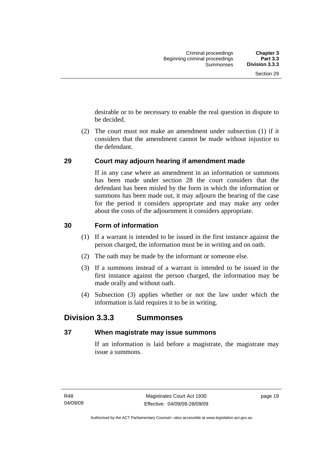<span id="page-34-0"></span>desirable or to be necessary to enable the real question in dispute to be decided.

 (2) The court must not make an amendment under subsection (1) if it considers that the amendment cannot be made without injustice to the defendant.

#### **29 Court may adjourn hearing if amendment made**

If in any case where an amendment in an information or summons has been made under section 28 the court considers that the defendant has been misled by the form in which the information or summons has been made out, it may adjourn the hearing of the case for the period it considers appropriate and may make any order about the costs of the adjournment it considers appropriate.

#### **30 Form of information**

- (1) If a warrant is intended to be issued in the first instance against the person charged, the information must be in writing and on oath.
- (2) The oath may be made by the informant or someone else.
- (3) If a summons instead of a warrant is intended to be issued in the first instance against the person charged, the information may be made orally and without oath.
- (4) Subsection (3) applies whether or not the law under which the information is laid requires it to be in writing.

#### **Division 3.3.3 Summonses**

#### **37 When magistrate may issue summons**

If an information is laid before a magistrate, the magistrate may issue a summons.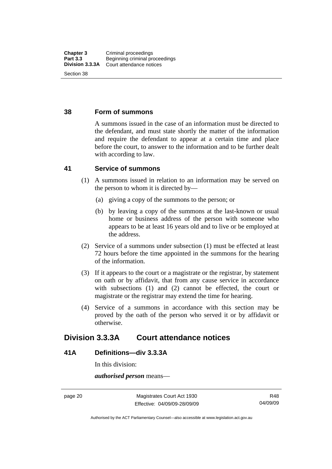#### <span id="page-35-0"></span>**38 Form of summons**

A summons issued in the case of an information must be directed to the defendant, and must state shortly the matter of the information and require the defendant to appear at a certain time and place before the court, to answer to the information and to be further dealt with according to law.

#### **41 Service of summons**

- (1) A summons issued in relation to an information may be served on the person to whom it is directed by—
	- (a) giving a copy of the summons to the person; or
	- (b) by leaving a copy of the summons at the last-known or usual home or business address of the person with someone who appears to be at least 16 years old and to live or be employed at the address.
- (2) Service of a summons under subsection (1) must be effected at least 72 hours before the time appointed in the summons for the hearing of the information.
- (3) If it appears to the court or a magistrate or the registrar, by statement on oath or by affidavit, that from any cause service in accordance with subsections (1) and (2) cannot be effected, the court or magistrate or the registrar may extend the time for hearing.
- (4) Service of a summons in accordance with this section may be proved by the oath of the person who served it or by affidavit or otherwise.

#### **Division 3.3.3A Court attendance notices**

#### **41A Definitions—div 3.3.3A**

In this division:

*authorised person* means—

page 20 Magistrates Court Act 1930 Effective: 04/09/09-28/09/09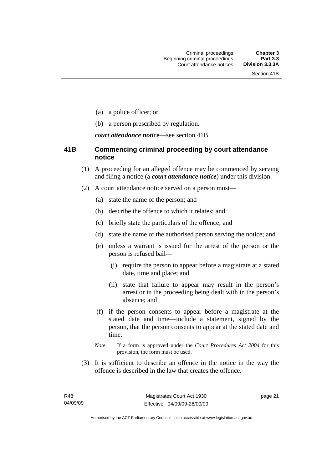- (a) a police officer; or
- (b) a person prescribed by regulation.

*court attendance notice*—see section 41B.

## **41B Commencing criminal proceeding by court attendance notice**

- (1) A proceeding for an alleged offence may be commenced by serving and filing a notice (a *court attendance notice*) under this division.
- (2) A court attendance notice served on a person must––
	- (a) state the name of the person; and
	- (b) describe the offence to which it relates; and
	- (c) briefly state the particulars of the offence; and
	- (d) state the name of the authorised person serving the notice; and
	- (e) unless a warrant is issued for the arrest of the person or the person is refused bail—
		- (i) require the person to appear before a magistrate at a stated date, time and place; and
		- (ii) state that failure to appear may result in the person's arrest or in the proceeding being dealt with in the person's absence; and
	- (f) if the person consents to appear before a magistrate at the stated date and time—include a statement, signed by the person, that the person consents to appear at the stated date and time.
	- *Note* If a form is approved under the *Court Procedures Act 2004* for this provision, the form must be used.
- (3) It is sufficient to describe an offence in the notice in the way the offence is described in the law that creates the offence.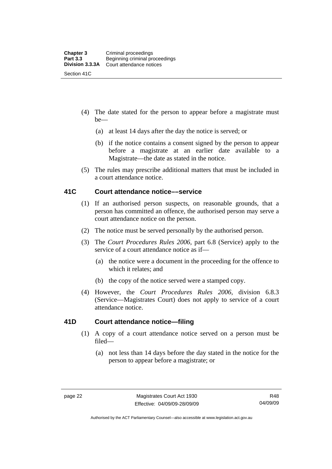- (4) The date stated for the person to appear before a magistrate must be—
	- (a) at least 14 days after the day the notice is served; or
	- (b) if the notice contains a consent signed by the person to appear before a magistrate at an earlier date available to a Magistrate—the date as stated in the notice.
- (5) The rules may prescribe additional matters that must be included in a court attendance notice.

## **41C Court attendance notice––service**

- (1) If an authorised person suspects, on reasonable grounds, that a person has committed an offence, the authorised person may serve a court attendance notice on the person.
- (2) The notice must be served personally by the authorised person.
- (3) The *Court Procedures Rules 2006,* part 6.8 (Service) apply to the service of a court attendance notice as if—
	- (a) the notice were a document in the proceeding for the offence to which it relates; and
	- (b) the copy of the notice served were a stamped copy.
- (4) However, the *Court Procedures Rules 2006,* division 6.8.3 (Service—Magistrates Court) does not apply to service of a court attendance notice.

## **41D Court attendance notice—filing**

- (1) A copy of a court attendance notice served on a person must be filed—
	- (a) not less than 14 days before the day stated in the notice for the person to appear before a magistrate; or

Authorised by the ACT Parliamentary Counsel—also accessible at www.legislation.act.gov.au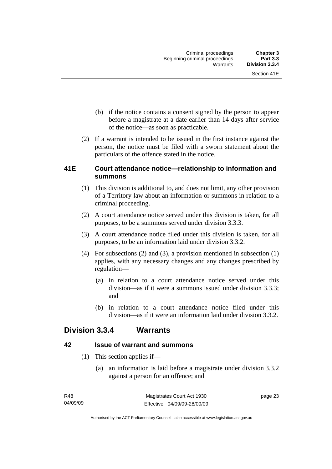- (b) if the notice contains a consent signed by the person to appear before a magistrate at a date earlier than 14 days after service of the notice—as soon as practicable.
- (2) If a warrant is intended to be issued in the first instance against the person, the notice must be filed with a sworn statement about the particulars of the offence stated in the notice.

## **41E Court attendance notice—relationship to information and summons**

- (1) This division is additional to, and does not limit, any other provision of a Territory law about an information or summons in relation to a criminal proceeding.
- (2) A court attendance notice served under this division is taken, for all purposes, to be a summons served under division 3.3.3.
- (3) A court attendance notice filed under this division is taken, for all purposes, to be an information laid under division 3.3.2.
- (4) For subsections (2) and (3), a provision mentioned in subsection (1) applies, with any necessary changes and any changes prescribed by regulation—
	- (a) in relation to a court attendance notice served under this division—as if it were a summons issued under division 3.3.3; and
	- (b) in relation to a court attendance notice filed under this division—as if it were an information laid under division 3.3.2.

## **Division 3.3.4 Warrants**

## **42 Issue of warrant and summons**

- (1) This section applies if—
	- (a) an information is laid before a magistrate under division 3.3.2 against a person for an offence; and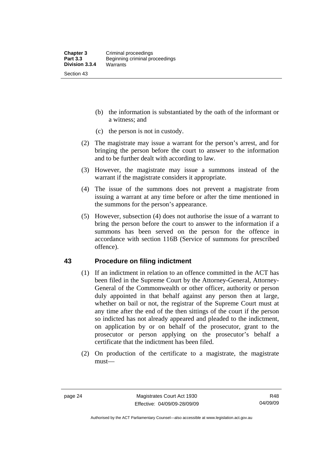- (b) the information is substantiated by the oath of the informant or a witness; and
- (c) the person is not in custody.
- (2) The magistrate may issue a warrant for the person's arrest, and for bringing the person before the court to answer to the information and to be further dealt with according to law.
- (3) However, the magistrate may issue a summons instead of the warrant if the magistrate considers it appropriate.
- (4) The issue of the summons does not prevent a magistrate from issuing a warrant at any time before or after the time mentioned in the summons for the person's appearance.
- (5) However, subsection (4) does not authorise the issue of a warrant to bring the person before the court to answer to the information if a summons has been served on the person for the offence in accordance with section 116B (Service of summons for prescribed offence).

## **43 Procedure on filing indictment**

- (1) If an indictment in relation to an offence committed in the ACT has been filed in the Supreme Court by the Attorney-General, Attorney-General of the Commonwealth or other officer, authority or person duly appointed in that behalf against any person then at large, whether on bail or not, the registrar of the Supreme Court must at any time after the end of the then sittings of the court if the person so indicted has not already appeared and pleaded to the indictment, on application by or on behalf of the prosecutor, grant to the prosecutor or person applying on the prosecutor's behalf a certificate that the indictment has been filed.
- (2) On production of the certificate to a magistrate, the magistrate must—

Authorised by the ACT Parliamentary Counsel—also accessible at www.legislation.act.gov.au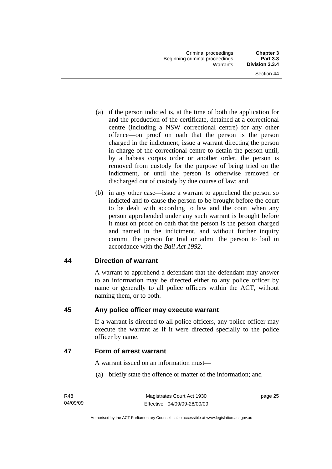- (a) if the person indicted is, at the time of both the application for and the production of the certificate, detained at a correctional centre (including a NSW correctional centre) for any other offence—on proof on oath that the person is the person charged in the indictment, issue a warrant directing the person in charge of the correctional centre to detain the person until, by a habeas corpus order or another order, the person is removed from custody for the purpose of being tried on the indictment, or until the person is otherwise removed or discharged out of custody by due course of law; and
- (b) in any other case—issue a warrant to apprehend the person so indicted and to cause the person to be brought before the court to be dealt with according to law and the court when any person apprehended under any such warrant is brought before it must on proof on oath that the person is the person charged and named in the indictment, and without further inquiry commit the person for trial or admit the person to bail in accordance with the *Bail Act 1992*.

## **44 Direction of warrant**

A warrant to apprehend a defendant that the defendant may answer to an information may be directed either to any police officer by name or generally to all police officers within the ACT, without naming them, or to both.

## **45 Any police officer may execute warrant**

If a warrant is directed to all police officers, any police officer may execute the warrant as if it were directed specially to the police officer by name.

## **47 Form of arrest warrant**

A warrant issued on an information must—

(a) briefly state the offence or matter of the information; and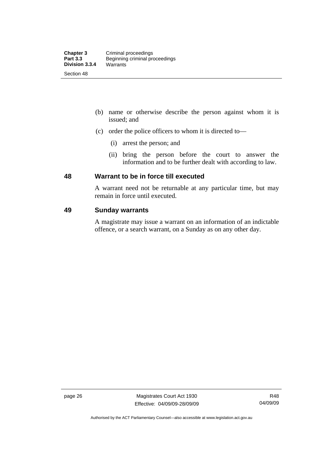- (b) name or otherwise describe the person against whom it is issued; and
- (c) order the police officers to whom it is directed to—
	- (i) arrest the person; and
	- (ii) bring the person before the court to answer the information and to be further dealt with according to law.

## **48 Warrant to be in force till executed**

A warrant need not be returnable at any particular time, but may remain in force until executed.

## **49 Sunday warrants**

A magistrate may issue a warrant on an information of an indictable offence, or a search warrant, on a Sunday as on any other day.

page 26 Magistrates Court Act 1930 Effective: 04/09/09-28/09/09

R48 04/09/09

Authorised by the ACT Parliamentary Counsel—also accessible at www.legislation.act.gov.au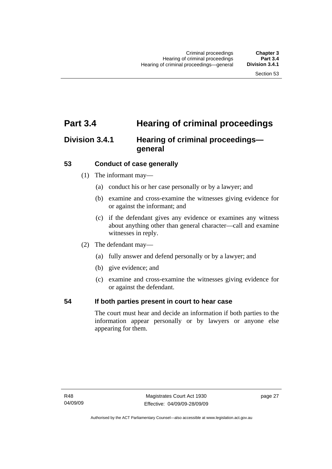# **Part 3.4 Hearing of criminal proceedings**

# **Division 3.4.1 Hearing of criminal proceedings general**

## **53 Conduct of case generally**

- (1) The informant may—
	- (a) conduct his or her case personally or by a lawyer; and
	- (b) examine and cross-examine the witnesses giving evidence for or against the informant; and
	- (c) if the defendant gives any evidence or examines any witness about anything other than general character—call and examine witnesses in reply.
- (2) The defendant may—
	- (a) fully answer and defend personally or by a lawyer; and
	- (b) give evidence; and
	- (c) examine and cross-examine the witnesses giving evidence for or against the defendant.

## **54 If both parties present in court to hear case**

The court must hear and decide an information if both parties to the information appear personally or by lawyers or anyone else appearing for them.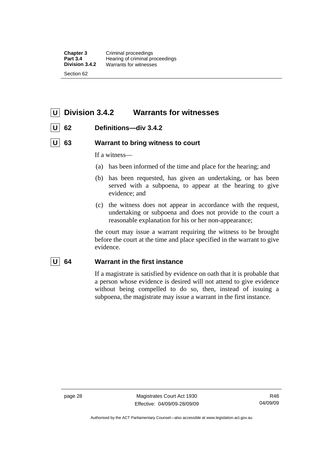**Chapter 3 Criminal proceedings**<br>**Part 3.4 Hearing of criminal procession Part 3.4 Hearing of criminal proceedings**<br>**Division 3.4.2** Warrants for witnesses Warrants for witnesses Section 62

# **U Division 3.4.2 Warrants for witnesses**

## **U 62 Definitions—div 3.4.2**

## **U** 63 Warrant to bring witness to court

If a witness—

- (a) has been informed of the time and place for the hearing; and
- (b) has been requested, has given an undertaking, or has been served with a subpoena, to appear at the hearing to give evidence; and
- (c) the witness does not appear in accordance with the request, undertaking or subpoena and does not provide to the court a reasonable explanation for his or her non-appearance;

the court may issue a warrant requiring the witness to be brought before the court at the time and place specified in the warrant to give evidence.

## **U 64 Warrant in the first instance**

If a magistrate is satisfied by evidence on oath that it is probable that a person whose evidence is desired will not attend to give evidence without being compelled to do so, then, instead of issuing a subpoena, the magistrate may issue a warrant in the first instance.

page 28 Magistrates Court Act 1930 Effective: 04/09/09-28/09/09

R48 04/09/09

Authorised by the ACT Parliamentary Counsel—also accessible at www.legislation.act.gov.au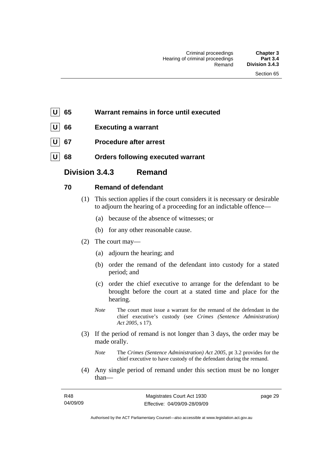- **U 65 Warrant remains in force until executed**
- **66** Executing a warrant
- **67** Procedure after arrest
- **68** Orders following executed warrant

## **Division 3.4.3 Remand**

## **70 Remand of defendant**

- (1) This section applies if the court considers it is necessary or desirable to adjourn the hearing of a proceeding for an indictable offence—
	- (a) because of the absence of witnesses; or
	- (b) for any other reasonable cause.
- (2) The court may—
	- (a) adjourn the hearing; and
	- (b) order the remand of the defendant into custody for a stated period; and
	- (c) order the chief executive to arrange for the defendant to be brought before the court at a stated time and place for the hearing.
	- *Note* The court must issue a warrant for the remand of the defendant in the chief executive's custody (see *Crimes (Sentence Administration) Act 2005*, s 17).
- (3) If the period of remand is not longer than 3 days, the order may be made orally.
	- *Note* The *Crimes (Sentence Administration) Act 2005*, pt 3.2 provides for the chief executive to have custody of the defendant during the remand.
- (4) Any single period of remand under this section must be no longer than—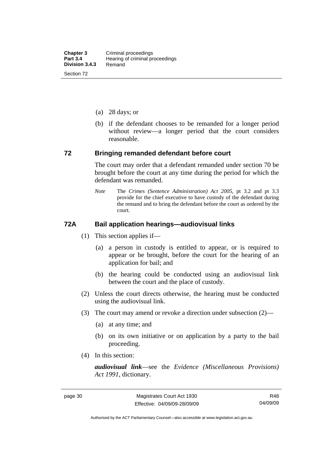- (a) 28 days; or
- (b) if the defendant chooses to be remanded for a longer period without review—a longer period that the court considers reasonable.

#### **72 Bringing remanded defendant before court**

The court may order that a defendant remanded under section 70 be brought before the court at any time during the period for which the defendant was remanded.

*Note* The *Crimes (Sentence Administration) Act 2005*, pt 3.2 and pt 3.3 provide for the chief executive to have custody of the defendant during the remand and to bring the defendant before the court as ordered by the court.

## **72A Bail application hearings—audiovisual links**

- (1) This section applies if—
	- (a) a person in custody is entitled to appear, or is required to appear or be brought, before the court for the hearing of an application for bail; and
	- (b) the hearing could be conducted using an audiovisual link between the court and the place of custody.
- (2) Unless the court directs otherwise, the hearing must be conducted using the audiovisual link.
- (3) The court may amend or revoke a direction under subsection (2)—
	- (a) at any time; and
	- (b) on its own initiative or on application by a party to the bail proceeding.
- (4) In this section:

*audiovisual link*—see the *Evidence (Miscellaneous Provisions) Act 1991*, dictionary.

Authorised by the ACT Parliamentary Counsel—also accessible at www.legislation.act.gov.au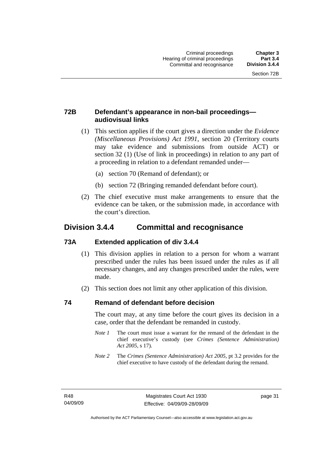## **72B Defendant's appearance in non-bail proceedings audiovisual links**

- (1) This section applies if the court gives a direction under the *Evidence (Miscellaneous Provisions) Act 1991*, section 20 (Territory courts may take evidence and submissions from outside ACT) or section 32 (1) (Use of link in proceedings) in relation to any part of a proceeding in relation to a defendant remanded under—
	- (a) section 70 (Remand of defendant); or
	- (b) section 72 (Bringing remanded defendant before court).
- (2) The chief executive must make arrangements to ensure that the evidence can be taken, or the submission made, in accordance with the court's direction.

## **Division 3.4.4 Committal and recognisance**

## **73A Extended application of div 3.4.4**

- (1) This division applies in relation to a person for whom a warrant prescribed under the rules has been issued under the rules as if all necessary changes, and any changes prescribed under the rules, were made.
- (2) This section does not limit any other application of this division.

## **74 Remand of defendant before decision**

The court may, at any time before the court gives its decision in a case, order that the defendant be remanded in custody.

- *Note 1* The court must issue a warrant for the remand of the defendant in the chief executive's custody (see *Crimes (Sentence Administration) Act 2005*, s 17).
- *Note 2* The *Crimes (Sentence Administration) Act 2005*, pt 3.2 provides for the chief executive to have custody of the defendant during the remand.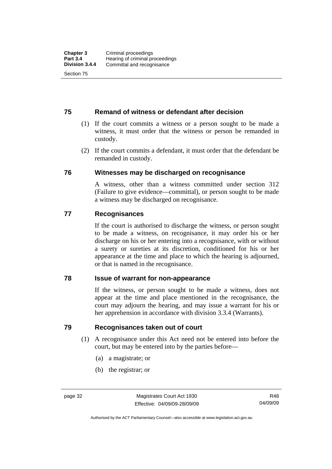## **75 Remand of witness or defendant after decision**

- (1) If the court commits a witness or a person sought to be made a witness, it must order that the witness or person be remanded in custody.
- (2) If the court commits a defendant, it must order that the defendant be remanded in custody.

## **76 Witnesses may be discharged on recognisance**

A witness, other than a witness committed under section 312 (Failure to give evidence—committal), or person sought to be made a witness may be discharged on recognisance.

## **77 Recognisances**

If the court is authorised to discharge the witness, or person sought to be made a witness, on recognisance, it may order his or her discharge on his or her entering into a recognisance, with or without a surety or sureties at its discretion, conditioned for his or her appearance at the time and place to which the hearing is adjourned, or that is named in the recognisance.

## **78 Issue of warrant for non-appearance**

If the witness, or person sought to be made a witness, does not appear at the time and place mentioned in the recognisance, the court may adjourn the hearing, and may issue a warrant for his or her apprehension in accordance with division 3.3.4 (Warrants).

## **79 Recognisances taken out of court**

- (1) A recognisance under this Act need not be entered into before the court, but may be entered into by the parties before—
	- (a) a magistrate; or
	- (b) the registrar; or

Authorised by the ACT Parliamentary Counsel—also accessible at www.legislation.act.gov.au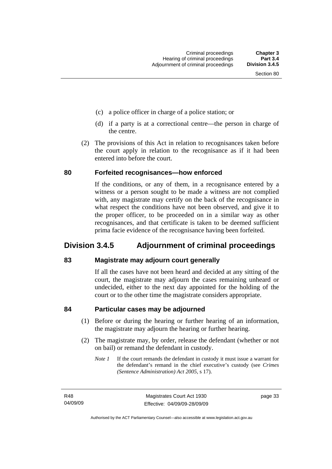- (c) a police officer in charge of a police station; or
- (d) if a party is at a correctional centre—the person in charge of the centre.
- (2) The provisions of this Act in relation to recognisances taken before the court apply in relation to the recognisance as if it had been entered into before the court.

#### **80 Forfeited recognisances—how enforced**

If the conditions, or any of them, in a recognisance entered by a witness or a person sought to be made a witness are not complied with, any magistrate may certify on the back of the recognisance in what respect the conditions have not been observed, and give it to the proper officer, to be proceeded on in a similar way as other recognisances, and that certificate is taken to be deemed sufficient prima facie evidence of the recognisance having been forfeited.

## **Division 3.4.5 Adjournment of criminal proceedings**

## **83 Magistrate may adjourn court generally**

If all the cases have not been heard and decided at any sitting of the court, the magistrate may adjourn the cases remaining unheard or undecided, either to the next day appointed for the holding of the court or to the other time the magistrate considers appropriate.

## **84 Particular cases may be adjourned**

- (1) Before or during the hearing or further hearing of an information, the magistrate may adjourn the hearing or further hearing.
- (2) The magistrate may, by order, release the defendant (whether or not on bail) or remand the defendant in custody.
	- *Note 1* If the court remands the defendant in custody it must issue a warrant for the defendant's remand in the chief executive's custody (see *Crimes (Sentence Administration) Act 2005*, s 17).

R48 04/09/09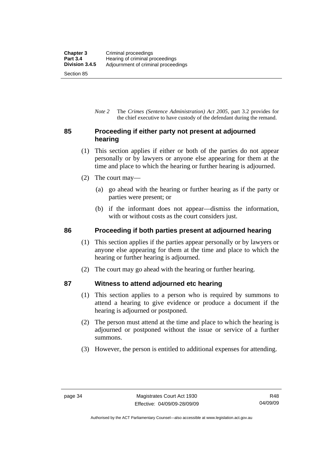*Note 2* The *Crimes (Sentence Administration) Act 2005*, part 3.2 provides for the chief executive to have custody of the defendant during the remand.

## **85 Proceeding if either party not present at adjourned hearing**

- (1) This section applies if either or both of the parties do not appear personally or by lawyers or anyone else appearing for them at the time and place to which the hearing or further hearing is adjourned.
- (2) The court may—
	- (a) go ahead with the hearing or further hearing as if the party or parties were present; or
	- (b) if the informant does not appear—dismiss the information, with or without costs as the court considers just.

## **86 Proceeding if both parties present at adjourned hearing**

- (1) This section applies if the parties appear personally or by lawyers or anyone else appearing for them at the time and place to which the hearing or further hearing is adjourned.
- (2) The court may go ahead with the hearing or further hearing.

## **87 Witness to attend adjourned etc hearing**

- (1) This section applies to a person who is required by summons to attend a hearing to give evidence or produce a document if the hearing is adjourned or postponed.
- (2) The person must attend at the time and place to which the hearing is adjourned or postponed without the issue or service of a further summons.
- (3) However, the person is entitled to additional expenses for attending.

Authorised by the ACT Parliamentary Counsel—also accessible at www.legislation.act.gov.au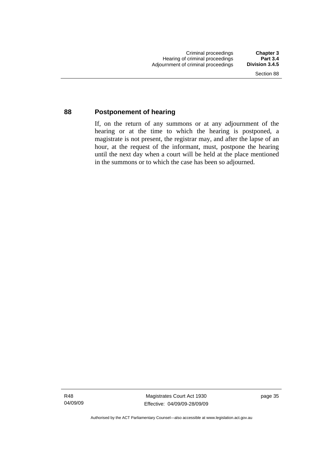## **88 Postponement of hearing**

If, on the return of any summons or at any adjournment of the hearing or at the time to which the hearing is postponed, a magistrate is not present, the registrar may, and after the lapse of an hour, at the request of the informant, must, postpone the hearing until the next day when a court will be held at the place mentioned in the summons or to which the case has been so adjourned.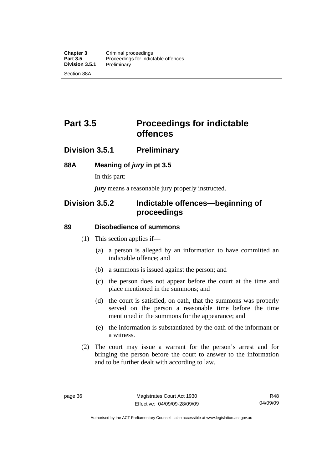# **Part 3.5** Proceedings for indictable **offences**

## **Division 3.5.1 Preliminary**

## **88A Meaning of** *jury* **in pt 3.5**

In this part:

*jury* means a reasonable jury properly instructed.

## **Division 3.5.2 Indictable offences—beginning of proceedings**

## **89 Disobedience of summons**

- (1) This section applies if—
	- (a) a person is alleged by an information to have committed an indictable offence; and
	- (b) a summons is issued against the person; and
	- (c) the person does not appear before the court at the time and place mentioned in the summons; and
	- (d) the court is satisfied, on oath, that the summons was properly served on the person a reasonable time before the time mentioned in the summons for the appearance; and
	- (e) the information is substantiated by the oath of the informant or a witness.
- (2) The court may issue a warrant for the person's arrest and for bringing the person before the court to answer to the information and to be further dealt with according to law.

Authorised by the ACT Parliamentary Counsel—also accessible at www.legislation.act.gov.au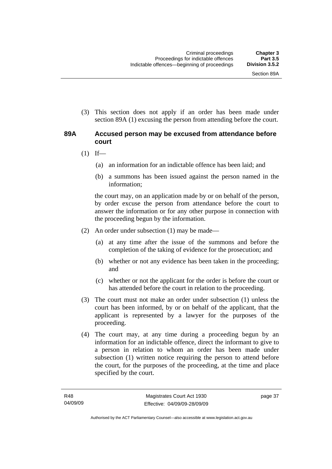(3) This section does not apply if an order has been made under section 89A (1) excusing the person from attending before the court.

## **89A Accused person may be excused from attendance before court**

- $(1)$  If—
	- (a) an information for an indictable offence has been laid; and
	- (b) a summons has been issued against the person named in the information;

the court may, on an application made by or on behalf of the person, by order excuse the person from attendance before the court to answer the information or for any other purpose in connection with the proceeding begun by the information.

- (2) An order under subsection (1) may be made—
	- (a) at any time after the issue of the summons and before the completion of the taking of evidence for the prosecution; and
	- (b) whether or not any evidence has been taken in the proceeding; and
	- (c) whether or not the applicant for the order is before the court or has attended before the court in relation to the proceeding.
- (3) The court must not make an order under subsection (1) unless the court has been informed, by or on behalf of the applicant, that the applicant is represented by a lawyer for the purposes of the proceeding.
- (4) The court may, at any time during a proceeding begun by an information for an indictable offence, direct the informant to give to a person in relation to whom an order has been made under subsection (1) written notice requiring the person to attend before the court, for the purposes of the proceeding, at the time and place specified by the court.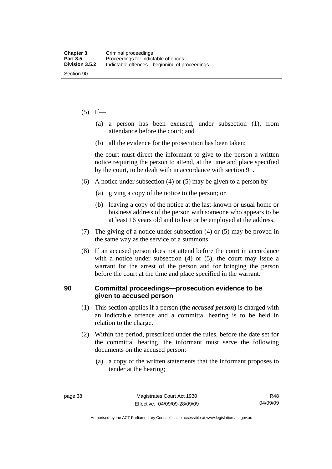#### $(5)$  If—

- (a) a person has been excused, under subsection (1), from attendance before the court; and
- (b) all the evidence for the prosecution has been taken;

the court must direct the informant to give to the person a written notice requiring the person to attend, at the time and place specified by the court, to be dealt with in accordance with section 91.

- (6) A notice under subsection (4) or (5) may be given to a person by—
	- (a) giving a copy of the notice to the person; or
	- (b) leaving a copy of the notice at the last-known or usual home or business address of the person with someone who appears to be at least 16 years old and to live or be employed at the address.
- (7) The giving of a notice under subsection (4) or (5) may be proved in the same way as the service of a summons.
- (8) If an accused person does not attend before the court in accordance with a notice under subsection (4) or (5), the court may issue a warrant for the arrest of the person and for bringing the person before the court at the time and place specified in the warrant.

## **90 Committal proceedings—prosecution evidence to be given to accused person**

- (1) This section applies if a person (the *accused person*) is charged with an indictable offence and a committal hearing is to be held in relation to the charge.
- (2) Within the period, prescribed under the rules, before the date set for the committal hearing, the informant must serve the following documents on the accused person:
	- (a) a copy of the written statements that the informant proposes to tender at the hearing;

Authorised by the ACT Parliamentary Counsel—also accessible at www.legislation.act.gov.au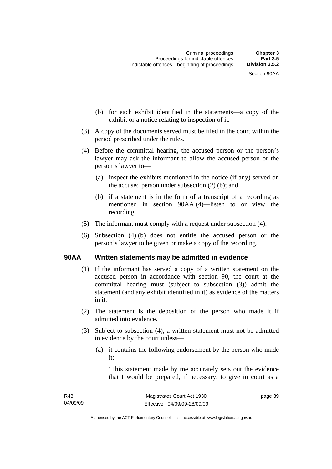- (b) for each exhibit identified in the statements—a copy of the exhibit or a notice relating to inspection of it.
- (3) A copy of the documents served must be filed in the court within the period prescribed under the rules.
- (4) Before the committal hearing, the accused person or the person's lawyer may ask the informant to allow the accused person or the person's lawyer to—
	- (a) inspect the exhibits mentioned in the notice (if any) served on the accused person under subsection (2) (b); and
	- (b) if a statement is in the form of a transcript of a recording as mentioned in section 90AA (4)—listen to or view the recording.
- (5) The informant must comply with a request under subsection (4).
- (6) Subsection (4) (b) does not entitle the accused person or the person's lawyer to be given or make a copy of the recording.

## **90AA Written statements may be admitted in evidence**

- (1) If the informant has served a copy of a written statement on the accused person in accordance with section 90, the court at the committal hearing must (subject to subsection (3)) admit the statement (and any exhibit identified in it) as evidence of the matters in it.
- (2) The statement is the deposition of the person who made it if admitted into evidence.
- (3) Subject to subsection (4), a written statement must not be admitted in evidence by the court unless—
	- (a) it contains the following endorsement by the person who made it:

'This statement made by me accurately sets out the evidence that I would be prepared, if necessary, to give in court as a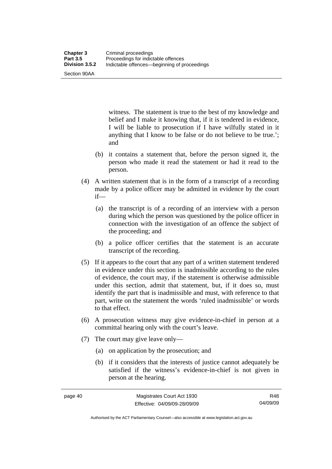Section 90AA

witness. The statement is true to the best of my knowledge and belief and I make it knowing that, if it is tendered in evidence, I will be liable to prosecution if I have wilfully stated in it anything that I know to be false or do not believe to be true.'; and

- (b) it contains a statement that, before the person signed it, the person who made it read the statement or had it read to the person.
- (4) A written statement that is in the form of a transcript of a recording made by a police officer may be admitted in evidence by the court if—
	- (a) the transcript is of a recording of an interview with a person during which the person was questioned by the police officer in connection with the investigation of an offence the subject of the proceeding; and
	- (b) a police officer certifies that the statement is an accurate transcript of the recording.
- (5) If it appears to the court that any part of a written statement tendered in evidence under this section is inadmissible according to the rules of evidence, the court may, if the statement is otherwise admissible under this section, admit that statement, but, if it does so, must identify the part that is inadmissible and must, with reference to that part, write on the statement the words 'ruled inadmissible' or words to that effect.
- (6) A prosecution witness may give evidence-in-chief in person at a committal hearing only with the court's leave.
- (7) The court may give leave only—
	- (a) on application by the prosecution; and
	- (b) if it considers that the interests of justice cannot adequately be satisfied if the witness's evidence-in-chief is not given in person at the hearing.

Authorised by the ACT Parliamentary Counsel—also accessible at www.legislation.act.gov.au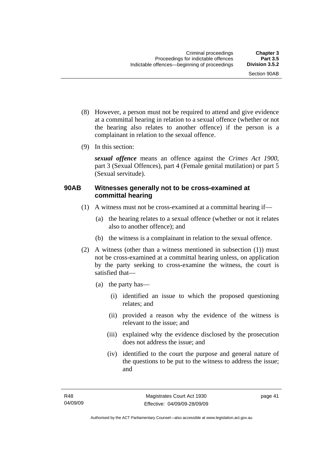- (8) However, a person must not be required to attend and give evidence at a committal hearing in relation to a sexual offence (whether or not the hearing also relates to another offence) if the person is a complainant in relation to the sexual offence.
- (9) In this section:

*sexual offence* means an offence against the *Crimes Act 1900*, part 3 (Sexual Offences), part 4 (Female genital mutilation) or part 5 (Sexual servitude).

## **90AB Witnesses generally not to be cross-examined at committal hearing**

- (1) A witness must not be cross-examined at a committal hearing if—
	- (a) the hearing relates to a sexual offence (whether or not it relates also to another offence); and
	- (b) the witness is a complainant in relation to the sexual offence.
- (2) A witness (other than a witness mentioned in subsection (1)) must not be cross-examined at a committal hearing unless, on application by the party seeking to cross-examine the witness, the court is satisfied that—
	- (a) the party has—
		- (i) identified an issue to which the proposed questioning relates; and
		- (ii) provided a reason why the evidence of the witness is relevant to the issue; and
		- (iii) explained why the evidence disclosed by the prosecution does not address the issue; and
		- (iv) identified to the court the purpose and general nature of the questions to be put to the witness to address the issue; and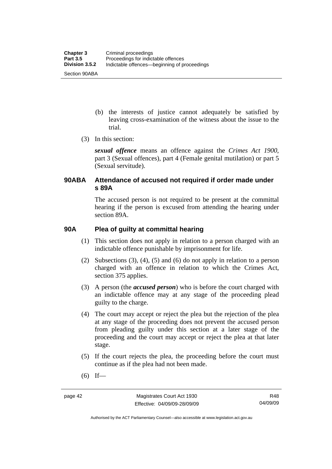- (b) the interests of justice cannot adequately be satisfied by leaving cross-examination of the witness about the issue to the trial.
- (3) In this section:

*sexual offence* means an offence against the *Crimes Act 1900*, part 3 (Sexual offences), part 4 (Female genital mutilation) or part 5 (Sexual servitude).

## **90ABA Attendance of accused not required if order made under s 89A**

The accused person is not required to be present at the committal hearing if the person is excused from attending the hearing under section 89A.

## **90A Plea of guilty at committal hearing**

- (1) This section does not apply in relation to a person charged with an indictable offence punishable by imprisonment for life.
- (2) Subsections (3), (4), (5) and (6) do not apply in relation to a person charged with an offence in relation to which the Crimes Act, section 375 applies.
- (3) A person (the *accused person*) who is before the court charged with an indictable offence may at any stage of the proceeding plead guilty to the charge.
- (4) The court may accept or reject the plea but the rejection of the plea at any stage of the proceeding does not prevent the accused person from pleading guilty under this section at a later stage of the proceeding and the court may accept or reject the plea at that later stage.
- (5) If the court rejects the plea, the proceeding before the court must continue as if the plea had not been made.
- $(6)$  If—

Authorised by the ACT Parliamentary Counsel—also accessible at www.legislation.act.gov.au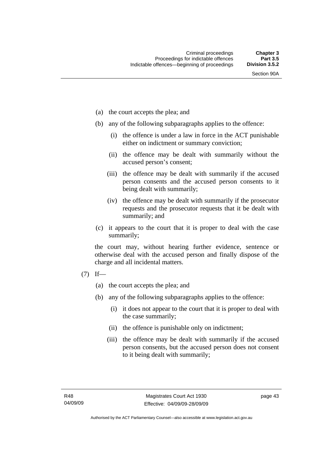- (a) the court accepts the plea; and
- (b) any of the following subparagraphs applies to the offence:
	- (i) the offence is under a law in force in the ACT punishable either on indictment or summary conviction;
	- (ii) the offence may be dealt with summarily without the accused person's consent;
	- (iii) the offence may be dealt with summarily if the accused person consents and the accused person consents to it being dealt with summarily;
	- (iv) the offence may be dealt with summarily if the prosecutor requests and the prosecutor requests that it be dealt with summarily; and
- (c) it appears to the court that it is proper to deal with the case summarily;

the court may, without hearing further evidence, sentence or otherwise deal with the accused person and finally dispose of the charge and all incidental matters.

- $(7)$  If—
	- (a) the court accepts the plea; and
	- (b) any of the following subparagraphs applies to the offence:
		- (i) it does not appear to the court that it is proper to deal with the case summarily;
		- (ii) the offence is punishable only on indictment;
		- (iii) the offence may be dealt with summarily if the accused person consents, but the accused person does not consent to it being dealt with summarily;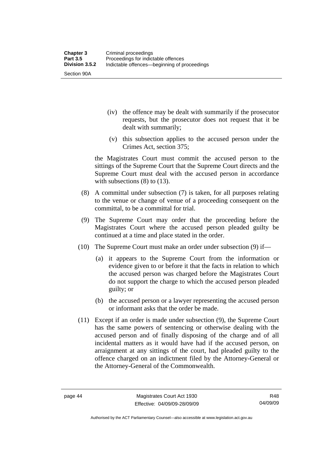Section 90A

- (iv) the offence may be dealt with summarily if the prosecutor requests, but the prosecutor does not request that it be dealt with summarily;
- (v) this subsection applies to the accused person under the Crimes Act, section 375;

the Magistrates Court must commit the accused person to the sittings of the Supreme Court that the Supreme Court directs and the Supreme Court must deal with the accused person in accordance with subsections (8) to (13).

- (8) A committal under subsection (7) is taken, for all purposes relating to the venue or change of venue of a proceeding consequent on the committal, to be a committal for trial.
- (9) The Supreme Court may order that the proceeding before the Magistrates Court where the accused person pleaded guilty be continued at a time and place stated in the order.
- (10) The Supreme Court must make an order under subsection (9) if—
	- (a) it appears to the Supreme Court from the information or evidence given to or before it that the facts in relation to which the accused person was charged before the Magistrates Court do not support the charge to which the accused person pleaded guilty; or
	- (b) the accused person or a lawyer representing the accused person or informant asks that the order be made.
- (11) Except if an order is made under subsection (9), the Supreme Court has the same powers of sentencing or otherwise dealing with the accused person and of finally disposing of the charge and of all incidental matters as it would have had if the accused person, on arraignment at any sittings of the court, had pleaded guilty to the offence charged on an indictment filed by the Attorney-General or the Attorney-General of the Commonwealth.

Authorised by the ACT Parliamentary Counsel—also accessible at www.legislation.act.gov.au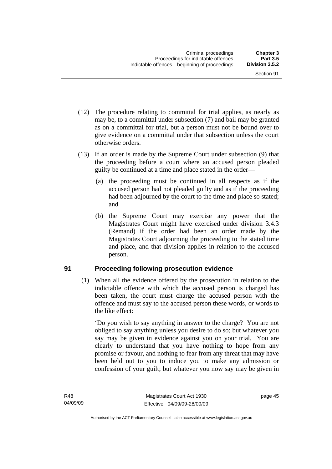- (12) The procedure relating to committal for trial applies, as nearly as may be, to a committal under subsection (7) and bail may be granted as on a committal for trial, but a person must not be bound over to give evidence on a committal under that subsection unless the court otherwise orders.
- (13) If an order is made by the Supreme Court under subsection (9) that the proceeding before a court where an accused person pleaded guilty be continued at a time and place stated in the order—
	- (a) the proceeding must be continued in all respects as if the accused person had not pleaded guilty and as if the proceeding had been adjourned by the court to the time and place so stated; and
	- (b) the Supreme Court may exercise any power that the Magistrates Court might have exercised under division 3.4.3 (Remand) if the order had been an order made by the Magistrates Court adjourning the proceeding to the stated time and place, and that division applies in relation to the accused person.

## **91 Proceeding following prosecution evidence**

 (1) When all the evidence offered by the prosecution in relation to the indictable offence with which the accused person is charged has been taken, the court must charge the accused person with the offence and must say to the accused person these words, or words to the like effect:

'Do you wish to say anything in answer to the charge? You are not obliged to say anything unless you desire to do so; but whatever you say may be given in evidence against you on your trial. You are clearly to understand that you have nothing to hope from any promise or favour, and nothing to fear from any threat that may have been held out to you to induce you to make any admission or confession of your guilt; but whatever you now say may be given in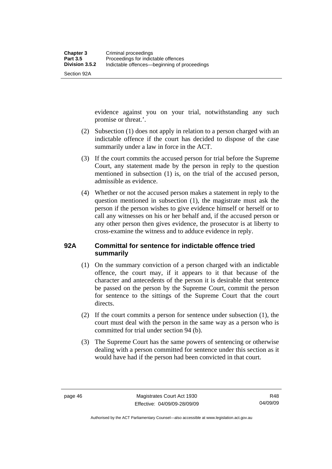Section 92A

evidence against you on your trial, notwithstanding any such promise or threat.'.

- (2) Subsection (1) does not apply in relation to a person charged with an indictable offence if the court has decided to dispose of the case summarily under a law in force in the ACT.
- (3) If the court commits the accused person for trial before the Supreme Court, any statement made by the person in reply to the question mentioned in subsection (1) is, on the trial of the accused person, admissible as evidence.
- (4) Whether or not the accused person makes a statement in reply to the question mentioned in subsection (1), the magistrate must ask the person if the person wishes to give evidence himself or herself or to call any witnesses on his or her behalf and, if the accused person or any other person then gives evidence, the prosecutor is at liberty to cross-examine the witness and to adduce evidence in reply.

## **92A Committal for sentence for indictable offence tried summarily**

- (1) On the summary conviction of a person charged with an indictable offence, the court may, if it appears to it that because of the character and antecedents of the person it is desirable that sentence be passed on the person by the Supreme Court, commit the person for sentence to the sittings of the Supreme Court that the court directs.
- (2) If the court commits a person for sentence under subsection (1), the court must deal with the person in the same way as a person who is committed for trial under section 94 (b).
- (3) The Supreme Court has the same powers of sentencing or otherwise dealing with a person committed for sentence under this section as it would have had if the person had been convicted in that court.

Authorised by the ACT Parliamentary Counsel—also accessible at www.legislation.act.gov.au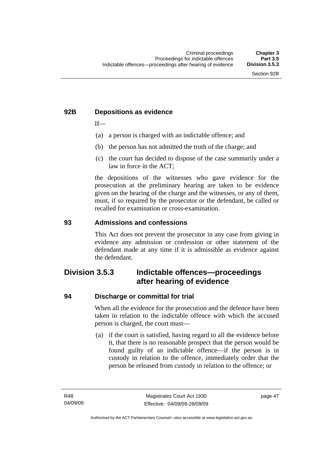## **92B Depositions as evidence**

 $If$ —

- (a) a person is charged with an indictable offence; and
- (b) the person has not admitted the truth of the charge; and
- (c) the court has decided to dispose of the case summarily under a law in force in the ACT;

the depositions of the witnesses who gave evidence for the prosecution at the preliminary hearing are taken to be evidence given on the hearing of the charge and the witnesses, or any of them, must, if so required by the prosecutor or the defendant, be called or recalled for examination or cross-examination.

## **93 Admissions and confessions**

This Act does not prevent the prosecutor in any case from giving in evidence any admission or confession or other statement of the defendant made at any time if it is admissible as evidence against the defendant.

## **Division 3.5.3 Indictable offences—proceedings after hearing of evidence**

## **94 Discharge or committal for trial**

When all the evidence for the prosecution and the defence have been taken in relation to the indictable offence with which the accused person is charged, the court must—

 (a) if the court is satisfied, having regard to all the evidence before it, that there is no reasonable prospect that the person would be found guilty of an indictable offence—if the person is in custody in relation to the offence, immediately order that the person be released from custody in relation to the offence; or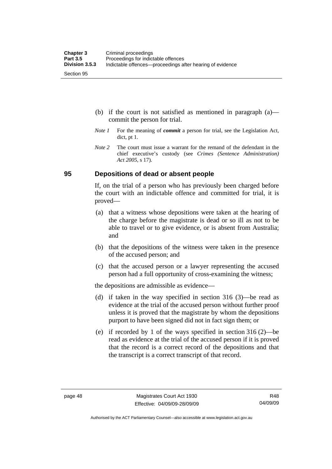- (b) if the court is not satisfied as mentioned in paragraph (a) commit the person for trial.
- *Note 1* For the meaning of *commit* a person for trial, see the Legislation Act, dict, pt 1.
- *Note* 2 The court must issue a warrant for the remand of the defendant in the chief executive's custody (see *Crimes (Sentence Administration) Act 2005*, s 17).

## **95 Depositions of dead or absent people**

If, on the trial of a person who has previously been charged before the court with an indictable offence and committed for trial, it is proved—

- (a) that a witness whose depositions were taken at the hearing of the charge before the magistrate is dead or so ill as not to be able to travel or to give evidence, or is absent from Australia; and
- (b) that the depositions of the witness were taken in the presence of the accused person; and
- (c) that the accused person or a lawyer representing the accused person had a full opportunity of cross-examining the witness;

the depositions are admissible as evidence—

- (d) if taken in the way specified in section 316 (3)—be read as evidence at the trial of the accused person without further proof unless it is proved that the magistrate by whom the depositions purport to have been signed did not in fact sign them; or
- (e) if recorded by 1 of the ways specified in section 316 (2)—be read as evidence at the trial of the accused person if it is proved that the record is a correct record of the depositions and that the transcript is a correct transcript of that record.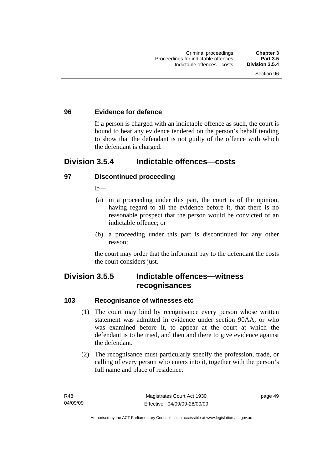## **96 Evidence for defence**

If a person is charged with an indictable offence as such, the court is bound to hear any evidence tendered on the person's behalf tending to show that the defendant is not guilty of the offence with which the defendant is charged.

## **Division 3.5.4 Indictable offences—costs**

## **97 Discontinued proceeding**

 $If$ <sub>—</sub>

- (a) in a proceeding under this part, the court is of the opinion, having regard to all the evidence before it, that there is no reasonable prospect that the person would be convicted of an indictable offence; or
- (b) a proceeding under this part is discontinued for any other reason;

the court may order that the informant pay to the defendant the costs the court considers just.

# **Division 3.5.5 Indictable offences—witness recognisances**

## **103 Recognisance of witnesses etc**

- (1) The court may bind by recognisance every person whose written statement was admitted in evidence under section 90AA, or who was examined before it, to appear at the court at which the defendant is to be tried, and then and there to give evidence against the defendant.
- (2) The recognisance must particularly specify the profession, trade, or calling of every person who enters into it, together with the person's full name and place of residence.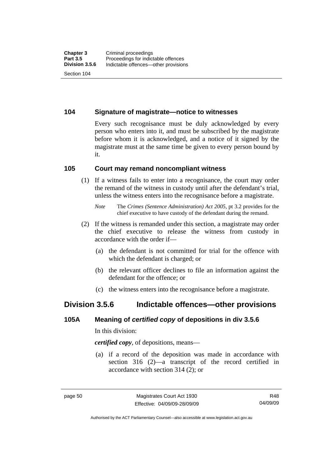## **104 Signature of magistrate—notice to witnesses**

Every such recognisance must be duly acknowledged by every person who enters into it, and must be subscribed by the magistrate before whom it is acknowledged, and a notice of it signed by the magistrate must at the same time be given to every person bound by it.

## **105 Court may remand noncompliant witness**

 (1) If a witness fails to enter into a recognisance, the court may order the remand of the witness in custody until after the defendant's trial, unless the witness enters into the recognisance before a magistrate.

- (2) If the witness is remanded under this section, a magistrate may order the chief executive to release the witness from custody in accordance with the order if—
	- (a) the defendant is not committed for trial for the offence with which the defendant is charged; or
	- (b) the relevant officer declines to file an information against the defendant for the offence; or
	- (c) the witness enters into the recognisance before a magistrate.

## **Division 3.5.6 Indictable offences—other provisions**

## **105A Meaning of** *certified copy* **of depositions in div 3.5.6**

In this division:

*certified copy*, of depositions, means—

 (a) if a record of the deposition was made in accordance with section 316 (2)—a transcript of the record certified in accordance with section 314 (2); or

*Note* The *Crimes (Sentence Administration) Act 2005*, pt 3.2 provides for the chief executive to have custody of the defendant during the remand.

Authorised by the ACT Parliamentary Counsel—also accessible at www.legislation.act.gov.au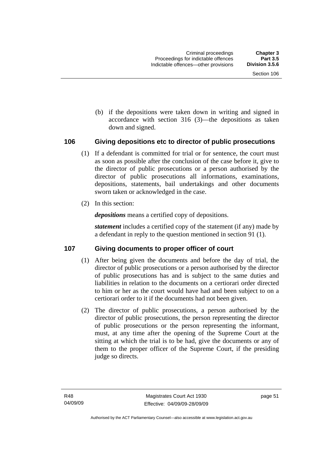(b) if the depositions were taken down in writing and signed in accordance with section 316 (3)—the depositions as taken down and signed.

## **106 Giving depositions etc to director of public prosecutions**

- (1) If a defendant is committed for trial or for sentence, the court must as soon as possible after the conclusion of the case before it, give to the director of public prosecutions or a person authorised by the director of public prosecutions all informations, examinations, depositions, statements, bail undertakings and other documents sworn taken or acknowledged in the case.
- (2) In this section:

*depositions* means a certified copy of depositions.

*statement* includes a certified copy of the statement (if any) made by a defendant in reply to the question mentioned in section 91 (1).

## **107 Giving documents to proper officer of court**

- (1) After being given the documents and before the day of trial, the director of public prosecutions or a person authorised by the director of public prosecutions has and is subject to the same duties and liabilities in relation to the documents on a certiorari order directed to him or her as the court would have had and been subject to on a certiorari order to it if the documents had not been given.
- (2) The director of public prosecutions, a person authorised by the director of public prosecutions, the person representing the director of public prosecutions or the person representing the informant, must, at any time after the opening of the Supreme Court at the sitting at which the trial is to be had, give the documents or any of them to the proper officer of the Supreme Court, if the presiding judge so directs.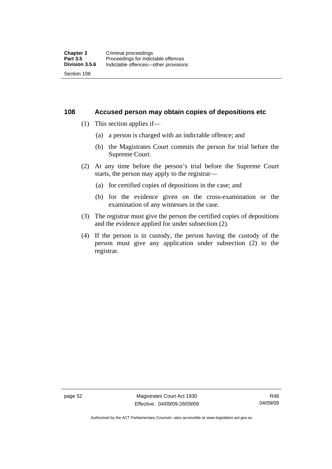**108 Accused person may obtain copies of depositions etc** 

- (1) This section applies if—
	- (a) a person is charged with an indictable offence; and
	- (b) the Magistrates Court commits the person for trial before the Supreme Court.
- (2) At any time before the person's trial before the Supreme Court starts, the person may apply to the registrar—
	- (a) for certified copies of depositions in the case; and
	- (b) for the evidence given on the cross-examination or the examination of any witnesses in the case.
- (3) The registrar must give the person the certified copies of depositions and the evidence applied for under subsection (2).
- (4) If the person is in custody, the person having the custody of the person must give any application under subsection (2) to the registrar.

page 52 Magistrates Court Act 1930 Effective: 04/09/09-28/09/09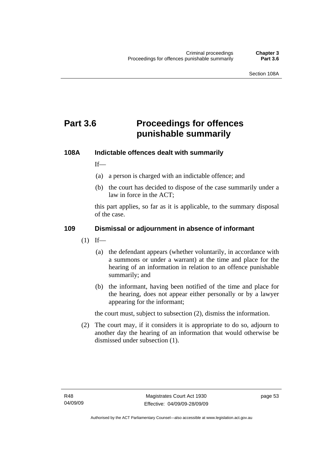# **Part 3.6 Proceedings for offences punishable summarily**

## **108A Indictable offences dealt with summarily**

 $If$ <sub>—</sub>

- (a) a person is charged with an indictable offence; and
- (b) the court has decided to dispose of the case summarily under a law in force in the ACT;

this part applies, so far as it is applicable, to the summary disposal of the case.

## **109 Dismissal or adjournment in absence of informant**

- $(1)$  If—
	- (a) the defendant appears (whether voluntarily, in accordance with a summons or under a warrant) at the time and place for the hearing of an information in relation to an offence punishable summarily; and
	- (b) the informant, having been notified of the time and place for the hearing, does not appear either personally or by a lawyer appearing for the informant;

the court must, subject to subsection (2), dismiss the information.

 (2) The court may, if it considers it is appropriate to do so, adjourn to another day the hearing of an information that would otherwise be dismissed under subsection (1).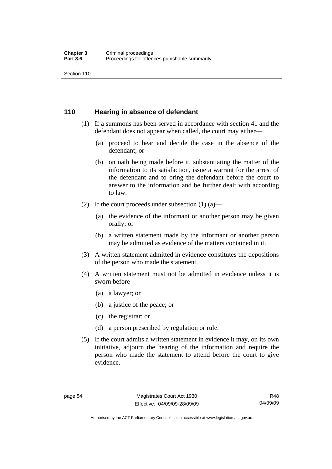Section 110

## **110 Hearing in absence of defendant**

- (1) If a summons has been served in accordance with section 41 and the defendant does not appear when called, the court may either—
	- (a) proceed to hear and decide the case in the absence of the defendant; or
	- (b) on oath being made before it, substantiating the matter of the information to its satisfaction, issue a warrant for the arrest of the defendant and to bring the defendant before the court to answer to the information and be further dealt with according to law.
- (2) If the court proceeds under subsection  $(1)$   $(a)$ 
	- (a) the evidence of the informant or another person may be given orally; or
	- (b) a written statement made by the informant or another person may be admitted as evidence of the matters contained in it.
- (3) A written statement admitted in evidence constitutes the depositions of the person who made the statement.
- (4) A written statement must not be admitted in evidence unless it is sworn before—
	- (a) a lawyer; or
	- (b) a justice of the peace; or
	- (c) the registrar; or
	- (d) a person prescribed by regulation or rule.
- (5) If the court admits a written statement in evidence it may, on its own initiative, adjourn the hearing of the information and require the person who made the statement to attend before the court to give evidence.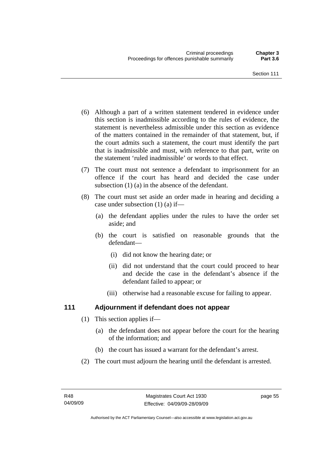- (6) Although a part of a written statement tendered in evidence under this section is inadmissible according to the rules of evidence, the statement is nevertheless admissible under this section as evidence of the matters contained in the remainder of that statement, but, if the court admits such a statement, the court must identify the part that is inadmissible and must, with reference to that part, write on the statement 'ruled inadmissible' or words to that effect.
- (7) The court must not sentence a defendant to imprisonment for an offence if the court has heard and decided the case under subsection (1) (a) in the absence of the defendant.
- (8) The court must set aside an order made in hearing and deciding a case under subsection (1) (a) if—
	- (a) the defendant applies under the rules to have the order set aside; and
	- (b) the court is satisfied on reasonable grounds that the defendant—
		- (i) did not know the hearing date; or
		- (ii) did not understand that the court could proceed to hear and decide the case in the defendant's absence if the defendant failed to appear; or
		- (iii) otherwise had a reasonable excuse for failing to appear.

## **111 Adjournment if defendant does not appear**

- (1) This section applies if—
	- (a) the defendant does not appear before the court for the hearing of the information; and
	- (b) the court has issued a warrant for the defendant's arrest.
- (2) The court must adjourn the hearing until the defendant is arrested.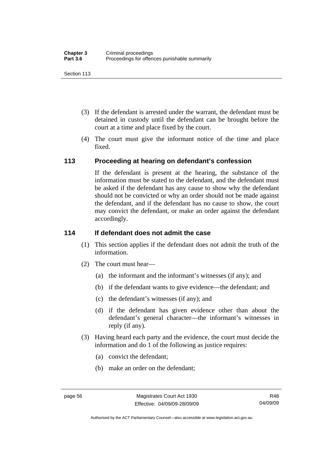Section 113

- (3) If the defendant is arrested under the warrant, the defendant must be detained in custody until the defendant can be brought before the court at a time and place fixed by the court.
- (4) The court must give the informant notice of the time and place fixed.

## **113 Proceeding at hearing on defendant's confession**

If the defendant is present at the hearing, the substance of the information must be stated to the defendant, and the defendant must be asked if the defendant has any cause to show why the defendant should not be convicted or why an order should not be made against the defendant, and if the defendant has no cause to show, the court may convict the defendant, or make an order against the defendant accordingly.

## **114 If defendant does not admit the case**

- (1) This section applies if the defendant does not admit the truth of the information.
- (2) The court must hear—
	- (a) the informant and the informant's witnesses (if any); and
	- (b) if the defendant wants to give evidence—the defendant; and
	- (c) the defendant's witnesses (if any); and
	- (d) if the defendant has given evidence other than about the defendant's general character—the informant's witnesses in reply (if any).
- (3) Having heard each party and the evidence, the court must decide the information and do 1 of the following as justice requires:
	- (a) convict the defendant;
	- (b) make an order on the defendant;

Authorised by the ACT Parliamentary Counsel—also accessible at www.legislation.act.gov.au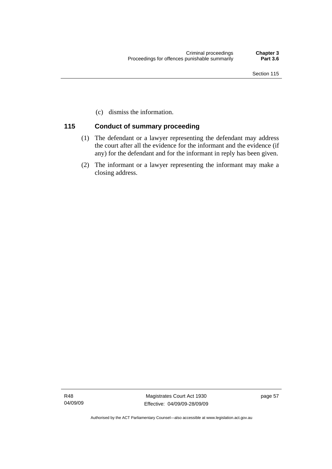(c) dismiss the information.

#### **115 Conduct of summary proceeding**

- (1) The defendant or a lawyer representing the defendant may address the court after all the evidence for the informant and the evidence (if any) for the defendant and for the informant in reply has been given.
- (2) The informant or a lawyer representing the informant may make a closing address.

R48 04/09/09

Magistrates Court Act 1930 Effective: 04/09/09-28/09/09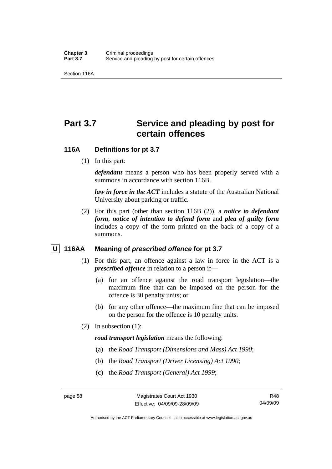Section 116A

# **Part 3.7 Service and pleading by post for certain offences**

#### **116A Definitions for pt 3.7**

(1) In this part:

*defendant* means a person who has been properly served with a summons in accordance with section 116B.

*law in force in the ACT* includes a statute of the Australian National University about parking or traffic.

 (2) For this part (other than section 116B (2)), a *notice to defendant form*, *notice of intention to defend form* and *plea of guilty form* includes a copy of the form printed on the back of a copy of a summons.

#### *U* 116AA Meaning of *prescribed offence* for pt 3.7

- (1) For this part, an offence against a law in force in the ACT is a *prescribed offence* in relation to a person if—
	- (a) for an offence against the road transport legislation—the maximum fine that can be imposed on the person for the offence is 30 penalty units; or
	- (b) for any other offence—the maximum fine that can be imposed on the person for the offence is 10 penalty units.
- (2) In subsection (1):

*road transport legislation* means the following:

- (a) the *Road Transport (Dimensions and Mass) Act 1990*;
- (b) the *Road Transport (Driver Licensing) Act 1990*;
- (c) the *Road Transport (General) Act 1999*;

Authorised by the ACT Parliamentary Counsel—also accessible at www.legislation.act.gov.au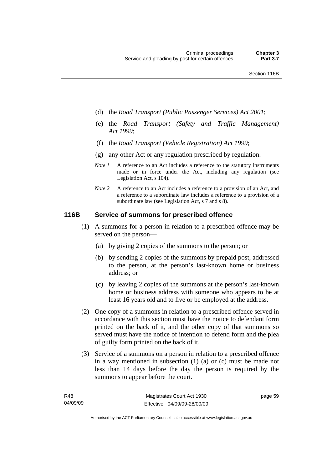- (d) the *Road Transport (Public Passenger Services) Act 2001*;
- (e) the *Road Transport (Safety and Traffic Management) Act 1999*;
- (f) the *Road Transport (Vehicle Registration) Act 1999*;
- (g) any other Act or any regulation prescribed by regulation.
- *Note 1* A reference to an Act includes a reference to the statutory instruments made or in force under the Act, including any regulation (see Legislation Act, s 104).
- *Note 2* A reference to an Act includes a reference to a provision of an Act, and a reference to a subordinate law includes a reference to a provision of a subordinate law (see Legislation Act, s 7 and s 8).

#### **116B Service of summons for prescribed offence**

- (1) A summons for a person in relation to a prescribed offence may be served on the person—
	- (a) by giving 2 copies of the summons to the person; or
	- (b) by sending 2 copies of the summons by prepaid post, addressed to the person, at the person's last-known home or business address; or
	- (c) by leaving 2 copies of the summons at the person's last-known home or business address with someone who appears to be at least 16 years old and to live or be employed at the address.
- (2) One copy of a summons in relation to a prescribed offence served in accordance with this section must have the notice to defendant form printed on the back of it, and the other copy of that summons so served must have the notice of intention to defend form and the plea of guilty form printed on the back of it.
- (3) Service of a summons on a person in relation to a prescribed offence in a way mentioned in subsection (1) (a) or (c) must be made not less than 14 days before the day the person is required by the summons to appear before the court.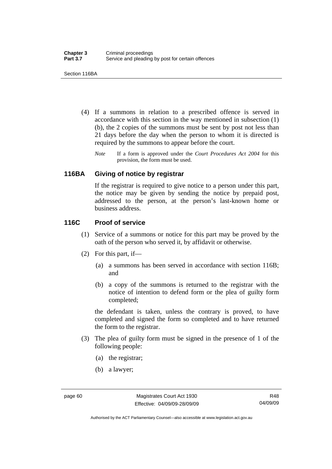Section 116BA

- (4) If a summons in relation to a prescribed offence is served in accordance with this section in the way mentioned in subsection (1) (b), the 2 copies of the summons must be sent by post not less than 21 days before the day when the person to whom it is directed is required by the summons to appear before the court.
	- *Note* If a form is approved under the *Court Procedures Act 2004* for this provision, the form must be used.

#### **116BA Giving of notice by registrar**

If the registrar is required to give notice to a person under this part, the notice may be given by sending the notice by prepaid post, addressed to the person, at the person's last-known home or business address.

#### **116C Proof of service**

- (1) Service of a summons or notice for this part may be proved by the oath of the person who served it, by affidavit or otherwise.
- (2) For this part, if—
	- (a) a summons has been served in accordance with section 116B; and
	- (b) a copy of the summons is returned to the registrar with the notice of intention to defend form or the plea of guilty form completed;

the defendant is taken, unless the contrary is proved, to have completed and signed the form so completed and to have returned the form to the registrar.

- (3) The plea of guilty form must be signed in the presence of 1 of the following people:
	- (a) the registrar;
	- (b) a lawyer;

Authorised by the ACT Parliamentary Counsel—also accessible at www.legislation.act.gov.au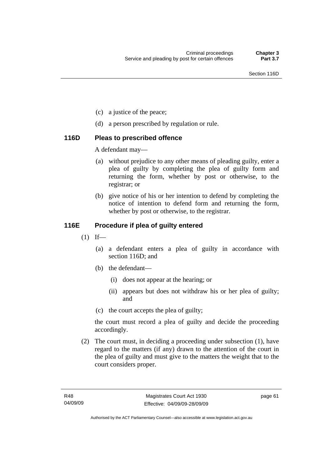- (c) a justice of the peace;
- (d) a person prescribed by regulation or rule.

#### **116D Pleas to prescribed offence**

A defendant may—

- (a) without prejudice to any other means of pleading guilty, enter a plea of guilty by completing the plea of guilty form and returning the form, whether by post or otherwise, to the registrar; or
- (b) give notice of his or her intention to defend by completing the notice of intention to defend form and returning the form, whether by post or otherwise, to the registrar.

### **116E Procedure if plea of guilty entered**

- $(1)$  If—
	- (a) a defendant enters a plea of guilty in accordance with section 116D; and
	- (b) the defendant—
		- (i) does not appear at the hearing; or
		- (ii) appears but does not withdraw his or her plea of guilty; and
	- (c) the court accepts the plea of guilty;

the court must record a plea of guilty and decide the proceeding accordingly.

 (2) The court must, in deciding a proceeding under subsection (1), have regard to the matters (if any) drawn to the attention of the court in the plea of guilty and must give to the matters the weight that to the court considers proper.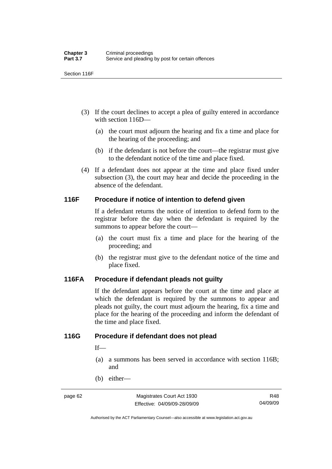Section 116F

- (3) If the court declines to accept a plea of guilty entered in accordance with section 116D—
	- (a) the court must adjourn the hearing and fix a time and place for the hearing of the proceeding; and
	- (b) if the defendant is not before the court—the registrar must give to the defendant notice of the time and place fixed.
- (4) If a defendant does not appear at the time and place fixed under subsection (3), the court may hear and decide the proceeding in the absence of the defendant.

#### **116F Procedure if notice of intention to defend given**

If a defendant returns the notice of intention to defend form to the registrar before the day when the defendant is required by the summons to appear before the court—

- (a) the court must fix a time and place for the hearing of the proceeding; and
- (b) the registrar must give to the defendant notice of the time and place fixed.

#### **116FA Procedure if defendant pleads not guilty**

If the defendant appears before the court at the time and place at which the defendant is required by the summons to appear and pleads not guilty, the court must adjourn the hearing, fix a time and place for the hearing of the proceeding and inform the defendant of the time and place fixed.

#### **116G Procedure if defendant does not plead**

 $If$ —

- (a) a summons has been served in accordance with section 116B; and
- (b) either—

Authorised by the ACT Parliamentary Counsel—also accessible at www.legislation.act.gov.au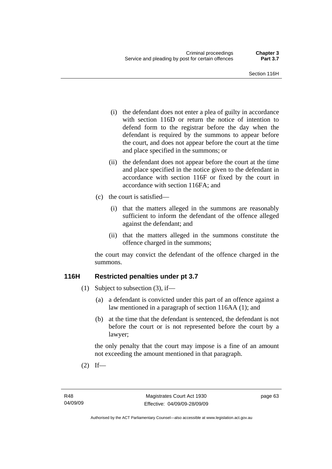- (i) the defendant does not enter a plea of guilty in accordance with section 116D or return the notice of intention to defend form to the registrar before the day when the defendant is required by the summons to appear before the court, and does not appear before the court at the time and place specified in the summons; or
- (ii) the defendant does not appear before the court at the time and place specified in the notice given to the defendant in accordance with section 116F or fixed by the court in accordance with section 116FA; and
- (c) the court is satisfied—
	- (i) that the matters alleged in the summons are reasonably sufficient to inform the defendant of the offence alleged against the defendant; and
	- (ii) that the matters alleged in the summons constitute the offence charged in the summons;

the court may convict the defendant of the offence charged in the summons.

#### **116H Restricted penalties under pt 3.7**

- (1) Subject to subsection (3), if—
	- (a) a defendant is convicted under this part of an offence against a law mentioned in a paragraph of section 116AA (1); and
	- (b) at the time that the defendant is sentenced, the defendant is not before the court or is not represented before the court by a lawyer;

the only penalty that the court may impose is a fine of an amount not exceeding the amount mentioned in that paragraph.

 $(2)$  If—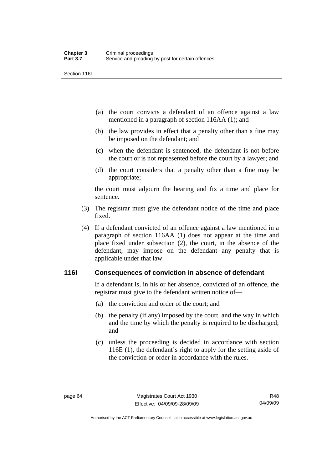Section 116I

- (a) the court convicts a defendant of an offence against a law mentioned in a paragraph of section 116AA (1); and
- (b) the law provides in effect that a penalty other than a fine may be imposed on the defendant; and
- (c) when the defendant is sentenced, the defendant is not before the court or is not represented before the court by a lawyer; and
- (d) the court considers that a penalty other than a fine may be appropriate;

the court must adjourn the hearing and fix a time and place for sentence.

- (3) The registrar must give the defendant notice of the time and place fixed.
- (4) If a defendant convicted of an offence against a law mentioned in a paragraph of section 116AA (1) does not appear at the time and place fixed under subsection (2), the court, in the absence of the defendant, may impose on the defendant any penalty that is applicable under that law.

#### **116I Consequences of conviction in absence of defendant**

If a defendant is, in his or her absence, convicted of an offence, the registrar must give to the defendant written notice of—

- (a) the conviction and order of the court; and
- (b) the penalty (if any) imposed by the court, and the way in which and the time by which the penalty is required to be discharged; and
- (c) unless the proceeding is decided in accordance with section 116E (1), the defendant's right to apply for the setting aside of the conviction or order in accordance with the rules.

Authorised by the ACT Parliamentary Counsel—also accessible at www.legislation.act.gov.au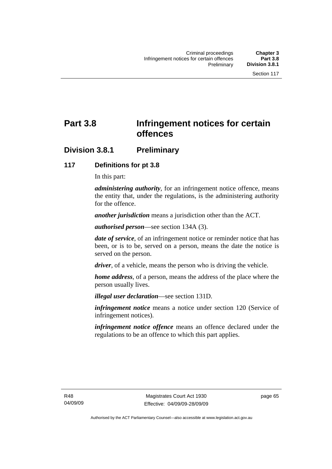# **Part 3.8 Infringement notices for certain offences**

## **Division 3.8.1 Preliminary**

#### **117 Definitions for pt 3.8**

In this part:

*administering authority*, for an infringement notice offence, means the entity that, under the regulations, is the administering authority for the offence.

*another jurisdiction* means a jurisdiction other than the ACT.

*authorised person*—see section 134A (3).

*date of service*, of an infringement notice or reminder notice that has been, or is to be, served on a person, means the date the notice is served on the person.

*driver*, of a vehicle, means the person who is driving the vehicle.

*home address*, of a person, means the address of the place where the person usually lives.

*illegal user declaration*—see section 131D.

*infringement notice* means a notice under section 120 (Service of infringement notices).

*infringement notice offence* means an offence declared under the regulations to be an offence to which this part applies.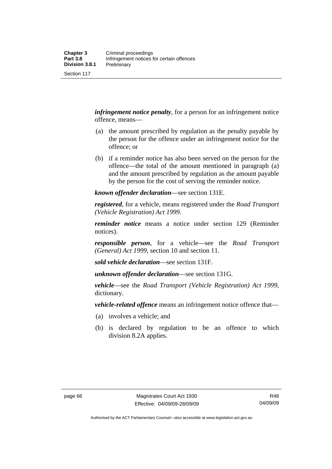Section 117

*infringement notice penalty*, for a person for an infringement notice offence, means—

- (a) the amount prescribed by regulation as the penalty payable by the person for the offence under an infringement notice for the offence; or
- (b) if a reminder notice has also been served on the person for the offence—the total of the amount mentioned in paragraph (a) and the amount prescribed by regulation as the amount payable by the person for the cost of serving the reminder notice.

*known offender declaration*—see section 131E.

*registered*, for a vehicle, means registered under the *Road Transport (Vehicle Registration) Act 1999*.

*reminder notice* means a notice under section 129 (Reminder notices).

*responsible person*, for a vehicle—see the *Road Transport (General) Act 1999*, section 10 and section 11.

*sold vehicle declaration*—see section 131F.

*unknown offender declaration*—see section 131G.

*vehicle*—see the *Road Transport (Vehicle Registration) Act 1999*, dictionary.

*vehicle-related offence* means an infringement notice offence that—

- (a) involves a vehicle; and
- (b) is declared by regulation to be an offence to which division 8.2A applies.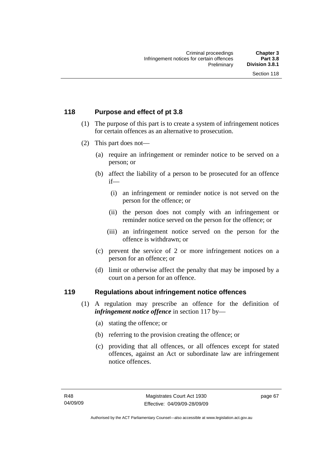#### **118 Purpose and effect of pt 3.8**

- (1) The purpose of this part is to create a system of infringement notices for certain offences as an alternative to prosecution.
- (2) This part does not—
	- (a) require an infringement or reminder notice to be served on a person; or
	- (b) affect the liability of a person to be prosecuted for an offence if—
		- (i) an infringement or reminder notice is not served on the person for the offence; or
		- (ii) the person does not comply with an infringement or reminder notice served on the person for the offence; or
		- (iii) an infringement notice served on the person for the offence is withdrawn; or
	- (c) prevent the service of 2 or more infringement notices on a person for an offence; or
	- (d) limit or otherwise affect the penalty that may be imposed by a court on a person for an offence.

#### **119 Regulations about infringement notice offences**

- (1) A regulation may prescribe an offence for the definition of *infringement notice offence* in section 117 by—
	- (a) stating the offence; or
	- (b) referring to the provision creating the offence; or
	- (c) providing that all offences, or all offences except for stated offences, against an Act or subordinate law are infringement notice offences.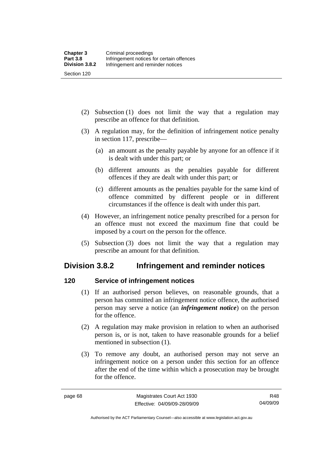Section 120

- (2) Subsection (1) does not limit the way that a regulation may prescribe an offence for that definition.
- (3) A regulation may, for the definition of infringement notice penalty in section 117, prescribe—
	- (a) an amount as the penalty payable by anyone for an offence if it is dealt with under this part; or
	- (b) different amounts as the penalties payable for different offences if they are dealt with under this part; or
	- (c) different amounts as the penalties payable for the same kind of offence committed by different people or in different circumstances if the offence is dealt with under this part.
- (4) However, an infringement notice penalty prescribed for a person for an offence must not exceed the maximum fine that could be imposed by a court on the person for the offence.
- (5) Subsection (3) does not limit the way that a regulation may prescribe an amount for that definition.

## **Division 3.8.2 Infringement and reminder notices**

## **120 Service of infringement notices**

- (1) If an authorised person believes, on reasonable grounds, that a person has committed an infringement notice offence, the authorised person may serve a notice (an *infringement notice*) on the person for the offence.
- (2) A regulation may make provision in relation to when an authorised person is, or is not, taken to have reasonable grounds for a belief mentioned in subsection (1).
- (3) To remove any doubt, an authorised person may not serve an infringement notice on a person under this section for an offence after the end of the time within which a prosecution may be brought for the offence.

Authorised by the ACT Parliamentary Counsel—also accessible at www.legislation.act.gov.au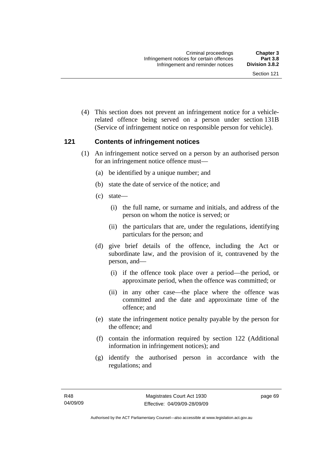(4) This section does not prevent an infringement notice for a vehiclerelated offence being served on a person under section 131B (Service of infringement notice on responsible person for vehicle).

#### **121 Contents of infringement notices**

- (1) An infringement notice served on a person by an authorised person for an infringement notice offence must—
	- (a) be identified by a unique number; and
	- (b) state the date of service of the notice; and
	- (c) state—
		- (i) the full name, or surname and initials, and address of the person on whom the notice is served; or
		- (ii) the particulars that are, under the regulations, identifying particulars for the person; and
	- (d) give brief details of the offence, including the Act or subordinate law, and the provision of it, contravened by the person, and—
		- (i) if the offence took place over a period—the period, or approximate period, when the offence was committed; or
		- (ii) in any other case—the place where the offence was committed and the date and approximate time of the offence; and
	- (e) state the infringement notice penalty payable by the person for the offence; and
	- (f) contain the information required by section 122 (Additional information in infringement notices); and
	- (g) identify the authorised person in accordance with the regulations; and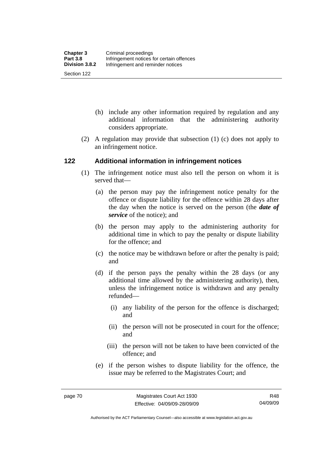- (h) include any other information required by regulation and any additional information that the administering authority considers appropriate.
- (2) A regulation may provide that subsection (1) (c) does not apply to an infringement notice.

#### **122 Additional information in infringement notices**

- (1) The infringement notice must also tell the person on whom it is served that—
	- (a) the person may pay the infringement notice penalty for the offence or dispute liability for the offence within 28 days after the day when the notice is served on the person (the *date of service* of the notice); and
	- (b) the person may apply to the administering authority for additional time in which to pay the penalty or dispute liability for the offence; and
	- (c) the notice may be withdrawn before or after the penalty is paid; and
	- (d) if the person pays the penalty within the 28 days (or any additional time allowed by the administering authority), then, unless the infringement notice is withdrawn and any penalty refunded—
		- (i) any liability of the person for the offence is discharged; and
		- (ii) the person will not be prosecuted in court for the offence; and
		- (iii) the person will not be taken to have been convicted of the offence; and
	- (e) if the person wishes to dispute liability for the offence, the issue may be referred to the Magistrates Court; and

Authorised by the ACT Parliamentary Counsel—also accessible at www.legislation.act.gov.au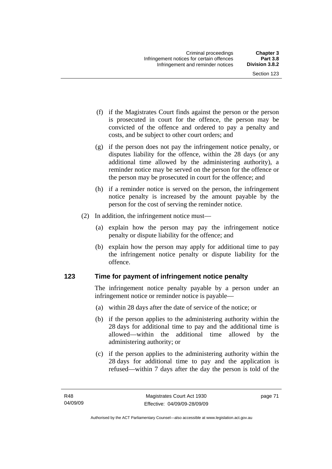- (f) if the Magistrates Court finds against the person or the person is prosecuted in court for the offence, the person may be convicted of the offence and ordered to pay a penalty and costs, and be subject to other court orders; and
- (g) if the person does not pay the infringement notice penalty, or disputes liability for the offence, within the 28 days (or any additional time allowed by the administering authority), a reminder notice may be served on the person for the offence or the person may be prosecuted in court for the offence; and
- (h) if a reminder notice is served on the person, the infringement notice penalty is increased by the amount payable by the person for the cost of serving the reminder notice.
- (2) In addition, the infringement notice must—
	- (a) explain how the person may pay the infringement notice penalty or dispute liability for the offence; and
	- (b) explain how the person may apply for additional time to pay the infringement notice penalty or dispute liability for the offence.

#### **123 Time for payment of infringement notice penalty**

The infringement notice penalty payable by a person under an infringement notice or reminder notice is payable—

- (a) within 28 days after the date of service of the notice; or
- (b) if the person applies to the administering authority within the 28 days for additional time to pay and the additional time is allowed—within the additional time allowed by the administering authority; or
- (c) if the person applies to the administering authority within the 28 days for additional time to pay and the application is refused—within 7 days after the day the person is told of the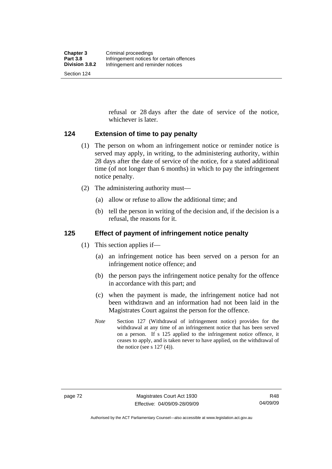Section 124

refusal or 28 days after the date of service of the notice, whichever is later.

### **124 Extension of time to pay penalty**

- (1) The person on whom an infringement notice or reminder notice is served may apply, in writing, to the administering authority, within 28 days after the date of service of the notice, for a stated additional time (of not longer than 6 months) in which to pay the infringement notice penalty.
- (2) The administering authority must—
	- (a) allow or refuse to allow the additional time; and
	- (b) tell the person in writing of the decision and, if the decision is a refusal, the reasons for it.

### **125 Effect of payment of infringement notice penalty**

- (1) This section applies if—
	- (a) an infringement notice has been served on a person for an infringement notice offence; and
	- (b) the person pays the infringement notice penalty for the offence in accordance with this part; and
	- (c) when the payment is made, the infringement notice had not been withdrawn and an information had not been laid in the Magistrates Court against the person for the offence.
	- *Note* Section 127 (Withdrawal of infringement notice) provides for the withdrawal at any time of an infringement notice that has been served on a person. If s 125 applied to the infringement notice offence, it ceases to apply, and is taken never to have applied, on the withdrawal of the notice (see s  $127(4)$ ).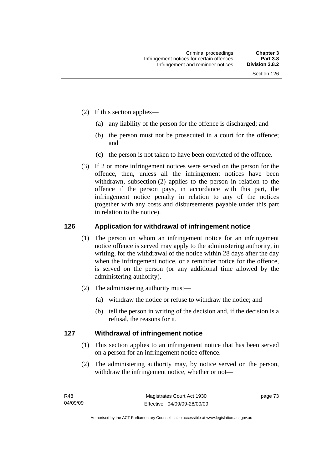- (2) If this section applies—
	- (a) any liability of the person for the offence is discharged; and
	- (b) the person must not be prosecuted in a court for the offence; and
	- (c) the person is not taken to have been convicted of the offence.
- (3) If 2 or more infringement notices were served on the person for the offence, then, unless all the infringement notices have been withdrawn, subsection (2) applies to the person in relation to the offence if the person pays, in accordance with this part, the infringement notice penalty in relation to any of the notices (together with any costs and disbursements payable under this part in relation to the notice).

#### **126 Application for withdrawal of infringement notice**

- (1) The person on whom an infringement notice for an infringement notice offence is served may apply to the administering authority, in writing, for the withdrawal of the notice within 28 days after the day when the infringement notice, or a reminder notice for the offence, is served on the person (or any additional time allowed by the administering authority).
- (2) The administering authority must—
	- (a) withdraw the notice or refuse to withdraw the notice; and
	- (b) tell the person in writing of the decision and, if the decision is a refusal, the reasons for it.

#### **127 Withdrawal of infringement notice**

- (1) This section applies to an infringement notice that has been served on a person for an infringement notice offence.
- (2) The administering authority may, by notice served on the person, withdraw the infringement notice, whether or not—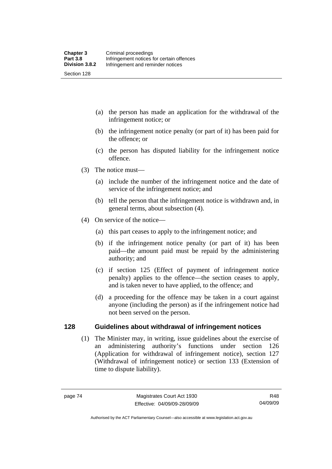- (a) the person has made an application for the withdrawal of the infringement notice; or
- (b) the infringement notice penalty (or part of it) has been paid for the offence; or
- (c) the person has disputed liability for the infringement notice offence.
- (3) The notice must—
	- (a) include the number of the infringement notice and the date of service of the infringement notice; and
	- (b) tell the person that the infringement notice is withdrawn and, in general terms, about subsection (4).
- (4) On service of the notice—
	- (a) this part ceases to apply to the infringement notice; and
	- (b) if the infringement notice penalty (or part of it) has been paid—the amount paid must be repaid by the administering authority; and
	- (c) if section 125 (Effect of payment of infringement notice penalty) applies to the offence—the section ceases to apply, and is taken never to have applied, to the offence; and
	- (d) a proceeding for the offence may be taken in a court against anyone (including the person) as if the infringement notice had not been served on the person.

#### **128 Guidelines about withdrawal of infringement notices**

 (1) The Minister may, in writing, issue guidelines about the exercise of an administering authority's functions under section 126 (Application for withdrawal of infringement notice), section 127 (Withdrawal of infringement notice) or section 133 (Extension of time to dispute liability).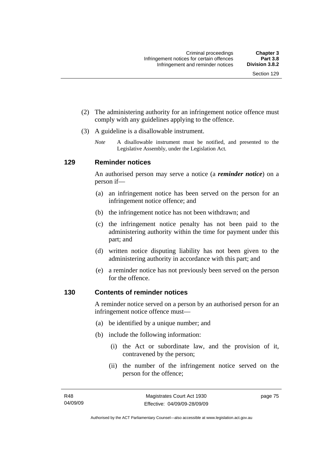- (2) The administering authority for an infringement notice offence must comply with any guidelines applying to the offence.
- (3) A guideline is a disallowable instrument.
	- *Note* A disallowable instrument must be notified, and presented to the Legislative Assembly, under the Legislation Act*.*

#### **129 Reminder notices**

An authorised person may serve a notice (a *reminder notice*) on a person if—

- (a) an infringement notice has been served on the person for an infringement notice offence; and
- (b) the infringement notice has not been withdrawn; and
- (c) the infringement notice penalty has not been paid to the administering authority within the time for payment under this part; and
- (d) written notice disputing liability has not been given to the administering authority in accordance with this part; and
- (e) a reminder notice has not previously been served on the person for the offence.

#### **130 Contents of reminder notices**

A reminder notice served on a person by an authorised person for an infringement notice offence must—

- (a) be identified by a unique number; and
- (b) include the following information:
	- (i) the Act or subordinate law, and the provision of it, contravened by the person;
	- (ii) the number of the infringement notice served on the person for the offence;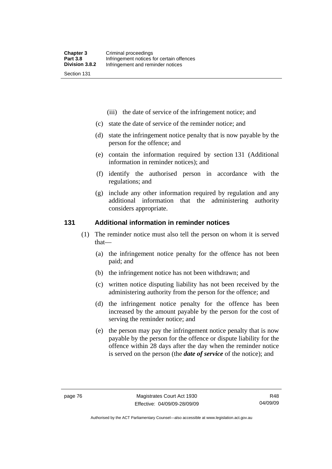- (iii) the date of service of the infringement notice; and
- (c) state the date of service of the reminder notice; and
- (d) state the infringement notice penalty that is now payable by the person for the offence; and
- (e) contain the information required by section 131 (Additional information in reminder notices); and
- (f) identify the authorised person in accordance with the regulations; and
- (g) include any other information required by regulation and any additional information that the administering authority considers appropriate.

#### **131 Additional information in reminder notices**

- (1) The reminder notice must also tell the person on whom it is served that—
	- (a) the infringement notice penalty for the offence has not been paid; and
	- (b) the infringement notice has not been withdrawn; and
	- (c) written notice disputing liability has not been received by the administering authority from the person for the offence; and
	- (d) the infringement notice penalty for the offence has been increased by the amount payable by the person for the cost of serving the reminder notice; and
	- (e) the person may pay the infringement notice penalty that is now payable by the person for the offence or dispute liability for the offence within 28 days after the day when the reminder notice is served on the person (the *date of service* of the notice); and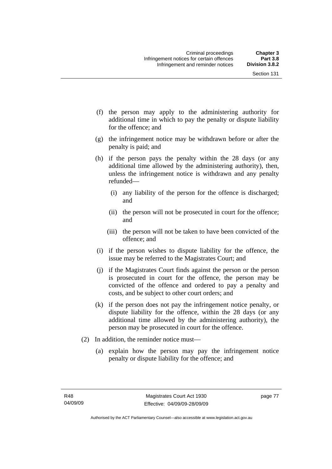- (f) the person may apply to the administering authority for additional time in which to pay the penalty or dispute liability for the offence; and
- (g) the infringement notice may be withdrawn before or after the penalty is paid; and
- (h) if the person pays the penalty within the 28 days (or any additional time allowed by the administering authority), then, unless the infringement notice is withdrawn and any penalty refunded—
	- (i) any liability of the person for the offence is discharged; and
	- (ii) the person will not be prosecuted in court for the offence; and
	- (iii) the person will not be taken to have been convicted of the offence; and
- (i) if the person wishes to dispute liability for the offence, the issue may be referred to the Magistrates Court; and
- (j) if the Magistrates Court finds against the person or the person is prosecuted in court for the offence, the person may be convicted of the offence and ordered to pay a penalty and costs, and be subject to other court orders; and
- (k) if the person does not pay the infringement notice penalty, or dispute liability for the offence, within the 28 days (or any additional time allowed by the administering authority), the person may be prosecuted in court for the offence.
- (2) In addition, the reminder notice must—
	- (a) explain how the person may pay the infringement notice penalty or dispute liability for the offence; and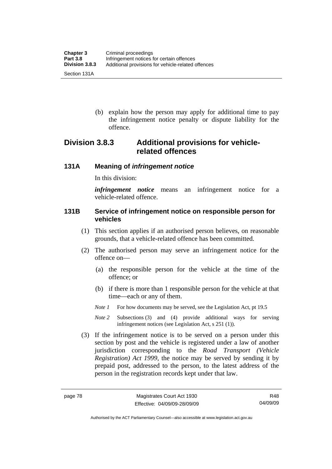(b) explain how the person may apply for additional time to pay the infringement notice penalty or dispute liability for the offence.

## **Division 3.8.3 Additional provisions for vehiclerelated offences**

#### **131A Meaning of** *infringement notice*

In this division:

*infringement notice* means an infringement notice for a vehicle-related offence.

#### **131B Service of infringement notice on responsible person for vehicles**

- (1) This section applies if an authorised person believes, on reasonable grounds, that a vehicle-related offence has been committed.
- (2) The authorised person may serve an infringement notice for the offence on—
	- (a) the responsible person for the vehicle at the time of the offence; or
	- (b) if there is more than 1 responsible person for the vehicle at that time—each or any of them.
	- *Note 1* For how documents may be served, see the Legislation Act, pt 19.5
	- *Note 2* Subsections (3) and (4) provide additional ways for serving infringement notices (see Legislation Act, s 251 (1)).
- (3) If the infringement notice is to be served on a person under this section by post and the vehicle is registered under a law of another jurisdiction corresponding to the *Road Transport (Vehicle Registration) Act 1999*, the notice may be served by sending it by prepaid post, addressed to the person, to the latest address of the person in the registration records kept under that law.

Authorised by the ACT Parliamentary Counsel—also accessible at www.legislation.act.gov.au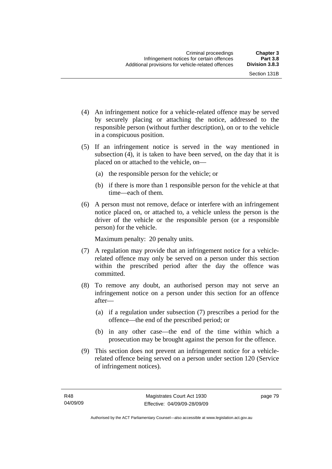- (4) An infringement notice for a vehicle-related offence may be served by securely placing or attaching the notice, addressed to the responsible person (without further description), on or to the vehicle in a conspicuous position.
- (5) If an infringement notice is served in the way mentioned in subsection (4), it is taken to have been served, on the day that it is placed on or attached to the vehicle, on—
	- (a) the responsible person for the vehicle; or
	- (b) if there is more than 1 responsible person for the vehicle at that time—each of them.
- (6) A person must not remove, deface or interfere with an infringement notice placed on, or attached to, a vehicle unless the person is the driver of the vehicle or the responsible person (or a responsible person) for the vehicle.

Maximum penalty: 20 penalty units.

- (7) A regulation may provide that an infringement notice for a vehiclerelated offence may only be served on a person under this section within the prescribed period after the day the offence was committed.
- (8) To remove any doubt, an authorised person may not serve an infringement notice on a person under this section for an offence after—
	- (a) if a regulation under subsection (7) prescribes a period for the offence—the end of the prescribed period; or
	- (b) in any other case—the end of the time within which a prosecution may be brought against the person for the offence.
- (9) This section does not prevent an infringement notice for a vehiclerelated offence being served on a person under section 120 (Service of infringement notices).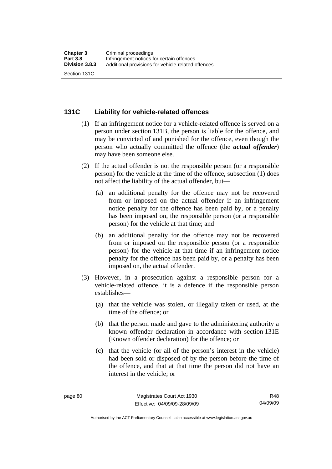#### **131C Liability for vehicle-related offences**

- (1) If an infringement notice for a vehicle-related offence is served on a person under section 131B, the person is liable for the offence, and may be convicted of and punished for the offence, even though the person who actually committed the offence (the *actual offender*) may have been someone else.
- (2) If the actual offender is not the responsible person (or a responsible person) for the vehicle at the time of the offence, subsection (1) does not affect the liability of the actual offender, but—
	- (a) an additional penalty for the offence may not be recovered from or imposed on the actual offender if an infringement notice penalty for the offence has been paid by, or a penalty has been imposed on, the responsible person (or a responsible person) for the vehicle at that time; and
	- (b) an additional penalty for the offence may not be recovered from or imposed on the responsible person (or a responsible person) for the vehicle at that time if an infringement notice penalty for the offence has been paid by, or a penalty has been imposed on, the actual offender.
- (3) However, in a prosecution against a responsible person for a vehicle-related offence, it is a defence if the responsible person establishes—
	- (a) that the vehicle was stolen, or illegally taken or used, at the time of the offence; or
	- (b) that the person made and gave to the administering authority a known offender declaration in accordance with section 131E (Known offender declaration) for the offence; or
	- (c) that the vehicle (or all of the person's interest in the vehicle) had been sold or disposed of by the person before the time of the offence, and that at that time the person did not have an interest in the vehicle; or

R48 04/09/09

Authorised by the ACT Parliamentary Counsel—also accessible at www.legislation.act.gov.au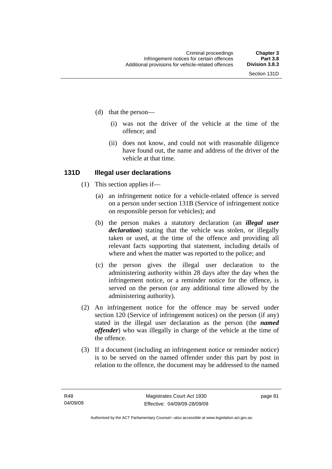- (d) that the person—
	- (i) was not the driver of the vehicle at the time of the offence; and
	- (ii) does not know, and could not with reasonable diligence have found out, the name and address of the driver of the vehicle at that time.

#### **131D Illegal user declarations**

- (1) This section applies if—
	- (a) an infringement notice for a vehicle-related offence is served on a person under section 131B (Service of infringement notice on responsible person for vehicles); and
	- (b) the person makes a statutory declaration (an *illegal user declaration*) stating that the vehicle was stolen, or illegally taken or used, at the time of the offence and providing all relevant facts supporting that statement, including details of where and when the matter was reported to the police; and
	- (c) the person gives the illegal user declaration to the administering authority within 28 days after the day when the infringement notice, or a reminder notice for the offence, is served on the person (or any additional time allowed by the administering authority).
- (2) An infringement notice for the offence may be served under section 120 (Service of infringement notices) on the person (if any) stated in the illegal user declaration as the person (the *named offender*) who was illegally in charge of the vehicle at the time of the offence.
- (3) If a document (including an infringement notice or reminder notice) is to be served on the named offender under this part by post in relation to the offence, the document may be addressed to the named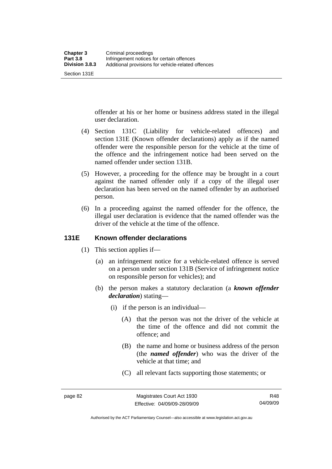Section 131E

offender at his or her home or business address stated in the illegal user declaration.

- (4) Section 131C (Liability for vehicle-related offences) and section 131E (Known offender declarations) apply as if the named offender were the responsible person for the vehicle at the time of the offence and the infringement notice had been served on the named offender under section 131B.
- (5) However, a proceeding for the offence may be brought in a court against the named offender only if a copy of the illegal user declaration has been served on the named offender by an authorised person.
- (6) In a proceeding against the named offender for the offence, the illegal user declaration is evidence that the named offender was the driver of the vehicle at the time of the offence.

#### **131E Known offender declarations**

- (1) This section applies if—
	- (a) an infringement notice for a vehicle-related offence is served on a person under section 131B (Service of infringement notice on responsible person for vehicles); and
	- (b) the person makes a statutory declaration (a *known offender declaration*) stating—
		- (i) if the person is an individual—
			- (A) that the person was not the driver of the vehicle at the time of the offence and did not commit the offence; and
			- (B) the name and home or business address of the person (the *named offender*) who was the driver of the vehicle at that time; and
			- (C) all relevant facts supporting those statements; or

Authorised by the ACT Parliamentary Counsel—also accessible at www.legislation.act.gov.au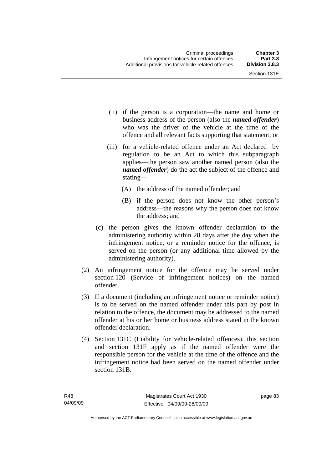- (ii) if the person is a corporation—the name and home or business address of the person (also the *named offender*) who was the driver of the vehicle at the time of the offence and all relevant facts supporting that statement; or
- (iii) for a vehicle-related offence under an Act declared by regulation to be an Act to which this subparagraph applies—the person saw another named person (also the *named offender*) do the act the subject of the offence and stating—
	- (A) the address of the named offender; and
	- (B) if the person does not know the other person's address—the reasons why the person does not know the address; and
- (c) the person gives the known offender declaration to the administering authority within 28 days after the day when the infringement notice, or a reminder notice for the offence, is served on the person (or any additional time allowed by the administering authority).
- (2) An infringement notice for the offence may be served under section 120 (Service of infringement notices) on the named offender.
- (3) If a document (including an infringement notice or reminder notice) is to be served on the named offender under this part by post in relation to the offence, the document may be addressed to the named offender at his or her home or business address stated in the known offender declaration.
- (4) Section 131C (Liability for vehicle-related offences), this section and section 131F apply as if the named offender were the responsible person for the vehicle at the time of the offence and the infringement notice had been served on the named offender under section 131B.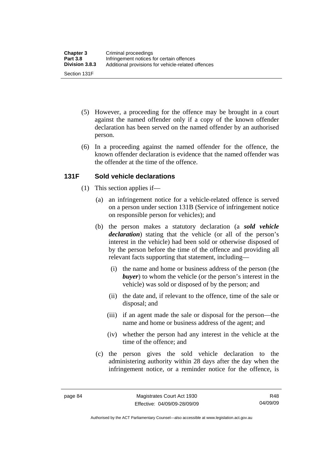- (5) However, a proceeding for the offence may be brought in a court against the named offender only if a copy of the known offender declaration has been served on the named offender by an authorised person.
- (6) In a proceeding against the named offender for the offence, the known offender declaration is evidence that the named offender was the offender at the time of the offence.

### **131F Sold vehicle declarations**

- (1) This section applies if—
	- (a) an infringement notice for a vehicle-related offence is served on a person under section 131B (Service of infringement notice on responsible person for vehicles); and
	- (b) the person makes a statutory declaration (a *sold vehicle declaration*) stating that the vehicle (or all of the person's interest in the vehicle) had been sold or otherwise disposed of by the person before the time of the offence and providing all relevant facts supporting that statement, including—
		- (i) the name and home or business address of the person (the *buyer*) to whom the vehicle (or the person's interest in the vehicle) was sold or disposed of by the person; and
		- (ii) the date and, if relevant to the offence, time of the sale or disposal; and
		- (iii) if an agent made the sale or disposal for the person—the name and home or business address of the agent; and
		- (iv) whether the person had any interest in the vehicle at the time of the offence; and
	- (c) the person gives the sold vehicle declaration to the administering authority within 28 days after the day when the infringement notice, or a reminder notice for the offence, is

Authorised by the ACT Parliamentary Counsel—also accessible at www.legislation.act.gov.au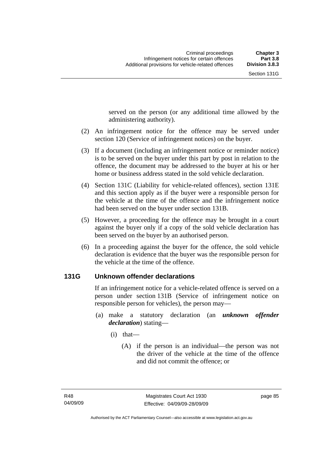served on the person (or any additional time allowed by the administering authority).

- (2) An infringement notice for the offence may be served under section 120 (Service of infringement notices) on the buyer.
- (3) If a document (including an infringement notice or reminder notice) is to be served on the buyer under this part by post in relation to the offence, the document may be addressed to the buyer at his or her home or business address stated in the sold vehicle declaration.
- (4) Section 131C (Liability for vehicle-related offences), section 131E and this section apply as if the buyer were a responsible person for the vehicle at the time of the offence and the infringement notice had been served on the buyer under section 131B.
- (5) However, a proceeding for the offence may be brought in a court against the buyer only if a copy of the sold vehicle declaration has been served on the buyer by an authorised person.
- (6) In a proceeding against the buyer for the offence, the sold vehicle declaration is evidence that the buyer was the responsible person for the vehicle at the time of the offence.

#### **131G Unknown offender declarations**

If an infringement notice for a vehicle-related offence is served on a person under section 131B (Service of infringement notice on responsible person for vehicles), the person may—

- (a) make a statutory declaration (an *unknown offender declaration*) stating—
	- (i) that—
		- (A) if the person is an individual—the person was not the driver of the vehicle at the time of the offence and did not commit the offence; or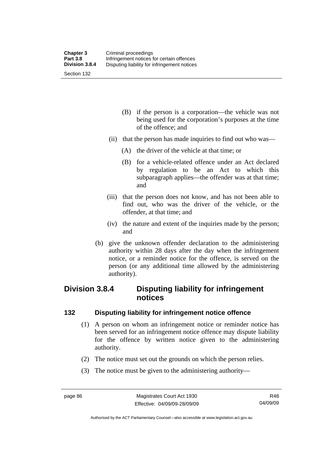- (B) if the person is a corporation—the vehicle was not being used for the corporation's purposes at the time of the offence; and
- (ii) that the person has made inquiries to find out who was—
	- (A) the driver of the vehicle at that time; or
	- (B) for a vehicle-related offence under an Act declared by regulation to be an Act to which this subparagraph applies—the offender was at that time; and
- (iii) that the person does not know, and has not been able to find out, who was the driver of the vehicle, or the offender, at that time; and
- (iv) the nature and extent of the inquiries made by the person; and
- (b) give the unknown offender declaration to the administering authority within 28 days after the day when the infringement notice, or a reminder notice for the offence, is served on the person (or any additional time allowed by the administering authority).

## **Division 3.8.4 Disputing liability for infringement notices**

#### **132 Disputing liability for infringement notice offence**

- (1) A person on whom an infringement notice or reminder notice has been served for an infringement notice offence may dispute liability for the offence by written notice given to the administering authority.
- (2) The notice must set out the grounds on which the person relies.
- (3) The notice must be given to the administering authority—

Authorised by the ACT Parliamentary Counsel—also accessible at www.legislation.act.gov.au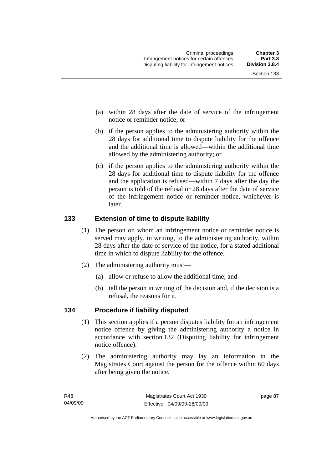Section 133

- (a) within 28 days after the date of service of the infringement notice or reminder notice; or
- (b) if the person applies to the administering authority within the 28 days for additional time to dispute liability for the offence and the additional time is allowed—within the additional time allowed by the administering authority; or
- (c) if the person applies to the administering authority within the 28 days for additional time to dispute liability for the offence and the application is refused—within 7 days after the day the person is told of the refusal or 28 days after the date of service of the infringement notice or reminder notice, whichever is later.

#### **133 Extension of time to dispute liability**

- (1) The person on whom an infringement notice or reminder notice is served may apply, in writing, to the administering authority, within 28 days after the date of service of the notice, for a stated additional time in which to dispute liability for the offence.
- (2) The administering authority must—
	- (a) allow or refuse to allow the additional time; and
	- (b) tell the person in writing of the decision and, if the decision is a refusal, the reasons for it.

#### **134 Procedure if liability disputed**

- (1) This section applies if a person disputes liability for an infringement notice offence by giving the administering authority a notice in accordance with section 132 (Disputing liability for infringement notice offence).
- (2) The administering authority may lay an information in the Magistrates Court against the person for the offence within 60 days after being given the notice.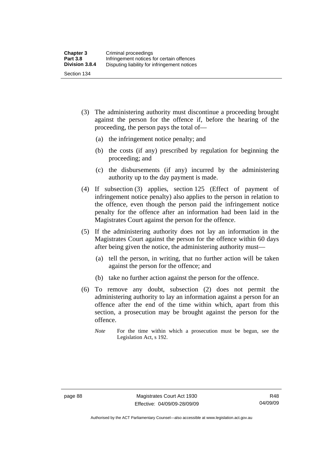- (3) The administering authority must discontinue a proceeding brought against the person for the offence if, before the hearing of the proceeding, the person pays the total of—
	- (a) the infringement notice penalty; and
	- (b) the costs (if any) prescribed by regulation for beginning the proceeding; and
	- (c) the disbursements (if any) incurred by the administering authority up to the day payment is made.
- (4) If subsection (3) applies, section 125 (Effect of payment of infringement notice penalty) also applies to the person in relation to the offence, even though the person paid the infringement notice penalty for the offence after an information had been laid in the Magistrates Court against the person for the offence.
- (5) If the administering authority does not lay an information in the Magistrates Court against the person for the offence within 60 days after being given the notice, the administering authority must—
	- (a) tell the person, in writing, that no further action will be taken against the person for the offence; and
	- (b) take no further action against the person for the offence.
- (6) To remove any doubt, subsection (2) does not permit the administering authority to lay an information against a person for an offence after the end of the time within which, apart from this section, a prosecution may be brought against the person for the offence.
	- *Note* For the time within which a prosecution must be begun, see the Legislation Act, s 192.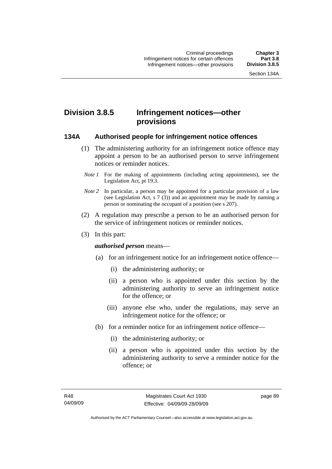## **Division 3.8.5 Infringement notices—other provisions**

#### **134A Authorised people for infringement notice offences**

- (1) The administering authority for an infringement notice offence may appoint a person to be an authorised person to serve infringement notices or reminder notices.
- *Note 1* For the making of appointments (including acting appointments), see the Legislation Act, pt 19.3.
- *Note 2* In particular, a person may be appointed for a particular provision of a law (see Legislation Act, s 7 (3)) and an appointment may be made by naming a person or nominating the occupant of a position (see s 207).
- (2) A regulation may prescribe a person to be an authorised person for the service of infringement notices or reminder notices.
- (3) In this part:

#### *authorised person* means—

- (a) for an infringement notice for an infringement notice offence—
	- (i) the administering authority; or
	- (ii) a person who is appointed under this section by the administering authority to serve an infringement notice for the offence; or
	- (iii) anyone else who, under the regulations, may serve an infringement notice for the offence; or
- (b) for a reminder notice for an infringement notice offence—
	- (i) the administering authority; or
	- (ii) a person who is appointed under this section by the administering authority to serve a reminder notice for the offence; or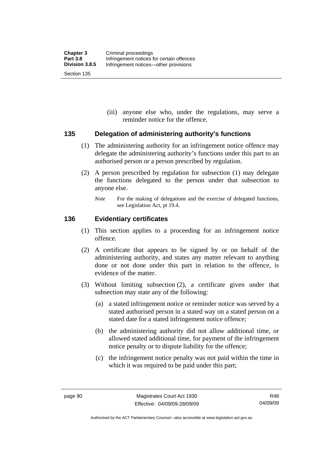(iii) anyone else who, under the regulations, may serve a reminder notice for the offence.

#### **135 Delegation of administering authority's functions**

- (1) The administering authority for an infringement notice offence may delegate the administering authority's functions under this part to an authorised person or a person prescribed by regulation.
- (2) A person prescribed by regulation for subsection (1) may delegate the functions delegated to the person under that subsection to anyone else.
	- *Note* For the making of delegations and the exercise of delegated functions, see Legislation Act, pt 19.4.

#### **136 Evidentiary certificates**

- (1) This section applies to a proceeding for an infringement notice offence.
- (2) A certificate that appears to be signed by or on behalf of the administering authority, and states any matter relevant to anything done or not done under this part in relation to the offence, is evidence of the matter.
- (3) Without limiting subsection (2), a certificate given under that subsection may state any of the following:
	- (a) a stated infringement notice or reminder notice was served by a stated authorised person in a stated way on a stated person on a stated date for a stated infringement notice offence;
	- (b) the administering authority did not allow additional time, or allowed stated additional time, for payment of the infringement notice penalty or to dispute liability for the offence;
	- (c) the infringement notice penalty was not paid within the time in which it was required to be paid under this part;

Authorised by the ACT Parliamentary Counsel—also accessible at www.legislation.act.gov.au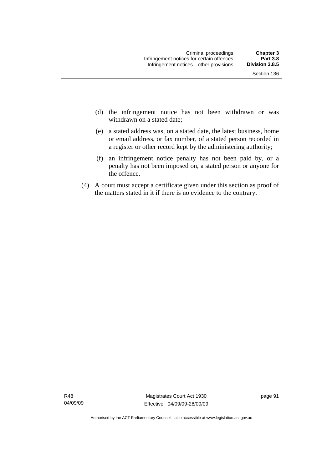- Section 136
- (d) the infringement notice has not been withdrawn or was withdrawn on a stated date:
- (e) a stated address was, on a stated date, the latest business, home or email address, or fax number, of a stated person recorded in a register or other record kept by the administering authority;
- (f) an infringement notice penalty has not been paid by, or a penalty has not been imposed on, a stated person or anyone for the offence.
- (4) A court must accept a certificate given under this section as proof of the matters stated in it if there is no evidence to the contrary.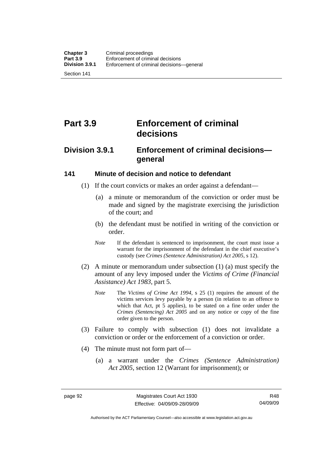Section 141

# **Part 3.9 Enforcement of criminal decisions**

## **Division 3.9.1 Enforcement of criminal decisions general**

#### **141 Minute of decision and notice to defendant**

- (1) If the court convicts or makes an order against a defendant—
	- (a) a minute or memorandum of the conviction or order must be made and signed by the magistrate exercising the jurisdiction of the court; and
	- (b) the defendant must be notified in writing of the conviction or order.
	- *Note* If the defendant is sentenced to imprisonment, the court must issue a warrant for the imprisonment of the defendant in the chief executive's custody (see *Crimes (Sentence Administration) Act 2005*, s 12).
- (2) A minute or memorandum under subsection (1) (a) must specify the amount of any levy imposed under the *Victims of Crime (Financial Assistance) Act 1983*, part 5.
	- *Note* The *Victims of Crime Act 1994*, s 25 (1) requires the amount of the victims services levy payable by a person (in relation to an offence to which that Act, pt 5 applies), to be stated on a fine order under the *Crimes (Sentencing) Act 2005* and on any notice or copy of the fine order given to the person.
- (3) Failure to comply with subsection (1) does not invalidate a conviction or order or the enforcement of a conviction or order.
- (4) The minute must not form part of—
	- (a) a warrant under the *Crimes (Sentence Administration) Act 2005*, section 12 (Warrant for imprisonment); or

Authorised by the ACT Parliamentary Counsel—also accessible at www.legislation.act.gov.au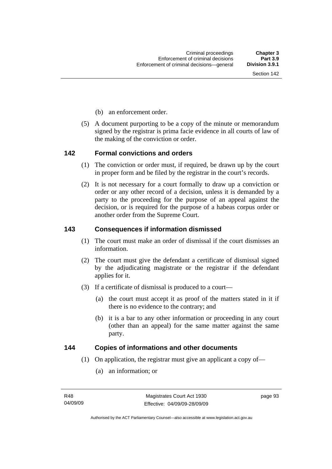- (b) an enforcement order.
- (5) A document purporting to be a copy of the minute or memorandum signed by the registrar is prima facie evidence in all courts of law of the making of the conviction or order.

#### **142 Formal convictions and orders**

- (1) The conviction or order must, if required, be drawn up by the court in proper form and be filed by the registrar in the court's records.
- (2) It is not necessary for a court formally to draw up a conviction or order or any other record of a decision, unless it is demanded by a party to the proceeding for the purpose of an appeal against the decision, or is required for the purpose of a habeas corpus order or another order from the Supreme Court.

## **143 Consequences if information dismissed**

- (1) The court must make an order of dismissal if the court dismisses an information.
- (2) The court must give the defendant a certificate of dismissal signed by the adjudicating magistrate or the registrar if the defendant applies for it.
- (3) If a certificate of dismissal is produced to a court—
	- (a) the court must accept it as proof of the matters stated in it if there is no evidence to the contrary; and
	- (b) it is a bar to any other information or proceeding in any court (other than an appeal) for the same matter against the same party.

#### **144 Copies of informations and other documents**

- (1) On application, the registrar must give an applicant a copy of—
	- (a) an information; or

page 93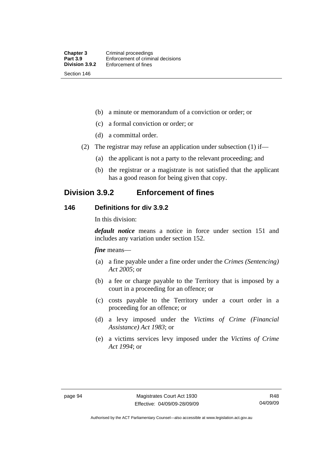(b) a minute or memorandum of a conviction or order; or

- (c) a formal conviction or order; or
- (d) a committal order.
- (2) The registrar may refuse an application under subsection (1) if—
	- (a) the applicant is not a party to the relevant proceeding; and
	- (b) the registrar or a magistrate is not satisfied that the applicant has a good reason for being given that copy.

# **Division 3.9.2 Enforcement of fines**

## **146 Definitions for div 3.9.2**

In this division:

*default notice* means a notice in force under section 151 and includes any variation under section 152.

*fine* means—

- (a) a fine payable under a fine order under the *Crimes (Sentencing) Act 2005*; or
- (b) a fee or charge payable to the Territory that is imposed by a court in a proceeding for an offence; or
- (c) costs payable to the Territory under a court order in a proceeding for an offence; or
- (d) a levy imposed under the *Victims of Crime (Financial Assistance) Act 1983*; or
- (e) a victims services levy imposed under the *Victims of Crime Act 1994*; or

Authorised by the ACT Parliamentary Counsel—also accessible at www.legislation.act.gov.au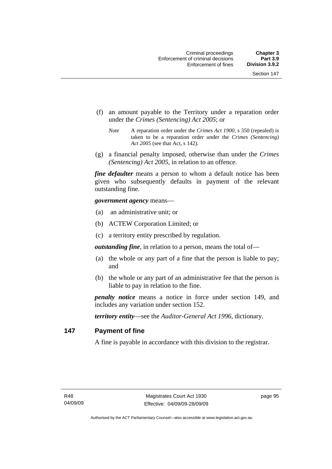- (f) an amount payable to the Territory under a reparation order under the *Crimes (Sentencing) Act 2005*; or
	- *Note* A reparation order under the *Crimes Act 1900*, s 350 (repealed) is taken to be a reparation order under the *Crimes (Sentencing) Act 2005* (see that Act, s 142).
- (g) a financial penalty imposed, otherwise than under the *Crimes (Sentencing) Act 2005*, in relation to an offence.

*fine defaulter* means a person to whom a default notice has been given who subsequently defaults in payment of the relevant outstanding fine.

*government agency* means—

- (a) an administrative unit; or
- (b) ACTEW Corporation Limited; or
- (c) a territory entity prescribed by regulation.

*outstanding fine*, in relation to a person, means the total of—

- (a) the whole or any part of a fine that the person is liable to pay; and
- (b) the whole or any part of an administrative fee that the person is liable to pay in relation to the fine.

*penalty notice* means a notice in force under section 149, and includes any variation under section 152.

*territory entity*—see the *Auditor-General Act 1996*, dictionary.

## **147 Payment of fine**

A fine is payable in accordance with this division to the registrar.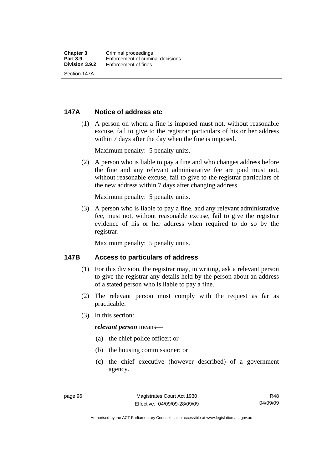## **147A Notice of address etc**

 (1) A person on whom a fine is imposed must not, without reasonable excuse, fail to give to the registrar particulars of his or her address within 7 days after the day when the fine is imposed.

Maximum penalty: 5 penalty units.

 (2) A person who is liable to pay a fine and who changes address before the fine and any relevant administrative fee are paid must not, without reasonable excuse, fail to give to the registrar particulars of the new address within 7 days after changing address.

Maximum penalty: 5 penalty units.

 (3) A person who is liable to pay a fine, and any relevant administrative fee, must not, without reasonable excuse, fail to give the registrar evidence of his or her address when required to do so by the registrar.

Maximum penalty: 5 penalty units.

## **147B Access to particulars of address**

- (1) For this division, the registrar may, in writing, ask a relevant person to give the registrar any details held by the person about an address of a stated person who is liable to pay a fine.
- (2) The relevant person must comply with the request as far as practicable.
- (3) In this section:

#### *relevant person* means—

- (a) the chief police officer; or
- (b) the housing commissioner; or
- (c) the chief executive (however described) of a government agency.

R48 04/09/09

Authorised by the ACT Parliamentary Counsel—also accessible at www.legislation.act.gov.au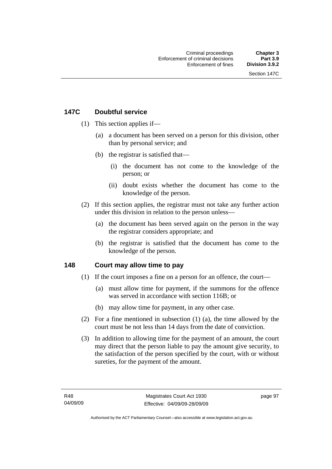# **147C Doubtful service**

- (1) This section applies if—
	- (a) a document has been served on a person for this division, other than by personal service; and
	- (b) the registrar is satisfied that—
		- (i) the document has not come to the knowledge of the person; or
		- (ii) doubt exists whether the document has come to the knowledge of the person.
- (2) If this section applies, the registrar must not take any further action under this division in relation to the person unless—
	- (a) the document has been served again on the person in the way the registrar considers appropriate; and
	- (b) the registrar is satisfied that the document has come to the knowledge of the person.

## **148 Court may allow time to pay**

- (1) If the court imposes a fine on a person for an offence, the court—
	- (a) must allow time for payment, if the summons for the offence was served in accordance with section 116B; or
	- (b) may allow time for payment, in any other case.
- (2) For a fine mentioned in subsection (1) (a), the time allowed by the court must be not less than 14 days from the date of conviction.
- (3) In addition to allowing time for the payment of an amount, the court may direct that the person liable to pay the amount give security, to the satisfaction of the person specified by the court, with or without sureties, for the payment of the amount.

page 97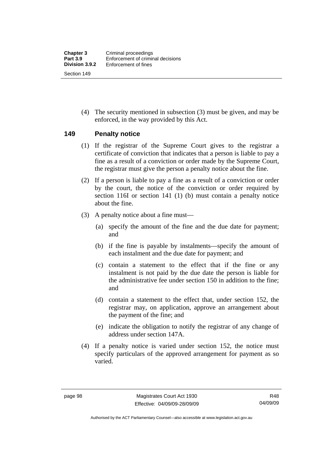(4) The security mentioned in subsection (3) must be given, and may be enforced, in the way provided by this Act.

#### **149 Penalty notice**

- (1) If the registrar of the Supreme Court gives to the registrar a certificate of conviction that indicates that a person is liable to pay a fine as a result of a conviction or order made by the Supreme Court, the registrar must give the person a penalty notice about the fine.
- (2) If a person is liable to pay a fine as a result of a conviction or order by the court, the notice of the conviction or order required by section 116I or section 141 (1) (b) must contain a penalty notice about the fine.
- (3) A penalty notice about a fine must—
	- (a) specify the amount of the fine and the due date for payment; and
	- (b) if the fine is payable by instalments—specify the amount of each instalment and the due date for payment; and
	- (c) contain a statement to the effect that if the fine or any instalment is not paid by the due date the person is liable for the administrative fee under section 150 in addition to the fine; and
	- (d) contain a statement to the effect that, under section 152, the registrar may, on application, approve an arrangement about the payment of the fine; and
	- (e) indicate the obligation to notify the registrar of any change of address under section 147A.
- (4) If a penalty notice is varied under section 152, the notice must specify particulars of the approved arrangement for payment as so varied.

Authorised by the ACT Parliamentary Counsel—also accessible at www.legislation.act.gov.au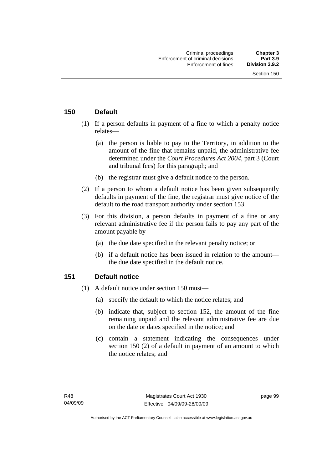## **150 Default**

- (1) If a person defaults in payment of a fine to which a penalty notice relates—
	- (a) the person is liable to pay to the Territory, in addition to the amount of the fine that remains unpaid, the administrative fee determined under the *Court Procedures Act 2004*, part 3 (Court and tribunal fees) for this paragraph; and
	- (b) the registrar must give a default notice to the person.
- (2) If a person to whom a default notice has been given subsequently defaults in payment of the fine, the registrar must give notice of the default to the road transport authority under section 153.
- (3) For this division, a person defaults in payment of a fine or any relevant administrative fee if the person fails to pay any part of the amount payable by—
	- (a) the due date specified in the relevant penalty notice; or
	- (b) if a default notice has been issued in relation to the amount the due date specified in the default notice.

## **151 Default notice**

- (1) A default notice under section 150 must—
	- (a) specify the default to which the notice relates; and
	- (b) indicate that, subject to section 152, the amount of the fine remaining unpaid and the relevant administrative fee are due on the date or dates specified in the notice; and
	- (c) contain a statement indicating the consequences under section 150 (2) of a default in payment of an amount to which the notice relates; and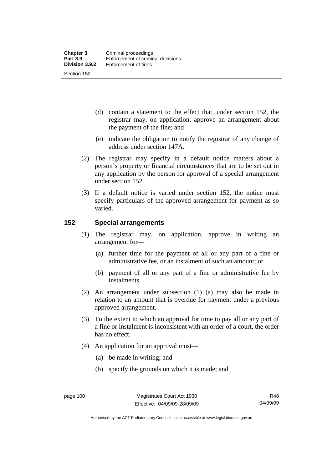- (d) contain a statement to the effect that, under section 152, the registrar may, on application, approve an arrangement about the payment of the fine; and
- (e) indicate the obligation to notify the registrar of any change of address under section 147A.
- (2) The registrar may specify in a default notice matters about a person's property or financial circumstances that are to be set out in any application by the person for approval of a special arrangement under section 152.
- (3) If a default notice is varied under section 152, the notice must specify particulars of the approved arrangement for payment as so varied.

## **152 Special arrangements**

- (1) The registrar may, on application, approve in writing an arrangement for—
	- (a) further time for the payment of all or any part of a fine or administrative fee, or an instalment of such an amount; or
	- (b) payment of all or any part of a fine or administrative fee by instalments.
- (2) An arrangement under subsection (1) (a) may also be made in relation to an amount that is overdue for payment under a previous approved arrangement.
- (3) To the extent to which an approval for time to pay all or any part of a fine or instalment is inconsistent with an order of a court, the order has no effect.
- (4) An application for an approval must—
	- (a) be made in writing; and
	- (b) specify the grounds on which it is made; and

R48 04/09/09

Authorised by the ACT Parliamentary Counsel—also accessible at www.legislation.act.gov.au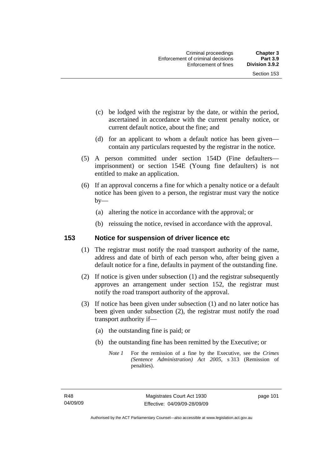- (c) be lodged with the registrar by the date, or within the period, ascertained in accordance with the current penalty notice, or current default notice, about the fine; and
- (d) for an applicant to whom a default notice has been given contain any particulars requested by the registrar in the notice.
- (5) A person committed under section 154D (Fine defaulters imprisonment) or section 154E (Young fine defaulters) is not entitled to make an application.
- (6) If an approval concerns a fine for which a penalty notice or a default notice has been given to a person, the registrar must vary the notice  $by-$ 
	- (a) altering the notice in accordance with the approval; or
	- (b) reissuing the notice, revised in accordance with the approval.

## **153 Notice for suspension of driver licence etc**

- (1) The registrar must notify the road transport authority of the name, address and date of birth of each person who, after being given a default notice for a fine, defaults in payment of the outstanding fine.
- (2) If notice is given under subsection (1) and the registrar subsequently approves an arrangement under section 152, the registrar must notify the road transport authority of the approval.
- (3) If notice has been given under subsection (1) and no later notice has been given under subsection (2), the registrar must notify the road transport authority if—
	- (a) the outstanding fine is paid; or
	- (b) the outstanding fine has been remitted by the Executive; or
		- *Note 1* For the remission of a fine by the Executive, see the *Crimes (Sentence Administration) Act 2005*, s 313 (Remission of penalties).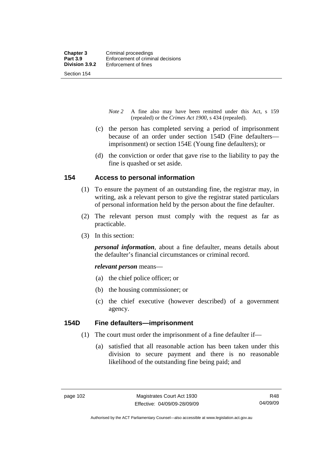Section 154

- *Note 2* A fine also may have been remitted under this Act, s 159 (repealed) or the *Crimes Act 1900*, s 434 (repealed).
- (c) the person has completed serving a period of imprisonment because of an order under section 154D (Fine defaulters imprisonment) or section 154E (Young fine defaulters); or
- (d) the conviction or order that gave rise to the liability to pay the fine is quashed or set aside.

## **154 Access to personal information**

- (1) To ensure the payment of an outstanding fine, the registrar may, in writing, ask a relevant person to give the registrar stated particulars of personal information held by the person about the fine defaulter.
- (2) The relevant person must comply with the request as far as practicable.
- (3) In this section:

*personal information*, about a fine defaulter, means details about the defaulter's financial circumstances or criminal record.

*relevant person* means—

- (a) the chief police officer; or
- (b) the housing commissioner; or
- (c) the chief executive (however described) of a government agency.

## **154D Fine defaulters—imprisonment**

- (1) The court must order the imprisonment of a fine defaulter if—
	- (a) satisfied that all reasonable action has been taken under this division to secure payment and there is no reasonable likelihood of the outstanding fine being paid; and

Authorised by the ACT Parliamentary Counsel—also accessible at www.legislation.act.gov.au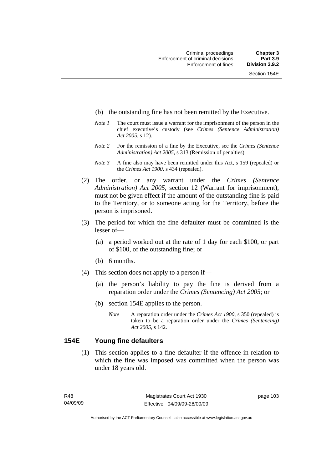- (b) the outstanding fine has not been remitted by the Executive.
- *Note 1* The court must issue a warrant for the imprisonment of the person in the chief executive's custody (see *Crimes (Sentence Administration) Act 2005*, s 12).
- *Note 2* For the remission of a fine by the Executive, see the *Crimes (Sentence Administration) Act 2005*, s 313 (Remission of penalties).
- *Note 3* A fine also may have been remitted under this Act, s 159 (repealed) or the *Crimes Act 1900*, s 434 (repealed).
- (2) The order, or any warrant under the *Crimes (Sentence Administration) Act 2005*, section 12 (Warrant for imprisonment), must not be given effect if the amount of the outstanding fine is paid to the Territory, or to someone acting for the Territory, before the person is imprisoned.
- (3) The period for which the fine defaulter must be committed is the lesser of—
	- (a) a period worked out at the rate of 1 day for each \$100, or part of \$100, of the outstanding fine; or
	- (b) 6 months.
- (4) This section does not apply to a person if—
	- (a) the person's liability to pay the fine is derived from a reparation order under the *Crimes (Sentencing) Act 2005*; or
	- (b) section 154E applies to the person.
		- *Note* A reparation order under the *Crimes Act 1900,* s 350 (repealed) is taken to be a reparation order under the *Crimes (Sentencing) Act 2005*, s 142.

## **154E Young fine defaulters**

 (1) This section applies to a fine defaulter if the offence in relation to which the fine was imposed was committed when the person was under 18 years old.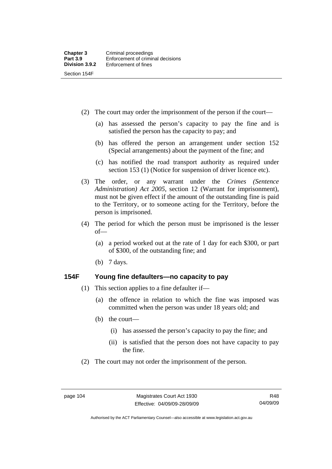(2) The court may order the imprisonment of the person if the court—

- (a) has assessed the person's capacity to pay the fine and is satisfied the person has the capacity to pay; and
- (b) has offered the person an arrangement under section 152 (Special arrangements) about the payment of the fine; and
- (c) has notified the road transport authority as required under section 153 (1) (Notice for suspension of driver licence etc).
- (3) The order, or any warrant under the *Crimes (Sentence Administration) Act 2005*, section 12 (Warrant for imprisonment), must not be given effect if the amount of the outstanding fine is paid to the Territory, or to someone acting for the Territory, before the person is imprisoned.
- (4) The period for which the person must be imprisoned is the lesser of—
	- (a) a period worked out at the rate of 1 day for each \$300, or part of \$300, of the outstanding fine; and
	- (b) 7 days.

## **154F Young fine defaulters—no capacity to pay**

- (1) This section applies to a fine defaulter if—
	- (a) the offence in relation to which the fine was imposed was committed when the person was under 18 years old; and
	- (b) the court—
		- (i) has assessed the person's capacity to pay the fine; and
		- (ii) is satisfied that the person does not have capacity to pay the fine.
- (2) The court may not order the imprisonment of the person.

Authorised by the ACT Parliamentary Counsel—also accessible at www.legislation.act.gov.au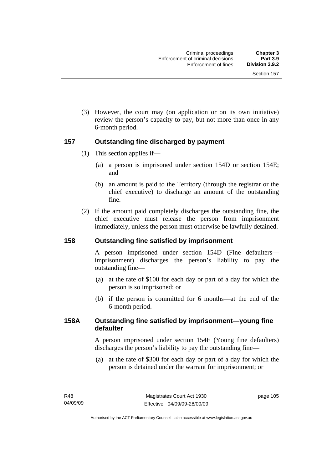(3) However, the court may (on application or on its own initiative) review the person's capacity to pay, but not more than once in any 6-month period.

## **157 Outstanding fine discharged by payment**

- (1) This section applies if—
	- (a) a person is imprisoned under section 154D or section 154E; and
	- (b) an amount is paid to the Territory (through the registrar or the chief executive) to discharge an amount of the outstanding fine.
- (2) If the amount paid completely discharges the outstanding fine, the chief executive must release the person from imprisonment immediately, unless the person must otherwise be lawfully detained.

## **158 Outstanding fine satisfied by imprisonment**

A person imprisoned under section 154D (Fine defaulters imprisonment) discharges the person's liability to pay the outstanding fine—

- (a) at the rate of \$100 for each day or part of a day for which the person is so imprisoned; or
- (b) if the person is committed for 6 months—at the end of the 6-month period.

## **158A Outstanding fine satisfied by imprisonment—young fine defaulter**

A person imprisoned under section 154E (Young fine defaulters) discharges the person's liability to pay the outstanding fine—

 (a) at the rate of \$300 for each day or part of a day for which the person is detained under the warrant for imprisonment; or

page 105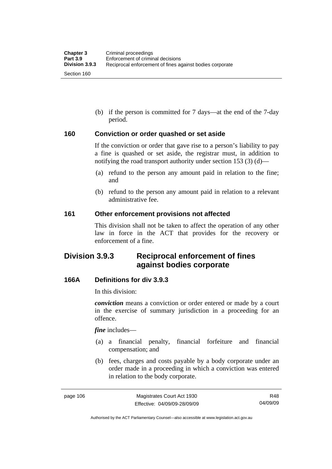(b) if the person is committed for 7 days—at the end of the 7-day period.

#### **160 Conviction or order quashed or set aside**

If the conviction or order that gave rise to a person's liability to pay a fine is quashed or set aside, the registrar must, in addition to notifying the road transport authority under section 153 (3) (d)—

- (a) refund to the person any amount paid in relation to the fine; and
- (b) refund to the person any amount paid in relation to a relevant administrative fee.

#### **161 Other enforcement provisions not affected**

This division shall not be taken to affect the operation of any other law in force in the ACT that provides for the recovery or enforcement of a fine.

# **Division 3.9.3 Reciprocal enforcement of fines against bodies corporate**

## **166A Definitions for div 3.9.3**

In this division:

*conviction* means a conviction or order entered or made by a court in the exercise of summary jurisdiction in a proceeding for an offence.

*fine* includes—

- (a) a financial penalty, financial forfeiture and financial compensation; and
- (b) fees, charges and costs payable by a body corporate under an order made in a proceeding in which a conviction was entered in relation to the body corporate.

R48 04/09/09

Authorised by the ACT Parliamentary Counsel—also accessible at www.legislation.act.gov.au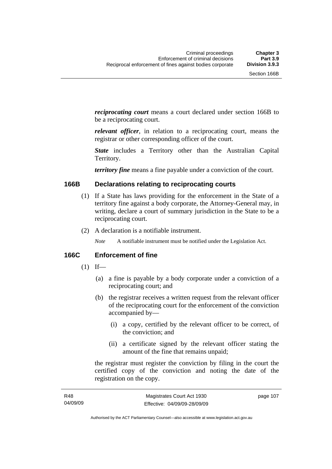*reciprocating court* means a court declared under section 166B to be a reciprocating court.

*relevant officer*, in relation to a reciprocating court, means the registrar or other corresponding officer of the court.

*State* includes a Territory other than the Australian Capital Territory.

*territory fine* means a fine payable under a conviction of the court.

## **166B Declarations relating to reciprocating courts**

- (1) If a State has laws providing for the enforcement in the State of a territory fine against a body corporate, the Attorney-General may, in writing, declare a court of summary jurisdiction in the State to be a reciprocating court.
- (2) A declaration is a notifiable instrument.

*Note* A notifiable instrument must be notified under the Legislation Act.

## **166C Enforcement of fine**

- $(1)$  If—
	- (a) a fine is payable by a body corporate under a conviction of a reciprocating court; and
	- (b) the registrar receives a written request from the relevant officer of the reciprocating court for the enforcement of the conviction accompanied by—
		- (i) a copy, certified by the relevant officer to be correct, of the conviction; and
		- (ii) a certificate signed by the relevant officer stating the amount of the fine that remains unpaid;

the registrar must register the conviction by filing in the court the certified copy of the conviction and noting the date of the registration on the copy.

page 107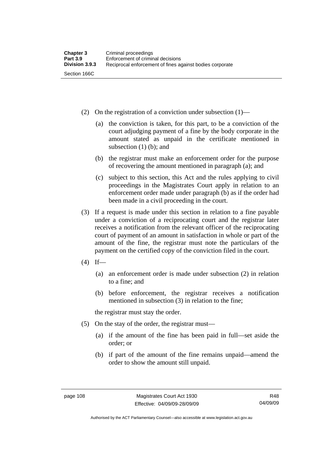- (2) On the registration of a conviction under subsection  $(1)$ 
	- (a) the conviction is taken, for this part, to be a conviction of the court adjudging payment of a fine by the body corporate in the amount stated as unpaid in the certificate mentioned in subsection  $(1)$  (b); and
	- (b) the registrar must make an enforcement order for the purpose of recovering the amount mentioned in paragraph (a); and
	- (c) subject to this section, this Act and the rules applying to civil proceedings in the Magistrates Court apply in relation to an enforcement order made under paragraph (b) as if the order had been made in a civil proceeding in the court.
- (3) If a request is made under this section in relation to a fine payable under a conviction of a reciprocating court and the registrar later receives a notification from the relevant officer of the reciprocating court of payment of an amount in satisfaction in whole or part of the amount of the fine, the registrar must note the particulars of the payment on the certified copy of the conviction filed in the court.
- $(4)$  If—
	- (a) an enforcement order is made under subsection (2) in relation to a fine; and
	- (b) before enforcement, the registrar receives a notification mentioned in subsection (3) in relation to the fine;

the registrar must stay the order.

- (5) On the stay of the order, the registrar must—
	- (a) if the amount of the fine has been paid in full—set aside the order; or
	- (b) if part of the amount of the fine remains unpaid—amend the order to show the amount still unpaid.

Authorised by the ACT Parliamentary Counsel—also accessible at www.legislation.act.gov.au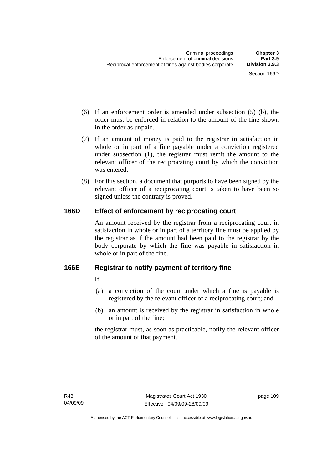- (6) If an enforcement order is amended under subsection (5) (b), the order must be enforced in relation to the amount of the fine shown in the order as unpaid.
- (7) If an amount of money is paid to the registrar in satisfaction in whole or in part of a fine payable under a conviction registered under subsection (1), the registrar must remit the amount to the relevant officer of the reciprocating court by which the conviction was entered.
- (8) For this section, a document that purports to have been signed by the relevant officer of a reciprocating court is taken to have been so signed unless the contrary is proved.

# **166D Effect of enforcement by reciprocating court**

An amount received by the registrar from a reciprocating court in satisfaction in whole or in part of a territory fine must be applied by the registrar as if the amount had been paid to the registrar by the body corporate by which the fine was payable in satisfaction in whole or in part of the fine.

# **166E Registrar to notify payment of territory fine**

 $If$ 

- (a) a conviction of the court under which a fine is payable is registered by the relevant officer of a reciprocating court; and
- (b) an amount is received by the registrar in satisfaction in whole or in part of the fine;

the registrar must, as soon as practicable, notify the relevant officer of the amount of that payment.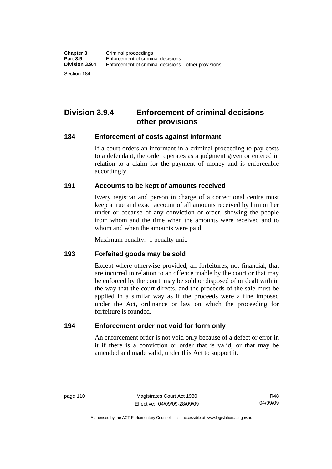Section 184

# **Division 3.9.4 Enforcement of criminal decisions other provisions**

## **184 Enforcement of costs against informant**

If a court orders an informant in a criminal proceeding to pay costs to a defendant, the order operates as a judgment given or entered in relation to a claim for the payment of money and is enforceable accordingly.

## **191 Accounts to be kept of amounts received**

Every registrar and person in charge of a correctional centre must keep a true and exact account of all amounts received by him or her under or because of any conviction or order, showing the people from whom and the time when the amounts were received and to whom and when the amounts were paid.

Maximum penalty: 1 penalty unit.

#### **193 Forfeited goods may be sold**

Except where otherwise provided, all forfeitures, not financial, that are incurred in relation to an offence triable by the court or that may be enforced by the court, may be sold or disposed of or dealt with in the way that the court directs, and the proceeds of the sale must be applied in a similar way as if the proceeds were a fine imposed under the Act, ordinance or law on which the proceeding for forfeiture is founded.

#### **194 Enforcement order not void for form only**

An enforcement order is not void only because of a defect or error in it if there is a conviction or order that is valid, or that may be amended and made valid, under this Act to support it.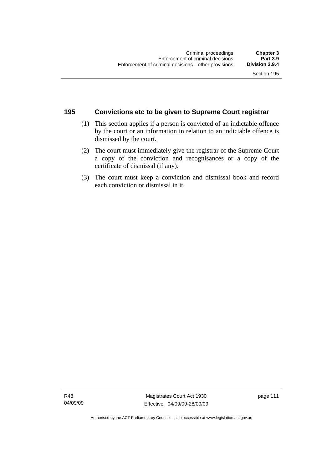## **195 Convictions etc to be given to Supreme Court registrar**

- (1) This section applies if a person is convicted of an indictable offence by the court or an information in relation to an indictable offence is dismissed by the court.
- (2) The court must immediately give the registrar of the Supreme Court a copy of the conviction and recognisances or a copy of the certificate of dismissal (if any).
- (3) The court must keep a conviction and dismissal book and record each conviction or dismissal in it.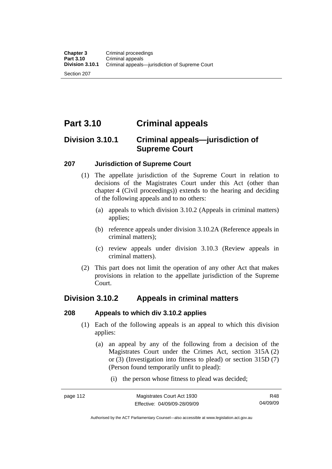Section 207

# **Part 3.10 Criminal appeals**

# **Division 3.10.1 Criminal appeals—jurisdiction of Supreme Court**

## **207 Jurisdiction of Supreme Court**

- (1) The appellate jurisdiction of the Supreme Court in relation to decisions of the Magistrates Court under this Act (other than chapter 4 (Civil proceedings)) extends to the hearing and deciding of the following appeals and to no others:
	- (a) appeals to which division 3.10.2 (Appeals in criminal matters) applies;
	- (b) reference appeals under division 3.10.2A (Reference appeals in criminal matters);
	- (c) review appeals under division 3.10.3 (Review appeals in criminal matters).
- (2) This part does not limit the operation of any other Act that makes provisions in relation to the appellate jurisdiction of the Supreme Court.

# **Division 3.10.2 Appeals in criminal matters**

## **208 Appeals to which div 3.10.2 applies**

- (1) Each of the following appeals is an appeal to which this division applies:
	- (a) an appeal by any of the following from a decision of the Magistrates Court under the Crimes Act, section 315A (2) or (3) (Investigation into fitness to plead) or section 315D (7) (Person found temporarily unfit to plead):
		- (i) the person whose fitness to plead was decided;

R48 04/09/09

Authorised by the ACT Parliamentary Counsel—also accessible at www.legislation.act.gov.au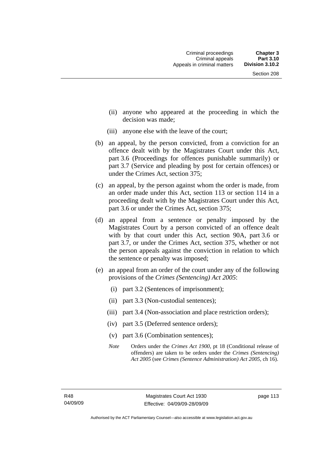- (ii) anyone who appeared at the proceeding in which the decision was made;
- (iii) anyone else with the leave of the court;
- (b) an appeal, by the person convicted, from a conviction for an offence dealt with by the Magistrates Court under this Act, part 3.6 (Proceedings for offences punishable summarily) or part 3.7 (Service and pleading by post for certain offences) or under the Crimes Act, section 375;
- (c) an appeal, by the person against whom the order is made, from an order made under this Act, section 113 or section 114 in a proceeding dealt with by the Magistrates Court under this Act, part 3.6 or under the Crimes Act, section 375;
- (d) an appeal from a sentence or penalty imposed by the Magistrates Court by a person convicted of an offence dealt with by that court under this Act, section 90A, part 3.6 or part 3.7, or under the Crimes Act, section 375, whether or not the person appeals against the conviction in relation to which the sentence or penalty was imposed;
- (e) an appeal from an order of the court under any of the following provisions of the *Crimes (Sentencing) Act 2005*:
	- (i) part 3.2 (Sentences of imprisonment);
	- (ii) part 3.3 (Non-custodial sentences);
	- (iii) part 3.4 (Non-association and place restriction orders);
	- (iv) part 3.5 (Deferred sentence orders);
	- (v) part 3.6 (Combination sentences);
	- *Note* Orders under the *Crimes Act 1900*, pt 18 (Conditional release of offenders) are taken to be orders under the *Crimes (Sentencing) Act 2005* (see *Crimes (Sentence Administration) Act 2005*, ch 16).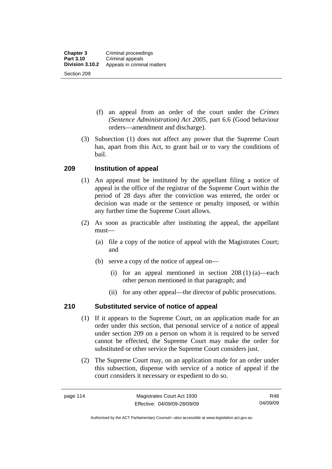- (f) an appeal from an order of the court under the *Crimes (Sentence Administration) Act 2005,* part 6.6 (Good behaviour orders—amendment and discharge).
- (3) Subsection (1) does not affect any power that the Supreme Court has, apart from this Act, to grant bail or to vary the conditions of bail.

## **209 Institution of appeal**

- (1) An appeal must be instituted by the appellant filing a notice of appeal in the office of the registrar of the Supreme Court within the period of 28 days after the conviction was entered, the order or decision was made or the sentence or penalty imposed, or within any further time the Supreme Court allows.
- (2) As soon as practicable after instituting the appeal, the appellant must—
	- (a) file a copy of the notice of appeal with the Magistrates Court; and
	- (b) serve a copy of the notice of appeal on—
		- (i) for an appeal mentioned in section 208 (1) (a)—each other person mentioned in that paragraph; and
		- (ii) for any other appeal—the director of public prosecutions.

## **210 Substituted service of notice of appeal**

- (1) If it appears to the Supreme Court, on an application made for an order under this section, that personal service of a notice of appeal under section 209 on a person on whom it is required to be served cannot be effected, the Supreme Court may make the order for substituted or other service the Supreme Court considers just.
- (2) The Supreme Court may, on an application made for an order under this subsection, dispense with service of a notice of appeal if the court considers it necessary or expedient to do so.

R48 04/09/09

Authorised by the ACT Parliamentary Counsel—also accessible at www.legislation.act.gov.au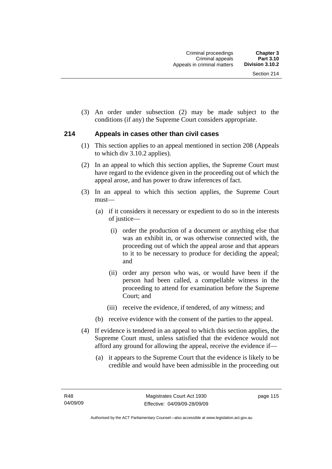(3) An order under subsection (2) may be made subject to the conditions (if any) the Supreme Court considers appropriate.

## **214 Appeals in cases other than civil cases**

- (1) This section applies to an appeal mentioned in section 208 (Appeals to which div 3.10.2 applies).
- (2) In an appeal to which this section applies, the Supreme Court must have regard to the evidence given in the proceeding out of which the appeal arose, and has power to draw inferences of fact.
- (3) In an appeal to which this section applies, the Supreme Court must—
	- (a) if it considers it necessary or expedient to do so in the interests of justice—
		- (i) order the production of a document or anything else that was an exhibit in, or was otherwise connected with, the proceeding out of which the appeal arose and that appears to it to be necessary to produce for deciding the appeal; and
		- (ii) order any person who was, or would have been if the person had been called, a compellable witness in the proceeding to attend for examination before the Supreme Court; and
		- (iii) receive the evidence, if tendered, of any witness; and
	- (b) receive evidence with the consent of the parties to the appeal.
- (4) If evidence is tendered in an appeal to which this section applies, the Supreme Court must, unless satisfied that the evidence would not afford any ground for allowing the appeal, receive the evidence if—
	- (a) it appears to the Supreme Court that the evidence is likely to be credible and would have been admissible in the proceeding out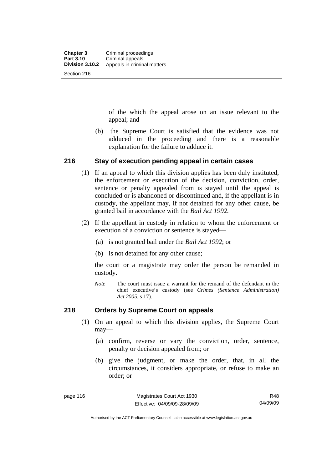of the which the appeal arose on an issue relevant to the appeal; and

 (b) the Supreme Court is satisfied that the evidence was not adduced in the proceeding and there is a reasonable explanation for the failure to adduce it.

## **216 Stay of execution pending appeal in certain cases**

- (1) If an appeal to which this division applies has been duly instituted, the enforcement or execution of the decision, conviction, order, sentence or penalty appealed from is stayed until the appeal is concluded or is abandoned or discontinued and, if the appellant is in custody, the appellant may, if not detained for any other cause, be granted bail in accordance with the *Bail Act 1992*.
- (2) If the appellant in custody in relation to whom the enforcement or execution of a conviction or sentence is stayed—
	- (a) is not granted bail under the *Bail Act 1992*; or
	- (b) is not detained for any other cause;

the court or a magistrate may order the person be remanded in custody.

*Note* The court must issue a warrant for the remand of the defendant in the chief executive's custody (see *Crimes (Sentence Administration) Act 2005*, s 17).

## **218 Orders by Supreme Court on appeals**

- (1) On an appeal to which this division applies, the Supreme Court may—
	- (a) confirm, reverse or vary the conviction, order, sentence, penalty or decision appealed from; or
	- (b) give the judgment, or make the order, that, in all the circumstances, it considers appropriate, or refuse to make an order; or

Authorised by the ACT Parliamentary Counsel—also accessible at www.legislation.act.gov.au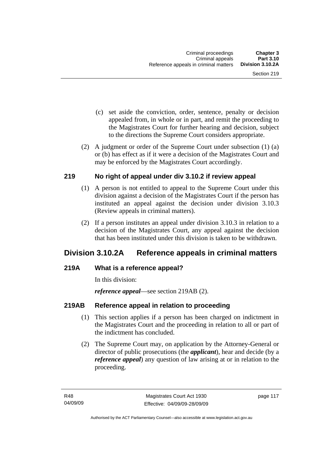- (c) set aside the conviction, order, sentence, penalty or decision appealed from, in whole or in part, and remit the proceeding to the Magistrates Court for further hearing and decision, subject to the directions the Supreme Court considers appropriate.
- (2) A judgment or order of the Supreme Court under subsection (1) (a) or (b) has effect as if it were a decision of the Magistrates Court and may be enforced by the Magistrates Court accordingly.

## **219 No right of appeal under div 3.10.2 if review appeal**

- (1) A person is not entitled to appeal to the Supreme Court under this division against a decision of the Magistrates Court if the person has instituted an appeal against the decision under division 3.10.3 (Review appeals in criminal matters).
- (2) If a person institutes an appeal under division 3.10.3 in relation to a decision of the Magistrates Court, any appeal against the decision that has been instituted under this division is taken to be withdrawn.

# **Division 3.10.2A Reference appeals in criminal matters**

## **219A What is a reference appeal?**

In this division:

*reference appeal*—see section 219AB (2).

# **219AB Reference appeal in relation to proceeding**

- (1) This section applies if a person has been charged on indictment in the Magistrates Court and the proceeding in relation to all or part of the indictment has concluded.
- (2) The Supreme Court may, on application by the Attorney-General or director of public prosecutions (the *applicant*), hear and decide (by a *reference appeal*) any question of law arising at or in relation to the proceeding.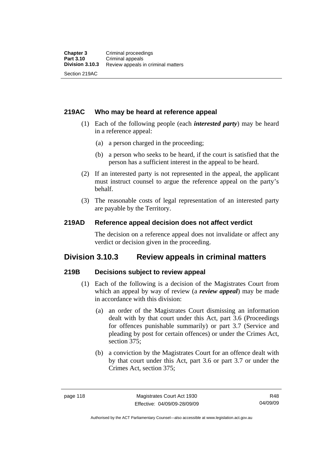## **219AC Who may be heard at reference appeal**

- (1) Each of the following people (each *interested party*) may be heard in a reference appeal:
	- (a) a person charged in the proceeding;
	- (b) a person who seeks to be heard, if the court is satisfied that the person has a sufficient interest in the appeal to be heard.
- (2) If an interested party is not represented in the appeal, the applicant must instruct counsel to argue the reference appeal on the party's behalf.
- (3) The reasonable costs of legal representation of an interested party are payable by the Territory.

## **219AD Reference appeal decision does not affect verdict**

The decision on a reference appeal does not invalidate or affect any verdict or decision given in the proceeding.

# **Division 3.10.3 Review appeals in criminal matters**

## **219B Decisions subject to review appeal**

- (1) Each of the following is a decision of the Magistrates Court from which an appeal by way of review (a *review appeal*) may be made in accordance with this division:
	- (a) an order of the Magistrates Court dismissing an information dealt with by that court under this Act, part 3.6 (Proceedings for offences punishable summarily) or part 3.7 (Service and pleading by post for certain offences) or under the Crimes Act, section 375;
	- (b) a conviction by the Magistrates Court for an offence dealt with by that court under this Act, part 3.6 or part 3.7 or under the Crimes Act, section 375;

R48 04/09/09

Authorised by the ACT Parliamentary Counsel—also accessible at www.legislation.act.gov.au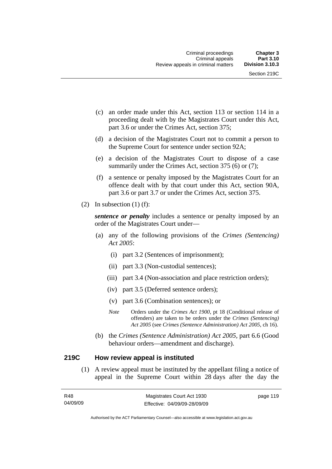- (c) an order made under this Act, section 113 or section 114 in a proceeding dealt with by the Magistrates Court under this Act, part 3.6 or under the Crimes Act, section 375;
- (d) a decision of the Magistrates Court not to commit a person to the Supreme Court for sentence under section 92A;
- (e) a decision of the Magistrates Court to dispose of a case summarily under the Crimes Act, section 375 (6) or (7);
- (f) a sentence or penalty imposed by the Magistrates Court for an offence dealt with by that court under this Act, section 90A, part 3.6 or part 3.7 or under the Crimes Act, section 375.
- (2) In subsection  $(1)$  (f):

*sentence or penalty* includes a sentence or penalty imposed by an order of the Magistrates Court under—

- (a) any of the following provisions of the *Crimes (Sentencing) Act 2005*:
	- (i) part 3.2 (Sentences of imprisonment);
	- (ii) part 3.3 (Non-custodial sentences);
	- (iii) part 3.4 (Non-association and place restriction orders);
	- (iv) part 3.5 (Deferred sentence orders);
	- (v) part 3.6 (Combination sentences); or
	- *Note* Orders under the *Crimes Act 1900*, pt 18 (Conditional release of offenders) are taken to be orders under the *Crimes (Sentencing) Act 2005* (see *Crimes (Sentence Administration) Act 2005*, ch 16).
- (b) the *Crimes (Sentence Administration) Act 2005,* part 6.6 (Good behaviour orders—amendment and discharge).

## **219C How review appeal is instituted**

 (1) A review appeal must be instituted by the appellant filing a notice of appeal in the Supreme Court within 28 days after the day the

| R48      | Magistrates Court Act 1930   | page 119 |
|----------|------------------------------|----------|
| 04/09/09 | Effective: 04/09/09-28/09/09 |          |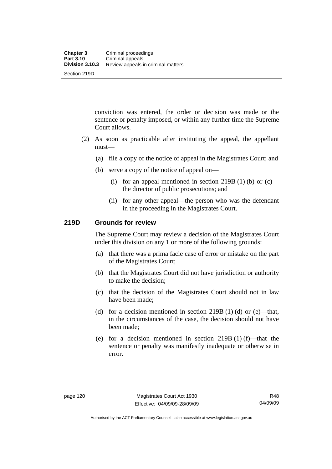conviction was entered, the order or decision was made or the sentence or penalty imposed, or within any further time the Supreme Court allows.

- (2) As soon as practicable after instituting the appeal, the appellant must—
	- (a) file a copy of the notice of appeal in the Magistrates Court; and
	- (b) serve a copy of the notice of appeal on—
		- (i) for an appeal mentioned in section 219B (1) (b) or  $(c)$  the director of public prosecutions; and
		- (ii) for any other appeal—the person who was the defendant in the proceeding in the Magistrates Court.

## **219D Grounds for review**

The Supreme Court may review a decision of the Magistrates Court under this division on any 1 or more of the following grounds:

- (a) that there was a prima facie case of error or mistake on the part of the Magistrates Court;
- (b) that the Magistrates Court did not have jurisdiction or authority to make the decision;
- (c) that the decision of the Magistrates Court should not in law have been made;
- (d) for a decision mentioned in section  $219B(1)$  (d) or (e)—that, in the circumstances of the case, the decision should not have been made;
- (e) for a decision mentioned in section  $219B(1)$  (f)—that the sentence or penalty was manifestly inadequate or otherwise in error.

Authorised by the ACT Parliamentary Counsel—also accessible at www.legislation.act.gov.au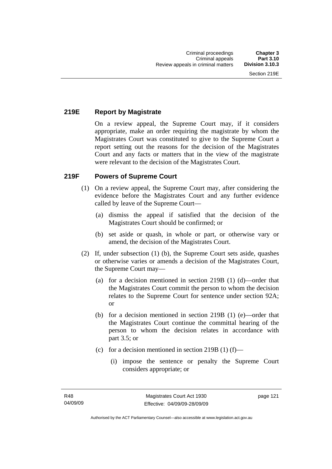## **219E Report by Magistrate**

On a review appeal, the Supreme Court may, if it considers appropriate, make an order requiring the magistrate by whom the Magistrates Court was constituted to give to the Supreme Court a report setting out the reasons for the decision of the Magistrates Court and any facts or matters that in the view of the magistrate were relevant to the decision of the Magistrates Court.

## **219F Powers of Supreme Court**

- (1) On a review appeal, the Supreme Court may, after considering the evidence before the Magistrates Court and any further evidence called by leave of the Supreme Court—
	- (a) dismiss the appeal if satisfied that the decision of the Magistrates Court should be confirmed; or
	- (b) set aside or quash, in whole or part, or otherwise vary or amend, the decision of the Magistrates Court.
- (2) If, under subsection (1) (b), the Supreme Court sets aside, quashes or otherwise varies or amends a decision of the Magistrates Court, the Supreme Court may—
	- (a) for a decision mentioned in section 219B (1) (d)—order that the Magistrates Court commit the person to whom the decision relates to the Supreme Court for sentence under section 92A; or
	- (b) for a decision mentioned in section 219B (1) (e)—order that the Magistrates Court continue the committal hearing of the person to whom the decision relates in accordance with part 3.5; or
	- (c) for a decision mentioned in section 219B (1) (f)—
		- (i) impose the sentence or penalty the Supreme Court considers appropriate; or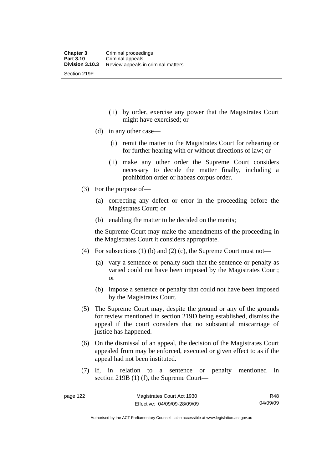(ii) by order, exercise any power that the Magistrates Court might have exercised; or

- (d) in any other case—
	- (i) remit the matter to the Magistrates Court for rehearing or for further hearing with or without directions of law; or
	- (ii) make any other order the Supreme Court considers necessary to decide the matter finally, including a prohibition order or habeas corpus order.
- (3) For the purpose of—
	- (a) correcting any defect or error in the proceeding before the Magistrates Court; or
	- (b) enabling the matter to be decided on the merits;

the Supreme Court may make the amendments of the proceeding in the Magistrates Court it considers appropriate.

- (4) For subsections (1) (b) and (2) (c), the Supreme Court must not—
	- (a) vary a sentence or penalty such that the sentence or penalty as varied could not have been imposed by the Magistrates Court; or
	- (b) impose a sentence or penalty that could not have been imposed by the Magistrates Court.
- (5) The Supreme Court may, despite the ground or any of the grounds for review mentioned in section 219D being established, dismiss the appeal if the court considers that no substantial miscarriage of justice has happened.
- (6) On the dismissal of an appeal, the decision of the Magistrates Court appealed from may be enforced, executed or given effect to as if the appeal had not been instituted.
- (7) If, in relation to a sentence or penalty mentioned in section 219B (1) (f), the Supreme Court—

Authorised by the ACT Parliamentary Counsel—also accessible at www.legislation.act.gov.au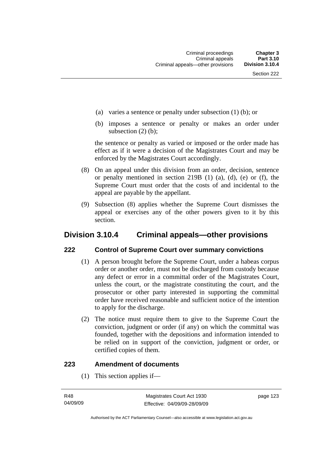- (a) varies a sentence or penalty under subsection (1) (b); or
- (b) imposes a sentence or penalty or makes an order under subsection (2) (b);

the sentence or penalty as varied or imposed or the order made has effect as if it were a decision of the Magistrates Court and may be enforced by the Magistrates Court accordingly.

- (8) On an appeal under this division from an order, decision, sentence or penalty mentioned in section 219B (1) (a), (d), (e) or (f), the Supreme Court must order that the costs of and incidental to the appeal are payable by the appellant.
- (9) Subsection (8) applies whether the Supreme Court dismisses the appeal or exercises any of the other powers given to it by this section.

# **Division 3.10.4 Criminal appeals—other provisions**

## **222 Control of Supreme Court over summary convictions**

- (1) A person brought before the Supreme Court, under a habeas corpus order or another order, must not be discharged from custody because any defect or error in a committal order of the Magistrates Court, unless the court, or the magistrate constituting the court, and the prosecutor or other party interested in supporting the committal order have received reasonable and sufficient notice of the intention to apply for the discharge.
- (2) The notice must require them to give to the Supreme Court the conviction, judgment or order (if any) on which the committal was founded, together with the depositions and information intended to be relied on in support of the conviction, judgment or order, or certified copies of them.

## **223 Amendment of documents**

(1) This section applies if—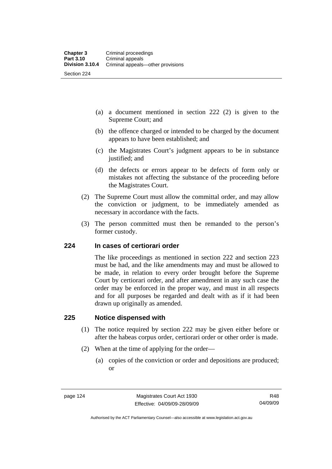- (a) a document mentioned in section 222 (2) is given to the Supreme Court; and
- (b) the offence charged or intended to be charged by the document appears to have been established; and
- (c) the Magistrates Court's judgment appears to be in substance justified; and
- (d) the defects or errors appear to be defects of form only or mistakes not affecting the substance of the proceeding before the Magistrates Court.
- (2) The Supreme Court must allow the committal order, and may allow the conviction or judgment, to be immediately amended as necessary in accordance with the facts.
- (3) The person committed must then be remanded to the person's former custody.

## **224 In cases of certiorari order**

The like proceedings as mentioned in section 222 and section 223 must be had, and the like amendments may and must be allowed to be made, in relation to every order brought before the Supreme Court by certiorari order, and after amendment in any such case the order may be enforced in the proper way, and must in all respects and for all purposes be regarded and dealt with as if it had been drawn up originally as amended.

## **225 Notice dispensed with**

- (1) The notice required by section 222 may be given either before or after the habeas corpus order, certiorari order or other order is made.
- (2) When at the time of applying for the order—
	- (a) copies of the conviction or order and depositions are produced; or

Authorised by the ACT Parliamentary Counsel—also accessible at www.legislation.act.gov.au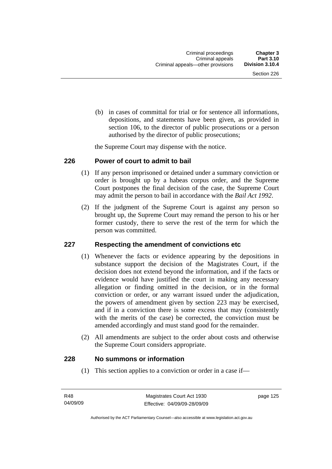(b) in cases of committal for trial or for sentence all informations, depositions, and statements have been given, as provided in section 106, to the director of public prosecutions or a person authorised by the director of public prosecutions;

the Supreme Court may dispense with the notice.

#### **226 Power of court to admit to bail**

- (1) If any person imprisoned or detained under a summary conviction or order is brought up by a habeas corpus order, and the Supreme Court postpones the final decision of the case, the Supreme Court may admit the person to bail in accordance with the *Bail Act 1992*.
- (2) If the judgment of the Supreme Court is against any person so brought up, the Supreme Court may remand the person to his or her former custody, there to serve the rest of the term for which the person was committed.

#### **227 Respecting the amendment of convictions etc**

- (1) Whenever the facts or evidence appearing by the depositions in substance support the decision of the Magistrates Court, if the decision does not extend beyond the information, and if the facts or evidence would have justified the court in making any necessary allegation or finding omitted in the decision, or in the formal conviction or order, or any warrant issued under the adjudication, the powers of amendment given by section 223 may be exercised, and if in a conviction there is some excess that may (consistently with the merits of the case) be corrected, the conviction must be amended accordingly and must stand good for the remainder.
- (2) All amendments are subject to the order about costs and otherwise the Supreme Court considers appropriate.

#### **228 No summons or information**

(1) This section applies to a conviction or order in a case if—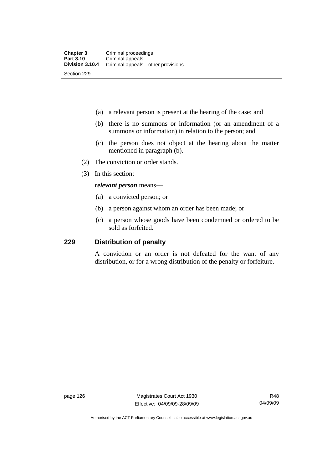- (a) a relevant person is present at the hearing of the case; and
- (b) there is no summons or information (or an amendment of a summons or information) in relation to the person; and
- (c) the person does not object at the hearing about the matter mentioned in paragraph (b).
- (2) The conviction or order stands.
- (3) In this section:

#### *relevant person* means—

- (a) a convicted person; or
- (b) a person against whom an order has been made; or
- (c) a person whose goods have been condemned or ordered to be sold as forfeited.

## **229 Distribution of penalty**

A conviction or an order is not defeated for the want of any distribution, or for a wrong distribution of the penalty or forfeiture.

page 126 Magistrates Court Act 1930 Effective: 04/09/09-28/09/09

R48 04/09/09

Authorised by the ACT Parliamentary Counsel—also accessible at www.legislation.act.gov.au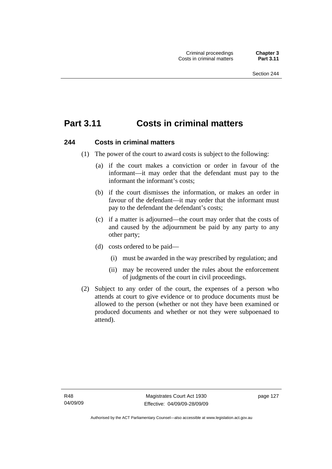# **Part 3.11 Costs in criminal matters**

## **244 Costs in criminal matters**

- (1) The power of the court to award costs is subject to the following:
	- (a) if the court makes a conviction or order in favour of the informant—it may order that the defendant must pay to the informant the informant's costs;
	- (b) if the court dismisses the information, or makes an order in favour of the defendant—it may order that the informant must pay to the defendant the defendant's costs;
	- (c) if a matter is adjourned—the court may order that the costs of and caused by the adjournment be paid by any party to any other party;
	- (d) costs ordered to be paid—
		- (i) must be awarded in the way prescribed by regulation; and
		- (ii) may be recovered under the rules about the enforcement of judgments of the court in civil proceedings.
- (2) Subject to any order of the court, the expenses of a person who attends at court to give evidence or to produce documents must be allowed to the person (whether or not they have been examined or produced documents and whether or not they were subpoenaed to attend).

page 127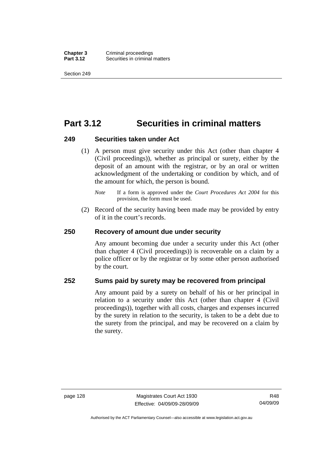**Chapter 3** Criminal proceedings<br>**Part 3.12** Securities in criminal **Securities in criminal matters** 

Section 249

# **Part 3.12 Securities in criminal matters**

#### **249 Securities taken under Act**

- (1) A person must give security under this Act (other than chapter 4 (Civil proceedings)), whether as principal or surety, either by the deposit of an amount with the registrar, or by an oral or written acknowledgment of the undertaking or condition by which, and of the amount for which, the person is bound.
	- *Note* If a form is approved under the *Court Procedures Act 2004* for this provision, the form must be used.
- (2) Record of the security having been made may be provided by entry of it in the court's records.

#### **250 Recovery of amount due under security**

Any amount becoming due under a security under this Act (other than chapter 4 (Civil proceedings)) is recoverable on a claim by a police officer or by the registrar or by some other person authorised by the court.

## **252 Sums paid by surety may be recovered from principal**

Any amount paid by a surety on behalf of his or her principal in relation to a security under this Act (other than chapter 4 (Civil proceedings)), together with all costs, charges and expenses incurred by the surety in relation to the security, is taken to be a debt due to the surety from the principal, and may be recovered on a claim by the surety.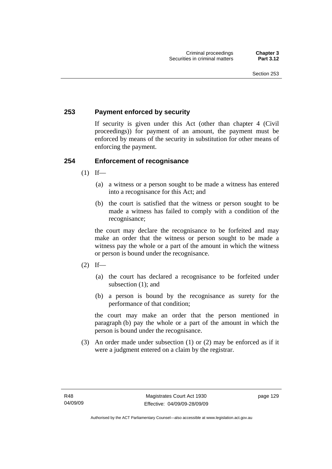### **253 Payment enforced by security**

If security is given under this Act (other than chapter 4 (Civil proceedings)) for payment of an amount, the payment must be enforced by means of the security in substitution for other means of enforcing the payment.

#### **254 Enforcement of recognisance**

- $(1)$  If—
	- (a) a witness or a person sought to be made a witness has entered into a recognisance for this Act; and
	- (b) the court is satisfied that the witness or person sought to be made a witness has failed to comply with a condition of the recognisance;

the court may declare the recognisance to be forfeited and may make an order that the witness or person sought to be made a witness pay the whole or a part of the amount in which the witness or person is bound under the recognisance.

- $(2)$  If—
	- (a) the court has declared a recognisance to be forfeited under subsection (1); and
	- (b) a person is bound by the recognisance as surety for the performance of that condition;

the court may make an order that the person mentioned in paragraph (b) pay the whole or a part of the amount in which the person is bound under the recognisance.

 (3) An order made under subsection (1) or (2) may be enforced as if it were a judgment entered on a claim by the registrar.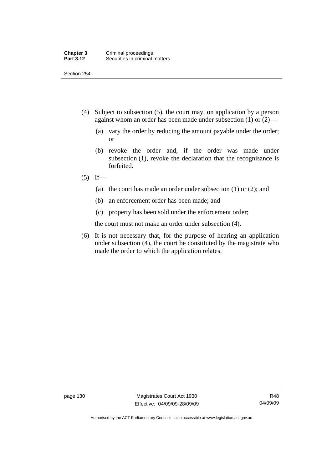Section 254

- (4) Subject to subsection (5), the court may, on application by a person against whom an order has been made under subsection (1) or (2)—
	- (a) vary the order by reducing the amount payable under the order; or
	- (b) revoke the order and, if the order was made under subsection (1), revoke the declaration that the recognisance is forfeited.
- $(5)$  If—
	- (a) the court has made an order under subsection (1) or (2); and
	- (b) an enforcement order has been made; and
	- (c) property has been sold under the enforcement order;

the court must not make an order under subsection (4).

 (6) It is not necessary that, for the purpose of hearing an application under subsection (4), the court be constituted by the magistrate who made the order to which the application relates.

page 130 Magistrates Court Act 1930 Effective: 04/09/09-28/09/09

Authorised by the ACT Parliamentary Counsel—also accessible at www.legislation.act.gov.au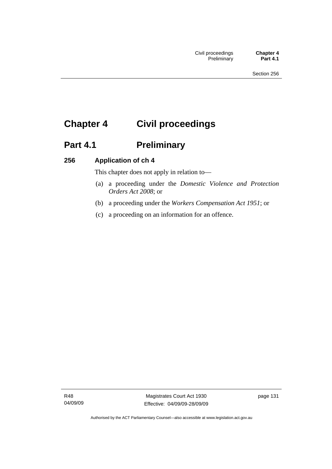# **Chapter 4 Civil proceedings**

# Part 4.1 **Preliminary**

### **256 Application of ch 4**

This chapter does not apply in relation to—

- (a) a proceeding under the *Domestic Violence and Protection Orders Act 2008*; or
- (b) a proceeding under the *Workers Compensation Act 1951*; or
- (c) a proceeding on an information for an offence.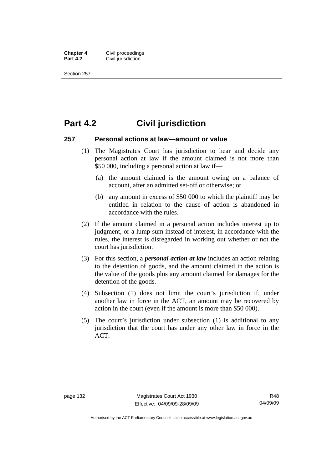**Chapter 4 Civil proceedings**<br>**Part 4.2 Civil iurisdiction Civil jurisdiction** 

Section 257

## **Part 4.2 Civil jurisdiction**

#### **257 Personal actions at law—amount or value**

- (1) The Magistrates Court has jurisdiction to hear and decide any personal action at law if the amount claimed is not more than \$50 000, including a personal action at law if—
	- (a) the amount claimed is the amount owing on a balance of account, after an admitted set-off or otherwise; or
	- (b) any amount in excess of \$50 000 to which the plaintiff may be entitled in relation to the cause of action is abandoned in accordance with the rules.
- (2) If the amount claimed in a personal action includes interest up to judgment, or a lump sum instead of interest, in accordance with the rules, the interest is disregarded in working out whether or not the court has jurisdiction.
- (3) For this section, a *personal action at law* includes an action relating to the detention of goods, and the amount claimed in the action is the value of the goods plus any amount claimed for damages for the detention of the goods.
- (4) Subsection (1) does not limit the court's jurisdiction if, under another law in force in the ACT, an amount may be recovered by action in the court (even if the amount is more than \$50 000).
- (5) The court's jurisdiction under subsection (1) is additional to any jurisdiction that the court has under any other law in force in the ACT.

Authorised by the ACT Parliamentary Counsel—also accessible at www.legislation.act.gov.au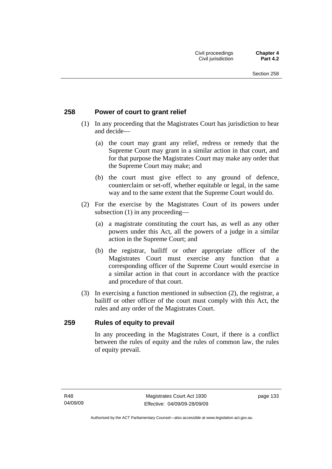#### **258 Power of court to grant relief**

- (1) In any proceeding that the Magistrates Court has jurisdiction to hear and decide—
	- (a) the court may grant any relief, redress or remedy that the Supreme Court may grant in a similar action in that court, and for that purpose the Magistrates Court may make any order that the Supreme Court may make; and
	- (b) the court must give effect to any ground of defence, counterclaim or set-off, whether equitable or legal, in the same way and to the same extent that the Supreme Court would do.
- (2) For the exercise by the Magistrates Court of its powers under subsection (1) in any proceeding—
	- (a) a magistrate constituting the court has, as well as any other powers under this Act, all the powers of a judge in a similar action in the Supreme Court; and
	- (b) the registrar, bailiff or other appropriate officer of the Magistrates Court must exercise any function that a corresponding officer of the Supreme Court would exercise in a similar action in that court in accordance with the practice and procedure of that court.
- (3) In exercising a function mentioned in subsection (2), the registrar, a bailiff or other officer of the court must comply with this Act, the rules and any order of the Magistrates Court.

#### **259 Rules of equity to prevail**

In any proceeding in the Magistrates Court, if there is a conflict between the rules of equity and the rules of common law, the rules of equity prevail.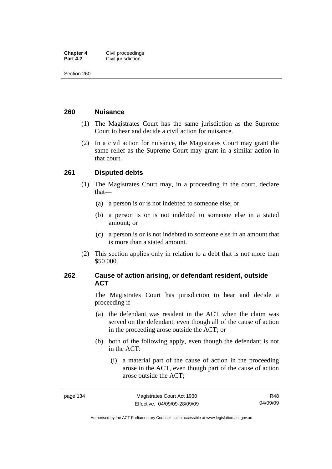| <b>Chapter 4</b> | Civil proceedings  |
|------------------|--------------------|
| <b>Part 4.2</b>  | Civil jurisdiction |

Section 260

#### **260 Nuisance**

- (1) The Magistrates Court has the same jurisdiction as the Supreme Court to hear and decide a civil action for nuisance.
- (2) In a civil action for nuisance, the Magistrates Court may grant the same relief as the Supreme Court may grant in a similar action in that court.

#### **261 Disputed debts**

- (1) The Magistrates Court may, in a proceeding in the court, declare that—
	- (a) a person is or is not indebted to someone else; or
	- (b) a person is or is not indebted to someone else in a stated amount; or
	- (c) a person is or is not indebted to someone else in an amount that is more than a stated amount.
- (2) This section applies only in relation to a debt that is not more than \$50 000.

#### **262 Cause of action arising, or defendant resident, outside ACT**

The Magistrates Court has jurisdiction to hear and decide a proceeding if—

- (a) the defendant was resident in the ACT when the claim was served on the defendant, even though all of the cause of action in the proceeding arose outside the ACT; or
- (b) both of the following apply, even though the defendant is not in the ACT:
	- (i) a material part of the cause of action in the proceeding arose in the ACT, even though part of the cause of action arose outside the ACT;

R48 04/09/09

Authorised by the ACT Parliamentary Counsel—also accessible at www.legislation.act.gov.au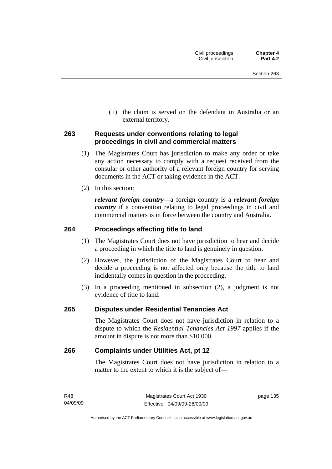(ii) the claim is served on the defendant in Australia or an external territory.

#### **263 Requests under conventions relating to legal proceedings in civil and commercial matters**

- (1) The Magistrates Court has jurisdiction to make any order or take any action necessary to comply with a request received from the consular or other authority of a relevant foreign country for serving documents in the ACT or taking evidence in the ACT.
- (2) In this section:

*relevant foreign country*—a foreign country is a *relevant foreign country* if a convention relating to legal proceedings in civil and commercial matters is in force between the country and Australia.

#### **264 Proceedings affecting title to land**

- (1) The Magistrates Court does not have jurisdiction to hear and decide a proceeding in which the title to land is genuinely in question.
- (2) However, the jurisdiction of the Magistrates Court to hear and decide a proceeding is not affected only because the title to land incidentally comes in question in the proceeding.
- (3) In a proceeding mentioned in subsection (2), a judgment is not evidence of title to land.

#### **265 Disputes under Residential Tenancies Act**

The Magistrates Court does not have jurisdiction in relation to a dispute to which the *Residential Tenancies Act 1997* applies if the amount in dispute is not more than \$10 000.

#### **266 Complaints under Utilities Act, pt 12**

The Magistrates Court does not have jurisdiction in relation to a matter to the extent to which it is the subject of—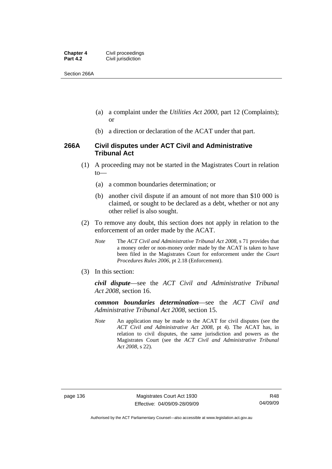| <b>Chapter 4</b> | Civil proceedings  |
|------------------|--------------------|
| <b>Part 4.2</b>  | Civil jurisdiction |

Section 266A

- (a) a complaint under the *Utilities Act 2000*, part 12 (Complaints); or
- (b) a direction or declaration of the ACAT under that part.

#### **266A Civil disputes under ACT Civil and Administrative Tribunal Act**

- (1) A proceeding may not be started in the Magistrates Court in relation to—
	- (a) a common boundaries determination; or
	- (b) another civil dispute if an amount of not more than \$10 000 is claimed, or sought to be declared as a debt, whether or not any other relief is also sought.
- (2) To remove any doubt, this section does not apply in relation to the enforcement of an order made by the ACAT.
	- *Note* The *ACT Civil and Administrative Tribunal Act 2008*, s 71 provides that a money order or non-money order made by the ACAT is taken to have been filed in the Magistrates Court for enforcement under the *Court Procedures Rules 2006*, pt 2.18 (Enforcement).
- (3) In this section:

*civil dispute*—see the *ACT Civil and Administrative Tribunal Act 2008*, section 16.

*common boundaries determination*—see the *ACT Civil and Administrative Tribunal Act 2008*, section 15.

*Note* An application may be made to the ACAT for civil disputes (see the *ACT Civil and Administrative Act 2008*, pt 4). The ACAT has, in relation to civil disputes, the same jurisdiction and powers as the Magistrates Court (see the *ACT Civil and Administrative Tribunal Act 2008*, s 22).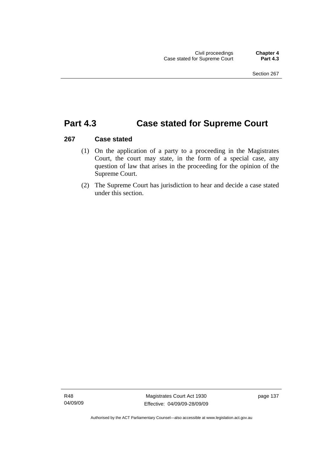## **Part 4.3 Case stated for Supreme Court**

#### **267 Case stated**

- (1) On the application of a party to a proceeding in the Magistrates Court, the court may state, in the form of a special case, any question of law that arises in the proceeding for the opinion of the Supreme Court.
- (2) The Supreme Court has jurisdiction to hear and decide a case stated under this section.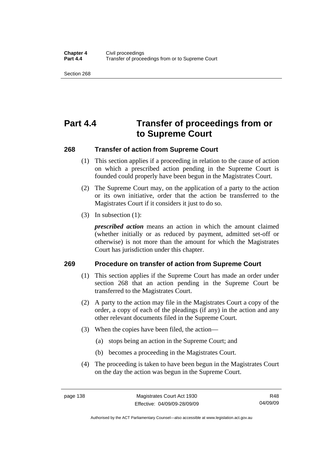Section 268

# **Part 4.4 Transfer of proceedings from or to Supreme Court**

#### **268 Transfer of action from Supreme Court**

- (1) This section applies if a proceeding in relation to the cause of action on which a prescribed action pending in the Supreme Court is founded could properly have been begun in the Magistrates Court.
- (2) The Supreme Court may, on the application of a party to the action or its own initiative, order that the action be transferred to the Magistrates Court if it considers it just to do so.
- (3) In subsection (1):

*prescribed action* means an action in which the amount claimed (whether initially or as reduced by payment, admitted set-off or otherwise) is not more than the amount for which the Magistrates Court has jurisdiction under this chapter.

#### **269 Procedure on transfer of action from Supreme Court**

- (1) This section applies if the Supreme Court has made an order under section 268 that an action pending in the Supreme Court be transferred to the Magistrates Court.
- (2) A party to the action may file in the Magistrates Court a copy of the order, a copy of each of the pleadings (if any) in the action and any other relevant documents filed in the Supreme Court.
- (3) When the copies have been filed, the action—
	- (a) stops being an action in the Supreme Court; and
	- (b) becomes a proceeding in the Magistrates Court.
- (4) The proceeding is taken to have been begun in the Magistrates Court on the day the action was begun in the Supreme Court.

R48 04/09/09

Authorised by the ACT Parliamentary Counsel—also accessible at www.legislation.act.gov.au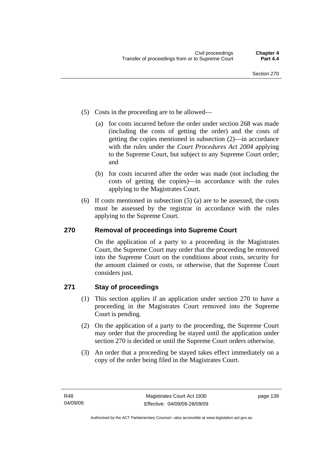- (5) Costs in the proceeding are to be allowed—
	- (a) for costs incurred before the order under section 268 was made (including the costs of getting the order) and the costs of getting the copies mentioned in subsection (2)—in accordance with the rules under the *Court Procedures Act 2004* applying to the Supreme Court, but subject to any Supreme Court order; and
	- (b) for costs incurred after the order was made (not including the costs of getting the copies)—in accordance with the rules applying to the Magistrates Court.
- (6) If costs mentioned in subsection (5) (a) are to be assessed, the costs must be assessed by the registrar in accordance with the rules applying to the Supreme Court.

### **270 Removal of proceedings into Supreme Court**

On the application of a party to a proceeding in the Magistrates Court, the Supreme Court may order that the proceeding be removed into the Supreme Court on the conditions about costs, security for the amount claimed or costs, or otherwise, that the Supreme Court considers just.

### **271 Stay of proceedings**

- (1) This section applies if an application under section 270 to have a proceeding in the Magistrates Court removed into the Supreme Court is pending.
- (2) On the application of a party to the proceeding, the Supreme Court may order that the proceeding be stayed until the application under section 270 is decided or until the Supreme Court orders otherwise.
- (3) An order that a proceeding be stayed takes effect immediately on a copy of the order being filed in the Magistrates Court.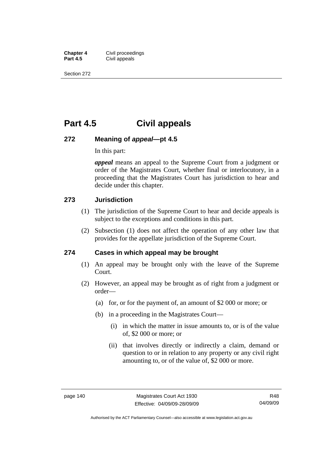**Chapter 4 Civil proceedings**<br>**Part 4.5 Civil appeals Civil appeals** 

Section 272

## **Part 4.5 Civil appeals**

#### **272 Meaning of** *appeal***—pt 4.5**

In this part:

*appeal* means an appeal to the Supreme Court from a judgment or order of the Magistrates Court, whether final or interlocutory, in a proceeding that the Magistrates Court has jurisdiction to hear and decide under this chapter.

#### **273 Jurisdiction**

- (1) The jurisdiction of the Supreme Court to hear and decide appeals is subject to the exceptions and conditions in this part.
- (2) Subsection (1) does not affect the operation of any other law that provides for the appellate jurisdiction of the Supreme Court.

#### **274 Cases in which appeal may be brought**

- (1) An appeal may be brought only with the leave of the Supreme Court.
- (2) However, an appeal may be brought as of right from a judgment or order—
	- (a) for, or for the payment of, an amount of \$2 000 or more; or
	- (b) in a proceeding in the Magistrates Court—
		- (i) in which the matter in issue amounts to, or is of the value of, \$2 000 or more; or
		- (ii) that involves directly or indirectly a claim, demand or question to or in relation to any property or any civil right amounting to, or of the value of, \$2 000 or more.

Authorised by the ACT Parliamentary Counsel—also accessible at www.legislation.act.gov.au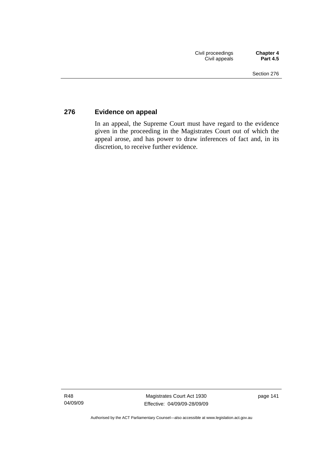### **276 Evidence on appeal**

In an appeal, the Supreme Court must have regard to the evidence given in the proceeding in the Magistrates Court out of which the appeal arose, and has power to draw inferences of fact and, in its discretion, to receive further evidence.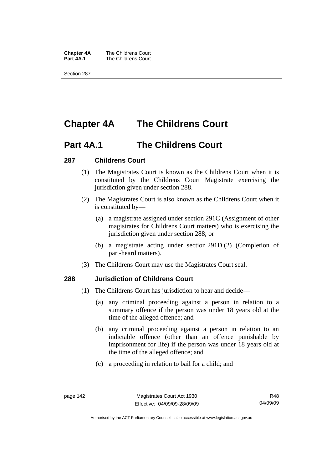**Chapter 4A** The Childrens Court<br>**Part 4A.1** The Childrens Court **The Childrens Court** 

Section 287

# **Chapter 4A The Childrens Court**

## **Part 4A.1 The Childrens Court**

#### **287 Childrens Court**

- (1) The Magistrates Court is known as the Childrens Court when it is constituted by the Childrens Court Magistrate exercising the jurisdiction given under section 288.
- (2) The Magistrates Court is also known as the Childrens Court when it is constituted by—
	- (a) a magistrate assigned under section 291C (Assignment of other magistrates for Childrens Court matters) who is exercising the jurisdiction given under section 288; or
	- (b) a magistrate acting under section 291D (2) (Completion of part-heard matters).
- (3) The Childrens Court may use the Magistrates Court seal.

#### **288 Jurisdiction of Childrens Court**

- (1) The Childrens Court has jurisdiction to hear and decide—
	- (a) any criminal proceeding against a person in relation to a summary offence if the person was under 18 years old at the time of the alleged offence; and
	- (b) any criminal proceeding against a person in relation to an indictable offence (other than an offence punishable by imprisonment for life) if the person was under 18 years old at the time of the alleged offence; and
	- (c) a proceeding in relation to bail for a child; and

Authorised by the ACT Parliamentary Counsel—also accessible at www.legislation.act.gov.au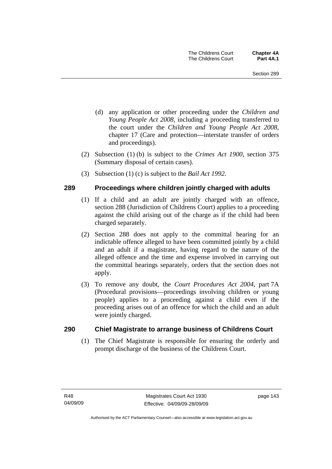- (d) any application or other proceeding under the *Children and Young People Act 2008*, including a proceeding transferred to the court under the *Children and Young People Act 2008*, chapter 17 (Care and protection—interstate transfer of orders and proceedings).
- (2) Subsection (1) (b) is subject to the *Crimes Act 1900*, section 375 (Summary disposal of certain cases).
- (3) Subsection (1) (c) is subject to the *Bail Act 1992*.

#### **289 Proceedings where children jointly charged with adults**

- (1) If a child and an adult are jointly charged with an offence, section 288 (Jurisdiction of Childrens Court) applies to a proceeding against the child arising out of the charge as if the child had been charged separately.
- (2) Section 288 does not apply to the committal hearing for an indictable offence alleged to have been committed jointly by a child and an adult if a magistrate, having regard to the nature of the alleged offence and the time and expense involved in carrying out the committal hearings separately, orders that the section does not apply.
- (3) To remove any doubt, the *Court Procedures Act 2004*, part 7A (Procedural provisions—proceedings involving children or young people) applies to a proceeding against a child even if the proceeding arises out of an offence for which the child and an adult were jointly charged.

#### **290 Chief Magistrate to arrange business of Childrens Court**

 (1) The Chief Magistrate is responsible for ensuring the orderly and prompt discharge of the business of the Childrens Court.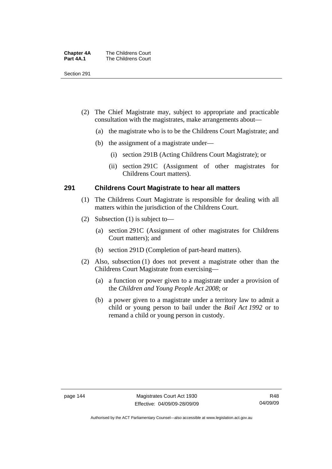| <b>Chapter 4A</b> | The Childrens Court |
|-------------------|---------------------|
| Part 4A.1         | The Childrens Court |

Section 291

- (2) The Chief Magistrate may, subject to appropriate and practicable consultation with the magistrates, make arrangements about—
	- (a) the magistrate who is to be the Childrens Court Magistrate; and
	- (b) the assignment of a magistrate under—
		- (i) section 291B (Acting Childrens Court Magistrate); or
		- (ii) section 291C (Assignment of other magistrates for Childrens Court matters).

#### **291 Childrens Court Magistrate to hear all matters**

- (1) The Childrens Court Magistrate is responsible for dealing with all matters within the jurisdiction of the Childrens Court.
- (2) Subsection (1) is subject to—
	- (a) section 291C (Assignment of other magistrates for Childrens Court matters); and
	- (b) section 291D (Completion of part-heard matters).
- (2) Also, subsection (1) does not prevent a magistrate other than the Childrens Court Magistrate from exercising—
	- (a) a function or power given to a magistrate under a provision of the *Children and Young People Act 2008*; or
	- (b) a power given to a magistrate under a territory law to admit a child or young person to bail under the *Bail Act 1992* or to remand a child or young person in custody.

R48 04/09/09

Authorised by the ACT Parliamentary Counsel—also accessible at www.legislation.act.gov.au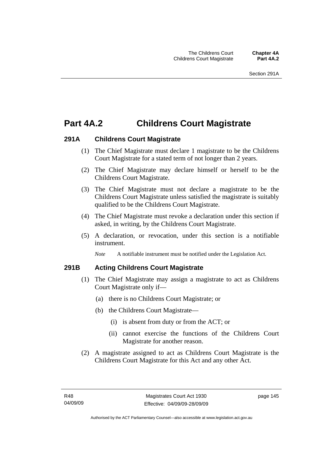## **Part 4A.2 Childrens Court Magistrate**

#### **291A Childrens Court Magistrate**

- (1) The Chief Magistrate must declare 1 magistrate to be the Childrens Court Magistrate for a stated term of not longer than 2 years.
- (2) The Chief Magistrate may declare himself or herself to be the Childrens Court Magistrate.
- (3) The Chief Magistrate must not declare a magistrate to be the Childrens Court Magistrate unless satisfied the magistrate is suitably qualified to be the Childrens Court Magistrate.
- (4) The Chief Magistrate must revoke a declaration under this section if asked, in writing, by the Childrens Court Magistrate.
- (5) A declaration, or revocation, under this section is a notifiable instrument.

*Note* A notifiable instrument must be notified under the Legislation Act.

#### **291B Acting Childrens Court Magistrate**

- (1) The Chief Magistrate may assign a magistrate to act as Childrens Court Magistrate only if—
	- (a) there is no Childrens Court Magistrate; or
	- (b) the Childrens Court Magistrate—
		- (i) is absent from duty or from the ACT; or
		- (ii) cannot exercise the functions of the Childrens Court Magistrate for another reason.
- (2) A magistrate assigned to act as Childrens Court Magistrate is the Childrens Court Magistrate for this Act and any other Act.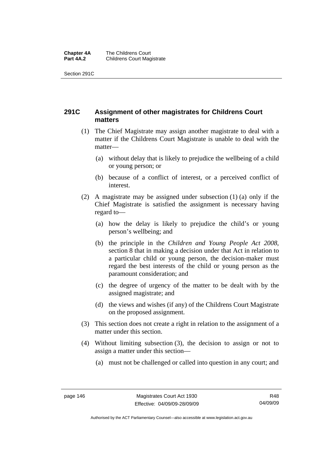#### **Chapter 4A** The Childrens Court<br>**Part 4A.2** Childrens Court Mag **Childrens Court Magistrate**

Section 291C

### **291C Assignment of other magistrates for Childrens Court matters**

- (1) The Chief Magistrate may assign another magistrate to deal with a matter if the Childrens Court Magistrate is unable to deal with the matter—
	- (a) without delay that is likely to prejudice the wellbeing of a child or young person; or
	- (b) because of a conflict of interest, or a perceived conflict of interest.
- (2) A magistrate may be assigned under subsection (1) (a) only if the Chief Magistrate is satisfied the assignment is necessary having regard to—
	- (a) how the delay is likely to prejudice the child's or young person's wellbeing; and
	- (b) the principle in the *Children and Young People Act 2008*, section 8 that in making a decision under that Act in relation to a particular child or young person, the decision-maker must regard the best interests of the child or young person as the paramount consideration; and
	- (c) the degree of urgency of the matter to be dealt with by the assigned magistrate; and
	- (d) the views and wishes (if any) of the Childrens Court Magistrate on the proposed assignment.
- (3) This section does not create a right in relation to the assignment of a matter under this section.
- (4) Without limiting subsection (3), the decision to assign or not to assign a matter under this section—
	- (a) must not be challenged or called into question in any court; and

Authorised by the ACT Parliamentary Counsel—also accessible at www.legislation.act.gov.au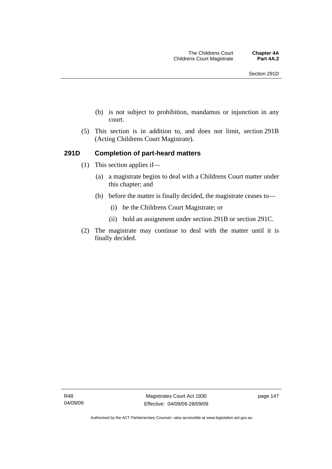- (b) is not subject to prohibition, mandamus or injunction in any court.
- (5) This section is in addition to, and does not limit, section 291B (Acting Childrens Court Magistrate).

#### **291D Completion of part-heard matters**

- (1) This section applies if—
	- (a) a magistrate begins to deal with a Childrens Court matter under this chapter; and
	- (b) before the matter is finally decided, the magistrate ceases to—
		- (i) be the Childrens Court Magistrate; or
		- (ii) hold an assignment under section 291B or section 291C.
- (2) The magistrate may continue to deal with the matter until it is finally decided.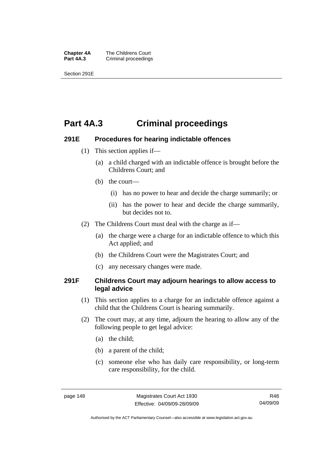**Chapter 4A** The Childrens Court<br>**Part 4A.3** Criminal proceedings **Criminal proceedings** 

Section 291E

## **Part 4A.3 Criminal proceedings**

#### **291E Procedures for hearing indictable offences**

- (1) This section applies if—
	- (a) a child charged with an indictable offence is brought before the Childrens Court; and
	- (b) the court—
		- (i) has no power to hear and decide the charge summarily; or
		- (ii) has the power to hear and decide the charge summarily, but decides not to.
- (2) The Childrens Court must deal with the charge as if—
	- (a) the charge were a charge for an indictable offence to which this Act applied; and
	- (b) the Childrens Court were the Magistrates Court; and
	- (c) any necessary changes were made.

#### **291F Childrens Court may adjourn hearings to allow access to legal advice**

- (1) This section applies to a charge for an indictable offence against a child that the Childrens Court is hearing summarily.
- (2) The court may, at any time, adjourn the hearing to allow any of the following people to get legal advice:
	- (a) the child;
	- (b) a parent of the child;
	- (c) someone else who has daily care responsibility, or long-term care responsibility, for the child.

R48 04/09/09

Authorised by the ACT Parliamentary Counsel—also accessible at www.legislation.act.gov.au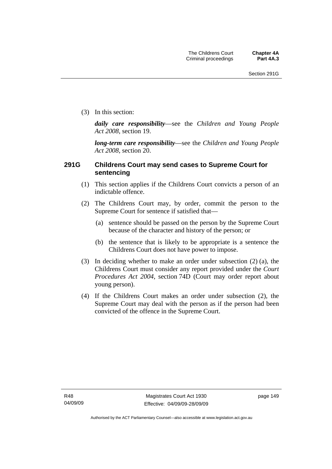(3) In this section:

*daily care responsibility*—see the *Children and Young People Act 2008*, section 19.

*long-term care responsibility*—see the *Children and Young People Act 2008*, section 20.

#### **291G Childrens Court may send cases to Supreme Court for sentencing**

- (1) This section applies if the Childrens Court convicts a person of an indictable offence.
- (2) The Childrens Court may, by order, commit the person to the Supreme Court for sentence if satisfied that—
	- (a) sentence should be passed on the person by the Supreme Court because of the character and history of the person; or
	- (b) the sentence that is likely to be appropriate is a sentence the Childrens Court does not have power to impose.
- (3) In deciding whether to make an order under subsection (2) (a), the Childrens Court must consider any report provided under the *Court Procedures Act 2004*, section 74D (Court may order report about young person).
- (4) If the Childrens Court makes an order under subsection (2), the Supreme Court may deal with the person as if the person had been convicted of the offence in the Supreme Court.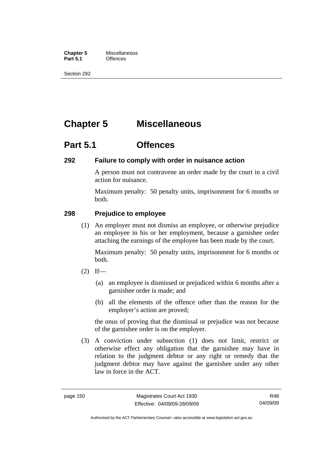**Chapter 5** Miscellaneous<br>**Part 5.1** Offences **Part 5.1** 

Section 292

# **Chapter 5 Miscellaneous**

## **Part 5.1 Offences**

#### **292 Failure to comply with order in nuisance action**

A person must not contravene an order made by the court in a civil action for nuisance.

Maximum penalty: 50 penalty units, imprisonment for 6 months or both.

#### **298 Prejudice to employee**

 (1) An employer must not dismiss an employee, or otherwise prejudice an employee in his or her employment, because a garnishee order attaching the earnings of the employee has been made by the court.

Maximum penalty: 50 penalty units, imprisonment for 6 months or both.

- $(2)$  If—
	- (a) an employee is dismissed or prejudiced within 6 months after a garnishee order is made; and
	- (b) all the elements of the offence other than the reason for the employer's action are proved;

the onus of proving that the dismissal or prejudice was not because of the garnishee order is on the employer.

 (3) A conviction under subsection (1) does not limit, restrict or otherwise effect any obligation that the garnishee may have in relation to the judgment debtor or any right or remedy that the judgment debtor may have against the garnishee under any other law in force in the ACT.

Authorised by the ACT Parliamentary Counsel—also accessible at www.legislation.act.gov.au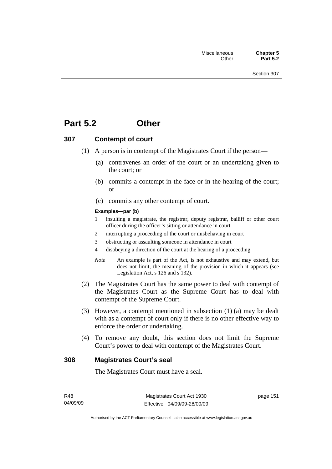## **Part 5.2 Other**

#### **307 Contempt of court**

- (1) A person is in contempt of the Magistrates Court if the person—
	- (a) contravenes an order of the court or an undertaking given to the court; or
	- (b) commits a contempt in the face or in the hearing of the court; or
	- (c) commits any other contempt of court.

#### **Examples—par (b)**

- 1 insulting a magistrate, the registrar, deputy registrar, bailiff or other court officer during the officer's sitting or attendance in court
- 2 interrupting a proceeding of the court or misbehaving in court
- 3 obstructing or assaulting someone in attendance in court
- 4 disobeying a direction of the court at the hearing of a proceeding
- *Note* An example is part of the Act, is not exhaustive and may extend, but does not limit, the meaning of the provision in which it appears (see Legislation Act, s 126 and s 132).
- (2) The Magistrates Court has the same power to deal with contempt of the Magistrates Court as the Supreme Court has to deal with contempt of the Supreme Court.
- (3) However, a contempt mentioned in subsection (1) (a) may be dealt with as a contempt of court only if there is no other effective way to enforce the order or undertaking.
- (4) To remove any doubt, this section does not limit the Supreme Court's power to deal with contempt of the Magistrates Court.

#### **308 Magistrates Court's seal**

The Magistrates Court must have a seal.

page 151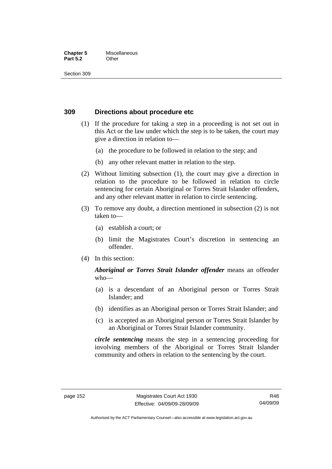#### **Chapter 5** Miscellaneous **Part 5.2** Other

Section 309

#### **309 Directions about procedure etc**

- (1) If the procedure for taking a step in a proceeding is not set out in this Act or the law under which the step is to be taken, the court may give a direction in relation to—
	- (a) the procedure to be followed in relation to the step; and
	- (b) any other relevant matter in relation to the step.
- (2) Without limiting subsection (1), the court may give a direction in relation to the procedure to be followed in relation to circle sentencing for certain Aboriginal or Torres Strait Islander offenders, and any other relevant matter in relation to circle sentencing.
- (3) To remove any doubt, a direction mentioned in subsection (2) is not taken to—
	- (a) establish a court; or
	- (b) limit the Magistrates Court's discretion in sentencing an offender.
- (4) In this section:

#### *Aboriginal or Torres Strait Islander offender* means an offender who—

- (a) is a descendant of an Aboriginal person or Torres Strait Islander; and
- (b) identifies as an Aboriginal person or Torres Strait Islander; and
- (c) is accepted as an Aboriginal person or Torres Strait Islander by an Aboriginal or Torres Strait Islander community.

*circle sentencing* means the step in a sentencing proceeding for involving members of the Aboriginal or Torres Strait Islander community and others in relation to the sentencing by the court.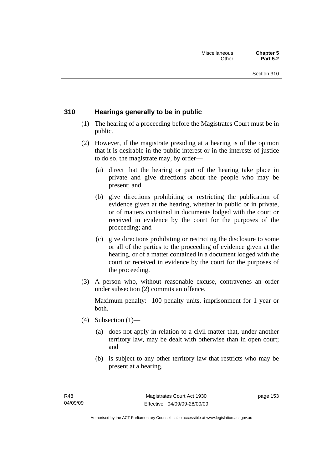#### **310 Hearings generally to be in public**

- (1) The hearing of a proceeding before the Magistrates Court must be in public.
- (2) However, if the magistrate presiding at a hearing is of the opinion that it is desirable in the public interest or in the interests of justice to do so, the magistrate may, by order—
	- (a) direct that the hearing or part of the hearing take place in private and give directions about the people who may be present; and
	- (b) give directions prohibiting or restricting the publication of evidence given at the hearing, whether in public or in private, or of matters contained in documents lodged with the court or received in evidence by the court for the purposes of the proceeding; and
	- (c) give directions prohibiting or restricting the disclosure to some or all of the parties to the proceeding of evidence given at the hearing, or of a matter contained in a document lodged with the court or received in evidence by the court for the purposes of the proceeding.
- (3) A person who, without reasonable excuse, contravenes an order under subsection (2) commits an offence.

Maximum penalty: 100 penalty units, imprisonment for 1 year or both.

- (4) Subsection  $(1)$ 
	- (a) does not apply in relation to a civil matter that, under another territory law, may be dealt with otherwise than in open court; and
	- (b) is subject to any other territory law that restricts who may be present at a hearing.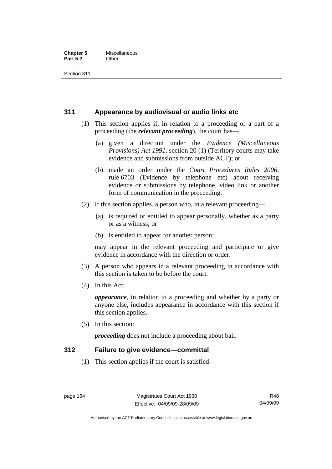#### **Chapter 5** Miscellaneous<br>**Part 5.2** Other **Part 5.2**

Section 311

#### **311 Appearance by audiovisual or audio links etc**

- (1) This section applies if, in relation to a proceeding or a part of a proceeding (the *relevant proceeding*), the court has—
	- (a) given a direction under the *Evidence (Miscellaneous Provisions) Act 1991*, section 20 (1) (Territory courts may take evidence and submissions from outside ACT); or
	- (b) made an order under the *Court Procedures Rules 2006*, rule 6703 (Evidence by telephone etc) about receiving evidence or submissions by telephone, video link or another form of communication in the proceeding.
- (2) If this section applies, a person who, in a relevant proceeding—
	- (a) is required or entitled to appear personally, whether as a party or as a witness; or
	- (b) is entitled to appear for another person;

may appear in the relevant proceeding and participate or give evidence in accordance with the direction or order.

- (3) A person who appears in a relevant proceeding in accordance with this section is taken to be before the court.
- (4) In this Act:

*appearance*, in relation to a proceeding and whether by a party or anyone else, includes appearance in accordance with this section if this section applies.

(5) In this section:

*proceeding* does not include a proceeding about bail.

#### **312 Failure to give evidence—committal**

(1) This section applies if the court is satisfied—

Authorised by the ACT Parliamentary Counsel—also accessible at www.legislation.act.gov.au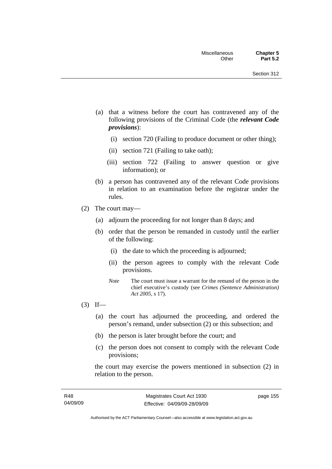- (a) that a witness before the court has contravened any of the following provisions of the Criminal Code (the *relevant Code provisions*):
	- (i) section 720 (Failing to produce document or other thing);
	- (ii) section 721 (Failing to take oath);
	- (iii) section 722 (Failing to answer question or give information); or
- (b) a person has contravened any of the relevant Code provisions in relation to an examination before the registrar under the rules.
- (2) The court may—
	- (a) adjourn the proceeding for not longer than 8 days; and
	- (b) order that the person be remanded in custody until the earlier of the following:
		- (i) the date to which the proceeding is adjourned;
		- (ii) the person agrees to comply with the relevant Code provisions.
		- *Note* The court must issue a warrant for the remand of the person in the chief executive's custody (see *Crimes (Sentence Administration) Act 2005*, s 17).
- $(3)$  If—
	- (a) the court has adjourned the proceeding, and ordered the person's remand, under subsection (2) or this subsection; and
	- (b) the person is later brought before the court; and
	- (c) the person does not consent to comply with the relevant Code provisions;

the court may exercise the powers mentioned in subsection (2) in relation to the person.

page 155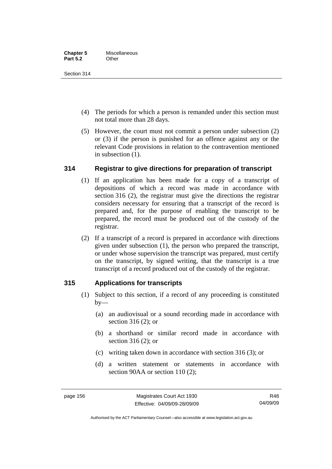Section 314

- (4) The periods for which a person is remanded under this section must not total more than 28 days.
- (5) However, the court must not commit a person under subsection (2) or (3) if the person is punished for an offence against any or the relevant Code provisions in relation to the contravention mentioned in subsection (1).

### **314 Registrar to give directions for preparation of transcript**

- (1) If an application has been made for a copy of a transcript of depositions of which a record was made in accordance with section 316 (2), the registrar must give the directions the registrar considers necessary for ensuring that a transcript of the record is prepared and, for the purpose of enabling the transcript to be prepared, the record must be produced out of the custody of the registrar.
- (2) If a transcript of a record is prepared in accordance with directions given under subsection (1), the person who prepared the transcript, or under whose supervision the transcript was prepared, must certify on the transcript, by signed writing, that the transcript is a true transcript of a record produced out of the custody of the registrar.

### **315 Applications for transcripts**

- (1) Subject to this section, if a record of any proceeding is constituted  $by-$ 
	- (a) an audiovisual or a sound recording made in accordance with section 316 (2); or
	- (b) a shorthand or similar record made in accordance with section 316 (2); or
	- (c) writing taken down in accordance with section 316 (3); or
	- (d) a written statement or statements in accordance with section 90AA or section 110 (2):

Authorised by the ACT Parliamentary Counsel—also accessible at www.legislation.act.gov.au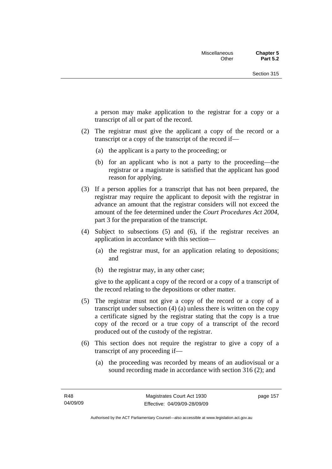a person may make application to the registrar for a copy or a transcript of all or part of the record.

- (2) The registrar must give the applicant a copy of the record or a transcript or a copy of the transcript of the record if—
	- (a) the applicant is a party to the proceeding; or
	- (b) for an applicant who is not a party to the proceeding—the registrar or a magistrate is satisfied that the applicant has good reason for applying.
- (3) If a person applies for a transcript that has not been prepared, the registrar may require the applicant to deposit with the registrar in advance an amount that the registrar considers will not exceed the amount of the fee determined under the *Court Procedures Act 2004*, part 3 for the preparation of the transcript.
- (4) Subject to subsections (5) and (6), if the registrar receives an application in accordance with this section—
	- (a) the registrar must, for an application relating to depositions; and
	- (b) the registrar may, in any other case;

give to the applicant a copy of the record or a copy of a transcript of the record relating to the depositions or other matter.

- (5) The registrar must not give a copy of the record or a copy of a transcript under subsection (4) (a) unless there is written on the copy a certificate signed by the registrar stating that the copy is a true copy of the record or a true copy of a transcript of the record produced out of the custody of the registrar.
- (6) This section does not require the registrar to give a copy of a transcript of any proceeding if—
	- (a) the proceeding was recorded by means of an audiovisual or a sound recording made in accordance with section 316 (2); and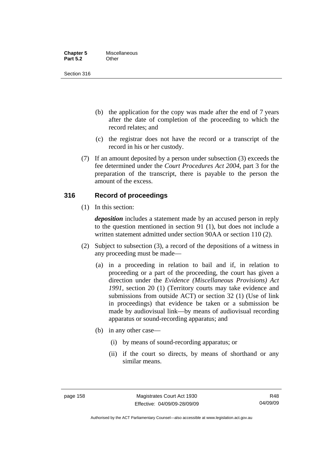| <b>Chapter 5</b> | Miscellaneous |
|------------------|---------------|
| <b>Part 5.2</b>  | Other         |

Section 316

- (b) the application for the copy was made after the end of 7 years after the date of completion of the proceeding to which the record relates; and
- (c) the registrar does not have the record or a transcript of the record in his or her custody.
- (7) If an amount deposited by a person under subsection (3) exceeds the fee determined under the *Court Procedures Act 2004*, part 3 for the preparation of the transcript, there is payable to the person the amount of the excess.

#### **316 Record of proceedings**

(1) In this section:

*deposition* includes a statement made by an accused person in reply to the question mentioned in section 91 (1), but does not include a written statement admitted under section 90AA or section 110 (2).

- (2) Subject to subsection (3), a record of the depositions of a witness in any proceeding must be made—
	- (a) in a proceeding in relation to bail and if, in relation to proceeding or a part of the proceeding, the court has given a direction under the *Evidence (Miscellaneous Provisions) Act 1991*, section 20 (1) (Territory courts may take evidence and submissions from outside ACT) or section 32 (1) (Use of link in proceedings) that evidence be taken or a submission be made by audiovisual link—by means of audiovisual recording apparatus or sound-recording apparatus; and
	- (b) in any other case—
		- (i) by means of sound-recording apparatus; or
		- (ii) if the court so directs, by means of shorthand or any similar means.

Authorised by the ACT Parliamentary Counsel—also accessible at www.legislation.act.gov.au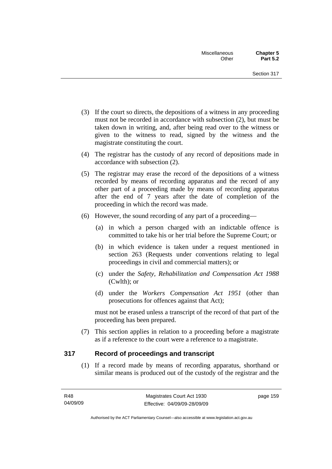- (3) If the court so directs, the depositions of a witness in any proceeding must not be recorded in accordance with subsection (2), but must be taken down in writing, and, after being read over to the witness or given to the witness to read, signed by the witness and the magistrate constituting the court.
- (4) The registrar has the custody of any record of depositions made in accordance with subsection (2).
- (5) The registrar may erase the record of the depositions of a witness recorded by means of recording apparatus and the record of any other part of a proceeding made by means of recording apparatus after the end of 7 years after the date of completion of the proceeding in which the record was made.
- (6) However, the sound recording of any part of a proceeding—
	- (a) in which a person charged with an indictable offence is committed to take his or her trial before the Supreme Court; or
	- (b) in which evidence is taken under a request mentioned in section 263 (Requests under conventions relating to legal proceedings in civil and commercial matters); or
	- (c) under the *Safety, Rehabilitation and Compensation Act 1988* (Cwlth); or
	- (d) under the *Workers Compensation Act 1951* (other than prosecutions for offences against that Act);

must not be erased unless a transcript of the record of that part of the proceeding has been prepared.

 (7) This section applies in relation to a proceeding before a magistrate as if a reference to the court were a reference to a magistrate.

#### **317 Record of proceedings and transcript**

 (1) If a record made by means of recording apparatus, shorthand or similar means is produced out of the custody of the registrar and the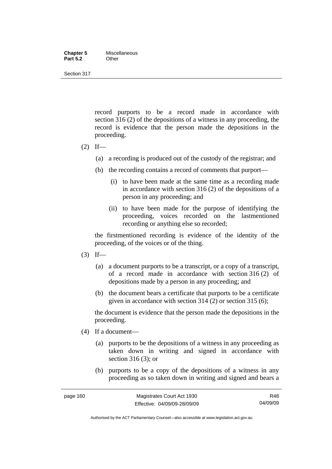#### **Chapter 5** Miscellaneous **Part 5.2** Other

Section 317

record purports to be a record made in accordance with section 316 (2) of the depositions of a witness in any proceeding, the record is evidence that the person made the depositions in the proceeding.

- $(2)$  If—
	- (a) a recording is produced out of the custody of the registrar; and
	- (b) the recording contains a record of comments that purport—
		- (i) to have been made at the same time as a recording made in accordance with section 316 (2) of the depositions of a person in any proceeding; and
		- (ii) to have been made for the purpose of identifying the proceeding, voices recorded on the lastmentioned recording or anything else so recorded;

the firstmentioned recording is evidence of the identity of the proceeding, of the voices or of the thing.

- $(3)$  If—
	- (a) a document purports to be a transcript, or a copy of a transcript, of a record made in accordance with section 316 (2) of depositions made by a person in any proceeding; and
	- (b) the document bears a certificate that purports to be a certificate given in accordance with section 314 (2) or section 315 (6);

the document is evidence that the person made the depositions in the proceeding.

- (4) If a document—
	- (a) purports to be the depositions of a witness in any proceeding as taken down in writing and signed in accordance with section 316 (3); or
	- (b) purports to be a copy of the depositions of a witness in any proceeding as so taken down in writing and signed and bears a

Authorised by the ACT Parliamentary Counsel—also accessible at www.legislation.act.gov.au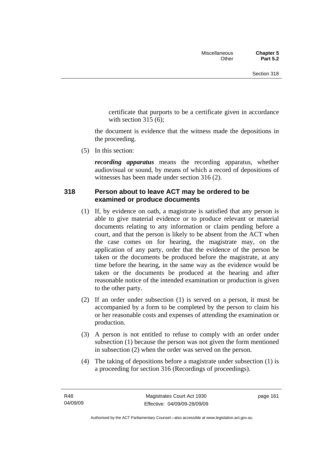certificate that purports to be a certificate given in accordance with section  $315(6)$ :

the document is evidence that the witness made the depositions in the proceeding.

(5) In this section:

*recording apparatus* means the recording apparatus, whether audiovisual or sound, by means of which a record of depositions of witnesses has been made under section 316 (2).

#### **318 Person about to leave ACT may be ordered to be examined or produce documents**

- (1) If, by evidence on oath, a magistrate is satisfied that any person is able to give material evidence or to produce relevant or material documents relating to any information or claim pending before a court, and that the person is likely to be absent from the ACT when the case comes on for hearing, the magistrate may, on the application of any party, order that the evidence of the person be taken or the documents be produced before the magistrate, at any time before the hearing, in the same way as the evidence would be taken or the documents be produced at the hearing and after reasonable notice of the intended examination or production is given to the other party.
- (2) If an order under subsection (1) is served on a person, it must be accompanied by a form to be completed by the person to claim his or her reasonable costs and expenses of attending the examination or production.
- (3) A person is not entitled to refuse to comply with an order under subsection (1) because the person was not given the form mentioned in subsection (2) when the order was served on the person.
- (4) The taking of depositions before a magistrate under subsection (1) is a proceeding for section 316 (Recordings of proceedings).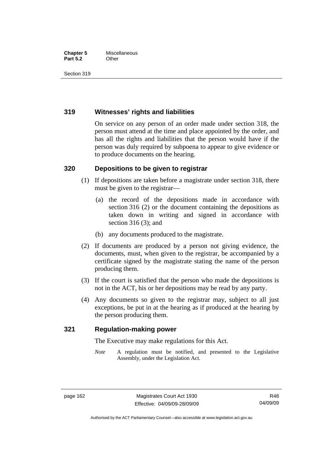#### **Chapter 5** Miscellaneous **Part 5.2** Other

Section 319

#### **319 Witnesses' rights and liabilities**

On service on any person of an order made under section 318, the person must attend at the time and place appointed by the order, and has all the rights and liabilities that the person would have if the person was duly required by subpoena to appear to give evidence or to produce documents on the hearing.

#### **320 Depositions to be given to registrar**

- (1) If depositions are taken before a magistrate under section 318, there must be given to the registrar—
	- (a) the record of the depositions made in accordance with section 316 (2) or the document containing the depositions as taken down in writing and signed in accordance with section 316 (3); and
	- (b) any documents produced to the magistrate.
- (2) If documents are produced by a person not giving evidence, the documents, must, when given to the registrar, be accompanied by a certificate signed by the magistrate stating the name of the person producing them.
- (3) If the court is satisfied that the person who made the depositions is not in the ACT, his or her depositions may be read by any party.
- (4) Any documents so given to the registrar may, subject to all just exceptions, be put in at the hearing as if produced at the hearing by the person producing them.

#### **321 Regulation-making power**

The Executive may make regulations for this Act.

*Note* A regulation must be notified, and presented to the Legislative Assembly, under the Legislation Act.

Authorised by the ACT Parliamentary Counsel—also accessible at www.legislation.act.gov.au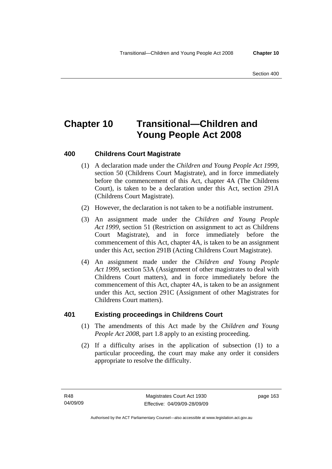# **Chapter 10 Transitional—Children and Young People Act 2008**

#### **400 Childrens Court Magistrate**

- (1) A declaration made under the *Children and Young People Act 1999*, section 50 (Childrens Court Magistrate), and in force immediately before the commencement of this Act, chapter 4A (The Childrens Court), is taken to be a declaration under this Act, section 291A (Childrens Court Magistrate).
- (2) However, the declaration is not taken to be a notifiable instrument.
- (3) An assignment made under the *Children and Young People Act 1999*, section 51 (Restriction on assignment to act as Childrens Court Magistrate), and in force immediately before the commencement of this Act, chapter 4A, is taken to be an assignment under this Act, section 291B (Acting Childrens Court Magistrate).
- (4) An assignment made under the *Children and Young People Act 1999*, section 53A (Assignment of other magistrates to deal with Childrens Court matters), and in force immediately before the commencement of this Act, chapter 4A, is taken to be an assignment under this Act, section 291C (Assignment of other Magistrates for Childrens Court matters).

#### **401 Existing proceedings in Childrens Court**

- (1) The amendments of this Act made by the *Children and Young People Act 2008*, part 1.8 apply to an existing proceeding.
- (2) If a difficulty arises in the application of subsection (1) to a particular proceeding, the court may make any order it considers appropriate to resolve the difficulty.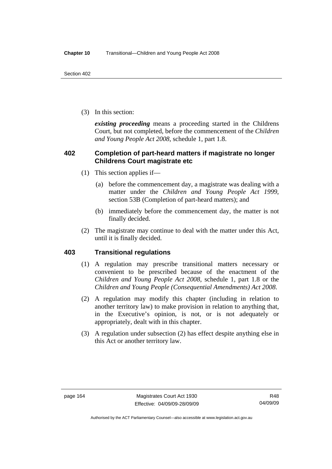(3) In this section:

*existing proceeding* means a proceeding started in the Childrens Court, but not completed, before the commencement of the *Children and Young People Act 2008*, schedule 1, part 1.8.

#### **402 Completion of part-heard matters if magistrate no longer Childrens Court magistrate etc**

- (1) This section applies if—
	- (a) before the commencement day, a magistrate was dealing with a matter under the *Children and Young People Act 1999*, section 53B (Completion of part-heard matters); and
	- (b) immediately before the commencement day, the matter is not finally decided.
- (2) The magistrate may continue to deal with the matter under this Act, until it is finally decided.

#### **403 Transitional regulations**

- (1) A regulation may prescribe transitional matters necessary or convenient to be prescribed because of the enactment of the *Children and Young People Act 2008*, schedule 1, part 1.8 or the *Children and Young People (Consequential Amendments) Act 2008*.
- (2) A regulation may modify this chapter (including in relation to another territory law) to make provision in relation to anything that, in the Executive's opinion, is not, or is not adequately or appropriately, dealt with in this chapter.
- (3) A regulation under subsection (2) has effect despite anything else in this Act or another territory law.

Authorised by the ACT Parliamentary Counsel—also accessible at www.legislation.act.gov.au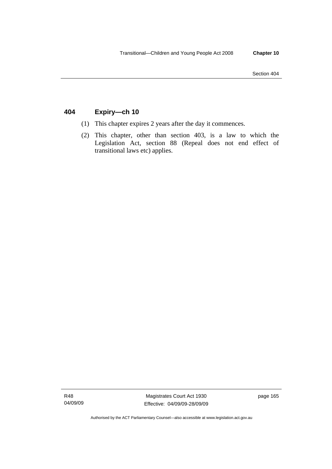# **404 Expiry—ch 10**

- (1) This chapter expires 2 years after the day it commences.
- (2) This chapter, other than section 403, is a law to which the Legislation Act, section 88 (Repeal does not end effect of transitional laws etc) applies.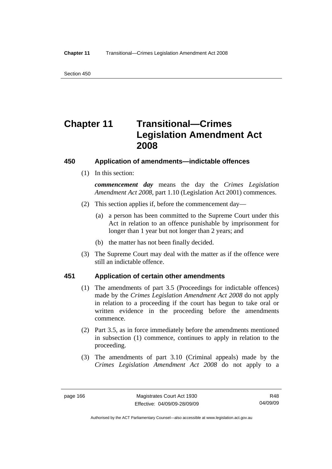# **Chapter 11 Transitional—Crimes Legislation Amendment Act 2008**

# **450 Application of amendments—indictable offences**

(1) In this section:

*commencement day* means the day the *Crimes Legislation Amendment Act 2008*, part 1.10 (Legislation Act 2001) commences.

- (2) This section applies if, before the commencement day—
	- (a) a person has been committed to the Supreme Court under this Act in relation to an offence punishable by imprisonment for longer than 1 year but not longer than 2 years; and
	- (b) the matter has not been finally decided.
- (3) The Supreme Court may deal with the matter as if the offence were still an indictable offence.

# **451 Application of certain other amendments**

- (1) The amendments of part 3.5 (Proceedings for indictable offences) made by the *Crimes Legislation Amendment Act 2008* do not apply in relation to a proceeding if the court has begun to take oral or written evidence in the proceeding before the amendments commence.
- (2) Part 3.5, as in force immediately before the amendments mentioned in subsection (1) commence, continues to apply in relation to the proceeding.
- (3) The amendments of part 3.10 (Criminal appeals) made by the *Crimes Legislation Amendment Act 2008* do not apply to a

R48 04/09/09

Authorised by the ACT Parliamentary Counsel—also accessible at www.legislation.act.gov.au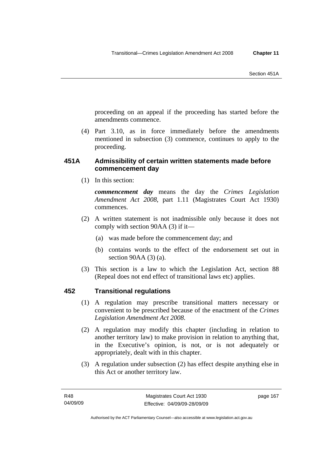proceeding on an appeal if the proceeding has started before the amendments commence.

 (4) Part 3.10, as in force immediately before the amendments mentioned in subsection (3) commence, continues to apply to the proceeding.

# **451A Admissibility of certain written statements made before commencement day**

(1) In this section:

*commencement day* means the day the *Crimes Legislation Amendment Act 2008*, part 1.11 (Magistrates Court Act 1930) commences.

- (2) A written statement is not inadmissible only because it does not comply with section 90AA (3) if it—
	- (a) was made before the commencement day; and
	- (b) contains words to the effect of the endorsement set out in section 90AA (3) (a).
- (3) This section is a law to which the Legislation Act, section 88 (Repeal does not end effect of transitional laws etc) applies.

# **452 Transitional regulations**

- (1) A regulation may prescribe transitional matters necessary or convenient to be prescribed because of the enactment of the *Crimes Legislation Amendment Act 2008*.
- (2) A regulation may modify this chapter (including in relation to another territory law) to make provision in relation to anything that, in the Executive's opinion, is not, or is not adequately or appropriately, dealt with in this chapter.
- (3) A regulation under subsection (2) has effect despite anything else in this Act or another territory law.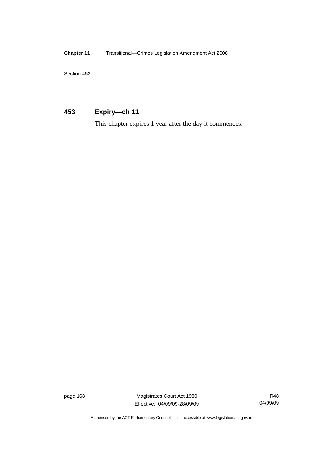**Chapter 11** Transitional—Crimes Legislation Amendment Act 2008

Section 453

# **453 Expiry—ch 11**

This chapter expires 1 year after the day it commences.

page 168 Magistrates Court Act 1930 Effective: 04/09/09-28/09/09

R48 04/09/09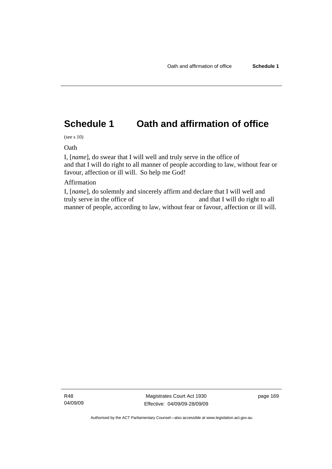# **Schedule 1 Oath and affirmation of office**

(see s 10)

Oath

I, [*name*], do swear that I will well and truly serve in the office of and that I will do right to all manner of people according to law, without fear or favour, affection or ill will. So help me God!

# Affirmation

I, [*name*], do solemnly and sincerely affirm and declare that I will well and truly serve in the office of and that I will do right to all manner of people, according to law, without fear or favour, affection or ill will.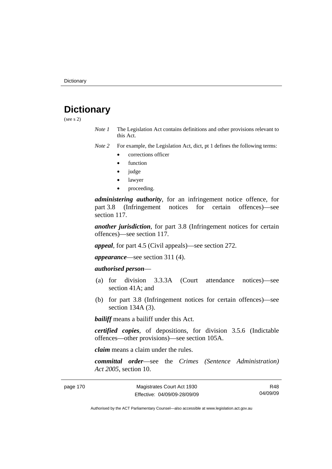# **Dictionary**

(see s 2)

*Note 1* The Legislation Act contains definitions and other provisions relevant to this Act.

*Note 2* For example, the Legislation Act, dict, pt 1 defines the following terms:

- corrections officer
- **function**
- judge
- lawyer
- proceeding.

*administering authority*, for an infringement notice offence, for part 3.8 (Infringement notices for certain offences)—see section 117.

*another jurisdiction*, for part 3.8 (Infringement notices for certain offences)—see section 117.

*appeal*, for part 4.5 (Civil appeals)—see section 272.

*appearance*—see section 311 (4).

# *authorised person*—

- (a) for division 3.3.3A (Court attendance notices)—see section 41A; and
- (b) for part 3.8 (Infringement notices for certain offences)—see section 134A (3).

*bailiff* means a bailiff under this Act.

*certified copies*, of depositions, for division 3.5.6 (Indictable offences—other provisions)—see section 105A.

*claim* means a claim under the rules.

*committal order*—see the *Crimes (Sentence Administration) Act 2005*, section 10.

page 170 Magistrates Court Act 1930 Effective: 04/09/09-28/09/09

R48 04/09/09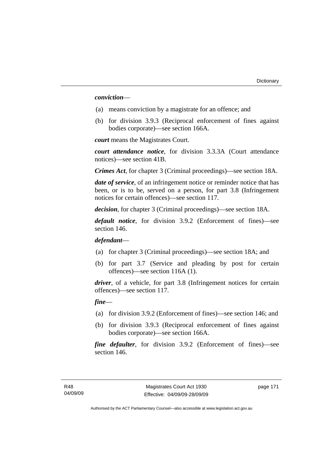#### *conviction*—

- (a) means conviction by a magistrate for an offence; and
- (b) for division 3.9.3 (Reciprocal enforcement of fines against bodies corporate)—see section 166A.

*court* means the Magistrates Court.

*court attendance notice*, for division 3.3.3A (Court attendance notices)—see section 41B.

*Crimes Act*, for chapter 3 (Criminal proceedings)—see section 18A.

*date of service*, of an infringement notice or reminder notice that has been, or is to be, served on a person, for part 3.8 (Infringement notices for certain offences)—see section 117.

*decision*, for chapter 3 (Criminal proceedings)—see section 18A.

*default notice*, for division 3.9.2 (Enforcement of fines)—see section 146.

*defendant*—

- (a) for chapter 3 (Criminal proceedings)—see section 18A; and
- (b) for part 3.7 (Service and pleading by post for certain offences)—see section 116A (1).

*driver*, of a vehicle, for part 3.8 (Infringement notices for certain offences)—see section 117.

# *fine*—

- (a) for division 3.9.2 (Enforcement of fines)—see section 146; and
- (b) for division 3.9.3 (Reciprocal enforcement of fines against bodies corporate)—see section 166A.

*fine defaulter*, for division 3.9.2 (Enforcement of fines)—see section 146.

page 171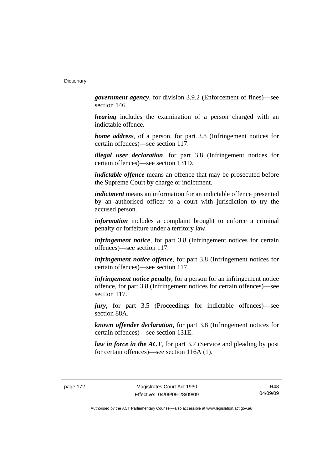*government agency*, for division 3.9.2 (Enforcement of fines)—see section 146.

*hearing* includes the examination of a person charged with an indictable offence.

*home address*, of a person, for part 3.8 (Infringement notices for certain offences)—see section 117.

*illegal user declaration*, for part 3.8 (Infringement notices for certain offences)—see section 131D.

*indictable offence* means an offence that may be prosecuted before the Supreme Court by charge or indictment.

*indictment* means an information for an indictable offence presented by an authorised officer to a court with jurisdiction to try the accused person.

*information* includes a complaint brought to enforce a criminal penalty or forfeiture under a territory law.

*infringement notice*, for part 3.8 (Infringement notices for certain offences)—see section 117.

*infringement notice offence*, for part 3.8 (Infringement notices for certain offences)—see section 117.

*infringement notice penalty*, for a person for an infringement notice offence, for part 3.8 (Infringement notices for certain offences)—see section 117.

*jury*, for part 3.5 (Proceedings for indictable offences)—see section 88A.

*known offender declaration*, for part 3.8 (Infringement notices for certain offences)—see section 131E.

*law in force in the ACT*, for part 3.7 (Service and pleading by post for certain offences)—see section 116A (1).

R48 04/09/09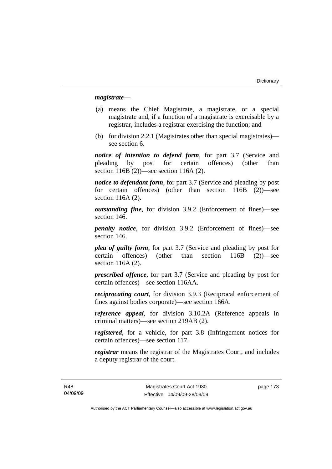### *magistrate*—

- (a) means the Chief Magistrate, a magistrate, or a special magistrate and, if a function of a magistrate is exercisable by a registrar, includes a registrar exercising the function; and
- (b) for division 2.2.1 (Magistrates other than special magistrates) see section 6.

*notice of intention to defend form*, for part 3.7 (Service and pleading by post for certain offences) (other than section 116B (2))—see section 116A (2).

*notice to defendant form*, for part 3.7 (Service and pleading by post for certain offences) (other than section 116B (2))—see section 116A (2).

*outstanding fine*, for division 3.9.2 (Enforcement of fines)—see section 146.

*penalty notice*, for division 3.9.2 (Enforcement of fines)—see section 146.

*plea of guilty form*, for part 3.7 (Service and pleading by post for certain offences) (other than section 116B (2))—see section 116A (2).

*prescribed offence*, for part 3.7 (Service and pleading by post for certain offences)—see section 116AA.

*reciprocating court*, for division 3.9.3 (Reciprocal enforcement of fines against bodies corporate)—see section 166A.

*reference appeal*, for division 3.10.2A (Reference appeals in criminal matters)—see section 219AB (2).

*registered*, for a vehicle, for part 3.8 (Infringement notices for certain offences)—see section 117.

*registrar* means the registrar of the Magistrates Court, and includes a deputy registrar of the court.

R48 04/09/09 page 173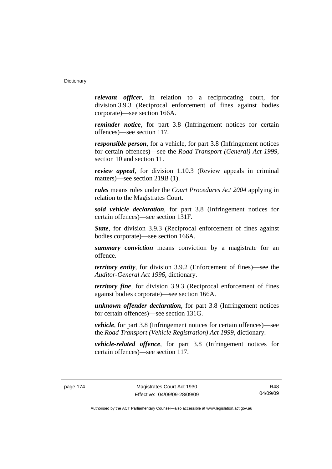*relevant officer*, in relation to a reciprocating court, for division 3.9.3 (Reciprocal enforcement of fines against bodies corporate)—see section 166A.

*reminder notice*, for part 3.8 (Infringement notices for certain offences)—see section 117.

*responsible person*, for a vehicle, for part 3.8 (Infringement notices for certain offences)—see the *Road Transport (General) Act 1999*, section 10 and section 11.

*review appeal*, for division 1.10.3 (Review appeals in criminal matters)—see section 219B (1).

*rules* means rules under the *Court Procedures Act 2004* applying in relation to the Magistrates Court.

*sold vehicle declaration*, for part 3.8 (Infringement notices for certain offences)—see section 131F.

*State*, for division 3.9.3 (Reciprocal enforcement of fines against bodies corporate)—see section 166A.

*summary conviction* means conviction by a magistrate for an offence.

*territory entity*, for division 3.9.2 (Enforcement of fines)—see the *Auditor-General Act 1996*, dictionary.

*territory fine*, for division 3.9.3 (Reciprocal enforcement of fines against bodies corporate)—see section 166A.

*unknown offender declaration*, for part 3.8 (Infringement notices for certain offences)—see section 131G.

*vehicle*, for part 3.8 (Infringement notices for certain offences)—see the *Road Transport (Vehicle Registration) Act 1999*, dictionary.

*vehicle-related offence*, for part 3.8 (Infringement notices for certain offences)—see section 117.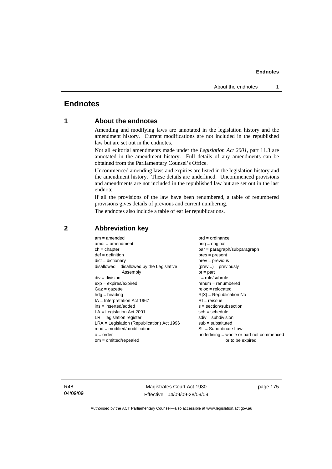# **Endnotes**

# **1 About the endnotes**

Amending and modifying laws are annotated in the legislation history and the amendment history. Current modifications are not included in the republished law but are set out in the endnotes.

Not all editorial amendments made under the *Legislation Act 2001*, part 11.3 are annotated in the amendment history. Full details of any amendments can be obtained from the Parliamentary Counsel's Office.

Uncommenced amending laws and expiries are listed in the legislation history and the amendment history. These details are underlined. Uncommenced provisions and amendments are not included in the republished law but are set out in the last endnote.

If all the provisions of the law have been renumbered, a table of renumbered provisions gives details of previous and current numbering.

The endnotes also include a table of earlier republications.

| $am = amended$                               | $ord = ordinance$                         |
|----------------------------------------------|-------------------------------------------|
| $amdt = amendment$                           | $orig = original$                         |
| $ch = chapter$                               | $par = paragraph/subparagraph$            |
| $def = definition$                           | $pres = present$                          |
| $dict = dictionary$                          | $prev = previous$                         |
| disallowed = disallowed by the Legislative   | $(\text{prev}) = \text{previously}$       |
| Assembly                                     | $pt = part$                               |
| $div = division$                             | $r = rule/subrule$                        |
| $exp = expires/expired$                      | $renum = renumbered$                      |
| $Gaz = gazette$                              | $reloc = relocated$                       |
| $hdg =$ heading                              | $R[X]$ = Republication No                 |
| $IA = Interpretation Act 1967$               | $RI = reissue$                            |
| $ins = inserted/added$                       | $s = section/subsection$                  |
| $LA =$ Legislation Act 2001                  | $sch = schedule$                          |
| $LR =$ legislation register                  | $sdiv = subdivision$                      |
| $LRA =$ Legislation (Republication) Act 1996 | $sub =$ substituted                       |
| $mod = modified/modification$                | SL = Subordinate Law                      |
| $o = order$                                  | underlining = whole or part not commenced |
| $om = omitted/repealed$                      | or to be expired                          |
|                                              |                                           |

# **2 Abbreviation key**

R48 04/09/09

Magistrates Court Act 1930 Effective: 04/09/09-28/09/09 page 175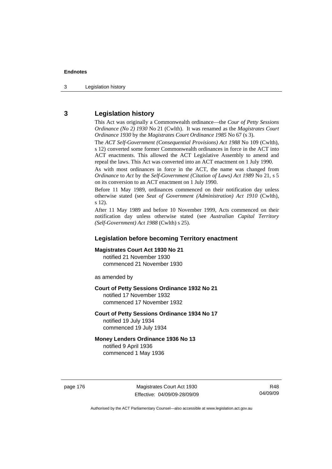3 Legislation history

# **3 Legislation history**

This Act was originally a Commonwealth ordinance—the *Cour of Petty Sessions Ordinance (No 2) 1930* No 21 (Cwlth). It was renamed as the *Magistrates Court Ordinance 1930* by the *Magistrates Court Ordinance 1985* No 67 (s 3).

The *ACT Self-Government (Consequential Provisions) Act 1988* No 109 (Cwlth), s 12) converted some former Commonwealth ordinances in force in the ACT into ACT enactments. This allowed the ACT Legislative Assembly to amend and repeal the laws. This Act was converted into an ACT enactment on 1 July 1990.

As with most ordinances in force in the ACT, the name was changed from *Ordinance* to *Act* by the *Self-Government (Citation of Laws) Act 1989* No 21, s 5 on its conversion to an ACT enactment on 1 July 1990.

Before 11 May 1989, ordinances commenced on their notification day unless otherwise stated (see *Seat of Government (Administration) Act 1910* (Cwlth), s 12).

After 11 May 1989 and before 10 November 1999, Acts commenced on their notification day unless otherwise stated (see *Australian Capital Territory (Self-Government) Act 1988* (Cwlth) s 25).

# **Legislation before becoming Territory enactment**

# **Magistrates Court Act 1930 No 21**

notified 21 November 1930 commenced 21 November 1930

as amended by

#### **Court of Petty Sessions Ordinance 1932 No 21**

notified 17 November 1932 commenced 17 November 1932

#### **Court of Petty Sessions Ordinance 1934 No 17**

notified 19 July 1934 commenced 19 July 1934

#### **Money Lenders Ordinance 1936 No 13**  notified 9 April 1936

commenced 1 May 1936

page 176 Magistrates Court Act 1930 Effective: 04/09/09-28/09/09

R48 04/09/09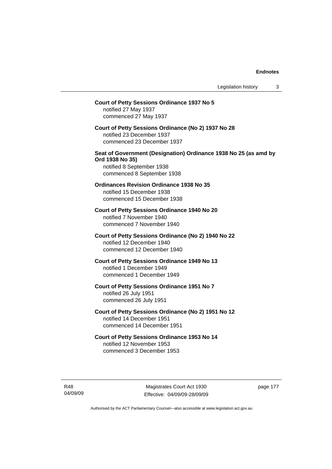# **Court of Petty Sessions Ordinance 1937 No 5**  notified 27 May 1937 commenced 27 May 1937 **Court of Petty Sessions Ordinance (No 2) 1937 No 28**  notified 23 December 1937 commenced 23 December 1937 **Seat of Government (Designation) Ordinance 1938 No 25 (as amd by Ord 1938 No 35)**  notified 8 September 1938 commenced 8 September 1938 **Ordinances Revision Ordinance 1938 No 35**  notified 15 December 1938 commenced 15 December 1938 **Court of Petty Sessions Ordinance 1940 No 20**  notified 7 November 1940 commenced 7 November 1940 **Court of Petty Sessions Ordinance (No 2) 1940 No 22**  notified 12 December 1940 commenced 12 December 1940 **Court of Petty Sessions Ordinance 1949 No 13**  notified 1 December 1949 commenced 1 December 1949 **Court of Petty Sessions Ordinance 1951 No 7**  notified 26 July 1951 commenced 26 July 1951 **Court of Petty Sessions Ordinance (No 2) 1951 No 12**  notified 14 December 1951 commenced 14 December 1951 **Court of Petty Sessions Ordinance 1953 No 14**  notified 12 November 1953 commenced 3 December 1953

R48 04/09/09

Magistrates Court Act 1930 Effective: 04/09/09-28/09/09 page 177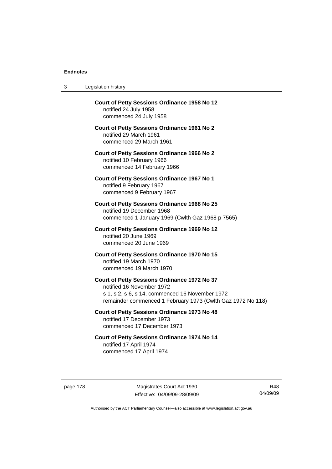| 3 | Legislation history                                                                                                                                                                         |
|---|---------------------------------------------------------------------------------------------------------------------------------------------------------------------------------------------|
|   | <b>Court of Petty Sessions Ordinance 1958 No 12</b><br>notified 24 July 1958<br>commenced 24 July 1958                                                                                      |
|   | <b>Court of Petty Sessions Ordinance 1961 No 2</b><br>notified 29 March 1961<br>commenced 29 March 1961                                                                                     |
|   | <b>Court of Petty Sessions Ordinance 1966 No 2</b><br>notified 10 February 1966<br>commenced 14 February 1966                                                                               |
|   | Court of Petty Sessions Ordinance 1967 No 1<br>notified 9 February 1967<br>commenced 9 February 1967                                                                                        |
|   | Court of Petty Sessions Ordinance 1968 No 25<br>notified 19 December 1968<br>commenced 1 January 1969 (Cwlth Gaz 1968 p 7565)                                                               |
|   | Court of Petty Sessions Ordinance 1969 No 12<br>notified 20 June 1969<br>commenced 20 June 1969                                                                                             |
|   | Court of Petty Sessions Ordinance 1970 No 15<br>notified 19 March 1970<br>commenced 19 March 1970                                                                                           |
|   | Court of Petty Sessions Ordinance 1972 No 37<br>notified 16 November 1972<br>s 1, s 2, s 6, s 14, commenced 16 November 1972<br>remainder commenced 1 February 1973 (Cwlth Gaz 1972 No 118) |
|   | Court of Petty Sessions Ordinance 1973 No 48<br>notified 17 December 1973<br>commenced 17 December 1973                                                                                     |
|   | Court of Petty Sessions Ordinance 1974 No 14<br>notified 17 April 1974<br>commenced 17 April 1974                                                                                           |

page 178 Magistrates Court Act 1930 Effective: 04/09/09-28/09/09

R48 04/09/09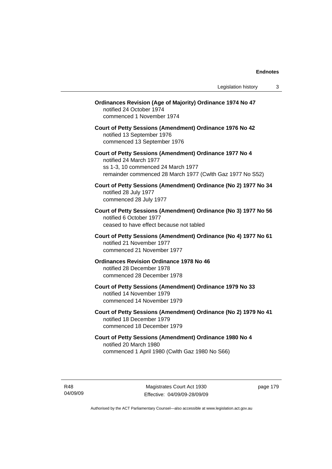| <b>Ordinances Revision (Age of Majority) Ordinance 1974 No 47</b><br>notified 24 October 1974<br>commenced 1 November 1974                                                           |
|--------------------------------------------------------------------------------------------------------------------------------------------------------------------------------------|
| Court of Petty Sessions (Amendment) Ordinance 1976 No 42<br>notified 13 September 1976<br>commenced 13 September 1976                                                                |
| Court of Petty Sessions (Amendment) Ordinance 1977 No 4<br>notified 24 March 1977<br>ss 1-3, 10 commenced 24 March 1977<br>remainder commenced 28 March 1977 (Cwlth Gaz 1977 No S52) |
| Court of Petty Sessions (Amendment) Ordinance (No 2) 1977 No 34<br>notified 28 July 1977<br>commenced 28 July 1977                                                                   |
| Court of Petty Sessions (Amendment) Ordinance (No 3) 1977 No 56<br>notified 6 October 1977<br>ceased to have effect because not tabled                                               |
| Court of Petty Sessions (Amendment) Ordinance (No 4) 1977 No 61<br>notified 21 November 1977<br>commenced 21 November 1977                                                           |
| <b>Ordinances Revision Ordinance 1978 No 46</b><br>notified 28 December 1978<br>commenced 28 December 1978                                                                           |
| Court of Petty Sessions (Amendment) Ordinance 1979 No 33<br>notified 14 November 1979<br>commenced 14 November 1979                                                                  |
| Court of Petty Sessions (Amendment) Ordinance (No 2) 1979 No 41<br>notified 18 December 1979<br>commenced 18 December 1979                                                           |
| Court of Petty Sessions (Amendment) Ordinance 1980 No 4<br>notified 20 March 1980<br>commenced 1 April 1980 (Cwlth Gaz 1980 No S66)                                                  |

R48 04/09/09

Magistrates Court Act 1930 Effective: 04/09/09-28/09/09 page 179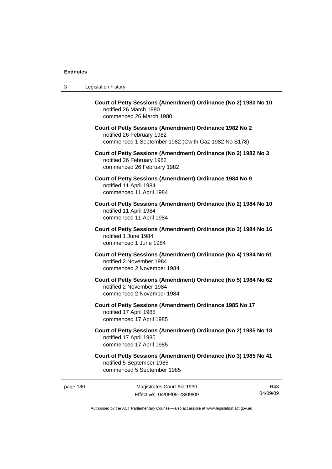| 3 | Legislation history                                                                                                                         |
|---|---------------------------------------------------------------------------------------------------------------------------------------------|
|   | Court of Petty Sessions (Amendment) Ordinance (No 2) 1980 No 10<br>notified 26 March 1980<br>commenced 26 March 1980                        |
|   | Court of Petty Sessions (Amendment) Ordinance 1982 No 2<br>notified 26 February 1982<br>commenced 1 September 1982 (Cwlth Gaz 1982 No S178) |
|   | Court of Petty Sessions (Amendment) Ordinance (No 2) 1982 No 3<br>notified 26 February 1982<br>commenced 26 February 1982                   |
|   | Court of Petty Sessions (Amendment) Ordinance 1984 No 9<br>notified 11 April 1984<br>commenced 11 April 1984                                |
|   | Court of Petty Sessions (Amendment) Ordinance (No 2) 1984 No 10<br>notified 11 April 1984<br>commenced 11 April 1984                        |
|   | Court of Petty Sessions (Amendment) Ordinance (No 3) 1984 No 16<br>notified 1 June 1984<br>commenced 1 June 1984                            |
|   | Court of Petty Sessions (Amendment) Ordinance (No 4) 1984 No 61<br>notified 2 November 1984<br>commenced 2 November 1984                    |
|   | Court of Petty Sessions (Amendment) Ordinance (No 5) 1984 No 62<br>notified 2 November 1984<br>commenced 2 November 1984                    |
|   | Court of Petty Sessions (Amendment) Ordinance 1985 No 17<br>notified 17 April 1985<br>commenced 17 April 1985                               |
|   | Court of Petty Sessions (Amendment) Ordinance (No 2) 1985 No 18<br>notified 17 April 1985<br>commenced 17 April 1985                        |
|   | Court of Petty Sessions (Amendment) Ordinance (No 3) 1985 No 41<br>notified 5 September 1985<br>commenced 5 September 1985                  |

page 180 Magistrates Court Act 1930 Effective: 04/09/09-28/09/09

R48 04/09/09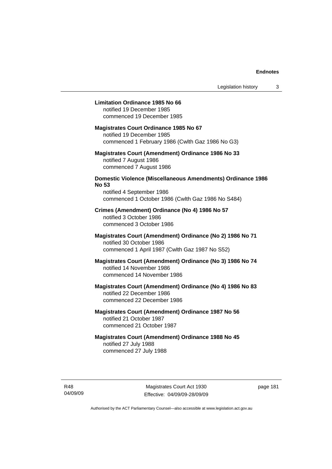## **Limitation Ordinance 1985 No 66**

notified 19 December 1985 commenced 19 December 1985

#### **Magistrates Court Ordinance 1985 No 67**

notified 19 December 1985 commenced 1 February 1986 (Cwlth Gaz 1986 No G3)

# **Magistrates Court (Amendment) Ordinance 1986 No 33**  notified 7 August 1986 commenced 7 August 1986

# **Domestic Violence (Miscellaneous Amendments) Ordinance 1986 No 53**

notified 4 September 1986 commenced 1 October 1986 (Cwlth Gaz 1986 No S484)

# **Crimes (Amendment) Ordinance (No 4) 1986 No 57**  notified 3 October 1986 commenced 3 October 1986

# **Magistrates Court (Amendment) Ordinance (No 2) 1986 No 71**  notified 30 October 1986 commenced 1 April 1987 (Cwlth Gaz 1987 No S52)

# **Magistrates Court (Amendment) Ordinance (No 3) 1986 No 74**  notified 14 November 1986 commenced 14 November 1986

# **Magistrates Court (Amendment) Ordinance (No 4) 1986 No 83**  notified 22 December 1986 commenced 22 December 1986

# **Magistrates Court (Amendment) Ordinance 1987 No 56**  notified 21 October 1987 commenced 21 October 1987

# **Magistrates Court (Amendment) Ordinance 1988 No 45**  notified 27 July 1988 commenced 27 July 1988

R48 04/09/09 page 181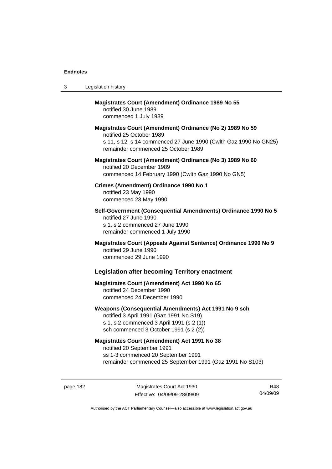| 3 | Legislation history                                                                                                                                                                              |
|---|--------------------------------------------------------------------------------------------------------------------------------------------------------------------------------------------------|
|   | <b>Magistrates Court (Amendment) Ordinance 1989 No 55</b><br>notified 30 June 1989<br>commenced 1 July 1989                                                                                      |
|   | Magistrates Court (Amendment) Ordinance (No 2) 1989 No 59<br>notified 25 October 1989<br>s 11, s 12, s 14 commenced 27 June 1990 (Cwlth Gaz 1990 No GN25)<br>remainder commenced 25 October 1989 |
|   | Magistrates Court (Amendment) Ordinance (No 3) 1989 No 60<br>notified 20 December 1989<br>commenced 14 February 1990 (Cwlth Gaz 1990 No GN5)                                                     |
|   | Crimes (Amendment) Ordinance 1990 No 1<br>notified 23 May 1990<br>commenced 23 May 1990                                                                                                          |
|   | Self-Government (Consequential Amendments) Ordinance 1990 No 5<br>notified 27 June 1990<br>s 1, s 2 commenced 27 June 1990<br>remainder commenced 1 July 1990                                    |
|   | Magistrates Court (Appeals Against Sentence) Ordinance 1990 No 9<br>notified 29 June 1990<br>commenced 29 June 1990                                                                              |
|   | <b>Legislation after becoming Territory enactment</b>                                                                                                                                            |
|   | <b>Magistrates Court (Amendment) Act 1990 No 65</b><br>notified 24 December 1990<br>commenced 24 December 1990                                                                                   |
|   | Weapons (Consequential Amendments) Act 1991 No 9 sch<br>notified 3 April 1991 (Gaz 1991 No S19)<br>s 1, s 2 commenced 3 April 1991 (s 2 (1))<br>sch commenced 3 October 1991 (s 2 (2))           |
|   | <b>Magistrates Court (Amendment) Act 1991 No 38</b><br>notified 20 September 1991<br>ss 1-3 commenced 20 September 1991<br>remainder commenced 25 September 1991 (Gaz 1991 No S103)              |

page 182 Magistrates Court Act 1930 Effective: 04/09/09-28/09/09

R48 04/09/09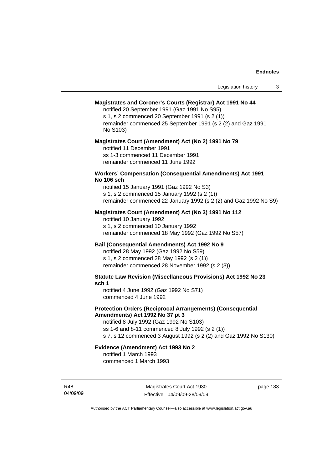# **Magistrates and Coroner's Courts (Registrar) Act 1991 No 44**

notified 20 September 1991 (Gaz 1991 No S95) s 1, s 2 commenced 20 September 1991 (s 2 (1))

remainder commenced 25 September 1991 (s 2 (2) and Gaz 1991 No S103)

#### **Magistrates Court (Amendment) Act (No 2) 1991 No 79**

notified 11 December 1991 ss 1-3 commenced 11 December 1991 remainder commenced 11 June 1992

### **Workers' Compensation (Consequential Amendments) Act 1991 No 106 sch**

notified 15 January 1991 (Gaz 1992 No S3) s 1, s 2 commenced 15 January 1992 (s 2 (1)) remainder commenced 22 January 1992 (s 2 (2) and Gaz 1992 No S9)

# **Magistrates Court (Amendment) Act (No 3) 1991 No 112**

notified 10 January 1992 s 1, s 2 commenced 10 January 1992 remainder commenced 18 May 1992 (Gaz 1992 No S57)

# **Bail (Consequential Amendments) Act 1992 No 9**

notified 28 May 1992 (Gaz 1992 No S59) s 1, s 2 commenced 28 May 1992 (s 2 (1)) remainder commenced 28 November 1992 (s 2 (3))

**Statute Law Revision (Miscellaneous Provisions) Act 1992 No 23 sch 1** 

notified 4 June 1992 (Gaz 1992 No S71) commenced 4 June 1992

# **Protection Orders (Reciprocal Arrangements) (Consequential Amendments) Act 1992 No 37 pt 3**

notified 8 July 1992 (Gaz 1992 No S103) ss 1-6 and 8-11 commenced 8 July 1992 (s 2 (1)) s 7, s 12 commenced 3 August 1992 (s 2 (2) and Gaz 1992 No S130)

# **Evidence (Amendment) Act 1993 No 2**

notified 1 March 1993 commenced 1 March 1993

R48 04/09/09

Magistrates Court Act 1930 Effective: 04/09/09-28/09/09 page 183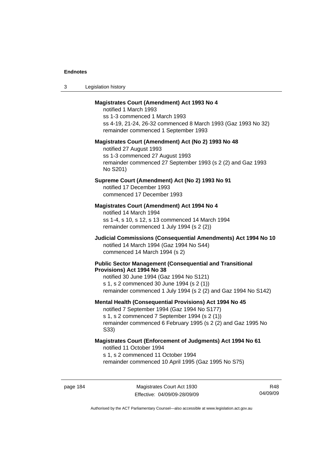| -3 | Legislation history |  |
|----|---------------------|--|
|----|---------------------|--|

### **Magistrates Court (Amendment) Act 1993 No 4**

notified 1 March 1993 ss 1-3 commenced 1 March 1993 ss 4-19, 21-24, 26-32 commenced 8 March 1993 (Gaz 1993 No 32) remainder commenced 1 September 1993

#### **Magistrates Court (Amendment) Act (No 2) 1993 No 48**

notified 27 August 1993 ss 1-3 commenced 27 August 1993 remainder commenced 27 September 1993 (s 2 (2) and Gaz 1993 No S201)

# **Supreme Court (Amendment) Act (No 2) 1993 No 91**

notified 17 December 1993 commenced 17 December 1993

### **Magistrates Court (Amendment) Act 1994 No 4**

notified 14 March 1994 ss 1-4, s 10, s 12, s 13 commenced 14 March 1994 remainder commenced 1 July 1994 (s 2 (2))

# **Judicial Commissions (Consequential Amendments) Act 1994 No 10**  notified 14 March 1994 (Gaz 1994 No S44) commenced 14 March 1994 (s 2)

#### **Public Sector Management (Consequential and Transitional Provisions) Act 1994 No 38**

notified 30 June 1994 (Gaz 1994 No S121) s 1, s 2 commenced 30 June 1994 (s 2 (1)) remainder commenced 1 July 1994 (s 2 (2) and Gaz 1994 No S142)

#### **Mental Health (Consequential Provisions) Act 1994 No 45**

notified 7 September 1994 (Gaz 1994 No S177) s 1, s 2 commenced 7 September 1994 (s 2 (1)) remainder commenced 6 February 1995 (s 2 (2) and Gaz 1995 No S33)

### **Magistrates Court (Enforcement of Judgments) Act 1994 No 61**  notified 11 October 1994

s 1, s 2 commenced 11 October 1994

remainder commenced 10 April 1995 (Gaz 1995 No S75)

page 184 Magistrates Court Act 1930 Effective: 04/09/09-28/09/09

R48 04/09/09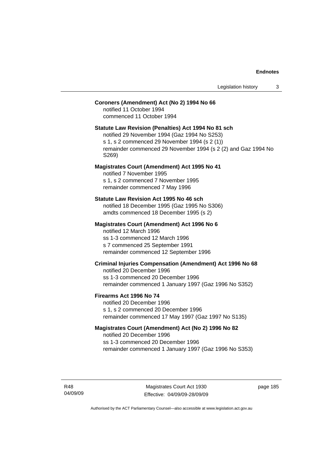# **Coroners (Amendment) Act (No 2) 1994 No 66**

notified 11 October 1994 commenced 11 October 1994

#### **Statute Law Revision (Penalties) Act 1994 No 81 sch**

notified 29 November 1994 (Gaz 1994 No S253) s 1, s 2 commenced 29 November 1994 (s 2 (1)) remainder commenced 29 November 1994 (s 2 (2) and Gaz 1994 No S269)

#### **Magistrates Court (Amendment) Act 1995 No 41**

notified 7 November 1995 s 1, s 2 commenced 7 November 1995 remainder commenced 7 May 1996

#### **Statute Law Revision Act 1995 No 46 sch**

notified 18 December 1995 (Gaz 1995 No S306) amdts commenced 18 December 1995 (s 2)

# **Magistrates Court (Amendment) Act 1996 No 6**

notified 12 March 1996 ss 1-3 commenced 12 March 1996 s 7 commenced 25 September 1991 remainder commenced 12 September 1996

# **Criminal Injuries Compensation (Amendment) Act 1996 No 68**

notified 20 December 1996 ss 1-3 commenced 20 December 1996 remainder commenced 1 January 1997 (Gaz 1996 No S352)

#### **Firearms Act 1996 No 74**

notified 20 December 1996 s 1, s 2 commenced 20 December 1996 remainder commenced 17 May 1997 (Gaz 1997 No S135)

# **Magistrates Court (Amendment) Act (No 2) 1996 No 82**

notified 20 December 1996 ss 1-3 commenced 20 December 1996 remainder commenced 1 January 1997 (Gaz 1996 No S353)

R48 04/09/09

Magistrates Court Act 1930 Effective: 04/09/09-28/09/09 page 185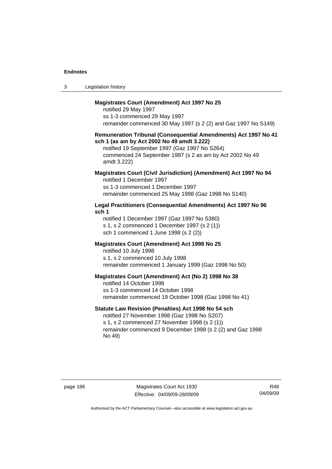| Legislation history<br>-3 |  |
|---------------------------|--|
|---------------------------|--|

# **Magistrates Court (Amendment) Act 1997 No 25**

notified 29 May 1997 ss 1-3 commenced 29 May 1997 remainder commenced 30 May 1997 (s 2 (2) and Gaz 1997 No S149)

#### **Remuneration Tribunal (Consequential Amendments) Act 1997 No 41 sch 1 (as am by Act 2002 No 49 amdt 3.222)**

notified 19 September 1997 (Gaz 1997 No S264) commenced 24 September 1997 (s 2 as am by Act 2002 No 49 amdt 3.222)

# **Magistrates Court (Civil Jurisdiction) (Amendment) Act 1997 No 94**

notified 1 December 1997 ss 1-3 commenced 1 December 1997 remainder commenced 25 May 1998 (Gaz 1998 No S140)

# **Legal Practitioners (Consequential Amendments) Act 1997 No 96 sch 1**

notified 1 December 1997 (Gaz 1997 No S380) s 1, s 2 commenced 1 December 1997 (s 2 (1)) sch 1 commenced 1 June 1998 (s 2 (2))

# **Magistrates Court (Amendment) Act 1998 No 25**

notified 10 July 1998 s 1, s 2 commenced 10 July 1998 remainder commenced 1 January 1999 (Gaz 1998 No 50)

#### **Magistrates Court (Amendment) Act (No 2) 1998 No 38**

notified 14 October 1998 ss 1-3 commenced 14 October 1998 remainder commenced 19 October 1998 (Gaz 1998 No 41)

# **Statute Law Revision (Penalties) Act 1998 No 54 sch**

notified 27 November 1998 (Gaz 1998 No S207) s 1, s 2 commenced 27 November 1998 (s 2 (1)) remainder commenced 9 December 1998 (s 2 (2) and Gaz 1998 No 49)

page 186 Magistrates Court Act 1930 Effective: 04/09/09-28/09/09

R48 04/09/09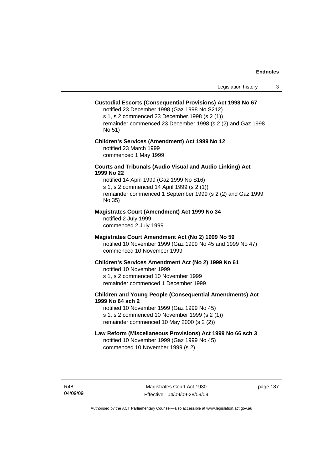### **Custodial Escorts (Consequential Provisions) Act 1998 No 67**

notified 23 December 1998 (Gaz 1998 No S212) s 1, s 2 commenced 23 December 1998 (s 2 (1)) remainder commenced 23 December 1998 (s 2 (2) and Gaz 1998 No 51)

# **Children's Services (Amendment) Act 1999 No 12**  notified 23 March 1999 commenced 1 May 1999

### **Courts and Tribunals (Audio Visual and Audio Linking) Act 1999 No 22**

notified 14 April 1999 (Gaz 1999 No S16) s 1, s 2 commenced 14 April 1999 (s 2 (1)) remainder commenced 1 September 1999 (s 2 (2) and Gaz 1999 No 35)

### **Magistrates Court (Amendment) Act 1999 No 34**

notified 2 July 1999 commenced 2 July 1999

#### **Magistrates Court Amendment Act (No 2) 1999 No 59**

notified 10 November 1999 (Gaz 1999 No 45 and 1999 No 47) commenced 10 November 1999

#### **Children's Services Amendment Act (No 2) 1999 No 61**

notified 10 November 1999 s 1, s 2 commenced 10 November 1999 remainder commenced 1 December 1999

# **Children and Young People (Consequential Amendments) Act 1999 No 64 sch 2**

notified 10 November 1999 (Gaz 1999 No 45) s 1, s 2 commenced 10 November 1999 (s 2 (1)) remainder commenced 10 May 2000 (s 2 (2))

#### **Law Reform (Miscellaneous Provisions) Act 1999 No 66 sch 3**

notified 10 November 1999 (Gaz 1999 No 45) commenced 10 November 1999 (s 2)

R48 04/09/09 page 187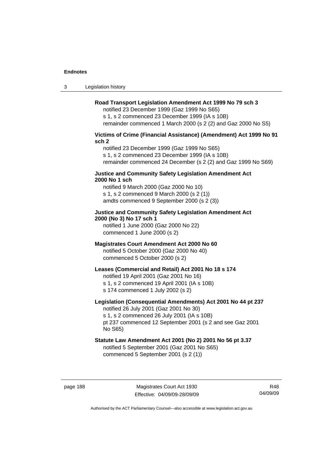3 Legislation history

# **Road Transport Legislation Amendment Act 1999 No 79 sch 3**

notified 23 December 1999 (Gaz 1999 No S65) s 1, s 2 commenced 23 December 1999 (IA s 10B) remainder commenced 1 March 2000 (s 2 (2) and Gaz 2000 No S5)

# **Victims of Crime (Financial Assistance) (Amendment) Act 1999 No 91 sch 2**

notified 23 December 1999 (Gaz 1999 No S65) s 1, s 2 commenced 23 December 1999 (IA s 10B) remainder commenced 24 December (s 2 (2) and Gaz 1999 No S69)

### **Justice and Community Safety Legislation Amendment Act 2000 No 1 sch**

notified 9 March 2000 (Gaz 2000 No 10) s 1, s 2 commenced 9 March 2000 (s 2 (1)) amdts commenced 9 September 2000 (s 2 (3))

# **Justice and Community Safety Legislation Amendment Act 2000 (No 3) No 17 sch 1**

notified 1 June 2000 (Gaz 2000 No 22) commenced 1 June 2000 (s 2)

# **Magistrates Court Amendment Act 2000 No 60**

notified 5 October 2000 (Gaz 2000 No 40) commenced 5 October 2000 (s 2)

# **Leases (Commercial and Retail) Act 2001 No 18 s 174**

notified 19 April 2001 (Gaz 2001 No 16)

s 1, s 2 commenced 19 April 2001 (IA s 10B)

s 174 commenced 1 July 2002 (s 2)

# **Legislation (Consequential Amendments) Act 2001 No 44 pt 237**

notified 26 July 2001 (Gaz 2001 No 30) s 1, s 2 commenced 26 July 2001 (IA s 10B) pt 237 commenced 12 September 2001 (s 2 and see Gaz 2001 No S65)

# **Statute Law Amendment Act 2001 (No 2) 2001 No 56 pt 3.37**  notified 5 September 2001 (Gaz 2001 No S65)

commenced 5 September 2001 (s 2 (1))

R48 04/09/09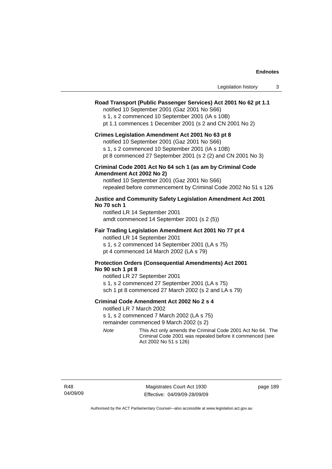| Legislation history |  |
|---------------------|--|
|---------------------|--|

# **Road Transport (Public Passenger Services) Act 2001 No 62 pt 1.1**

notified 10 September 2001 (Gaz 2001 No S66)

s 1, s 2 commenced 10 September 2001 (IA s 10B)

pt 1.1 commences 1 December 2001 (s 2 and CN 2001 No 2)

#### **Crimes Legislation Amendment Act 2001 No 63 pt 8**

notified 10 September 2001 (Gaz 2001 No S66)

s 1, s 2 commenced 10 September 2001 (IA s 10B)

pt 8 commenced 27 September 2001 (s 2 (2) and CN 2001 No 3)

## **Criminal Code 2001 Act No 64 sch 1 (as am by Criminal Code Amendment Act 2002 No 2)**

notified 10 September 2001 (Gaz 2001 No S66) repealed before commencement by Criminal Code 2002 No 51 s 126

### **Justice and Community Safety Legislation Amendment Act 2001 No 70 sch 1**

notified LR 14 September 2001 amdt commenced 14 September 2001 (s 2 (5))

### **Fair Trading Legislation Amendment Act 2001 No 77 pt 4**

notified LR 14 September 2001 s 1, s 2 commenced 14 September 2001 (LA s 75) pt 4 commenced 14 March 2002 (LA s 79)

# **Protection Orders (Consequential Amendments) Act 2001 No 90 sch 1 pt 8**

notified LR 27 September 2001 s 1, s 2 commenced 27 September 2001 (LA s 75) sch 1 pt 8 commenced 27 March 2002 (s 2 and LA s 79)

#### **Criminal Code Amendment Act 2002 No 2 s 4**

notified LR 7 March 2002

s 1, s 2 commenced 7 March 2002 (LA s 75)

remainder commenced 9 March 2002 (s 2)

*Note* This Act only amends the Criminal Code 2001 Act No 64. The Criminal Code 2001 was repealed before it commenced (see Act 2002 No 51 s 126)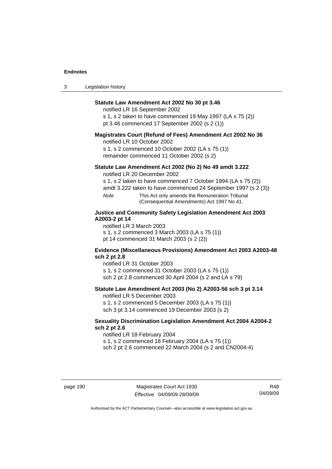| $\sqrt{2}$<br>- 3 | Legislation history |
|-------------------|---------------------|
|-------------------|---------------------|

# **Statute Law Amendment Act 2002 No 30 pt 3.46**

notified LR 16 September 2002

s 1, s 2 taken to have commenced 19 May 1997 (LA s 75 (2)) pt 3.46 commenced 17 September 2002 (s 2 (1))

### **Magistrates Court (Refund of Fees) Amendment Act 2002 No 36**

notified LR 10 October 2002

s 1, s 2 commenced 10 October 2002 (LA s 75 (1)) remainder commenced 11 October 2002 (s 2)

# **Statute Law Amendment Act 2002 (No 2) No 49 amdt 3.222**

notified LR 20 December 2002

s 1, s 2 taken to have commenced 7 October 1994 (LA s 75 (2))

amdt 3.222 taken to have commenced 24 September 1997 (s 2 (3))

*Note* This Act only amends the Remuneration Tribunal (Consequential Amendments) Act 1997 No 41.

# **Justice and Community Safety Legislation Amendment Act 2003 A2003-2 pt 14**

notified LR 3 March 2003

s 1, s 2 commenced 3 March 2003 (LA s 75 (1))

pt 14 commenced 31 March 2003 (s 2 (2))

#### **Evidence (Miscellaneous Provisions) Amendment Act 2003 A2003-48 sch 2 pt 2.8**

notified LR 31 October 2003

s 1, s 2 commenced 31 October 2003 (LA s 75 (1))

sch 2 pt 2.8 commenced 30 April 2004 (s 2 and LA s 79)

# **Statute Law Amendment Act 2003 (No 2) A2003-56 sch 3 pt 3.14**

notified LR 5 December 2003

s 1, s 2 commenced 5 December 2003 (LA s 75 (1)) sch 3 pt 3.14 commenced 19 December 2003 (s 2)

### **Sexuality Discrimination Legislation Amendment Act 2004 A2004-2 sch 2 pt 2.6**

notified LR 18 February 2004 s 1, s 2 commenced 18 February 2004 (LA s 75 (1))

sch 2 pt 2.6 commenced 22 March 2004 (s 2 and CN2004-4)

page 190 Magistrates Court Act 1930 Effective: 04/09/09-28/09/09

R48 04/09/09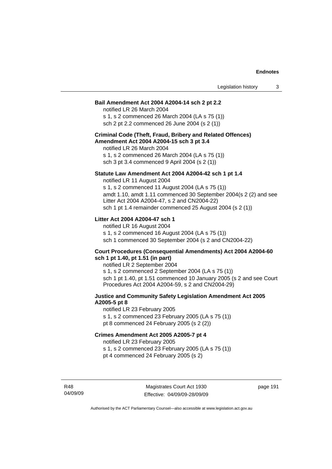#### **Bail Amendment Act 2004 A2004-14 sch 2 pt 2.2**

notified LR 26 March 2004 s 1, s 2 commenced 26 March 2004 (LA s 75 (1)) sch 2 pt 2.2 commenced 26 June 2004 (s 2 (1))

### **Criminal Code (Theft, Fraud, Bribery and Related Offences) Amendment Act 2004 A2004-15 sch 3 pt 3.4**

notified LR 26 March 2004 s 1, s 2 commenced 26 March 2004 (LA s 75 (1)) sch 3 pt 3.4 commenced 9 April 2004 (s 2 (1))

#### **Statute Law Amendment Act 2004 A2004-42 sch 1 pt 1.4**

notified LR 11 August 2004 s 1, s 2 commenced 11 August 2004 (LA s 75 (1)) amdt 1.10, amdt 1.11 commenced 30 September 2004(s 2 (2) and see Litter Act 2004 A2004-47, s 2 and CN2004-22) sch 1 pt 1.4 remainder commenced 25 August 2004 (s 2 (1))

# **Litter Act 2004 A2004-47 sch 1**

notified LR 16 August 2004 s 1, s 2 commenced 16 August 2004 (LA s 75 (1)) sch 1 commenced 30 September 2004 (s 2 and CN2004-22)

#### **Court Procedures (Consequential Amendments) Act 2004 A2004-60 sch 1 pt 1.40, pt 1.51 (in part)**

notified LR 2 September 2004 s 1, s 2 commenced 2 September 2004 (LA s 75 (1)) sch 1 pt 1.40, pt 1.51 commenced 10 January 2005 (s 2 and see Court Procedures Act 2004 A2004-59, s 2 and CN2004-29)

# **Justice and Community Safety Legislation Amendment Act 2005 A2005-5 pt 8**

notified LR 23 February 2005 s 1, s 2 commenced 23 February 2005 (LA s 75 (1)) pt 8 commenced 24 February 2005 (s 2 (2))

### **Crimes Amendment Act 2005 A2005-7 pt 4**

notified LR 23 February 2005

s 1, s 2 commenced 23 February 2005 (LA s 75 (1))

pt 4 commenced 24 February 2005 (s 2)

R48 04/09/09 page 191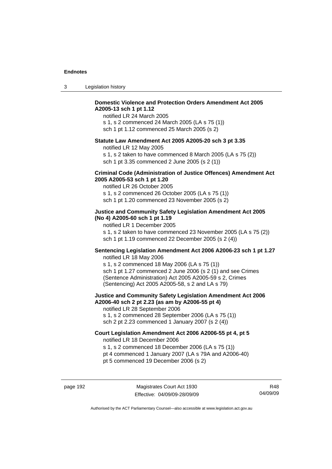| -3 | Legislation history |  |
|----|---------------------|--|
|----|---------------------|--|

# **Domestic Violence and Protection Orders Amendment Act 2005 A2005-13 sch 1 pt 1.12**

notified LR 24 March 2005 s 1, s 2 commenced 24 March 2005 (LA s 75 (1)) sch 1 pt 1.12 commenced 25 March 2005 (s 2)

### **Statute Law Amendment Act 2005 A2005-20 sch 3 pt 3.35**

notified LR 12 May 2005

s 1, s 2 taken to have commenced 8 March 2005 (LA s 75 (2)) sch 1 pt 3.35 commenced 2 June 2005 (s 2 (1))

### **Criminal Code (Administration of Justice Offences) Amendment Act 2005 A2005-53 sch 1 pt 1.20**

notified LR 26 October 2005 s 1, s 2 commenced 26 October 2005 (LA s 75 (1)) sch 1 pt 1.20 commenced 23 November 2005 (s 2)

# **Justice and Community Safety Legislation Amendment Act 2005 (No 4) A2005-60 sch 1 pt 1.19**

notified LR 1 December 2005 s 1, s 2 taken to have commenced 23 November 2005 (LA s 75 (2)) sch 1 pt 1.19 commenced 22 December 2005 (s 2 (4))

# **Sentencing Legislation Amendment Act 2006 A2006-23 sch 1 pt 1.27**

notified LR 18 May 2006 s 1, s 2 commenced 18 May 2006 (LA s 75 (1)) sch 1 pt 1.27 commenced 2 June 2006 (s 2 (1) and see Crimes (Sentence Administration) Act 2005 A2005-59 s 2, Crimes (Sentencing) Act 2005 A2005-58, s 2 and LA s 79)

### **Justice and Community Safety Legislation Amendment Act 2006 A2006-40 sch 2 pt 2.23 (as am by A2006-55 pt 4)**  notified LR 28 September 2006

s 1, s 2 commenced 28 September 2006 (LA s 75 (1))

sch 2 pt 2.23 commenced 1 January 2007 (s 2 (4))

# **Court Legislation Amendment Act 2006 A2006-55 pt 4, pt 5**  notified LR 18 December 2006

s 1, s 2 commenced 18 December 2006 (LA s 75 (1))

- pt 4 commenced 1 January 2007 (LA s 79A and A2006-40)
- pt 5 commenced 19 December 2006 (s 2)

page 192 Magistrates Court Act 1930 Effective: 04/09/09-28/09/09

R48 04/09/09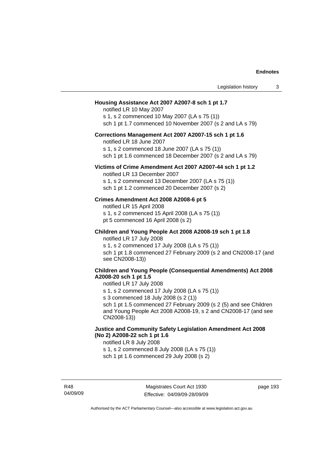| Legislation history<br>3                                                                                                                                                                                                                                                                                                                                                 |
|--------------------------------------------------------------------------------------------------------------------------------------------------------------------------------------------------------------------------------------------------------------------------------------------------------------------------------------------------------------------------|
| Housing Assistance Act 2007 A2007-8 sch 1 pt 1.7<br>notified LR 10 May 2007<br>s 1, s 2 commenced 10 May 2007 (LA s 75 (1))<br>sch 1 pt 1.7 commenced 10 November 2007 (s 2 and LA s 79)                                                                                                                                                                                 |
| Corrections Management Act 2007 A2007-15 sch 1 pt 1.6<br>notified LR 18 June 2007<br>s 1, s 2 commenced 18 June 2007 (LA s 75 (1))<br>sch 1 pt 1.6 commenced 18 December 2007 (s 2 and LA s 79)                                                                                                                                                                          |
| Victims of Crime Amendment Act 2007 A2007-44 sch 1 pt 1.2<br>notified LR 13 December 2007<br>s 1, s 2 commenced 13 December 2007 (LA s 75 (1))<br>sch 1 pt 1.2 commenced 20 December 2007 (s 2)                                                                                                                                                                          |
| Crimes Amendment Act 2008 A2008-6 pt 5<br>notified LR 15 April 2008<br>s 1, s 2 commenced 15 April 2008 (LA s 75 (1))<br>pt 5 commenced 16 April 2008 (s 2)                                                                                                                                                                                                              |
| Children and Young People Act 2008 A2008-19 sch 1 pt 1.8<br>notified LR 17 July 2008<br>s 1, s 2 commenced 17 July 2008 (LA s 75 (1))<br>sch 1 pt 1.8 commenced 27 February 2009 (s 2 and CN2008-17 (and<br>see CN2008-13))                                                                                                                                              |
| <b>Children and Young People (Consequential Amendments) Act 2008</b><br>A2008-20 sch 1 pt 1.5<br>notified LR 17 July 2008<br>s 1, s 2 commenced 17 July 2008 (LA s 75 (1))<br>s 3 commenced 18 July 2008 (s 2 (1))<br>sch 1 pt 1.5 commenced 27 February 2009 (s 2 (5) and see Children<br>and Young People Act 2008 A2008-19, s 2 and CN2008-17 (and see<br>CN2008-13)) |
| Justice and Community Safety Legislation Amendment Act 2008<br>(No 2) A2008-22 sch 1 pt 1.6<br>notified LR 8 July 2008<br>s 1, s 2 commenced 8 July 2008 (LA s 75 (1))<br>sch 1 pt 1.6 commenced 29 July 2008 (s 2)                                                                                                                                                      |

R48 04/09/09 page 193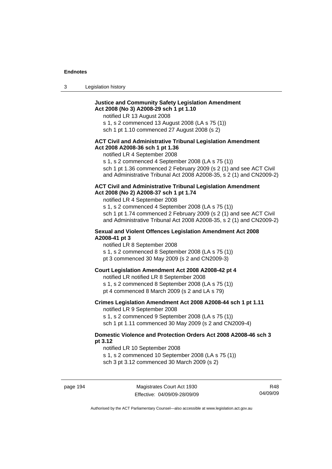| $\sim$<br>- 3 | Legislation history |  |
|---------------|---------------------|--|
|               |                     |  |

# **Justice and Community Safety Legislation Amendment Act 2008 (No 3) A2008-29 sch 1 pt 1.10**

notified LR 13 August 2008

s 1, s 2 commenced 13 August 2008 (LA s 75 (1))

sch 1 pt 1.10 commenced 27 August 2008 (s 2)

# **ACT Civil and Administrative Tribunal Legislation Amendment Act 2008 A2008-36 sch 1 pt 1.36**

notified LR 4 September 2008

s 1, s 2 commenced 4 September 2008 (LA s 75 (1))

sch 1 pt 1.36 commenced 2 February 2009 (s 2 (1) and see ACT Civil and Administrative Tribunal Act 2008 A2008-35, s 2 (1) and CN2009-2)

#### **ACT Civil and Administrative Tribunal Legislation Amendment Act 2008 (No 2) A2008-37 sch 1 pt 1.74**

notified LR 4 September 2008

s 1, s 2 commenced 4 September 2008 (LA s 75 (1)) sch 1 pt 1.74 commenced 2 February 2009 (s 2 (1) and see ACT Civil and Administrative Tribunal Act 2008 A2008-35, s 2 (1) and CN2009-2)

## **Sexual and Violent Offences Legislation Amendment Act 2008 A2008-41 pt 3**

notified LR 8 September 2008

- s 1, s 2 commenced 8 September 2008 (LA s 75 (1))
- pt 3 commenced 30 May 2009 (s 2 and CN2009-3)

# **Court Legislation Amendment Act 2008 A2008-42 pt 4**

notified LR notified LR 8 September 2008

- s 1, s 2 commenced 8 September 2008 (LA s 75 (1))
- pt 4 commenced 8 March 2009 (s 2 and LA s 79)

# **Crimes Legislation Amendment Act 2008 A2008-44 sch 1 pt 1.11**

notified LR 9 September 2008

s 1, s 2 commenced 9 September 2008 (LA s 75 (1))

sch 1 pt 1.11 commenced 30 May 2009 (s 2 and CN2009-4)

# **Domestic Violence and Protection Orders Act 2008 A2008-46 sch 3 pt 3.12**

notified LR 10 September 2008

s 1, s 2 commenced 10 September 2008 (LA s 75 (1))

sch 3 pt 3.12 commenced 30 March 2009 (s 2)

page 194 Magistrates Court Act 1930 Effective: 04/09/09-28/09/09

R48 04/09/09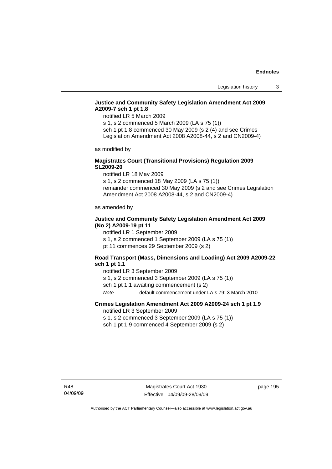# **Justice and Community Safety Legislation Amendment Act 2009 A2009-7 sch 1 pt 1.8**

notified LR 5 March 2009

s 1, s 2 commenced 5 March 2009 (LA s 75 (1)) sch 1 pt 1.8 commenced 30 May 2009 (s 2 (4) and see Crimes

Legislation Amendment Act 2008 A2008-44, s 2 and CN2009-4)

as modified by

# **Magistrates Court (Transitional Provisions) Regulation 2009 SL2009-20**

notified LR 18 May 2009

s 1, s 2 commenced 18 May 2009 (LA s 75 (1)) remainder commenced 30 May 2009 (s 2 and see Crimes Legislation Amendment Act 2008 A2008-44, s 2 and CN2009-4)

as amended by

# **Justice and Community Safety Legislation Amendment Act 2009 (No 2) A2009-19 pt 11**

notified LR 1 September 2009 s 1, s 2 commenced 1 September 2009 (LA s 75 (1)) pt 11 commences 29 September 2009 (s 2)

# **Road Transport (Mass, Dimensions and Loading) Act 2009 A2009-22 sch 1 pt 1.1**

notified LR 3 September 2009 s 1, s 2 commenced 3 September 2009 (LA s 75 (1)) sch 1 pt 1.1 awaiting commencement (s 2) *Note* default commencement under LA s 79: 3 March 2010

# **Crimes Legislation Amendment Act 2009 A2009-24 sch 1 pt 1.9**

notified LR 3 September 2009

s 1, s 2 commenced 3 September 2009 (LA s 75 (1))

sch 1 pt 1.9 commenced 4 September 2009 (s 2)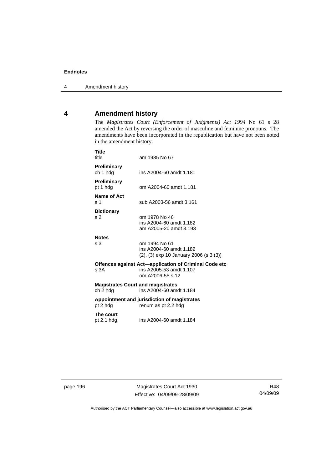# **4 Amendment history**

The *Magistrates Court (Enforcement of Judgments) Act 1994* No 61 s 28 amended the Act by reversing the order of masculine and feminine pronouns. The amendments have been incorporated in the republication but have not been noted in the amendment history.

| <b>Title</b><br>title                                                                                        | am 1985 No 67                                                                      |
|--------------------------------------------------------------------------------------------------------------|------------------------------------------------------------------------------------|
| <b>Preliminary</b><br>ch 1 hdg                                                                               | ins A2004-60 amdt 1.181                                                            |
| <b>Preliminary</b><br>pt 1 hdg                                                                               | om A2004-60 amdt 1.181                                                             |
| Name of Act<br>s <sub>1</sub>                                                                                | sub A2003-56 amdt 3.161                                                            |
| <b>Dictionary</b><br>s 2                                                                                     | om 1978 No 46<br>ins A2004-60 amdt 1.182<br>am A2005-20 amdt 3.193                 |
| <b>Notes</b><br>s 3                                                                                          | om 1994 No 61<br>ins A2004-60 amdt 1.182<br>(2), (3) exp 10 January 2006 (s 3 (3)) |
| Offences against Act-application of Criminal Code etc<br>ins A2005-53 amdt 1.107<br>s.3A<br>om A2006-55 s 12 |                                                                                    |
| <b>Magistrates Court and magistrates</b><br>ch 2 hdg                                                         | ins A2004-60 amdt 1.184                                                            |
| pt 2 hdg                                                                                                     | Appointment and jurisdiction of magistrates<br>renum as pt 2.2 hdg                 |
| The court<br>pt $2.1$ hdg                                                                                    | ins A2004-60 amdt 1.184                                                            |

page 196 Magistrates Court Act 1930 Effective: 04/09/09-28/09/09

R48 04/09/09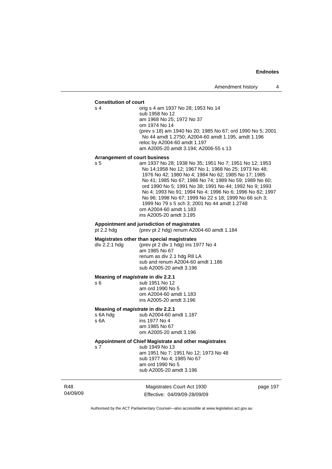#### **Constitution of court**

s 4 orig s 4 am 1937 No 28; 1953 No 14 sub 1958 No 12 am 1968 No 25; 1972 No 37 om 1974 No 14 (prev s 18) am 1940 No 20; 1985 No 67; ord 1990 No 5; 2001 No 44 amdt 1.2750; A2004-60 amdt 1.195, amdt 1.196 reloc by A2004-60 amdt 1.197 am A2005-20 amdt 3.194; A2006-55 s 13

#### **Arrangement of court business**

s 5 am 1937 No 28; 1938 No 35; 1951 No 7; 1951 No 12; 1953 No 14;1958 No 12; 1967 No 1; 1968 No 25; 1973 No 48; 1976 No 42; 1980 No 4; 1984 No 62; 1985 No 17; 1985 No 41; 1985 No 67; 1986 No 74; 1989 No 59; 1989 No 60; ord 1990 No 5; 1991 No 38; 1991 No 44; 1992 No 9; 1993 No 4; 1993 No 91; 1994 No 4; 1996 No 6; 1996 No 82; 1997 No 96; 1998 No 67; 1999 No 22 s 18; 1999 No 66 sch 3; 1999 No 79 s 5 sch 3; 2001 No 44 amdt 1.2748 om A2004-60 amdt 1.183 ins A2005-20 amdt 3.195

# **Appointment and jurisdiction of magistrates**

(prev pt 2 hdg) renum A2004-60 amdt  $1.184$ 

#### **Magistrates other than special magistrates**

div 2.2.1 hdg (prev pt 2 div 1 hdg) ins 1977 No 4 am 1985 No 67 renum as div 2.1 hdg R8 LA sub and renum A2004-60 amdt 1.186 sub A2005-20 amdt 3.196

#### **Meaning of** *magistrate* **in div 2.2.1**

s 6 sub 1951 No 12 am ord 1990 No 5 om A2004-60 amdt 1.183 ins A2005-20 amdt 3.196

# **Meaning of** *magistrate* **in div 2.2.1 s** 6A hdg **b**  $\frac{1}{2}$  sub A2004-60 a

s 6A hdg sub A2004-60 amdt 1.187<br>s 6A ins 1977 No 4 ins 1977 No 4 am 1985 No 67 om A2005-20 amdt 3.196

# **Appointment of Chief Magistrate and other magistrates**

s 7 sub 1949 No 13 am 1951 No 7; 1951 No 12; 1973 No 48 sub 1977 No 4; 1985 No 67 am ord 1990 No 5 sub A2005-20 amdt 3.196

R48 04/09/09

Magistrates Court Act 1930 Effective: 04/09/09-28/09/09 page 197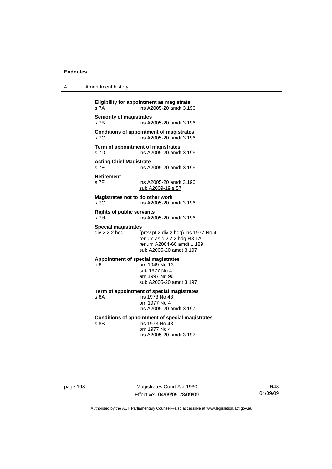| 4 | Amendment history |  |
|---|-------------------|--|
|   |                   |  |

**Eligibility for appointment as magistrate**  s 7A ins A2005-20 amdt 3.196 **Seniority of magistrates**  s 7B ins A2005-20 amdt 3.196 **Conditions of appointment of magistrates**  s 7C ins A2005-20 amdt 3.196 **Term of appointment of magistrates**  s 7D ins A2005-20 amdt 3.196 **Acting Chief Magistrate**  ins A2005-20 amdt 3.196 **Retirement**  s 7F ins A2005-20 amdt 3.196 sub A2009-19 s 57 **Magistrates not to do other work**  s 7G ins A2005-20 amdt 3.196 **Rights of public servants**  s 7H ins A2005-20 amdt 3.196 **Special magistrates**   $div 2.2.2$  hdg (prev pt 2 div 2 hdg) ins 1977 No 4 renum as div 2.2 hdg R8 LA renum A2004-60 amdt 1.189 sub A2005-20 amdt 3.197 **Appointment of special magistrates**  s 8 am 1949 No 13 sub 1977 No 4 am 1997 No 96 sub A2005-20 amdt 3.197 **Term of appointment of special magistrates**  s 8A ins 1973 No 48 om 1977 No 4 ins A2005-20 amdt 3.197 **Conditions of appointment of special magistrates**  s 8B ins 1973 No 48 om 1977 No 4 ins A2005-20 amdt 3.197

page 198 Magistrates Court Act 1930 Effective: 04/09/09-28/09/09

R48 04/09/09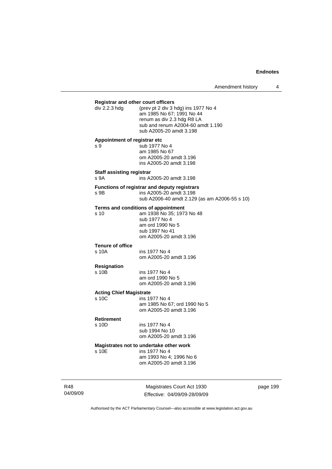| <b>Registrar and other court officers</b> |                                                                  |
|-------------------------------------------|------------------------------------------------------------------|
| div 2.2.3 hdg                             | (prev pt 2 div 3 hdg) ins 1977 No 4<br>am 1985 No 67; 1991 No 44 |
|                                           | renum as div 2.3 hdg R8 LA                                       |
|                                           | sub and renum A2004-60 amdt 1.190                                |
|                                           | sub A2005-20 amdt 3.198                                          |
| Appointment of registrar etc<br>s 9       |                                                                  |
|                                           | sub 1977 No 4<br>am 1985 No 67                                   |
|                                           | om A2005-20 amdt 3.196                                           |
|                                           | ins A2005-20 amdt 3.198                                          |
| <b>Staff assisting registrar</b><br>s 9A  | ins A2005-20 amdt 3.198                                          |
|                                           | Functions of registrar and deputy registrars                     |
| s 9B                                      | ins A2005-20 amdt 3.198                                          |
|                                           | sub A2006-40 amdt 2.129 (as am A2006-55 s 10)                    |
|                                           | Terms and conditions of appointment                              |
| s 10                                      | am 1938 No 35; 1973 No 48<br>sub 1977 No 4                       |
|                                           | am ord 1990 No 5                                                 |
|                                           | sub 1997 No 41                                                   |
|                                           | om A2005-20 amdt 3.196                                           |
| <b>Tenure of office</b><br>s 10A          | ins 1977 No 4                                                    |
|                                           | om A2005-20 amdt 3.196                                           |
| <b>Resignation</b>                        |                                                                  |
| s 10B                                     | ins 1977 No 4                                                    |
|                                           | am ord 1990 No 5                                                 |
|                                           | om A2005-20 amdt 3.196                                           |
| <b>Acting Chief Magistrate</b><br>s 10C   |                                                                  |
|                                           | ins 1977 No 4<br>am 1985 No 67; ord 1990 No 5                    |
|                                           | om A2005-20 amdt 3.196                                           |
| <b>Retirement</b>                         |                                                                  |
| s 10D                                     | ins 1977 No 4                                                    |
|                                           | sub 1994 No 10<br>om A2005-20 amdt 3.196                         |
|                                           |                                                                  |
| s 10E                                     | Magistrates not to undertake other work<br>ins 1977 No 4         |
|                                           | am 1993 No 4; 1996 No 6                                          |
|                                           | om A2005-20 amdt 3.196                                           |
|                                           |                                                                  |

R48 04/09/09

Magistrates Court Act 1930 Effective: 04/09/09-28/09/09 page 199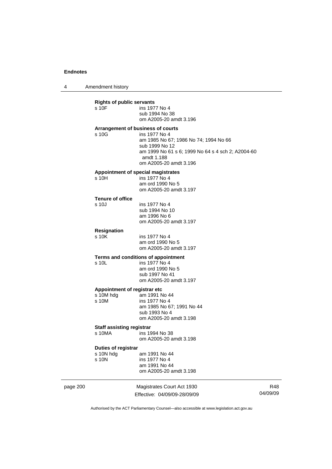4 Amendment history

| s 10F                            | ins 1977 No 4<br>sub 1994 No 38<br>om A2005-20 amdt 3.196 |
|----------------------------------|-----------------------------------------------------------|
|                                  | Arrangement of business of courts                         |
| s 10G                            | ins 1977 No 4                                             |
|                                  | am 1985 No 67; 1986 No 74; 1994 No 66<br>sub 1999 No 12   |
|                                  | am 1999 No 61 s 6; 1999 No 64 s 4 sch 2; A2004-60         |
|                                  | amdt 1.188                                                |
|                                  | om A2005-20 amdt 3.196                                    |
|                                  | Appointment of special magistrates                        |
| s 10H                            | ins 1977 No 4<br>am ord 1990 No 5                         |
|                                  | om A2005-20 amdt 3.197                                    |
| <b>Tenure of office</b>          |                                                           |
| $s$ 10.                          | ins 1977 No 4                                             |
|                                  | sub 1994 No 10                                            |
|                                  | am 1996 No 6<br>om A2005-20 amdt 3.197                    |
|                                  |                                                           |
| <b>Resignation</b><br>s 10K      | ins 1977 No 4                                             |
|                                  | am ord 1990 No 5                                          |
|                                  | om A2005-20 amdt 3.197                                    |
|                                  | Terms and conditions of appointment                       |
| s 10L                            | ins 1977 No 4                                             |
|                                  | am ord 1990 No 5<br>sub 1997 No 41                        |
|                                  | om A2005-20 amdt 3.197                                    |
|                                  | Appointment of registrar etc                              |
| s 10M hdg                        | am 1991 No 44                                             |
| s 10M                            | ins 1977 No 4                                             |
|                                  | am 1985 No 67; 1991 No 44<br>sub 1993 No 4                |
|                                  | om A2005-20 amdt 3.198                                    |
| <b>Staff assisting registrar</b> |                                                           |
| s 10MA                           | ins 1994 No 38                                            |
|                                  | om A2005-20 amdt 3.198                                    |
| Duties of registrar              |                                                           |
| s 10N hdg                        | am 1991 No 44                                             |
| s 10N                            | ins 1977 No 4<br>am 1991 No 44                            |
|                                  | om A2005-20 amdt 3.198                                    |

page 200 Magistrates Court Act 1930 Effective: 04/09/09-28/09/09

R48 04/09/09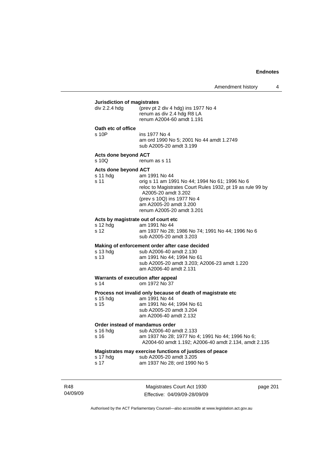# **Jurisdiction of magistrates**

| <u>oansaroaon or magistrates</u>                            |                                                                                                                                                                                                                                           |  |  |
|-------------------------------------------------------------|-------------------------------------------------------------------------------------------------------------------------------------------------------------------------------------------------------------------------------------------|--|--|
| div 2.2.4 hdg                                               | (prev pt 2 div 4 hdg) ins 1977 No 4<br>renum as div 2.4 hdg R8 LA<br>renum A2004-60 amdt 1.191                                                                                                                                            |  |  |
| Oath etc of office                                          |                                                                                                                                                                                                                                           |  |  |
| s 10P                                                       | ins 1977 No 4<br>am ord 1990 No 5; 2001 No 44 amdt 1.2749<br>sub A2005-20 amdt 3.199                                                                                                                                                      |  |  |
| <b>Acts done beyond ACT</b><br>$s$ 10Q                      | renum as s 11                                                                                                                                                                                                                             |  |  |
| Acts done beyond ACT                                        |                                                                                                                                                                                                                                           |  |  |
| s 11 hdg<br>s 11                                            | am 1991 No 44<br>orig s 11 am 1991 No 44; 1994 No 61; 1996 No 6<br>reloc to Magistrates Court Rules 1932, pt 19 as rule 99 by<br>A2005-20 amdt 3.202<br>(prev s 10Q) ins 1977 No 4<br>am A2005-20 amdt 3.200<br>renum A2005-20 amdt 3.201 |  |  |
| Acts by magistrate out of court etc                         |                                                                                                                                                                                                                                           |  |  |
| s 12 hdg<br>s 12                                            | am 1991 No 44<br>am 1937 No 28; 1986 No 74; 1991 No 44; 1996 No 6<br>sub A2005-20 amdt 3.203                                                                                                                                              |  |  |
|                                                             | Making of enforcement order after case decided                                                                                                                                                                                            |  |  |
| s 13 hdg<br>s 13                                            | sub A2006-40 amdt 2.130<br>am 1991 No 44; 1994 No 61<br>sub A2005-20 amdt 3.203; A2006-23 amdt 1.220<br>am A2006-40 amdt 2.131                                                                                                            |  |  |
| Warrants of execution after appeal<br>s 14<br>om 1972 No 37 |                                                                                                                                                                                                                                           |  |  |
| s 15 hdg<br>s 15                                            | Process not invalid only because of death of magistrate etc<br>am 1991 No 44<br>am 1991 No 44; 1994 No 61<br>sub A2005-20 amdt 3.204<br>am A2006-40 amdt 2.132                                                                            |  |  |
| Order instead of mandamus order                             |                                                                                                                                                                                                                                           |  |  |
| s 16 hdg<br>s 16                                            | sub A2006-40 amdt 2.133<br>am 1937 No 28; 1977 No 4; 1991 No 44; 1996 No 6;<br>A2004-60 amdt 1.192; A2006-40 amdt 2.134, amdt 2.135                                                                                                       |  |  |
|                                                             | Magistrates may exercise functions of justices of peace                                                                                                                                                                                   |  |  |
| s 17 hdg<br>s 17                                            | sub A2005-20 amdt 3.205<br>am 1937 No 28; ord 1990 No 5                                                                                                                                                                                   |  |  |

| -S 17 | am 1937 No 28; ord 1 |  |
|-------|----------------------|--|
|       |                      |  |
|       |                      |  |

R48 04/09/09

Magistrates Court Act 1930 Effective: 04/09/09-28/09/09 page 201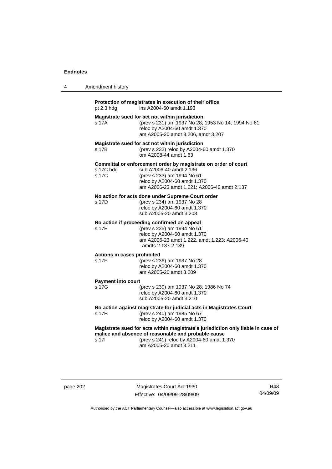| 4 | Amendment history                                                                                                                                                                                                            |  |
|---|------------------------------------------------------------------------------------------------------------------------------------------------------------------------------------------------------------------------------|--|
|   | Protection of magistrates in execution of their office<br>pt 2.3 hdg<br>ins A2004-60 amdt 1.193                                                                                                                              |  |
|   | Magistrate sued for act not within jurisdiction<br>s 17A<br>(prev s 231) am 1937 No 28; 1953 No 14; 1994 No 61<br>reloc by A2004-60 amdt 1.370<br>am A2005-20 amdt 3.206, amdt 3.207                                         |  |
|   | Magistrate sued for act not within jurisdiction<br>s 17B<br>(prev s 232) reloc by A2004-60 amdt 1.370<br>om A2008-44 amdt 1.63                                                                                               |  |
|   | Committal or enforcement order by magistrate on order of court<br>sub A2006-40 amdt 2.136<br>s 17C hdg<br>s 17C<br>(prev s 233) am 1994 No 61<br>reloc by A2004-60 amdt 1.370<br>am A2006-23 amdt 1.221; A2006-40 amdt 2.137 |  |
|   | No action for acts done under Supreme Court order<br>(prev s 234) am 1937 No 28<br>s 17D<br>reloc by A2004-60 amdt 1.370<br>sub A2005-20 amdt 3.208                                                                          |  |
|   | No action if proceeding confirmed on appeal<br>s 17E<br>(prev s 235) am 1994 No 61<br>reloc by A2004-60 amdt 1.370<br>am A2006-23 amdt 1.222, amdt 1.223; A2006-40<br>amdts 2.137-2.139                                      |  |
|   | Actions in cases prohibited<br>s 17F<br>(prev s 236) am 1937 No 28<br>reloc by A2004-60 amdt 1.370<br>am A2005-20 amdt 3.209                                                                                                 |  |
|   | <b>Payment into court</b><br>s 17G<br>(prev s 239) am 1937 No 28; 1986 No 74<br>reloc by A2004-60 amdt 1.370<br>sub A2005-20 amdt 3.210                                                                                      |  |
|   | No action against magistrate for judicial acts in Magistrates Court<br>s 17H<br>(prev s 240) am 1985 No 67<br>reloc by A2004-60 amdt 1.370                                                                                   |  |
|   | Magistrate sued for acts within magistrate's jurisdiction only liable in case of<br>malice and absence of reasonable and probable cause<br>(prev s 241) reloc by A2004-60 amdt 1.370<br>s 17I<br>am A2005-20 amdt 3.211      |  |

page 202 Magistrates Court Act 1930 Effective: 04/09/09-28/09/09

R48 04/09/09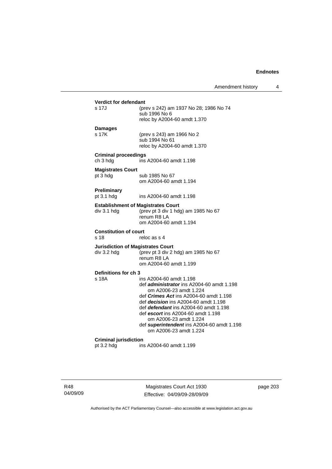| <b>Verdict for defendant</b><br>s 17J                   | (prev s 242) am 1937 No 28; 1986 No 74<br>sub 1996 No 6<br>reloc by A2004-60 amdt 1.370                                                                                                                                                                                                                                                                                         |
|---------------------------------------------------------|---------------------------------------------------------------------------------------------------------------------------------------------------------------------------------------------------------------------------------------------------------------------------------------------------------------------------------------------------------------------------------|
| Damages<br>s 17K                                        | (prev s 243) am 1966 No 2<br>sub 1994 No 61<br>reloc by A2004-60 amdt 1.370                                                                                                                                                                                                                                                                                                     |
| <b>Criminal proceedings</b><br>ch 3 hdg                 | ins A2004-60 amdt 1.198                                                                                                                                                                                                                                                                                                                                                         |
| <b>Magistrates Court</b><br>pt 3 hdg                    | sub 1985 No 67<br>om A2004-60 amdt 1.194                                                                                                                                                                                                                                                                                                                                        |
| Preliminary<br>pt 3.1 hdg                               | ins A2004-60 amdt 1.198                                                                                                                                                                                                                                                                                                                                                         |
| div 3.1 hdg                                             | <b>Establishment of Magistrates Court</b><br>(prev pt 3 div 1 hdg) am 1985 No 67<br>renum R8 LA<br>om A2004-60 amdt 1.194                                                                                                                                                                                                                                                       |
| <b>Constitution of court</b><br>s 18                    | reloc as s 4                                                                                                                                                                                                                                                                                                                                                                    |
| <b>Jurisdiction of Magistrates Court</b><br>div 3.2 hdg | (prev pt 3 div 2 hdg) am 1985 No 67<br>renum R8 LA<br>om A2004-60 amdt 1.199                                                                                                                                                                                                                                                                                                    |
| Definitions for ch 3<br>s 18A                           | ins A2004-60 amdt 1.198<br>def administrator ins A2004-60 amdt 1.198<br>om A2006-23 amdt 1.224<br>def <i>Crimes Act</i> ins A2004-60 amdt 1.198<br>def <i>decision</i> ins A2004-60 amdt 1.198<br>def defendant ins A2004-60 amdt 1.198<br>def escort ins A2004-60 amdt 1.198<br>om A2006-23 amdt 1.224<br>def superintendent ins A2004-60 amdt 1.198<br>om A2006-23 amdt 1.224 |
| <b>Criminal jurisdiction</b>                            |                                                                                                                                                                                                                                                                                                                                                                                 |

R48 04/09/09

Magistrates Court Act 1930 Effective: 04/09/09-28/09/09 page 203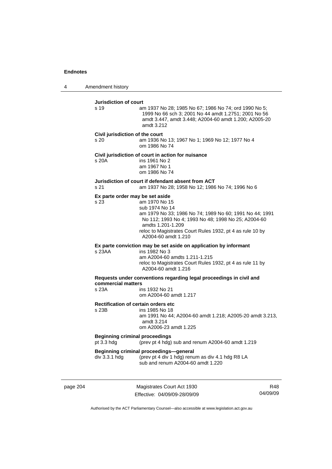4 Amendment history

**Jurisdiction of court**  s 19 am 1937 No 28; 1985 No 67; 1986 No 74; ord 1990 No 5; 1999 No 66 sch 3; 2001 No 44 amdt 1.2751; 2001 No 56 amdt 3.447, amdt 3.448; A2004-60 amdt 1.200; A2005-20 amdt 3.212 **Civil jurisdiction of the court**  s 20 am 1936 No 13; 1967 No 1; 1969 No 12; 1977 No 4 om 1986 No 74 **Civil jurisdiction of court in action for nuisance**  s 20A ins 1961 No 2 am 1967 No 1 om 1986 No 74 **Jurisdiction of court if defendant absent from ACT**  s 21 am 1937 No 28; 1958 No 12; 1986 No 74; 1996 No 6 **Ex parte order may be set aside**  s 23 am 1970 No 15 sub 1974 No 14 am 1979 No 33; 1986 No 74; 1989 No 60; 1991 No 44; 1991 No 112; 1993 No 4; 1993 No 48; 1998 No 25; A2004-60 amdts 1.201-1.209 reloc to Magistrates Court Rules 1932, pt 4 as rule 10 by A2004-60 amdt 1.210 **Ex parte conviction may be set aside on application by informant**  s 23AA ins 1982 No 3 am A2004-60 amdts 1.211-1.215 reloc to Magistrates Court Rules 1932, pt 4 as rule 11 by A2004-60 amdt 1.216 **Requests under conventions regarding legal proceedings in civil and commercial matters**  ins 1932 No 21 om A2004-60 amdt 1.217 **Rectification of certain orders etc**<br>s 23B ins 1985 No 18 ins 1985 No 18 am 1991 No 44; A2004-60 amdt 1.218; A2005-20 amdt 3.213, amdt 3.214 om A2006-23 amdt 1.225 **Beginning criminal proceedings**  pt 3.3 hdg (prev pt 4 hdg) sub and renum A2004-60 amdt 1.219 **Beginning criminal proceedings—general**<br>div 3.3.1 hdg (prev pt 4 div 1 hdg) renu (prev pt 4 div 1 hdg) renum as div 4.1 hdg R8 LA sub and renum A2004-60 amdt 1.220

page 204 Magistrates Court Act 1930 Effective: 04/09/09-28/09/09

R48 04/09/09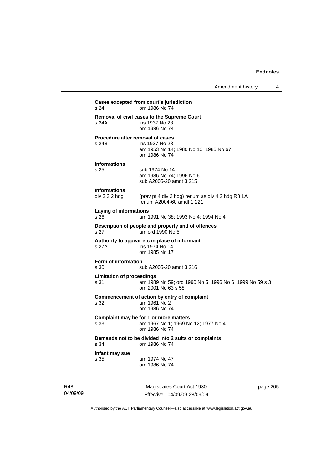**Cases excepted from court's jurisdiction**  s 24 om 1986 No 74 **Removal of civil cases to the Supreme Court**  s 24A ins 1937 No 28 om 1986 No 74 **Procedure after removal of cases**  s 24B ins 1937 No 28 am 1953 No 14; 1980 No 10; 1985 No 67 om 1986 No 74 **Informations**  s 25 sub 1974 No 14 am 1986 No 74; 1996 No 6 sub A2005-20 amdt 3.215 **Informations**  div 3.3.2 hdg (prev pt 4 div 2 hdg) renum as div 4.2 hdg R8 LA renum A2004-60 amdt 1.221 **Laying of informations**  s 26 am 1991 No 38; 1993 No 4; 1994 No 4 **Description of people and property and of offences**  s 27 am ord 1990 No 5 **Authority to appear etc in place of informant**  s 27A **ins 1974** No 14 om 1985 No 17 **Form of information**  s 30 sub A2005-20 amdt 3.216 **Limitation of proceedings**  s 31 am 1989 No 59; ord 1990 No 5; 1996 No 6; 1999 No 59 s 3 om 2001 No 63 s 58 **Commencement of action by entry of complaint**  s 32 am 1961 No 2 om 1986 No 74 **Complaint may be for 1 or more matters**  s 33 am 1967 No 1; 1969 No 12; 1977 No 4 om 1986 No 74 **Demands not to be divided into 2 suits or complaints**  om 1986 No 74 **Infant may sue**  s 35 am 1974 No 47 om 1986 No 74

R48 04/09/09

Magistrates Court Act 1930 Effective: 04/09/09-28/09/09 page 205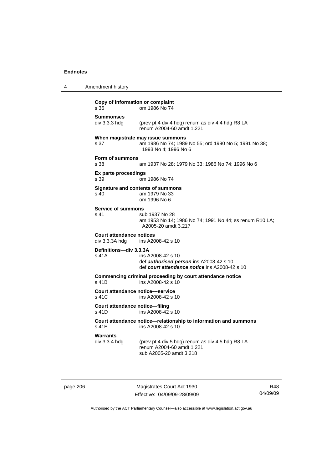4 Amendment history

# **Copy of information or complaint**  s 36 om 1986 No 74 **Summonses**  div 3.3.3 hdg (prev pt 4 div 4 hdg) renum as div 4.4 hdg R8 LA renum A2004-60 amdt 1.221 **When magistrate may issue summons**  s 37 am 1986 No 74; 1989 No 55; ord 1990 No 5; 1991 No 38; 1993 No 4; 1996 No 6 **Form of summons**  s 38 am 1937 No 28; 1979 No 33; 1986 No 74; 1996 No 6 **Ex parte proceedings**  s 39 om 1986 No 74 **Signature and contents of summons**  s 40 am 1979 No 33 om 1996 No 6 **Service of summons**  s 41 sub 1937 No 28 am 1953 No 14; 1986 No 74; 1991 No 44; ss renum R10 LA; A2005-20 amdt 3.217 **Court attendance notices**  ins A2008-42 s 10 **Definitions—div 3.3.3A**  s 41A ins A2008-42 s 10 def *authorised person* ins A2008-42 s 10 def *court attendance notice* ins A2008-42 s 10 **Commencing criminal proceeding by court attendance notice**  s 41B ins A2008-42 s 10 **Court attendance notice––service**  s 41C ins A2008-42 s 10 **Court attendance notice—filing**  s 41D ins A2008-42 s 10 **Court attendance notice—relationship to information and summons**  ins A2008-42 s 10 Warrants<br>div 3.3.4 hdg (prev pt 4 div 5 hdg) renum as div 4.5 hdg R8 LA renum A2004-60 amdt 1.221 sub A2005-20 amdt 3.218

page 206 Magistrates Court Act 1930 Effective: 04/09/09-28/09/09

R48 04/09/09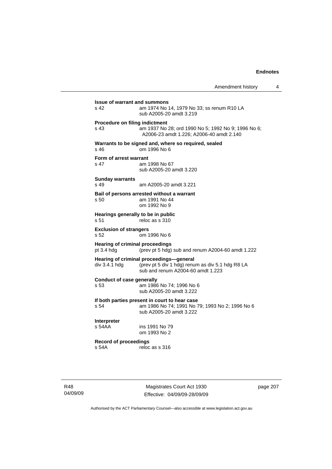| Amendment history |  |
|-------------------|--|
|-------------------|--|

| <b>Issue of warrant and summons</b><br>s 42           | am 1974 No 14, 1979 No 33; ss renum R10 LA<br>sub A2005-20 amdt 3.219                                                                          |
|-------------------------------------------------------|------------------------------------------------------------------------------------------------------------------------------------------------|
| Procedure on filing indictment<br>s 43                | am 1937 No 28; ord 1990 No 5; 1992 No 9; 1996 No 6;<br>A2006-23 amdt 1.226; A2006-40 amdt 2.140                                                |
| s 46                                                  | Warrants to be signed and, where so required, sealed<br>om 1996 No 6                                                                           |
| Form of arrest warrant<br>s 47                        | am 1998 No 67<br>sub A2005-20 amdt 3.220                                                                                                       |
| <b>Sunday warrants</b><br>$s$ 49                      | am A2005-20 amdt 3.221                                                                                                                         |
| s 50                                                  | Bail of persons arrested without a warrant<br>am 1991 No 44<br>om 1992 No 9                                                                    |
| Hearings generally to be in public<br>s <sub>51</sub> | reloc as s 310                                                                                                                                 |
| <b>Exclusion of strangers</b><br>s 52                 | om 1996 No 6                                                                                                                                   |
| <b>Hearing of criminal proceedings</b><br>pt 3.4 hdg  | (prev pt 5 hdg) sub and renum A2004-60 amdt 1.222                                                                                              |
|                                                       | Hearing of criminal proceedings-general<br>div 3.4.1 hdg (prev pt 5 div 1 hdg) renum as div 5.1 hdg R8 LA<br>sub and renum A2004-60 amdt 1.223 |
| <b>Conduct of case generally</b><br>s.53              | am 1986 No 74; 1996 No 6<br>sub A2005-20 amdt 3.222                                                                                            |
| s 54                                                  | If both parties present in court to hear case<br>am 1986 No 74; 1991 No 79; 1993 No 2; 1996 No 6<br>sub A2005-20 amdt 3.222                    |
| <b>Interpreter</b><br>s 54AA                          | ins 1991 No 79<br>om 1993 No 2                                                                                                                 |
| <b>Record of proceedings</b><br>s 54A                 | reloc as s 316                                                                                                                                 |
|                                                       |                                                                                                                                                |

R48 04/09/09

Magistrates Court Act 1930 Effective: 04/09/09-28/09/09 page 207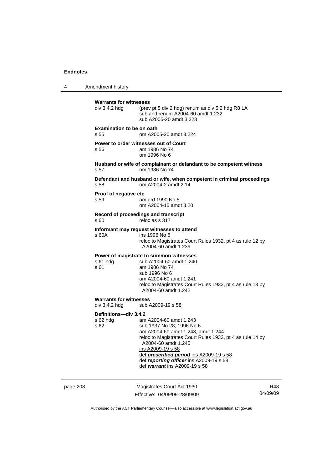4 Amendment history page 208 Magistrates Court Act 1930 **Warrants for witnesses**  div 3.4.2 hdg (prev pt 5 div 2 hdg) renum as div 5.2 hdg R8 LA sub and renum A2004-60 amdt 1.232 sub A2005-20 amdt 3.223 **Examination to be on oath**  s 55 om A2005-20 amdt 3.224 **Power to order witnesses out of Court**  s 56 am 1986 No 74 om 1996 No 6 **Husband or wife of complainant or defandant to be competent witness**  s 57 om 1986 No 74 **Defendant and husband or wife, when competent in criminal proceedings**  s 58 om A2004-2 amdt 2.14 **Proof of negative etc**  s 59 am ord 1990 No 5 om A2004-15 amdt 3.20 **Record of proceedings and transcript**  s 60 reloc as s 317 **Informant may request witnesses to attend**  ins 1996 No 6 reloc to Magistrates Court Rules 1932, pt 4 as rule 12 by A2004-60 amdt 1.239 **Power of magistrate to summon witnesses**  s 61 hdg sub A2004-60 amdt 1.240 s 61 am 1986 No 74 sub 1996 No 6 am A2004-60 amdt 1.241 reloc to Magistrates Court Rules 1932, pt 4 as rule 13 by A2004-60 amdt 1.242 **Warrants for witnesses**  div 3.4.2 hdg sub A2009-19 s 58 **Definitions—div 3.4.2** s 62 hdg am A2004-60 amdt 1.243 s 62 sub 1937 No 28; 1996 No 6 am A2004-60 amdt 1.243, amdt 1.244 reloc to Magistrates Court Rules 1932, pt 4 as rule 14 by A2004-60 amdt 1.245 ins A2009-19 s 58 def *prescribed period* ins A2009-19 s 58 def *reporting officer* ins A2009-19 s 58 def *warrant* ins A2009-19 s 58

Effective: 04/09/09-28/09/09

R48 04/09/09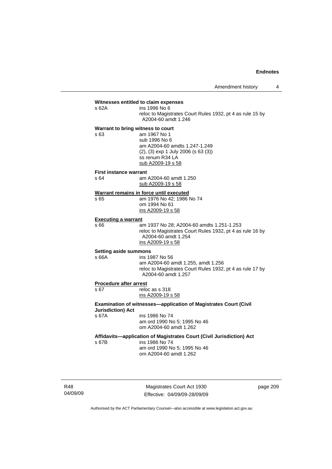# **Witnesses entitled to claim expenses**

s 62A ins 1996 No 6 reloc to Magistrates Court Rules 1932, pt 4 as rule 15 by A2004-60 amdt 1.246

# **Warrant to bring witness to court**

s 63 am 1967 No 1 sub 1996 No 6 am A2004-60 amdts 1.247-1.249 (2), (3) exp 1 July 2006 (s 63 (3)) ss renum R34 LA sub A2009-19 s 58

#### **First instance warrant**

s 64 am A2004-60 amdt 1.250

# **Warrant remains in force until executed**

sub A2009-19 s 58

s 65 **am 1976 No 42; 1986 No 74**  om 1994 No 61 ins A2009-19 s 58

### **Executing a warrant**

s 66 am 1937 No 28; A2004-60 amdts 1.251-1.253 reloc to Magistrates Court Rules 1932, pt 4 as rule 16 by A2004-60 amdt 1.254 ins A2009-19 s 58

#### **Setting aside summons**

# s 66A ins 1987 No 56 am A2004-60 amdt 1.255, amdt 1.256

 reloc to Magistrates Court Rules 1932, pt 4 as rule 17 by A2004-60 amdt 1.257

# **Procedure after arrest**<br>s 67 relo

 $r$  reloc as s 318 ins A2009-19 s 58

**Examination of witnesses—application of Magistrates Court (Civil Jurisdiction) Act**  s 67A ins 1986 No 74

 am ord 1990 No 5; 1995 No 46 om A2004-60 amdt 1.262

# **Affidavits—application of Magistrates Court (Civil Jurisdiction) Act**

s 67B ins 1986 No 74 am ord 1990 No 5; 1995 No 46

om A2004-60 amdt 1.262

R48 04/09/09

Magistrates Court Act 1930 Effective: 04/09/09-28/09/09 page 209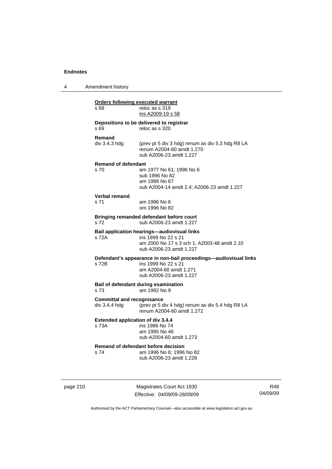4 Amendment history

| s 68                                               | reloc as s 319<br>ins A2009-19 s 58                                                                                                                 |
|----------------------------------------------------|-----------------------------------------------------------------------------------------------------------------------------------------------------|
| s 69                                               | Depositions to be delivered to registrar<br>reloc as s 320                                                                                          |
| Remand<br>div 3.4.3 hda                            | (prev pt 5 div 3 hdg) renum as div 5.3 hdg R8 LA<br>renum A2004-60 amdt 1.270<br>sub A2006-23 amdt 1.227                                            |
| <b>Remand of defendant</b><br>s <sub>70</sub>      | am 1977 No 61; 1996 No 6<br>sub 1996 No 82<br>am 1998 No 67<br>sub A2004-14 amdt 2.4; A2006-23 amdt 1.227                                           |
| Verbal remand<br>s 71                              | am 1996 No 6<br>om 1996 No 82                                                                                                                       |
| s 72                                               | Bringing remanded defendant before court<br>sub A2006-23 amdt 1.227                                                                                 |
| s 72A                                              | <b>Bail application hearings-audiovisual links</b><br>ins 1999 No 22 s 21<br>am 2000 No 17 s 3 sch 1; A2003-48 amdt 2.10<br>sub A2006-23 amdt 1.227 |
| s 72B                                              | Defendant's appearance in non-bail proceedings-audiovisual links<br>ins 1999 No 22 s 21<br>am A2004-60 amdt 1.271<br>sub A2006-23 amdt 1.227        |
| s 73                                               | Bail of defendant during examination<br>am 1992 No 9                                                                                                |
| <b>Committal and recognisance</b><br>div 3.4.4 hdg | (prev pt 5 div 4 hdg) renum as div 5.4 hdg R8 LA<br>renum A2004-60 amdt 1.272                                                                       |
| s 73A                                              | <b>Extended application of div 3.4.4</b><br>ins 1986 No 74<br>am 1995 No 46<br>sub A2004-60 amdt 1.273                                              |
| s 74                                               | Remand of defendant before decision<br>am 1996 No 6; 1996 No 82<br>sub A2006-23 amdt 1.228                                                          |

page 210 Magistrates Court Act 1930 Effective: 04/09/09-28/09/09

R48 04/09/09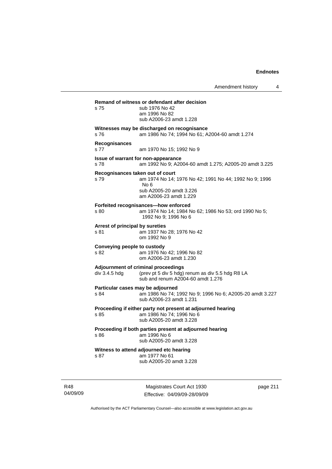Amendment history 4 **Remand of witness or defendant after decision**  s 75 sub 1976 No 42 am 1996 No 82 sub A2006-23 amdt 1.228 **Witnesses may be discharged on recognisance**  s 76 am 1986 No 74; 1994 No 61; A2004-60 amdt 1.274 **Recognisances**  s 77 am 1970 No 15; 1992 No 9 **Issue of warrant for non-appearance**  s 78 am 1992 No 9; A2004-60 amdt 1.275; A2005-20 amdt 3.225 **Recognisances taken out of court**  s 79 am 1974 No 14; 1976 No 42; 1991 No 44; 1992 No 9; 1996 No 6 sub A2005-20 amdt 3.226 am A2006-23 amdt 1.229 **Forfeited recognisances—how enforced**  s 80 am 1974 No 14; 1984 No 62; 1986 No 53; ord 1990 No 5; 1992 No 9; 1996 No 6 **Arrest of principal by sureties**  s 81 am 1937 No 28; 1976 No 42 om 1992 No 9 **Conveying people to custody**  s 82 am 1976 No 42; 1996 No 82 om A2006-23 amdt 1.230 **Adjournment of criminal proceedings**  div 3.4.5 hdg (prev pt 5 div 5 hdg) renum as div 5.5 hdg R8 LA sub and renum A2004-60 amdt 1.276 **Particular cases may be adjourned**  s 84 am 1986 No 74; 1992 No 9; 1996 No 6; A2005-20 amdt 3.227 sub A2006-23 amdt 1.231 **Proceeding if either party not present at adjourned hearing**  s 85 am 1986 No 74; 1996 No 6 sub A2005-20 amdt 3.228 **Proceeding if both parties present at adjourned hearing**  s 86 am 1996 No 6 sub A2005-20 amdt 3.228 **Witness to attend adjourned etc hearing**  s 87 am 1977 No 61 sub A2005-20 amdt 3.228

R48 04/09/09

Magistrates Court Act 1930 Effective: 04/09/09-28/09/09 page 211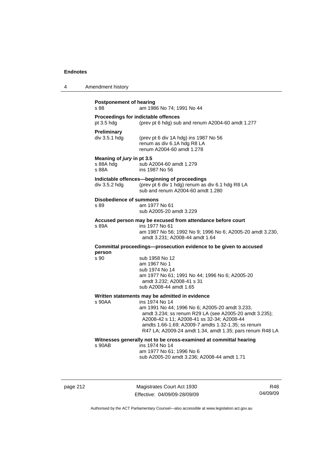| 4 | Amendment history |
|---|-------------------|
|---|-------------------|

| <b>Postponement of hearing</b><br>s 88          | am 1986 No 74; 1991 No 44                                                                                                                                                                                                                                                                  |  |  |  |
|-------------------------------------------------|--------------------------------------------------------------------------------------------------------------------------------------------------------------------------------------------------------------------------------------------------------------------------------------------|--|--|--|
| pt 3.5 hdg                                      | Proceedings for indictable offences<br>(prev pt 6 hdg) sub and renum A2004-60 amdt 1.277                                                                                                                                                                                                   |  |  |  |
| Preliminary<br>div 3.5.1 hdg                    | (prev pt 6 div 1A hdg) ins 1987 No 56<br>renum as div 6.1A hdg R8 LA<br>renum A2004-60 amdt 1.278                                                                                                                                                                                          |  |  |  |
| Meaning of jury in pt 3.5<br>s 88A hdg<br>s 88A | sub A2004-60 amdt 1.279<br>ins 1987 No 56                                                                                                                                                                                                                                                  |  |  |  |
| div 3.5.2 hdg                                   | Indictable offences-beginning of proceedings<br>(prev pt 6 div 1 hdg) renum as div 6.1 hdg R8 LA<br>sub and renum A2004-60 amdt 1.280                                                                                                                                                      |  |  |  |
| Disobedience of summons<br>s 89                 | am 1977 No 61<br>sub A2005-20 amdt 3.229                                                                                                                                                                                                                                                   |  |  |  |
| s 89A                                           | Accused person may be excused from attendance before court<br>ins 1977 No 61<br>am 1987 No 56; 1992 No 9; 1996 No 6; A2005-20 amdt 3.230,<br>amdt 3.231; A2008-44 amdt 1.64                                                                                                                |  |  |  |
| person                                          | Committal proceedings--prosecution evidence to be given to accused                                                                                                                                                                                                                         |  |  |  |
| s 90                                            | sub 1958 No 12<br>am 1967 No 1<br>sub 1974 No 14<br>am 1977 No 61; 1991 No 44; 1996 No 6; A2005-20<br>amdt 3.232; A2008-41 s 31<br>sub A2008-44 amdt 1.65                                                                                                                                  |  |  |  |
|                                                 | Written statements may be admitted in evidence                                                                                                                                                                                                                                             |  |  |  |
| s 90AA                                          | ins 1974 No 14<br>am 1991 No 44; 1996 No 6; A2005-20 amdt 3.233,<br>amdt 3.234; ss renum R29 LA (see A2005-20 amdt 3.235);<br>A2008-42 s 11; A2008-41 ss 32-34; A2008-44<br>amdts 1.66-1.69; A2009-7 amdts 1.32-1.35; ss renum<br>R47 LA; A2009-24 amdt 1.34, amdt 1.35; pars renum R48 LA |  |  |  |
| s 90AB                                          | Witnesses generally not to be cross-examined at committal hearing<br>ins 1974 No 14<br>am 1977 No 61; 1996 No 6<br>sub A2005-20 amdt 3.236; A2008-44 amdt 1.71                                                                                                                             |  |  |  |

page 212 Magistrates Court Act 1930 Effective: 04/09/09-28/09/09

R48 04/09/09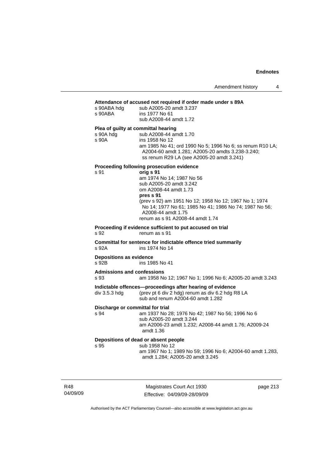#### **Attendance of accused not required if order made under s 89A**

| s 90ABA hdg<br>s 90ABA                    | Attendance of accused not required if order made under s 89A<br>sub A2005-20 amdt 3.237<br>ins 1977 No 61<br>sub A2008-44 amdt 1.72                                                                                                                                                                                                |
|-------------------------------------------|------------------------------------------------------------------------------------------------------------------------------------------------------------------------------------------------------------------------------------------------------------------------------------------------------------------------------------|
| s 90A hdg<br>s 90A                        | Plea of guilty at committal hearing<br>sub A2008-44 amdt 1.70<br>ins 1958 No 12<br>am 1985 No 41; ord 1990 No 5; 1996 No 6; ss renum R10 LA;<br>A2004-60 amdt 1.281; A2005-20 amdts 3.238-3.240;<br>ss renum R29 LA (see A2005-20 amdt 3.241)                                                                                      |
| s 91                                      | Proceeding following prosecution evidence<br>orig s 91<br>am 1974 No 14; 1987 No 56<br>sub A2005-20 amdt 3.242<br>om A2008-44 amdt 1.73<br>pres s 91<br>(prev s 92) am 1951 No 12; 1958 No 12; 1967 No 1; 1974<br>No 14; 1977 No 61; 1985 No 41; 1986 No 74; 1987 No 56;<br>A2008-44 amdt 1.75<br>renum as s 91 A2008-44 amdt 1.74 |
| s 92                                      | Proceeding if evidence sufficient to put accused on trial<br>renum as s 91                                                                                                                                                                                                                                                         |
|                                           | Committal for sentence for indictable offence tried summarily                                                                                                                                                                                                                                                                      |
| s 92A                                     | ins 1974 No 14                                                                                                                                                                                                                                                                                                                     |
| <b>Depositions as evidence</b><br>s 92B   | ins 1985 No 41                                                                                                                                                                                                                                                                                                                     |
| <b>Admissions and confessions</b><br>s 93 | am 1958 No 12; 1967 No 1; 1996 No 6; A2005-20 amdt 3.243                                                                                                                                                                                                                                                                           |
| div 3.5.3 hdg                             | Indictable offences-proceedings after hearing of evidence<br>(prev pt 6 div 2 hdg) renum as div 6.2 hdg R8 LA<br>sub and renum A2004-60 amdt 1.282                                                                                                                                                                                 |
| Discharge or committal for trial<br>s 94  | am 1937 No 28; 1976 No 42; 1987 No 56; 1996 No 6<br>sub A2005-20 amdt 3.244<br>am A2006-23 amdt 1.232; A2008-44 amdt 1.76; A2009-24<br>amdt 1.36                                                                                                                                                                                   |

R48 04/09/09

Magistrates Court Act 1930 Effective: 04/09/09-28/09/09 page 213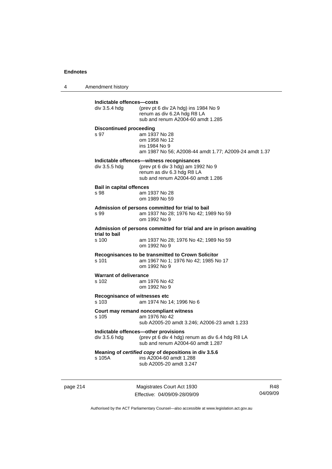4 Amendment history

| div 3.5.4 hdg                           | (prev pt 6 div 2A hdg) ins 1984 No 9<br>renum as div 6.2A hdg R8 LA<br>sub and renum A2004-60 amdt 1.285                                           |
|-----------------------------------------|----------------------------------------------------------------------------------------------------------------------------------------------------|
| <b>Discontinued proceeding</b><br>s 97  | am 1937 No 28<br>om 1958 No 12<br>ins 1984 No 9<br>am 1987 No 56; A2008-44 amdt 1.77; A2009-24 amdt 1.37                                           |
| div 3.5.5 hdg                           | Indictable offences—witness recognisances<br>(prev pt 6 div 3 hdg) am 1992 No 9<br>renum as div 6.3 hdg R8 LA<br>sub and renum A2004-60 amdt 1.286 |
| <b>Bail in capital offences</b><br>s 98 | am 1937 No 28<br>om 1989 No 59                                                                                                                     |
| s 99                                    | Admission of persons committed for trial to bail<br>am 1937 No 28; 1976 No 42; 1989 No 59<br>om 1992 No 9                                          |
|                                         | Admission of persons committed for trial and are in prison awaiting                                                                                |
| trial to bail<br>s 100                  | am 1937 No 28; 1976 No 42; 1989 No 59<br>om 1992 No 9                                                                                              |
| s 101                                   | Recognisances to be transmitted to Crown Solicitor<br>am 1967 No 1; 1976 No 42; 1985 No 17<br>om 1992 No 9                                         |
| <b>Warrant of deliverance</b><br>s 102  | am 1976 No 42<br>om 1992 No 9                                                                                                                      |
| s 103                                   | Recognisance of witnesses etc<br>am 1974 No 14; 1996 No 6                                                                                          |
| s 105                                   | Court may remand noncompliant witness<br>am 1976 No 42<br>sub A2005-20 amdt 3.246; A2006-23 amdt 1.233                                             |
| div 3.5.6 hdg                           | Indictable offences-other provisions<br>(prev pt 6 div 4 hdg) renum as div 6.4 hdg R8 LA<br>sub and renum A2004-60 amdt 1,287                      |
| s 105A                                  | Meaning of certified copy of depositions in div 3.5.6<br>ins A2004-60 amdt 1.288<br>sub A2005-20 amdt 3.247                                        |

page 214 Magistrates Court Act 1930 Effective: 04/09/09-28/09/09

R48 04/09/09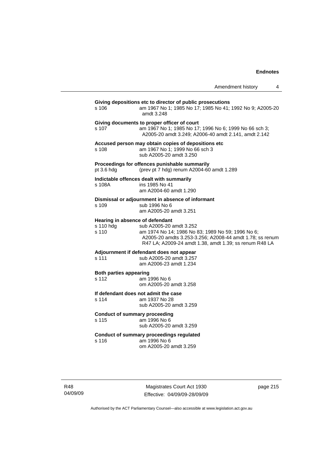|                                                       |                                                                                                                                                                                                    | Amendment history | 4 |
|-------------------------------------------------------|----------------------------------------------------------------------------------------------------------------------------------------------------------------------------------------------------|-------------------|---|
| s 106                                                 | Giving depositions etc to director of public prosecutions<br>am 1967 No 1; 1985 No 17; 1985 No 41; 1992 No 9; A2005-20<br>amdt 3.248                                                               |                   |   |
| s 107                                                 | Giving documents to proper officer of court<br>am 1967 No 1; 1985 No 17; 1996 No 6; 1999 No 66 sch 3;<br>A2005-20 amdt 3.249; A2006-40 amdt 2.141, amdt 2.142                                      |                   |   |
| s 108                                                 | Accused person may obtain copies of depositions etc<br>am 1967 No 1; 1999 No 66 sch 3<br>sub A2005-20 amdt 3.250                                                                                   |                   |   |
| pt 3.6 hdg                                            | Proceedings for offences punishable summarily<br>(prev pt 7 hdg) renum A2004-60 amdt 1.289                                                                                                         |                   |   |
| s 108A                                                | Indictable offences dealt with summarily<br>ins 1985 No 41<br>am A2004-60 amdt 1.290                                                                                                               |                   |   |
| s 109                                                 | Dismissal or adjournment in absence of informant<br>sub 1996 No 6<br>am A2005-20 amdt 3.251                                                                                                        |                   |   |
| Hearing in absence of defendant<br>s 110 hdg<br>s 110 | sub A2005-20 amdt 3.252<br>am 1974 No 14; 1986 No 83; 1989 No 59; 1996 No 6;<br>A2005-20 amdts 3.253-3.256; A2008-44 amdt 1.78; ss renum<br>R47 LA; A2009-24 amdt 1.38, amdt 1.39; ss renum R48 LA |                   |   |
| s 111                                                 | Adjournment if defendant does not appear<br>sub A2005-20 amdt 3.257<br>am A2006-23 amdt 1.234                                                                                                      |                   |   |
| <b>Both parties appearing</b><br>s 112                | am 1996 No 6<br>om A2005-20 amdt 3.258                                                                                                                                                             |                   |   |
| s 114                                                 | If defendant does not admit the case<br>am 1937 No 28<br>sub A2005-20 amdt 3.259                                                                                                                   |                   |   |
| <b>Conduct of summary proceeding</b><br>s 115         | am 1996 No 6<br>sub A2005-20 amdt 3.259                                                                                                                                                            |                   |   |
| s 116                                                 | <b>Conduct of summary proceedings regulated</b><br>am 1996 No 6<br>om A2005-20 amdt 3.259                                                                                                          |                   |   |

Magistrates Court Act 1930 Effective: 04/09/09-28/09/09 page 215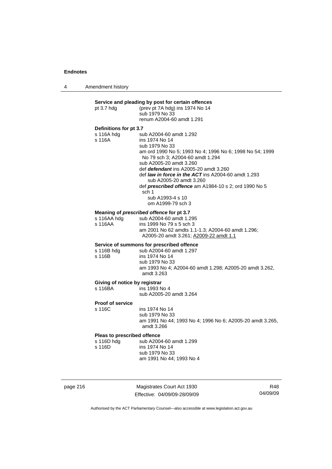4 Amendment history

| pt 3.7 hdg                                          | Service and pleading by post for certain offences<br>(prev pt 7A hdg) ins 1974 No 14<br>sub 1979 No 33<br>renum A2004-60 amdt 1.291                                                                                                                                                                                                                                                                                                 |
|-----------------------------------------------------|-------------------------------------------------------------------------------------------------------------------------------------------------------------------------------------------------------------------------------------------------------------------------------------------------------------------------------------------------------------------------------------------------------------------------------------|
| Definitions for pt 3.7<br>s 116A hdg<br>s 116A      | sub A2004-60 amdt 1.292<br>ins 1974 No 14<br>sub 1979 No 33<br>am ord 1990 No 5; 1993 No 4; 1996 No 6; 1998 No 54; 1999<br>No 79 sch 3; A2004-60 amdt 1.294<br>sub A2005-20 amdt 3.260<br>def <i>defendant</i> ins A2005-20 amdt 3.260<br>def law in force in the ACT ins A2004-60 amdt 1.293<br>sub A2005-20 amdt 3.260<br>def prescribed offence am A1984-10 s 2; ord 1990 No 5<br>sch 1<br>sub A1993-4 s 10<br>om A1999-79 sch 3 |
| s 116AA                                             | Meaning of prescribed offence for pt 3.7<br>s 116AA hdg sub A2004-60 amdt 1.295<br>ins 1999 No 79 s 5 sch 3<br>am 2001 No 62 amdts 1.1-1.3; A2004-60 amdt 1.296;<br>A2005-20 amdt 3.261; A2009-22 amdt 1.1                                                                                                                                                                                                                          |
| s 116B hdg<br>s 116B                                | Service of summons for prescribed offence<br>sub A2004-60 amdt 1.297<br>ins 1974 No 14<br>sub 1979 No 33<br>am 1993 No 4; A2004-60 amdt 1.298; A2005-20 amdt 3.262,<br>amdt 3.263                                                                                                                                                                                                                                                   |
| Giving of notice by registrar<br>s 116BA            | ins 1993 No 4<br>sub A2005-20 amdt 3.264                                                                                                                                                                                                                                                                                                                                                                                            |
| <b>Proof of service</b><br>s 116C                   | ins 1974 No 14<br>sub 1979 No 33<br>am 1991 No 44; 1993 No 4; 1996 No 6; A2005-20 amdt 3.265,<br>amdt 3.266                                                                                                                                                                                                                                                                                                                         |
| Pleas to prescribed offence<br>s 116D hdg<br>s 116D | sub A2004-60 amdt 1.299<br>ins 1974 No 14<br>sub 1979 No 33<br>am 1991 No 44; 1993 No 4                                                                                                                                                                                                                                                                                                                                             |

page 216 Magistrates Court Act 1930 Effective: 04/09/09-28/09/09

R48 04/09/09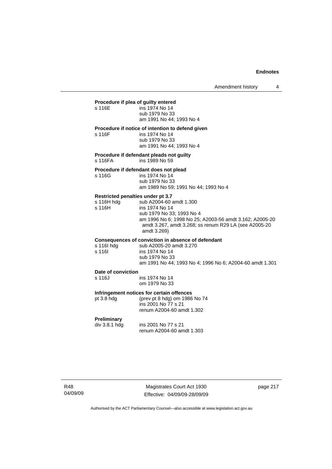# **Procedure if plea of guilty entered**

| s 116E | ins 1974 No 14           |
|--------|--------------------------|
|        | sub 1979 No 33           |
|        | am 1991 No 44; 1993 No 4 |

# **Procedure if notice of intention to defend given**

| s 116F | ins 1974 No 14           |
|--------|--------------------------|
|        | sub 1979 No 33           |
|        | am 1991 No 44; 1993 No 4 |

**Procedure if defendant pleads not guilty** 

s 116FA ins 1989 No 59

# **Procedure if defendant does not plead**

| s 116G | ins 1974 No 14                       |
|--------|--------------------------------------|
|        | sub 1979 No 33                       |
|        | am 1989 No 59; 1991 No 44; 1993 No 4 |

# **Restricted penalties under pt 3.7**

| s 116H hda | sub A2004-60 amdt 1.300                                 |
|------------|---------------------------------------------------------|
| s 116H     | ins 1974 No 14                                          |
|            | sub 1979 No 33; 1993 No 4                               |
|            | am 1996 No 6: 1998 No 25: A2003-56 amdt 3.162: A2005-20 |
|            | amdt 3.267, amdt 3.268; ss renum R29 LA (see A2005-20   |
|            | amdt 3.269)                                             |
|            |                                                         |

# **Consequences of conviction in absence of defendant**

| s 116I hdg | sub A2005-20 amdt 3.270                                  |
|------------|----------------------------------------------------------|
| s 116I     | ins 1974 No 14                                           |
|            | sub 1979 No 33                                           |
|            | am 1991 No 44; 1993 No 4; 1996 No 6; A2004-60 amdt 1.301 |
|            |                                                          |

#### **Date of conviction**

s 116J ins 1974 No 14 om 1979 No 33

**Infringement notices for certain offences** 

pt 3.8 hdg (prev pt 8 hdg) om 1986 No 74 ins 2001 No 77 s 21 renum A2004-60 amdt 1.302

### **Preliminary**

div 3.8.1 hdg ins 2001 No 77 s 21 renum A2004-60 amdt 1.303

R48 04/09/09

Magistrates Court Act 1930 Effective: 04/09/09-28/09/09 page 217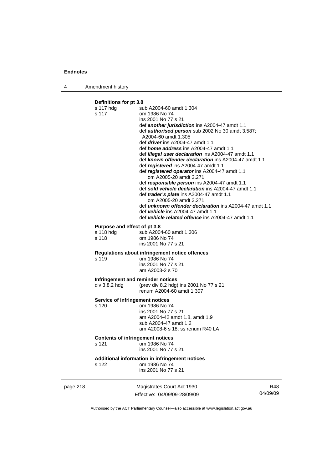4 Amendment history

# **Definitions for pt 3.8**

|          | Definitions for pt 5.6                    |                                                                                                                                                                                                            |          |  |
|----------|-------------------------------------------|------------------------------------------------------------------------------------------------------------------------------------------------------------------------------------------------------------|----------|--|
|          | s 117 hdg                                 | sub A2004-60 amdt 1.304                                                                                                                                                                                    |          |  |
|          | s 117                                     | om 1986 No 74                                                                                                                                                                                              |          |  |
|          |                                           | ins 2001 No 77 s 21                                                                                                                                                                                        |          |  |
|          |                                           | def another jurisdiction ins A2004-47 amdt 1.1<br>def <b>authorised person</b> sub 2002 No 30 amdt 3.587;                                                                                                  |          |  |
|          |                                           | A2004-60 amdt 1.305                                                                                                                                                                                        |          |  |
|          |                                           | def <i>driver</i> ins A2004-47 amdt 1.1                                                                                                                                                                    |          |  |
|          |                                           | def <i>home address</i> ins A2004-47 amdt 1.1                                                                                                                                                              |          |  |
|          |                                           | def <i>illegal user declaration</i> ins A2004-47 amdt 1.1<br>def known offender declaration ins A2004-47 amdt 1.1<br>def registered ins A2004-47 amdt 1.1<br>def registered operator ins A2004-47 amdt 1.1 |          |  |
|          |                                           | om A2005-20 amdt 3.271                                                                                                                                                                                     |          |  |
|          |                                           | def responsible person ins A2004-47 amdt 1.1                                                                                                                                                               |          |  |
|          |                                           | def sold vehicle declaration ins A2004-47 amdt 1.1                                                                                                                                                         |          |  |
|          |                                           | def <i>trader's plate</i> ins A2004-47 amdt 1.1                                                                                                                                                            |          |  |
|          |                                           | om A2005-20 amdt 3.271<br>def <b>unknown offender declaration</b> ins A2004-47 amdt 1.1                                                                                                                    |          |  |
|          |                                           | def vehicle ins A2004-47 amdt 1.1                                                                                                                                                                          |          |  |
|          |                                           | def vehicle related offence ins A2004-47 amdt 1.1                                                                                                                                                          |          |  |
|          |                                           |                                                                                                                                                                                                            |          |  |
|          | Purpose and effect of pt 3.8<br>s 118 hdg | sub A2004-60 amdt 1.306                                                                                                                                                                                    |          |  |
|          | s 118                                     | om 1986 No 74                                                                                                                                                                                              |          |  |
|          |                                           | ins 2001 No 77 s 21                                                                                                                                                                                        |          |  |
|          |                                           |                                                                                                                                                                                                            |          |  |
|          | s 119                                     | Regulations about infringement notice offences<br>om 1986 No 74                                                                                                                                            |          |  |
|          |                                           | ins 2001 No 77 s 21                                                                                                                                                                                        |          |  |
|          |                                           | am A2003-2 s 70                                                                                                                                                                                            |          |  |
|          |                                           |                                                                                                                                                                                                            |          |  |
|          |                                           | Infringement and reminder notices                                                                                                                                                                          |          |  |
|          | div 3.8.2 hdg                             | (prev div 8.2 hdg) ins 2001 No 77 s 21<br>renum A2004-60 amdt 1.307                                                                                                                                        |          |  |
|          |                                           |                                                                                                                                                                                                            |          |  |
|          |                                           | Service of infringement notices                                                                                                                                                                            |          |  |
|          | s 120                                     | om 1986 No 74                                                                                                                                                                                              |          |  |
|          |                                           | ins 2001 No 77 s 21<br>am A2004-42 amdt 1.8, amdt 1.9                                                                                                                                                      |          |  |
|          |                                           | sub A2004-47 amdt 1.2                                                                                                                                                                                      |          |  |
|          |                                           | am A2008-6 s 18; ss renum R40 LA                                                                                                                                                                           |          |  |
|          | <b>Contents of infringement notices</b>   |                                                                                                                                                                                                            |          |  |
|          | s 121                                     | om 1986 No 74                                                                                                                                                                                              |          |  |
|          |                                           | ins 2001 No 77 s 21                                                                                                                                                                                        |          |  |
|          |                                           |                                                                                                                                                                                                            |          |  |
|          | s 122                                     | Additional information in infringement notices<br>om 1986 No 74                                                                                                                                            |          |  |
|          |                                           | ins 2001 No 77 s 21                                                                                                                                                                                        |          |  |
| page 218 |                                           | Magistrates Court Act 1930                                                                                                                                                                                 | R48      |  |
|          |                                           | Fffective: 04/09/09-28/09/09                                                                                                                                                                               | 04/09/09 |  |

Authorised by the ACT Parliamentary Counsel—also accessible at www.legislation.act.gov.au

Effective: 04/09/09-28/09/09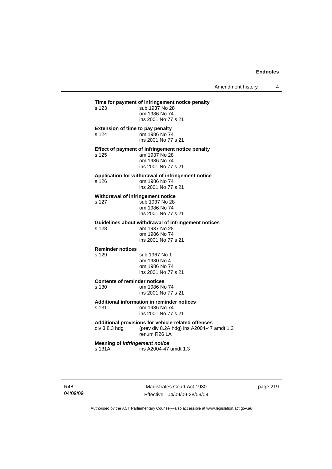Amendment history 4

**Time for payment of infringement notice penalty**<br>s 123 sub 1937 No 28 sub 1937 No 28 om 1986 No 74 ins 2001 No 77 s 21 **Extension of time to pay penalty**  s 124 om 1986 No 74 ins 2001 No 77 s 21 **Effect of payment of infringement notice penalty**  am 1937 No 28 om 1986 No 74 ins 2001 No 77 s 21 **Application for withdrawal of infringement notice**  s 126 om 1986 No 74 ins 2001 No 77 s 21 **Withdrawal of infringement notice**  s 127 sub 1937 No 28 om 1986 No 74 ins 2001 No 77 s 21 **Guidelines about withdrawal of infringement notices**  am 1937 No 28 om 1986 No 74 ins 2001 No 77 s 21 **Reminder notices**  s 129 sub 1967 No 1 am 1980 No 4 om 1986 No 74 ins 2001 No 77 s 21 **Contents of reminder notices**  s 130 om 1986 No 74 ins 2001 No 77 s 21 **Additional information in reminder notices**  s 131 om 1986 No 74 ins 2001 No 77 s 21 **Additional provisions for vehicle-related offences**  div 3.8.3 hdg (prev div 8.2A hdg) ins A2004-47 amdt 1.3 renum R26 LA **Meaning of** *infringement notice* s 131A ins A2004-47 amdt 1.3

R48 04/09/09

Magistrates Court Act 1930 Effective: 04/09/09-28/09/09 page 219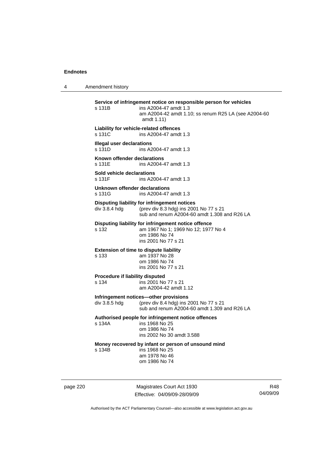4 Amendment history

**Service of infringement notice on responsible person for vehicles**  s 131B ins A2004-47 amdt 1.3 am A2004-42 amdt 1.10; ss renum R25 LA (see A2004-60 amdt 1.11) **Liability for vehicle-related offences**  s 131C ins A2004-47 amdt 1.3 **Illegal user declarations**  s 131D ins A2004-47 amdt 1.3 **Known offender declarations**  s 131E ins A2004-47 amdt 1.3 **Sold vehicle declarations**  ins A2004-47 amdt 1.3 **Unknown offender declarations**  s 131G **ins A2004-47** amdt 1.3 **Disputing liability for infringement notices**<br>div 3.8.4 hdg (prev div 8.3 hdg) ins 200 (prev div 8.3 hdg) ins 2001 No 77 s 21 sub and renum A2004-60 amdt 1.308 and R26 LA **Disputing liability for infringement notice offence**  s 132 am 1967 No 1; 1969 No 12; 1977 No 4 om 1986 No 74 ins 2001 No 77 s 21 **Extension of time to dispute liability**  s 133 am 1937 No 28 om 1986 No 74 ins 2001 No 77 s 21 **Procedure if liability disputed**  s 134 ins 2001 No 77 s 21 am A2004-42 amdt 1.12 **Infringement notices—other provisions**  div 3.8.5 hdg (prev div 8.4 hdg) ins 2001 No 77 s 21 sub and renum A2004-60 amdt 1.309 and R26 LA **Authorised people for infringement notice offences**  s 134A ins 1968 No 25 om 1986 No 74 ins 2002 No 30 amdt 3.588 **Money recovered by infant or person of unsound mind**  s 134B ins 1968 No 25 am 1978 No 46 om 1986 No 74

page 220 Magistrates Court Act 1930 Effective: 04/09/09-28/09/09

R48 04/09/09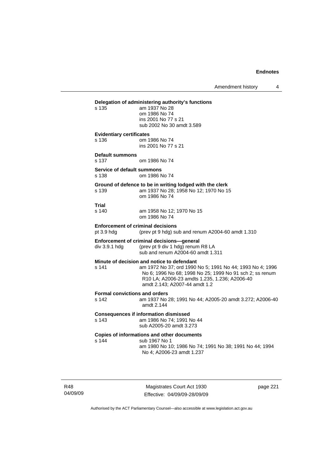Amendment history 4

# **Delegation of administering authority's functions**

am 1937 No 28 om 1986 No 74 ins 2001 No 77 s 21 sub 2002 No 30 amdt 3.589

# **Evidentiary certificates**

s 136 om 1986 No 74 ins 2001 No 77 s 21

**Default summons**  s 137 om 1986 No 74

**Service of default summons**  s 138 om 1986 No 74

### **Ground of defence to be in writing lodged with the clerk**  s 139 am 1937 No 28; 1958 No 12; 1970 No 15

om 1986 No 74

**Trial** 

am 1958 No 12; 1970 No 15 om 1986 No 74

### **Enforcement of criminal decisions**

pt 3.9 hdg (prev pt 9 hdg) sub and renum A2004-60 amdt 1.310

sub and renum A2004-60 amdt 1.311

# **Enforcement of criminal decisions—general**

div 3.9.1 hdg (prev pt 9 div 1 hdg) renum R8 LA

# **Minute of decision and notice to defendant**

s 141 am 1972 No 37; ord 1990 No 5; 1991 No 44; 1993 No 4; 1996 No 6; 1996 No 68; 1998 No 25; 1999 No 91 sch 2; ss renum R10 LA; A2006-23 amdts 1.235, 1.236; A2006-40 amdt 2.143; A2007-44 amdt 1.2

#### **Formal convictions and orders**

s 142 am 1937 No 28; 1991 No 44; A2005-20 amdt 3.272; A2006-40 amdt 2.144

# **Consequences if information dismissed**

s 143 am 1986 No 74; 1991 No 44 sub A2005-20 amdt 3.273

### **Copies of informations and other documents**

s 144 sub 1967 No 1

 am 1980 No 10; 1986 No 74; 1991 No 38; 1991 No 44; 1994 No 4; A2006-23 amdt 1.237

R48 04/09/09

Magistrates Court Act 1930 Effective: 04/09/09-28/09/09 page 221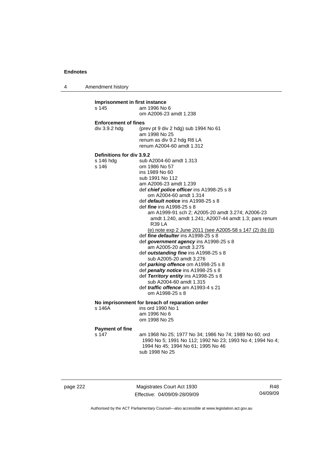4 Amendment history

**Imprisonment in first instance**  s 145 am 1996 No 6 om A2006-23 amdt 1.238 **Enforcement of fines**  div 3.9.2 hdg (prev pt 9 div 2 hdg) sub 1994 No 61 am 1998 No 25 renum as div 9.2 hdg R8 LA renum A2004-60 amdt 1.312 **Definitions for div 3.9.2**  s 146 hdg sub A2004-60 amdt 1.313 s 146 om 1986 No 57 ins 1989 No 60 sub 1991 No 112 am A2006-23 amdt 1.239 def *chief police officer* ins A1998-25 s 8 om A2004-60 amdt 1.314 def *default notice* ins A1998-25 s 8 def *fine* ins A1998-25 s 8 am A1999-91 sch 2; A2005-20 amdt 3.274; A2006-23 amdt 1.240, amdt 1.241; A2007-44 amdt 1.3; pars renum R39 LA (e) note exp 2 June 2011 (see A2005-58 s 147 (2) (b) (i)) def *fine defaulter* ins A1998-25 s 8 def *government agency* ins A1998-25 s 8 am A2005-20 amdt 3.275 def *outstanding fine* ins A1998-25 s 8 sub A2005-20 amdt 3.276 def *parking offence* om A1998-25 s 8 def *penalty notice* ins A1998-25 s 8 def *Territory entity* ins A1998-25 s 8 sub A2004-60 amdt 1.315 def *traffic offence* am A1993-4 s 21 om A1998-25 s 8 **No imprisonment for breach of reparation order**  ins ord 1990 No 1 am 1996 No 6 om 1998 No 25 **Payment of fine**  s 147 am 1968 No 25; 1977 No 34; 1986 No 74; 1989 No 60; ord 1990 No 5; 1991 No 112; 1992 No 23; 1993 No 4; 1994 No 4; 1994 No 45; 1994 No 61; 1995 No 46 sub 1998 No 25

page 222 Magistrates Court Act 1930 Effective: 04/09/09-28/09/09

R48 04/09/09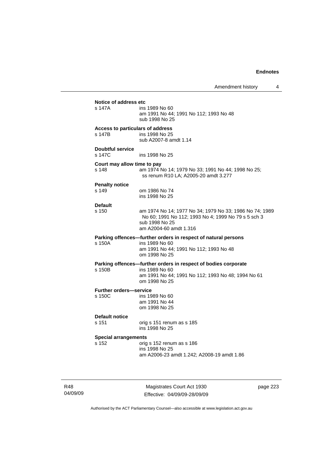Amendment history 4

| Notice of address etc<br>s 147A            | ins 1989 No 60<br>am 1991 No 44; 1991 No 112; 1993 No 48<br>sub 1998 No 25                                                                                 |
|--------------------------------------------|------------------------------------------------------------------------------------------------------------------------------------------------------------|
| Access to particulars of address<br>s 147B | ins 1998 No 25<br>sub A2007-8 amdt 1.14                                                                                                                    |
| <b>Doubtful service</b><br>s 147C          | ins 1998 No 25                                                                                                                                             |
| Court may allow time to pay<br>s 148       | am 1974 No 14; 1979 No 33; 1991 No 44; 1998 No 25;<br>ss renum R10 LA; A2005-20 amdt 3.277                                                                 |
| <b>Penalty notice</b><br>s 149             | om 1986 No 74<br>ins 1998 No 25                                                                                                                            |
| <b>Default</b><br>s 150                    | am 1974 No 14; 1977 No 34; 1979 No 33; 1986 No 74; 1989<br>No 60; 1991 No 112; 1993 No 4; 1999 No 79 s 5 sch 3<br>sub 1998 No 25<br>am A2004-60 amdt 1.316 |
| s 150A                                     | Parking offences-further orders in respect of natural persons<br>ins 1989 No 60<br>am 1991 No 44; 1991 No 112; 1993 No 48<br>om 1998 No 25                 |
| s 150B                                     | Parking offences-further orders in respect of bodies corporate<br>ins 1989 No 60<br>am 1991 No 44; 1991 No 112; 1993 No 48; 1994 No 61<br>om 1998 No 25    |
| <b>Further orders-service</b><br>s 150C    | ins 1989 No 60<br>am 1991 No 44<br>om 1998 No 25                                                                                                           |
| Default notice<br>s 151                    | orig s 151 renum as s 185<br>ins 1998 No 25                                                                                                                |
| <b>Special arrangements</b><br>s 152       | orig s 152 renum as s 186<br>ins 1998 No 25<br>am A2006-23 amdt 1.242; A2008-19 amdt 1.86                                                                  |

R48 04/09/09

Magistrates Court Act 1930 Effective: 04/09/09-28/09/09 page 223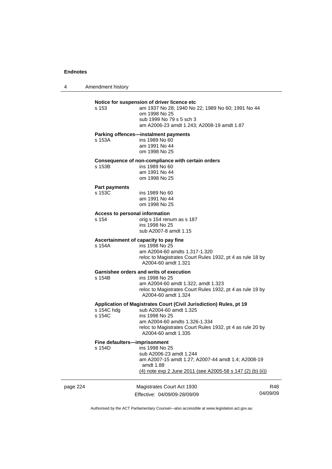4 Amendment history

# **Notice for suspension of driver licence etc**

s 153 am 1937 No 28; 1940 No 22; 1989 No 60; 1991 No 44 om 1998 No 25 sub 1999 No 79 s 5 sch 3

am A2006-23 amdt 1.243; A2008-19 amdt 1.87

### **Parking offences—instalment payments**

s 153A ins 1989 No 60 am 1991 No 44 om 1998 No 25

### **Consequence of non-compliance with certain orders**  s 153B

| s 153B | ins 1989 No 60 |
|--------|----------------|
|        | am 1991 No 44  |
|        | om 1998 No 25  |

# **Part payments**

ins 1989 No 60 am 1991 No 44 om 1998 No 25

# **Access to personal information**

s 154 orig s 154 renum as s 187 ins 1998 No 25 sub A2007-8 amdt 1.15

# **Ascertainment of capacity to pay fine**

s 154A ins 1998 No 25 am A2004-60 amdts 1.317-1.320 reloc to Magistrates Court Rules 1932, pt 4 as rule 18 by A2004-60 amdt 1.321

# **Garnishee orders and writs of execution**

ins 1998 No 25 am A2004-60 amdt 1.322, amdt 1.323 reloc to Magistrates Court Rules 1932, pt 4 as rule 19 by A2004-60 amdt 1.324

### **Application of Magistrates Court (Civil Jurisdiction) Rules, pt 19**

| s 154C hdg | sub A2004-60 amdt 1.325                                                                                           |
|------------|-------------------------------------------------------------------------------------------------------------------|
| s 154C     | ins 1998 No 25                                                                                                    |
|            | am A2004-60 amdts 1.326-1.334<br>reloc to Magistrates Court Rules 1932, pt 4 as rule 20 by<br>A2004-60 amdt 1.335 |

# **Fine defaulters—imprisonment**

| s 154D | ins 1998 No 25                                                  |
|--------|-----------------------------------------------------------------|
|        | sub A2006-23 amdt 1.244                                         |
|        | am A2007-15 amdt 1.27: A2007-44 amdt 1.4: A2008-19<br>amdt 1.88 |
|        | (4) note exp 2 June 2011 (see A2005-58 s 147 (2) (b) (ii))      |
|        |                                                                 |

| page 224 |  |
|----------|--|
|----------|--|

Magistrates Court Act 1930 Effective: 04/09/09-28/09/09

R48 04/09/09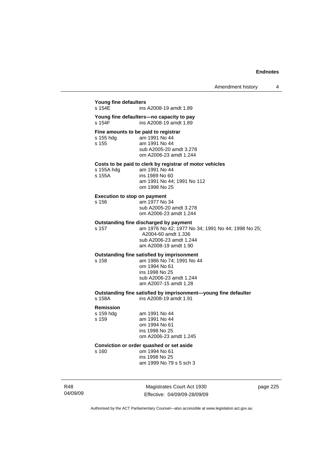# **Young fine defaulters**

ins A2008-19 amdt 1.89

**Young fine defaulters—no capacity to pay**  ins A2008-19 amdt 1.89

**Fine amounts to be paid to registrar** 

| s 155 hdg | am 1991 No 44           |
|-----------|-------------------------|
| s 155     | am 1991 No 44           |
|           | sub A2005-20 amdt 3.278 |
|           | om A2006-23 amdt 1.244  |

### **Costs to be paid to clerk by registrar of motor vehicles**

| s 155A hdg | am 1991 No 44              |
|------------|----------------------------|
| s 155A     | ins 1989 No 60             |
|            | am 1991 No 44: 1991 No 112 |
|            | om 1998 No 25              |

# **Execution to stop on payment**

| s 156 | am 1977 No 34           |
|-------|-------------------------|
|       | sub A2005-20 amdt 3.278 |
|       | om A2006-23 amdt 1.244  |

# **Outstanding fine discharged by payment**<br>s 157 cm 1976 No 42: 1977 No

s 157 am 1976 No 42; 1977 No 34; 1991 No 44; 1998 No 25; A2004-60 amdt 1.336 sub A2006-23 amdt 1.244 am A2008-19 amdt 1.90

# **Outstanding fine satisfied by imprisonment**

s 158 am 1986 No 74; 1991 No 44 om 1994 No 61 ins 1998 No 25 sub A2006-23 amdt 1.244 am A2007-15 amdt 1.28

# **Outstanding fine satisfied by imprisonment—young fine defaulter**

s 158A ins A2008-19 amdt 1.91

### **Remission**

s 159 hdg am 1991 No 44 s 159 am 1991 No 44

 ins 1998 No 25 om A2006-23 amdt 1.245

om 1994 No 61

# **Conviction or order quashed or set aside**

s 160 om 1994 No 61

 ins 1998 No 25 am 1999 No 79 s 5 sch 3

R48 04/09/09

Magistrates Court Act 1930 Effective: 04/09/09-28/09/09 page 225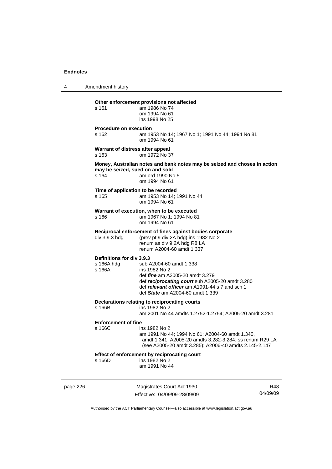4 Amendment history page 226 Magistrates Court Act 1930 R48 **Other enforcement provisions not affected**  s 161 am 1986 No 74 om 1994 No 61 ins 1998 No 25 **Procedure on execution**  s 162 am 1953 No 14; 1967 No 1; 1991 No 44; 1994 No 81 om 1994 No 61 **Warrant of distress after appeal**  s 163 om 1972 No 37 **Money, Australian notes and bank notes may be seized and choses in action may be seized, sued on and sold**  s 164 am ord 1990 No 5 om 1994 No 61 **Time of application to be recorded**  s 165 am 1953 No 14; 1991 No 44 om 1994 No 61 **Warrant of execution, when to be executed**  s 166 am 1967 No 1; 1994 No 81 om 1994 No 61 **Reciprocal enforcement of fines against bodies corporate**  div 3.9.3 hdg (prev pt 9 div 2A hdg) ins 1982 No 2 renum as div 9.2A hdg R8 LA renum A2004-60 amdt 1.337 **Definitions for div 3.9.3**  s 166A hdg sub A2004-60 amdt 1.338<br>s 166A ins 1982 No 2 ins 1982 No 2 def *fine* am A2005-20 amdt 3.279 def *reciprocating court* sub A2005-20 amdt 3.280 def *relevant officer* am A1991-44 s 7 and sch 1 def *State* am A2004-60 amdt 1.339 **Declarations relating to reciprocating courts**  s 166B ins 1982 No 2 am 2001 No 44 amdts 1.2752-1.2754; A2005-20 amdt 3.281 **Enforcement of fine**  s 166C ins 1982 No 2 am 1991 No 44; 1994 No 61; A2004-60 amdt 1.340, amdt 1.341; A2005-20 amdts 3.282-3.284; ss renum R29 LA (see A2005-20 amdt 3.285); A2006-40 amdts 2.145-2.147 **Effect of enforcement by reciprocating court**<br>s 166D ins 1982 No 2  $ins$  1982 No 2 am 1991 No 44

Authorised by the ACT Parliamentary Counsel—also accessible at www.legislation.act.gov.au

04/09/09

Effective: 04/09/09-28/09/09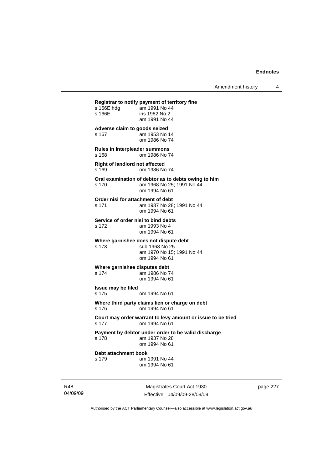**Registrar to notify payment of territory fine**  am 1991 No 44 s 166E ins 1982 No 2 am 1991 No 44 **Adverse claim to goods seized**  s 167 am 1953 No 14 om 1986 No 74 **Rules in Interpleader summons**  s 168 om 1986 No 74 **Right of landlord not affected**  s 169 om 1986 No 74 **Oral examination of debtor as to debts owing to him**  s 170 am 1968 No 25; 1991 No 44 om 1994 No 61 **Order nisi for attachment of debt**  s 171 am 1937 No 28; 1991 No 44 om 1994 No 61 **Service of order nisi to bind debts**  s 172 am 1993 No 4 om 1994 No 61 **Where garnishee does not dispute debt**  s 173 sub 1968 No 25 am 1970 No 15; 1991 No 44 om 1994 No 61 **Where garnishee disputes debt**  s 174 am 1986 No 74 om 1994 No 61 **Issue may be filed**  s 175 om 1994 No 61 **Where third party claims lien or charge on debt**  s 176 om 1994 No 61 **Court may order warrant to levy amount or issue to be tried**  s 177 om 1994 No 61 **Payment by debtor under order to be valid discharge**  am 1937 No 28 om 1994 No 61 **Debt attachment book**  s 179 am 1991 No 44 om 1994 No 61

R48 04/09/09

Magistrates Court Act 1930 Effective: 04/09/09-28/09/09 page 227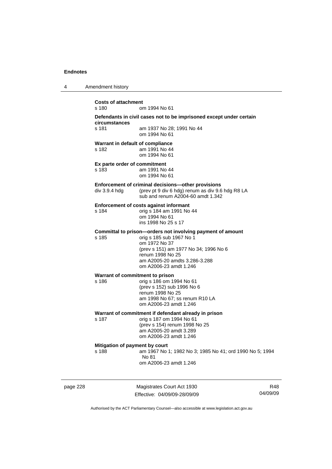4 Amendment history

**Costs of attachment**  s 180 om 1994 No 61 **Defendants in civil cases not to be imprisoned except under certain circumstances**  s 181 am 1937 No 28; 1991 No 44 om 1994 No 61 **Warrant in default of compliance**  s 182 am 1991 No 44 om 1994 No 61 **Ex parte order of commitment**  s 183 am 1991 No 44 om 1994 No 61 **Enforcement of criminal decisions—other provisions**  div 3.9.4 hdg (prev pt 9 div 6 hdg) renum as div 9.6 hdg R8 LA sub and renum A2004-60 amdt 1.342 **Enforcement of costs against informant**  s 184 orig s 184 am 1991 No 44 om 1994 No 61 ins 1998 No 25 s 17 **Committal to prison—orders not involving payment of amount**  s 185 orig s 185 sub 1967 No 1 om 1972 No 37 (prev s 151) am 1977 No 34; 1996 No 6 renum 1998 No 25 am A2005-20 amdts 3.286-3.288 om A2006-23 amdt 1.246 **Warrant of commitment to prison**  s 186 orig s 186 om 1994 No 61 (prev s 152) sub 1996 No 6 renum 1998 No 25 am 1998 No 67; ss renum R10 LA om A2006-23 amdt 1.246 **Warrant of commitment if defendant already in prison**  s 187 orig s 187 om 1994 No 61 (prev s 154) renum 1998 No 25 am A2005-20 amdt 3.289 om A2006-23 amdt 1.246 **Mitigation of payment by court**  s 188 am 1967 No 1; 1982 No 3; 1985 No 41; ord 1990 No 5; 1994 No 81 om A2006-23 amdt 1.246

page 228 Magistrates Court Act 1930 Effective: 04/09/09-28/09/09

R48 04/09/09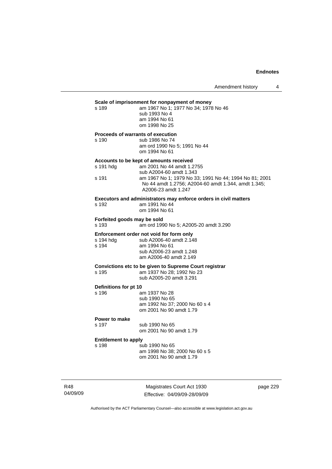# **Scale of imprisonment for nonpayment of money**<br>
s 189 am 1967 No 1: 1977 No 34: 1978

| s 189 | am 1967 No 1; 1977 No 34; 1978 No 46 |
|-------|--------------------------------------|
|       | sub 1993 No 4                        |
|       | am 1994 No 61                        |
|       | om 1998 No 25                        |

#### **Proceeds of warrants of execution**

s 190 sub 1986 No 74 am ord 1990 No 5; 1991 No 44 om 1994 No 61

### **Accounts to be kept of amounts received**

| s 191 hdq | am 2001 No 44 amdt 1.2755                                                                                                            |
|-----------|--------------------------------------------------------------------------------------------------------------------------------------|
|           | sub A2004-60 amdt 1.343                                                                                                              |
| s 191     | am 1967 No 1; 1979 No 33; 1991 No 44; 1994 No 81; 2001<br>No 44 amdt 1.2756; A2004-60 amdt 1.344, amdt 1.345;<br>A2006-23 amdt 1.247 |
|           |                                                                                                                                      |

### **Executors and administrators may enforce orders in civil matters**  s 192

| am 1991 No 44 |
|---------------|
| om 1994 No 61 |
|               |

# **Forfeited goods may be sold**

s 193 am ord 1990 No 5; A2005-20 amdt 3.290

# **Enforcement order not void for form only**<br>s 194 hdg sub A2006-40 amdt 2.148

| s 194 hda | sub A2006-40 amdt 2.148 |
|-----------|-------------------------|
| s 194     | am 1994 No 61           |
|           | sub A2006-23 amdt 1.248 |
|           | am A2006-40 amdt 2.149  |

### **Convictions etc to be given to Supreme Court registrar**  s 195 am 1937 No 28; 1992 No 23

| ט טוס | $\frac{1}{2}$ and $\frac{1}{2}$ and $\frac{1}{2}$ and $\frac{1}{2}$ and $\frac{1}{2}$ |
|-------|---------------------------------------------------------------------------------------|
|       | sub A2005-20 amdt 3.291                                                               |

# **Definitions for pt 10**

| טו אן וטו פווטווויט |                               |
|---------------------|-------------------------------|
| s 196               | am 1937 No 28                 |
|                     | sub 1990 No 65                |
|                     | am 1992 No 37: 2000 No 60 s 4 |
|                     | om 2001 No 90 amdt 1.79       |
|                     |                               |

# **Power to make**

s 197 sub 1990 No 65 om 2001 No 90 amdt 1.79

# **Entitlement to apply**

| s 198 | sub 1990 No 65                |
|-------|-------------------------------|
|       | am 1998 No 38; 2000 No 60 s 5 |
|       | om 2001 No 90 amdt 1.79       |

R48 04/09/09

Magistrates Court Act 1930 Effective: 04/09/09-28/09/09 page 229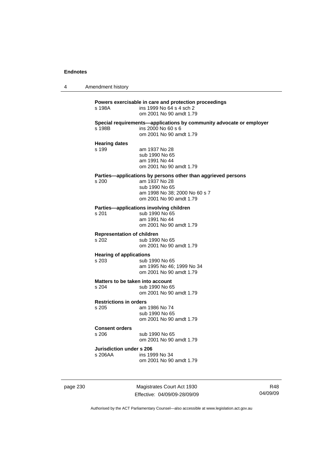4 Amendment history

**Powers exercisable in care and protection proceedings**  ins 1999 No 64 s 4 sch 2 om 2001 No 90 amdt 1.79 **Special requirements—applications by community advocate or employer**  s 198B ins 2000 No 60 s 6 om 2001 No 90 amdt 1.79 **Hearing dates**  s 199 am 1937 No 28 sub 1990 No 65 am 1991 No 44 om 2001 No 90 amdt 1.79 **Parties—applications by persons other than aggrieved persons s 200 am 1937 No 28** am 1937 No 28 sub 1990 No 65 am 1998 No 38; 2000 No 60 s 7 om 2001 No 90 amdt 1.79 **Parties—applications involving children**  s 201 sub 1990 No 65 am 1991 No 44 om 2001 No 90 amdt 1.79 **Representation of children**  sub 1990 No 65 om 2001 No 90 amdt 1.79 **Hearing of applications**<br>s 203 sub 1 sub 1990 No 65 am 1995 No 46; 1999 No 34 om 2001 No 90 amdt 1.79 **Matters to be taken into account**  s 204 sub 1990 No 65 om 2001 No 90 amdt 1.79 **Restrictions in orders**  s 205 am 1986 No 74 sub 1990 No 65 om 2001 No 90 amdt 1.79 **Consent orders**  s 206 sub 1990 No 65 om 2001 No 90 amdt 1.79 **Jurisdiction under s 206**  s 206AA ins 1999 No 34 om 2001 No 90 amdt 1.79

page 230 Magistrates Court Act 1930 Effective: 04/09/09-28/09/09

R48 04/09/09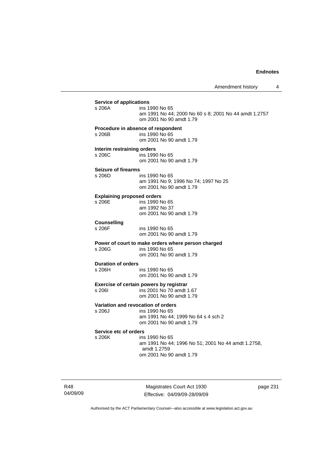| <b>Service of applications</b>               |                                                                                                                |
|----------------------------------------------|----------------------------------------------------------------------------------------------------------------|
| s 206A                                       | ins 1990 No 65<br>am 1991 No 44; 2000 No 60 s 8; 2001 No 44 amdt 1.2757<br>om 2001 No 90 amdt 1.79             |
| s 206B                                       | Procedure in absence of respondent<br>ins 1990 No 65<br>om 2001 No 90 amdt 1.79                                |
| Interim restraining orders<br>s 206C         | ins 1990 No 65<br>om 2001 No 90 amdt 1.79                                                                      |
| Seizure of firearms<br>s 206D                | ins 1990 No 65<br>am 1991 No 9; 1996 No 74; 1997 No 25<br>om 2001 No 90 amdt 1.79                              |
| <b>Explaining proposed orders</b><br>s 206F  | ins 1990 No 65<br>am 1992 No 37<br>om 2001 No 90 amdt 1.79                                                     |
| <b>Counselling</b><br>s 206F                 | ins 1990 No 65<br>om 2001 No 90 amdt 1.79                                                                      |
| s 206G                                       | Power of court to make orders where person charged<br>ins 1990 No 65<br>om 2001 No 90 amdt 1.79                |
| <b>Duration of orders</b><br>s 206H          | ins 1990 No 65<br>om 2001 No 90 amdt 1.79                                                                      |
| s 2061                                       | Exercise of certain powers by registrar<br>ins 2001 No 70 amdt 1.67<br>om 2001 No 90 amdt 1.79                 |
| Variation and revocation of orders<br>s 206J | ins 1990 No 65<br>am 1991 No 44; 1999 No 64 s 4 sch 2<br>om 2001 No 90 amdt 1.79                               |
| Service etc of orders<br>s 206K              | ins 1990 No 65<br>am 1991 No 44; 1996 No 51; 2001 No 44 amdt 1.2758,<br>amdt 1.2759<br>om 2001 No 90 amdt 1.79 |

R48 04/09/09

Magistrates Court Act 1930 Effective: 04/09/09-28/09/09 page 231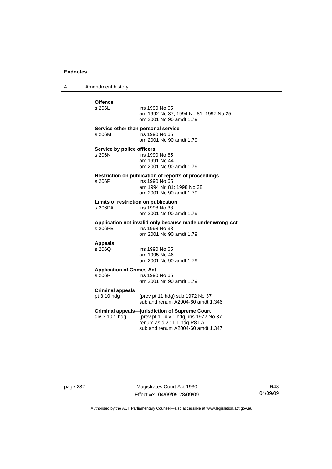4 Amendment history

# Offence<br>s 206L ins 1990 No 65 am 1992 No 37; 1994 No 81; 1997 No 25 om 2001 No 90 amdt 1.79 **Service other than personal service**  s 206M ins 1990 No 65 om 2001 No 90 amdt 1.79 **Service by police officers**<br>s 206N ins 199 ins 1990 No 65 am 1991 No 44 om 2001 No 90 amdt 1.79 **Restriction on publication of reports of proceedings**  ins 1990 No 65 am 1994 No 81; 1998 No 38 om 2001 No 90 amdt 1.79 **Limits of restriction on publication**  s 206PA ins 1998 No 38 om 2001 No 90 amdt 1.79 **Application not invalid only because made under wrong Act**  ins 1998 No 38 om 2001 No 90 amdt 1.79 **Appeals**  ins 1990 No 65 am 1995 No 46 om 2001 No 90 amdt 1.79 **Application of Crimes Act**  ins 1990 No 65 om 2001 No 90 amdt 1.79 **Criminal appeals**  (prev pt 11 hdg) sub 1972 No  $37$  sub and renum A2004-60 amdt 1.346 **Criminal appeals—jurisdiction of Supreme Court**  div 3.10.1 hdg (prev pt 11 div 1 hdg) ins 1972 No 37 renum as div 11.1 hdg R8 LA sub and renum A2004-60 amdt 1.347

page 232 Magistrates Court Act 1930 Effective: 04/09/09-28/09/09

R48 04/09/09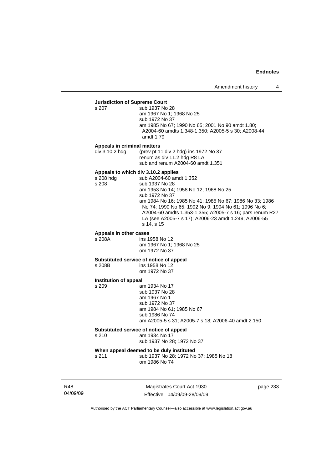# **Jurisdiction of Supreme Court**

sub 1937 No 28 am 1967 No 1; 1968 No 25 sub 1972 No 37 am 1985 No 67; 1990 No 65; 2001 No 90 amdt 1.80; A2004-60 amdts 1.348-1.350; A2005-5 s 30; A2008-44 amdt 1.79

### **Appeals in criminal matters**

div 3.10.2 hdg (prev pt 11 div 2 hdg) ins 1972 No 37 renum as div 11.2 hdg R8 LA sub and renum A2004-60 amdt 1.351

**Appeals to which div 3.10.2 applies**  s 208 hdg sub A2004-60 amdt 1.352<br>s 208 sub 1937 No 28 sub 1937 No 28 am 1953 No 14; 1958 No 12; 1968 No 25 sub 1972 No 37 am 1984 No 16; 1985 No 41; 1985 No 67; 1986 No 33; 1986 No 74; 1990 No 65; 1992 No 9; 1994 No 61; 1996 No 6; A2004-60 amdts 1.353-1.355; A2005-7 s 16; pars renum R27 LA (see A2005-7 s 17); A2006-23 amdt 1.249; A2006-55 s 14, s 15

# **Appeals in other cases**

s 208A ins 1958 No 12 am 1967 No 1; 1968 No 25 om 1972 No 37

# **Substituted service of notice of appeal**

s 208B ins 1958 No 12 om 1972 No 37

### **Institution of appeal**

s 209 am 1934 No 17 sub 1937 No 28 am 1967 No 1 sub 1972 No 37 am 1984 No 61; 1985 No 67 sub 1986 No 74 am A2005-5 s 31; A2005-7 s 18; A2006-40 amdt 2.150

#### **Substituted service of notice of appeal**

s 210 am 1934 No 17

sub 1937 No 28; 1972 No 37

# **When appeal deemed to be duly instituted**

s 211 sub 1937 No 28; 1972 No 37; 1985 No 18 om 1986 No 74

R48 04/09/09

Magistrates Court Act 1930 Effective: 04/09/09-28/09/09 page 233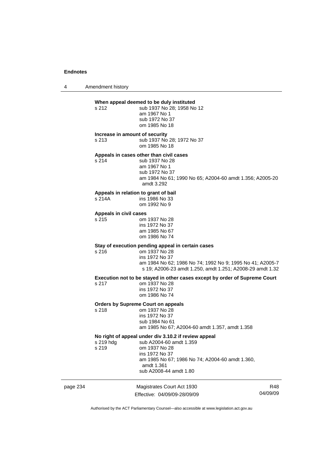4 Amendment history

# **When appeal deemed to be duly instituted**

s 212 sub 1937 No 28: 1958 No 12 am 1967 No 1 sub 1972 No 37 om 1985 No 18

#### **Increase in amount of security**

s 213 sub 1937 No 28; 1972 No 37 om 1985 No 18

# **Appeals in cases other than civil cases**

s 214 sub 1937 No 28 am 1967 No 1 sub 1972 No 37 am 1984 No 61; 1990 No 65; A2004-60 amdt 1.356; A2005-20 amdt 3.292

# **Appeals in relation to grant of bail**

ins 1986 No 33 om 1992 No 9

### **Appeals in civil cases**

s 215 om 1937 No 28 ins 1972 No 37 am 1985 No 67 om 1986 No 74

# **Stay of execution pending appeal in certain cases**

s 216 om 1937 No 28 ins 1972 No 37 am 1984 No 62; 1986 No 74; 1992 No 9; 1995 No 41; A2005-7 s 19; A2006-23 amdt 1.250, amdt 1.251; A2008-29 amdt 1.32

**Execution not to be stayed in other cases except by order of Supreme Court** 

s 217 om 1937 No 28 ins 1972 No 37 om 1986 No 74

# **Orders by Supreme Court on appeals**

om 1937 No 28 ins 1972 No 37 sub 1984 No 61 am 1985 No 67; A2004-60 amdt 1.357, amdt 1.358

### **No right of appeal under div 3.10.2 if review appeal**

| s 219 hdg | sub A2004-60 amdt 1.359                         |
|-----------|-------------------------------------------------|
| s 219     | om 1937 No 28                                   |
|           | ins 1972 No 37                                  |
|           | am 1985 No 67; 1986 No 74; A2004-60 amdt 1.360, |
|           | amdt 1.361                                      |
|           | sub A2008-44 amdt 1.80                          |
|           |                                                 |

page 234 Magistrates Court Act 1930 Effective: 04/09/09-28/09/09

R48 04/09/09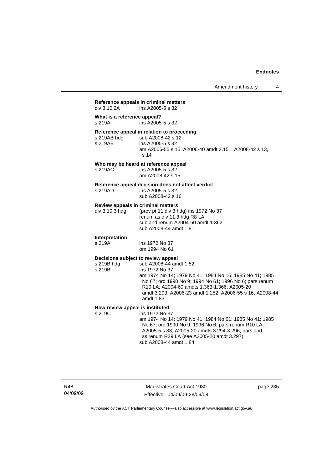# **Reference appeals in criminal matters**  ins A2005-5 s 32 **What is a reference appeal?**  s 219A ins A2005-5 s 32 **Reference appeal in relation to proceeding**  sub A2008-42 s 12 s 219AB ins A2005-5 s 32 am A2006-55 s 15; A2006-40 amdt 2.151; A2008-42 s 13, s 14 **Who may be heard at reference appeal**  s 219AC ins A2005-5 s 32 am A2008-42 s 15 **Reference appeal decision does not affect verdict**  s 219AD ins A2005-5 s 32 sub A2008-42 s 16 **Review appeals in criminal matters**<br>div 3.10.3 hdg (prev pt 11 div 3 h (prev pt 11 div 3 hdg) ins 1972 No 37 renum as div 11.3 hdg R8 LA sub and renum A2004-60 amdt 1.362 sub A2008-44 amdt 1.81 **Interpretation**  s 219A ins 1972 No 37 om 1994 No 61 **Decisions subject to review appeal**  s 219B hdg sub A2008-44 amdt 1.82 s 219B ins 1972 No 37 am 1974 No 14; 1979 No 41; 1984 No 16; 1985 No 41; 1985 No 67; ord 1990 No 9; 1994 No 61; 1996 No 6; pars renum R10 LA; A2004-60 amdts 1.363-1.366; A2005-20 amdt 3.293; A2006-23 amdt 1.252; A2006-55 s 16; A2008-44 amdt 1.83 **How review appeal is instituted**<br>s 219C **ins 1972** No 3 ins 1972 No 37 am 1974 No 14; 1979 No 41; 1984 No 61; 1985 No 41; 1985 No 67; ord 1990 No 9; 1996 No 6; pars renum R10 LA; A2005-5 s 33; A2005-20 amdts 3.294-3.296; pars and ss renum R29 LA (see A2005-20 amdt 3.297) sub A2008-44 amdt 1.84

Magistrates Court Act 1930 Effective: 04/09/09-28/09/09 page 235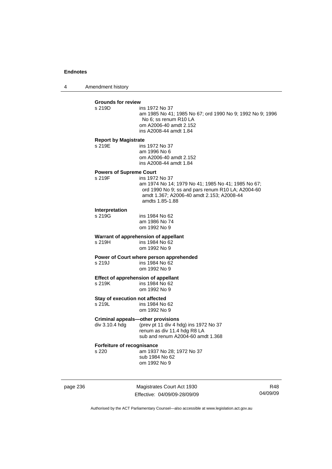4 Amendment history

|          | <b>Grounds for review</b><br>s 219D                        | ins 1972 No 37<br>am 1985 No 41; 1985 No 67; ord 1990 No 9; 1992 No 9; 1996<br>No 6; ss renum R10 LA<br>om A2006-40 amdt 2.152<br>ins A2008-44 amdt 1.84                                  |                 |
|----------|------------------------------------------------------------|-------------------------------------------------------------------------------------------------------------------------------------------------------------------------------------------|-----------------|
|          | <b>Report by Magistrate</b><br>s 219E                      | ins 1972 No 37<br>am 1996 No 6<br>om A2006-40 amdt 2.152<br>ins A2008-44 amdt 1.84                                                                                                        |                 |
|          | <b>Powers of Supreme Court</b><br>s 219F                   | ins 1972 No 37<br>am 1974 No 14; 1979 No 41; 1985 No 41; 1985 No 67;<br>ord 1990 No 9; ss and pars renum R10 LA; A2004-60<br>amdt 1.367; A2006-40 amdt 2.153; A2008-44<br>amdts 1.85-1.88 |                 |
|          | Interpretation<br>s 219G                                   | ins 1984 No 62<br>am 1986 No 74<br>om 1992 No 9                                                                                                                                           |                 |
|          | s 219H                                                     | Warrant of apprehension of appellant<br>ins 1984 No 62<br>om 1992 No 9                                                                                                                    |                 |
|          | s 219J                                                     | Power of Court where person apprehended<br>ins 1984 No 62<br>om 1992 No 9                                                                                                                 |                 |
|          | Effect of apprehension of appellant<br>s 219K              | ins 1984 No 62<br>om 1992 No 9                                                                                                                                                            |                 |
|          | Stay of execution not affected<br>s 219L                   | ins 1984 No 62<br>om 1992 No 9                                                                                                                                                            |                 |
|          | <b>Criminal appeals-other provisions</b><br>div 3.10.4 hdg | (prev pt 11 div 4 hdg) ins 1972 No 37<br>renum as div 11.4 hdg R8 LA<br>sub and renum A2004-60 amdt 1.368                                                                                 |                 |
|          | Forfeiture of recognisance<br>s 220                        | am 1937 No 28; 1972 No 37<br>sub 1984 No 62<br>om 1992 No 9                                                                                                                               |                 |
| page 236 |                                                            | Magistrates Court Act 1930<br>Effective: 04/09/09-28/09/09                                                                                                                                | R48<br>04/09/09 |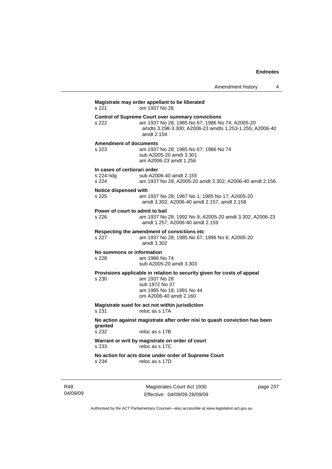|                                                                                                                                                                   | 4<br>Amendment history                                                                                                                                                                                                                                                                                                                                                                                                                                          |  |  |
|-------------------------------------------------------------------------------------------------------------------------------------------------------------------|-----------------------------------------------------------------------------------------------------------------------------------------------------------------------------------------------------------------------------------------------------------------------------------------------------------------------------------------------------------------------------------------------------------------------------------------------------------------|--|--|
| Magistrate may order appellant to be liberated<br>s 221<br>om 1937 No 28                                                                                          |                                                                                                                                                                                                                                                                                                                                                                                                                                                                 |  |  |
| <b>Control of Supreme Court over summary convictions</b><br>amdt 2.154                                                                                            |                                                                                                                                                                                                                                                                                                                                                                                                                                                                 |  |  |
| <b>Amendment of documents</b><br>sub A2005-20 amdt 3.301<br>am A2006-23 amdt 1.256                                                                                |                                                                                                                                                                                                                                                                                                                                                                                                                                                                 |  |  |
| In cases of certiorari order<br>sub A2006-40 amdt 2.155                                                                                                           |                                                                                                                                                                                                                                                                                                                                                                                                                                                                 |  |  |
| Notice dispensed with                                                                                                                                             |                                                                                                                                                                                                                                                                                                                                                                                                                                                                 |  |  |
| Power of court to admit to bail                                                                                                                                   |                                                                                                                                                                                                                                                                                                                                                                                                                                                                 |  |  |
| Respecting the amendment of convictions etc.<br>amdt 3.302                                                                                                        |                                                                                                                                                                                                                                                                                                                                                                                                                                                                 |  |  |
| No summons or information<br>am 1986 No 74<br>sub A2005-20 amdt 3.303                                                                                             |                                                                                                                                                                                                                                                                                                                                                                                                                                                                 |  |  |
| Provisions applicable in relation to security given for costs of appeal<br>am 1937 No 28<br>sub 1972 No 37<br>am 1985 No 18; 1991 No 44<br>om A2006-40 amdt 2.160 |                                                                                                                                                                                                                                                                                                                                                                                                                                                                 |  |  |
| Magistrate sued for act not within jurisdiction<br>reloc as s 17A                                                                                                 |                                                                                                                                                                                                                                                                                                                                                                                                                                                                 |  |  |
| No action against magistrate after order nisi to quash conviction has been<br>reloc as s 17B                                                                      |                                                                                                                                                                                                                                                                                                                                                                                                                                                                 |  |  |
| Warrant or writ by magistrate on order of court<br>reloc as s 17C                                                                                                 |                                                                                                                                                                                                                                                                                                                                                                                                                                                                 |  |  |
| No action for acts done under order of Supreme Court<br>reloc as s 17D                                                                                            |                                                                                                                                                                                                                                                                                                                                                                                                                                                                 |  |  |
|                                                                                                                                                                   | am 1937 No 28; 1985 No 67; 1986 No 74; A2005-20<br>amdts 3.298-3.300; A2006-23 amdts 1.253-1.255; A2006-40<br>am 1937 No 28; 1985 No 67; 1986 No 74<br>am 1937 No 28; A2005-20 amdt 3.302; A2006-40 amdt 2.156<br>am 1937 No 28; 1967 No 1; 1985 No 17; A2005-20<br>amdt 3.302; A2006-40 amdt 2.157, amdt 2.158<br>am 1937 No 28; 1992 No 9; A2005-20 amdt 3.302; A2006-23<br>amdt 1.257; A2006-40 amdt 2.159<br>am 1937 No 28; 1985 No 67; 1996 No 6; A2005-20 |  |  |

R48 04/09/09

Magistrates Court Act 1930 Effective: 04/09/09-28/09/09 page 237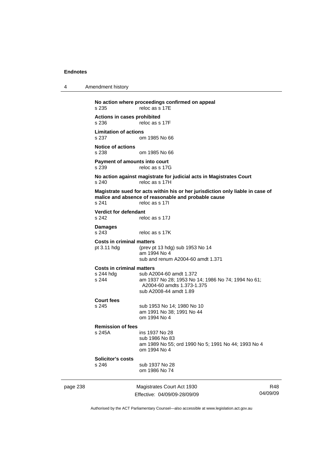4 Amendment history

page 238 Magistrates Court Act 1930 Effective: 04/09/09-28/09/09 R48 04/09/09 **No action where proceedings confirmed on appeal**  s 235 reloc as s 17E **Actions in cases prohibited**  reloc as s 17F **Limitation of actions**  om 1985 No 66 **Notice of actions**  s 238 om 1985 No 66 **Payment of amounts into court**  reloc as s 17G **No action against magistrate for judicial acts in Magistrates Court**  s 240 reloc as s 17H **Magistrate sued for acts within his or her jurisdiction only liable in case of malice and absence of reasonable and probable cause**  s 241 reloc as s 17I **Verdict for defendant**  s 242 reloc as s 17J **Damages**  s 243 reloc as s 17K **Costs in criminal matters**<br>pt 3.11 hdg (prev pt (prev pt 13 hdg) sub 1953 No 14 am 1994 No 4 sub and renum A2004-60 amdt 1.371 **Costs in criminal matters**  sub A2004-60 amdt 1.372 s 244 am 1937 No 28; 1953 No 14; 1986 No 74; 1994 No 61; A2004-60 amdts 1.373-1.375 sub A2008-44 amdt 1.89 **Court fees**  s 245 sub 1953 No 14; 1980 No 10 am 1991 No 38; 1991 No 44 om 1994 No 4 **Remission of fees**  s 245A ins 1937 No 28 sub 1986 No 83 am 1989 No 55; ord 1990 No 5; 1991 No 44; 1993 No 4 om 1994 No 4 **Solicitor's costs**  s 246 sub 1937 No 28 om 1986 No 74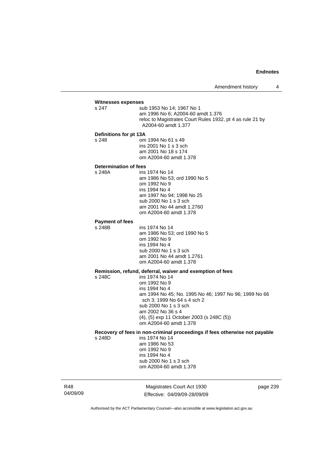# **Witnesses expenses**<br>s 247 su

sub 1953 No 14: 1967 No 1 am 1996 No 6; A2004-60 amdt 1.376 reloc to Magistrates Court Rules 1932, pt 4 as rule 21 by A2004-60 amdt 1.377

#### **Definitions for pt 13A**

s 248 om 1994 No 61 s 49 ins 2001 No 1 s 3 sch am 2001 No 18 s 174 om A2004-60 amdt 1.378

#### **Determination of fees**

s 248A ins 1974 No 14 am 1986 No 53; ord 1990 No 5 om 1992 No 9 ins 1994 No 4 am 1997 No 94; 1998 No 25 sub 2000 No 1 s 3 sch am 2001 No 44 amdt 1.2760 om A2004-60 amdt 1.378

#### **Payment of fees**

s 248B ins 1974 No 14

 am 1986 No 53; ord 1990 No 5 om 1992 No 9 ins 1994 No 4 sub 2000 No 1 s 3 sch am 2001 No 44 amdt 1.2761 om A2004-60 amdt 1.378

# **Remission, refund, deferral, waiver and exemption of fees**

 $ins 1974$  No 14 om 1992 No 9 ins 1994 No 4 am 1994 No 45; No. 1995 No 46; 1997 No 96; 1999 No 66 sch 3; 1999 No 64 s 4 sch 2 sub 2000 No 1 s 3 sch am 2002 No 36 s 4 (4), (5) exp 11 October 2003 (s 248C (5)) om A2004-60 amdt 1.378

# **Recovery of fees in non-criminal proceedings if fees otherwise not payable**

ins 1974 No 14 am 1986 No 53 om 1992 No 9 ins 1994 No 4 sub 2000 No 1 s 3 sch om A2004-60 amdt 1.378

R48 04/09/09

Magistrates Court Act 1930 Effective: 04/09/09-28/09/09 page 239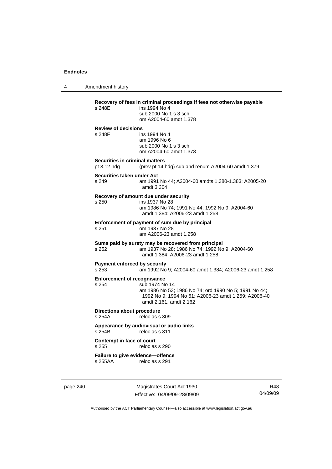4 Amendment history

**Recovery of fees in criminal proceedings if fees not otherwise payable**  ins 1994 No 4 sub 2000 No 1 s 3 sch om A2004-60 amdt 1.378 **Review of decisions**  s 248F ins 1994 No 4 am 1996 No 6 sub 2000 No 1 s 3 sch om A2004-60 amdt 1.378 **Securities in criminal matters**  pt 3.12 hdg (prev pt 14 hdg) sub and renum A2004-60 amdt 1.379 **Securities taken under Act**  s 249 am 1991 No 44; A2004-60 amdts 1.380-1.383; A2005-20 amdt 3.304 **Recovery of amount due under security**  s 250 ins 1937 No 28 am 1986 No 74; 1991 No 44; 1992 No 9; A2004-60 amdt 1.384; A2006-23 amdt 1.258 **Enforcement of payment of sum due by principal**<br>s 251 cm 1937 No 28 s 251 om 1937 No 28 am A2006-23 amdt 1.258 **Sums paid by surety may be recovered from principal**  s 252 am 1937 No 28; 1986 No 74; 1992 No 9; A2004-60 amdt 1.384; A2006-23 amdt 1.258 **Payment enforced by security**  s 253 am 1992 No 9; A2004-60 amdt 1.384; A2006-23 amdt 1.258 **Enforcement of recognisance**<br>s 254 sub 1974 No sub 1974 No 14 am 1986 No 53; 1986 No 74; ord 1990 No 5; 1991 No 44; 1992 No 9; 1994 No 61; A2006-23 amdt 1.259; A2006-40 amdt 2.161, amdt 2.162 **Directions about procedure**  s 254A reloc as s 309 **Appearance by audiovisual or audio links**  reloc as s 311 **Contempt in face of court**  reloc as s 290 **Failure to give evidence—offence**  s 255AA reloc as s 291

page 240 Magistrates Court Act 1930 Effective: 04/09/09-28/09/09

R48 04/09/09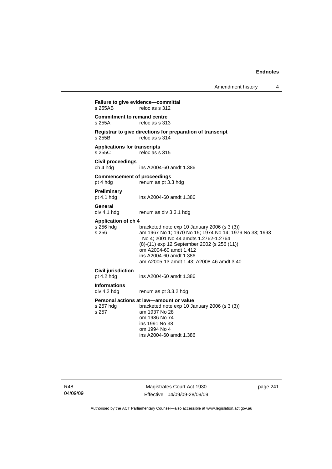Amendment history 4

**Failure to give evidence—committal**<br>s 255AB reloc as s 312 reloc as s 312 **Commitment to remand centre**  s 255A reloc as s 313 **Registrar to give directions for preparation of transcript**  reloc as s  $314$ **Applications for transcripts**  s 255C reloc as s 315 **Civil proceedings**  ins A2004-60 amdt 1.386 **Commencement of proceedings**  pt 4 hdg renum as pt 3.3 hdg **Preliminary**  pt 4.1 hdg ins A2004-60 amdt 1.386 **General**  div 4.1 hdg renum as div 3.3.1 hdg **Application of ch 4**  s 256 hdg bracketed note exp 10 January 2006 (s 3 (3))<br>s 256 bracketed note exp 10 January 2006 (s 3 (3)) am 1967 No 1; 1970 No 15; 1974 No 14; 1979 No 33: 1993 No 4; 2001 No 44 amdts 1.2762-1.2764 (8)-(11) exp 12 September 2002 (s 256 (11)) om A2004-60 amdt 1.412 ins A2004-60 amdt 1.386 am A2005-13 amdt 1.43; A2008-46 amdt 3.40 **Civil jurisdiction**  pt 4.2 hdg ins A2004-60 amdt 1.386 **Informations**  renum as pt 3.3.2 hdg **Personal actions at law—amount or value**  s 257 hdg bracketed note exp 10 January 2006 (s 3 (3)) s 257 am 1937 No 28 om 1986 No 74 ins 1991 No 38 om 1994 No 4 ins A2004-60 amdt 1.386

Magistrates Court Act 1930 Effective: 04/09/09-28/09/09 page 241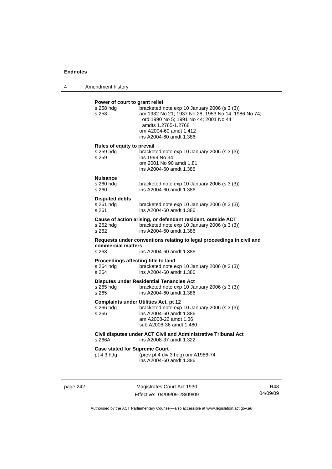4 Amendment history

| Power of court to grant relief<br>s 258 hdg<br>s 258 | bracketed note exp 10 January 2006 (s 3 (3))<br>am 1932 No 21; 1937 No 28; 1953 No 14; 1986 No 74;<br>ord 1990 No 5; 1991 No 44; 2001 No 44<br>amdts 1.2765-1.2768<br>om A2004-60 amdt 1.412<br>ins A2004-60 amdt 1.386 |
|------------------------------------------------------|-------------------------------------------------------------------------------------------------------------------------------------------------------------------------------------------------------------------------|
| Rules of equity to prevail                           |                                                                                                                                                                                                                         |
| s 259 hdg<br>s 259                                   | bracketed note exp 10 January 2006 (s 3 (3))<br>ins 1999 No 34<br>om 2001 No 90 amdt 1.81<br>ins A2004-60 amdt 1.386                                                                                                    |
| <b>Nuisance</b>                                      |                                                                                                                                                                                                                         |
| s 260 hdg<br>s 260                                   | bracketed note exp 10 January 2006 (s 3 (3))<br>ins A2004-60 amdt 1.386                                                                                                                                                 |
| <b>Disputed debts</b>                                |                                                                                                                                                                                                                         |
| s 261 hdg<br>s 261                                   | bracketed note exp 10 January 2006 (s 3 (3))<br>ins A2004-60 amdt 1.386                                                                                                                                                 |
| s 262 hdg<br>s 262                                   | Cause of action arising, or defendant resident, outside ACT<br>bracketed note exp 10 January 2006 (s 3 (3))<br>ins A2004-60 amdt 1.386                                                                                  |
| commercial matters<br>s 263                          | Requests under conventions relating to legal proceedings in civil and<br>ins A2004-60 amdt 1.386                                                                                                                        |
| Proceedings affecting title to land                  |                                                                                                                                                                                                                         |
| s 264 hdq<br>s 264                                   | bracketed note exp 10 January 2006 (s 3 (3))<br>ins A2004-60 amdt 1.386                                                                                                                                                 |
|                                                      | <b>Disputes under Residential Tenancies Act</b>                                                                                                                                                                         |
| s 265 hdg<br>s 265                                   | bracketed note exp 10 January 2006 (s 3 (3))<br>ins A2004-60 amdt 1.386                                                                                                                                                 |
| s 266 hdg<br>s 266                                   | <b>Complaints under Utilities Act, pt 12</b><br>bracketed note exp 10 January 2006 (s 3 (3))<br>ins A2004-60 amdt 1.386<br>am A2008-22 amdt 1.36<br>sub A2008-36 amdt 1.480                                             |
| s 266A                                               | Civil disputes under ACT Civil and Administrative Tribunal Act<br>ins A2008-37 amdt 1.322                                                                                                                               |
| <b>Case stated for Supreme Court</b><br>pt 4.3 hdg   | (prev pt 4 div 3 hdg) om A1986-74<br>ins A2004-60 amdt 1.386                                                                                                                                                            |

page 242 Magistrates Court Act 1930 Effective: 04/09/09-28/09/09

R48 04/09/09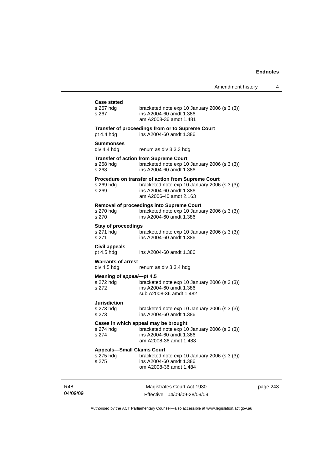| <b>Case stated</b><br>s 267 hdg<br>s 267                | bracketed note exp 10 January 2006 (s 3 (3))<br>ins A2004-60 amdt 1.386<br>am A2008-36 amdt 1.481                                                              |
|---------------------------------------------------------|----------------------------------------------------------------------------------------------------------------------------------------------------------------|
| pt 4.4 hdg                                              | Transfer of proceedings from or to Supreme Court<br>ins A2004-60 amdt 1.386                                                                                    |
| Summonses<br>div 4.4 hdq                                | renum as div 3.3.3 hdg                                                                                                                                         |
| s 268 hdg<br>s 268                                      | <b>Transfer of action from Supreme Court</b><br>bracketed note exp 10 January 2006 (s 3 (3))<br>ins A2004-60 amdt 1.386                                        |
| s 269 hdg<br>s 269                                      | <b>Procedure on transfer of action from Supreme Court</b><br>bracketed note exp 10 January 2006 (s 3 (3))<br>ins A2004-60 amdt 1.386<br>am A2006-40 amdt 2.163 |
| s 270 hdg<br>s 270                                      | <b>Removal of proceedings into Supreme Court</b><br>bracketed note exp 10 January 2006 (s 3 (3))<br>ins A2004-60 amdt 1.386                                    |
| <b>Stay of proceedings</b><br>s 271 hdg<br>s 271        | bracketed note $exp 10$ January 2006 (s 3 (3))<br>ins A2004-60 amdt 1.386                                                                                      |
| Civil appeals<br>pt $4.5$ hdg                           | ins A2004-60 amdt 1.386                                                                                                                                        |
| <b>Warrants of arrest</b><br>div 4.5 hdg                | renum as div 3.3.4 hdg                                                                                                                                         |
| Meaning of appeal-pt 4.5<br>s 272 hdg<br>s 272          | bracketed note exp 10 January 2006 (s 3 (3))<br>ins A2004-60 amdt 1.386<br>sub A2008-36 amdt 1.482                                                             |
| Jurisdiction<br>s 273 hdg<br>s 273                      | bracketed note exp 10 January 2006 (s 3 (3))<br>ins A2004-60 amdt 1.386                                                                                        |
| s 274 hdg<br>s 274                                      | Cases in which appeal may be brought<br>bracketed note exp 10 January 2006 (s 3 (3))<br>ins A2004-60 amdt 1.386<br>am A2008-36 amdt 1.483                      |
| <b>Appeals-Small Claims Court</b><br>s 275 hdg<br>s 275 | bracketed note exp 10 January 2006 (s 3 (3))<br>ins A2004-60 amdt 1.386<br>om A2008-36 amdt 1.484                                                              |
|                                                         |                                                                                                                                                                |

04/09/09

J.

R48

Magistrates Court Act 1930 Effective: 04/09/09-28/09/09 page 243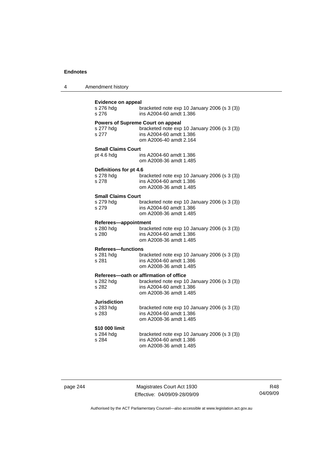| 4 | Amendment history |
|---|-------------------|
|---|-------------------|

| <b>Evidence on appeal</b><br>bracketed note exp 10 January 2006 (s 3 (3))<br>s 276 hdg<br>s 276<br>ins A2004-60 amdt 1.386 |                                                                                                                                               |  |
|----------------------------------------------------------------------------------------------------------------------------|-----------------------------------------------------------------------------------------------------------------------------------------------|--|
| s 277 hdg<br>s 277                                                                                                         | <b>Powers of Supreme Court on appeal</b><br>bracketed note exp 10 January 2006 (s 3 (3))<br>ins A2004-60 amdt 1.386<br>om A2006-40 amdt 2.164 |  |
| <b>Small Claims Court</b>                                                                                                  |                                                                                                                                               |  |
| pt 4.6 hdg                                                                                                                 | ins A2004-60 amdt 1.386<br>om A2008-36 amdt 1.485                                                                                             |  |
| Definitions for pt 4.6                                                                                                     |                                                                                                                                               |  |
| s 278 hdg<br>s 278                                                                                                         | bracketed note exp 10 January 2006 (s 3 (3))<br>ins A2004-60 amdt 1.386<br>om A2008-36 amdt 1.485                                             |  |
| <b>Small Claims Court</b>                                                                                                  |                                                                                                                                               |  |
| s 279 hdg                                                                                                                  | bracketed note exp 10 January 2006 (s 3 (3))                                                                                                  |  |
| s 279                                                                                                                      | ins A2004-60 amdt 1.386<br>om A2008-36 amdt 1.485                                                                                             |  |
| Referees-appointment                                                                                                       |                                                                                                                                               |  |
| s 280 hdq<br>s 280                                                                                                         | bracketed note exp 10 January 2006 (s 3 (3))<br>ins A2004-60 amdt 1.386<br>om A2008-36 amdt 1.485                                             |  |
| <b>Referees-functions</b>                                                                                                  |                                                                                                                                               |  |
| s 281 hdg<br>s 281                                                                                                         | bracketed note exp 10 January 2006 (s 3 (3))<br>ins A2004-60 amdt 1.386<br>om A2008-36 amdt 1.485                                             |  |
|                                                                                                                            | Referees-oath or affirmation of office                                                                                                        |  |
| s 282 hdq<br>s 282                                                                                                         | bracketed note exp 10 January 2006 (s 3 (3))<br>ins A2004-60 amdt 1.386<br>om A2008-36 amdt 1.485                                             |  |
| Jurisdiction                                                                                                               |                                                                                                                                               |  |
| s 283 hdg                                                                                                                  | bracketed note exp 10 January 2006 (s 3 (3))                                                                                                  |  |
| s 283                                                                                                                      | ins A2004-60 amdt 1.386<br>om A2008-36 amdt 1.485                                                                                             |  |
| \$10 000 limit                                                                                                             |                                                                                                                                               |  |
| s 284 hdg                                                                                                                  | bracketed note exp 10 January 2006 (s 3 (3))                                                                                                  |  |
| s 284                                                                                                                      | ins A2004-60 amdt 1.386<br>om A2008-36 amdt 1.485                                                                                             |  |

page 244 Magistrates Court Act 1930 Effective: 04/09/09-28/09/09

R48 04/09/09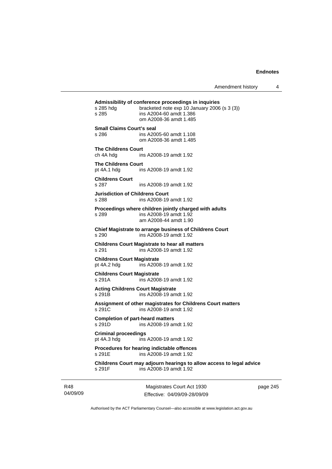Amendment history 4

| Childrens Court may adjourn hearings to allow access to legal advice<br>s 291F<br>ins A2008-19 amdt 1.92           |
|--------------------------------------------------------------------------------------------------------------------|
| Procedures for hearing indictable offences<br>ins A2008-19 amdt 1.92<br>s 291E                                     |
| <b>Criminal proceedings</b><br>pt 4A.3 hdg ins A2008-19 amdt 1.92                                                  |
| <b>Completion of part-heard matters</b><br>s 291D<br>ins A2008-19 amdt 1.92                                        |
| Assignment of other magistrates for Childrens Court matters<br>s 291C<br>ins A2008-19 amdt 1.92                    |
| <b>Acting Childrens Court Magistrate</b><br>s 291B<br>ins A2008-19 amdt 1.92                                       |
| <b>Childrens Court Magistrate</b><br>s 291A<br>ins A2008-19 amdt 1.92                                              |
| <b>Childrens Court Magistrate</b><br>pt 4A.2 hdg<br>ins A2008-19 amdt 1.92                                         |
| <b>Childrens Court Magistrate to hear all matters</b><br>ins A2008-19 amdt 1.92<br>s 291                           |
| Chief Magistrate to arrange business of Childrens Court<br>ins A2008-19 amdt 1.92<br>s 290                         |
| Proceedings where children jointly charged with adults<br>s 289<br>ins A2008-19 amdt 1.92<br>am A2008-44 amdt 1.90 |
| <b>Jurisdiction of Childrens Court</b><br>s 288<br>ins A2008-19 amdt 1.92                                          |
| <b>Childrens Court</b><br>s 287<br>ins A2008-19 amdt 1.92                                                          |
| <b>The Childrens Court</b><br>pt 4A.1 hdg<br>ins A2008-19 amdt 1.92                                                |
| <b>The Childrens Court</b><br>ch 4A hdg<br>ins A2008-19 amdt 1.92                                                  |
| <b>Small Claims Court's seal</b><br>s 286<br>ins A2005-60 amdt 1.108<br>om A2008-36 amdt 1.485                     |
| ins A2004-60 amdt 1.386<br>s 285<br>om A2008-36 amdt 1.485                                                         |

page 245

Authorised by the ACT Parliamentary Counsel—also accessible at www.legislation.act.gov.au

Effective: 04/09/09-28/09/09

R48 04/09/09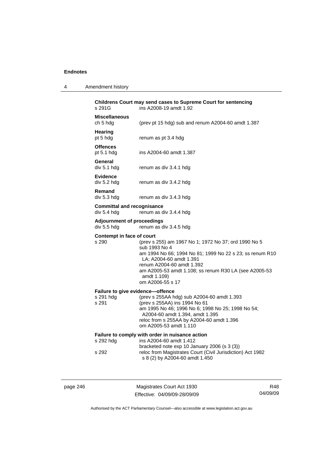| 4 | Amendment history |
|---|-------------------|
|---|-------------------|

| s 291G                                                 | Childrens Court may send cases to Supreme Court for sentencing<br>ins A2008-19 amdt 1.92                                                                                                                                                                                              |
|--------------------------------------------------------|---------------------------------------------------------------------------------------------------------------------------------------------------------------------------------------------------------------------------------------------------------------------------------------|
| <b>Miscellaneous</b><br>ch 5 hdg                       | (prev pt 15 hdg) sub and renum A2004-60 amdt 1.387                                                                                                                                                                                                                                    |
| Hearing<br>pt 5 hdg                                    | renum as pt 3.4 hdg                                                                                                                                                                                                                                                                   |
| <b>Offences</b><br>pt 5.1 hdg                          | ins A2004-60 amdt 1.387                                                                                                                                                                                                                                                               |
| General<br>div 5.1 hdg                                 | renum as div 3.4.1 hdg                                                                                                                                                                                                                                                                |
| <b>Evidence</b><br>div 5.2 hdg                         | renum as div 3.4.2 hdg                                                                                                                                                                                                                                                                |
| Remand<br>div 5.3 hdg                                  | renum as div 3.4.3 hdg                                                                                                                                                                                                                                                                |
| <b>Committal and recognisance</b><br>div 5.4 hdg       | renum as div 3.4.4 hdg                                                                                                                                                                                                                                                                |
| <b>Adjournment of proceedings</b><br>div 5.5 hdg       | renum as div 3.4.5 hdg                                                                                                                                                                                                                                                                |
| Contempt in face of court<br>s 290                     | (prev s 255) am 1967 No 1; 1972 No 37; ord 1990 No 5<br>sub 1993 No 4<br>am 1994 No 66; 1994 No 81; 1999 No 22 s 23; ss renum R10<br>LA; A2004-60 amdt 1.391<br>renum A2004-60 amdt 1.392<br>am A2005-53 amdt 1.108; ss renum R30 LA (see A2005-53<br>amdt 1.109)<br>om A2006-55 s 17 |
| Failure to give evidence-offence<br>s 291 hda<br>s 291 | (prev s 255AA hdg) sub A2004-60 amdt 1.393<br>(prev s 255AA) ins 1994 No 61<br>am 1995 No 46; 1996 No 6; 1998 No 25; 1998 No 54;<br>A2004-60 amdt 1.394, amdt 1.395<br>reloc from s 255AA by A2004-60 amdt 1.396<br>om A2005-53 amdt 1.110                                            |
| s 292 hdg                                              | Failure to comply with order in nuisance action<br>ins A2004-60 amdt 1.412                                                                                                                                                                                                            |
| s 292                                                  | bracketed note exp 10 January 2006 (s 3 (3))<br>reloc from Magistrates Court (Civil Jurisdiction) Act 1982<br>s 8 (2) by A2004-60 amdt 1.450                                                                                                                                          |
|                                                        |                                                                                                                                                                                                                                                                                       |

page 246 Magistrates Court Act 1930 Effective: 04/09/09-28/09/09

R48 04/09/09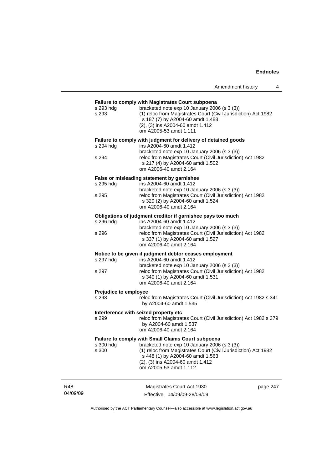| Amendment history |  |
|-------------------|--|
|                   |  |

|          | s 293 hdg<br>s 293                                 | Failure to comply with Magistrates Court subpoena<br>bracketed note exp 10 January 2006 (s 3 (3))<br>(1) reloc from Magistrates Court (Civil Jurisdiction) Act 1982<br>s 187 (7) by A2004-60 amdt 1.488<br>(2), (3) ins A2004-60 amdt 1.412<br>om A2005-53 amdt 1.111 |  |  |
|----------|----------------------------------------------------|-----------------------------------------------------------------------------------------------------------------------------------------------------------------------------------------------------------------------------------------------------------------------|--|--|
|          |                                                    | Failure to comply with judgment for delivery of detained goods                                                                                                                                                                                                        |  |  |
|          | s 294 hdg<br>s 294                                 | ins A2004-60 amdt 1.412<br>bracketed note exp 10 January 2006 (s 3 (3))<br>reloc from Magistrates Court (Civil Jurisdiction) Act 1982                                                                                                                                 |  |  |
|          |                                                    | s 217 (4) by A2004-60 amdt 1.502<br>om A2006-40 amdt 2.164                                                                                                                                                                                                            |  |  |
|          |                                                    | False or misleading statement by garnishee                                                                                                                                                                                                                            |  |  |
|          | s 295 hdg                                          | ins A2004-60 amdt 1.412<br>bracketed note exp 10 January 2006 (s 3 (3))                                                                                                                                                                                               |  |  |
|          | s 295                                              | reloc from Magistrates Court (Civil Jurisdiction) Act 1982<br>s 329 (2) by A2004-60 amdt 1.524<br>om A2006-40 amdt 2.164                                                                                                                                              |  |  |
|          |                                                    | Obligations of judgment creditor if garnishee pays too much                                                                                                                                                                                                           |  |  |
|          | s 296 hdg                                          | ins A2004-60 amdt 1.412<br>bracketed note exp 10 January 2006 (s 3 (3))                                                                                                                                                                                               |  |  |
|          | s 296                                              | reloc from Magistrates Court (Civil Jurisdiction) Act 1982<br>s 337 (1) by A2004-60 amdt 1.527<br>om A2006-40 amdt 2.164                                                                                                                                              |  |  |
|          |                                                    | Notice to be given if judgment debtor ceases employment                                                                                                                                                                                                               |  |  |
|          | s 297 hdg                                          | ins A2004-60 amdt 1.412<br>bracketed note exp 10 January 2006 (s 3 (3))                                                                                                                                                                                               |  |  |
|          | s 297                                              | reloc from Magistrates Court (Civil Jurisdiction) Act 1982<br>s 340 (1) by A2004-60 amdt 1.531<br>om A2006-40 amdt 2.164                                                                                                                                              |  |  |
|          | Prejudice to employee                              |                                                                                                                                                                                                                                                                       |  |  |
|          | s 298                                              | reloc from Magistrates Court (Civil Jurisdiction) Act 1982 s 341<br>by A2004-60 amdt 1.535                                                                                                                                                                            |  |  |
|          |                                                    | Interference with seized property etc                                                                                                                                                                                                                                 |  |  |
|          | s 299                                              | reloc from Magistrates Court (Civil Jurisdiction) Act 1982 s 379<br>by A2004-60 amdt 1.537<br>om A2006-40 amdt 2.164                                                                                                                                                  |  |  |
|          | Failure to comply with Small Claims Court subpoena |                                                                                                                                                                                                                                                                       |  |  |
|          | s 300 hdg                                          | bracketed note exp 10 January 2006 (s 3 (3))                                                                                                                                                                                                                          |  |  |
|          | s 300                                              | (1) reloc from Magistrates Court (Civil Jurisdiction) Act 1982<br>s 448 (1) by A2004-60 amdt 1.563<br>(2), (3) ins A2004-60 amdt 1.412<br>om A2005-53 amdt 1.112                                                                                                      |  |  |
|          |                                                    |                                                                                                                                                                                                                                                                       |  |  |
| R48      |                                                    | Magistrates Court Act 1930<br>page 247                                                                                                                                                                                                                                |  |  |
| 04/09/09 |                                                    | Effective: 04/09/09-28/09/09                                                                                                                                                                                                                                          |  |  |

Authorised by the ACT Parliamentary Counsel—also accessible at www.legislation.act.gov.au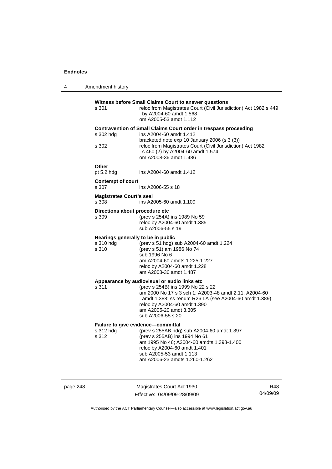| 4 | Amendment history                                        |                                                                                                                                                                                                                                                                                    |
|---|----------------------------------------------------------|------------------------------------------------------------------------------------------------------------------------------------------------------------------------------------------------------------------------------------------------------------------------------------|
|   | s 301                                                    | Witness before Small Claims Court to answer questions<br>reloc from Magistrates Court (Civil Jurisdiction) Act 1982 s 449<br>by A2004-60 amdt 1.568<br>om A2005-53 amdt 1.112                                                                                                      |
|   | s 302 hdg<br>s 302                                       | Contravention of Small Claims Court order in trespass proceeding<br>ins A2004-60 amdt 1.412<br>bracketed note exp 10 January 2006 (s 3 (3))<br>reloc from Magistrates Court (Civil Jurisdiction) Act 1982<br>s 460 (2) by A2004-60 amdt 1.574<br>om A2008-36 amdt 1.486            |
|   | Other<br>pt $5.2$ hdg                                    | ins A2004-60 amdt 1.412                                                                                                                                                                                                                                                            |
|   | <b>Contempt of court</b><br>s 307                        | ins A2006-55 s 18                                                                                                                                                                                                                                                                  |
|   | <b>Magistrates Court's seal</b><br>s 308                 | ins A2005-60 amdt 1.109                                                                                                                                                                                                                                                            |
|   | Directions about procedure etc<br>s 309                  | (prev s 254A) ins 1989 No 59<br>reloc by A2004-60 amdt 1.385<br>sub A2006-55 s 19                                                                                                                                                                                                  |
|   | Hearings generally to be in public<br>s 310 hdg<br>s 310 | (prev s 51 hdg) sub A2004-60 amdt 1.224<br>(prev s 51) am 1986 No 74<br>sub 1996 No 6<br>am A2004-60 amdts 1.225-1.227<br>reloc by A2004-60 amdt 1.228<br>am A2008-36 amdt 1.487                                                                                                   |
|   | s 311                                                    | Appearance by audiovisual or audio links etc<br>(prev s 254B) ins 1999 No 22 s 22<br>am 2000 No 17 s 3 sch 1; A2003-48 amdt 2.11; A2004-60<br>amdt 1.388; ss renum R26 LA (see A2004-60 amdt 1.389)<br>reloc by A2004-60 amdt 1.390<br>am A2005-20 amdt 3.305<br>sub A2006-55 s 20 |
|   | s 312 hdg<br>s 312                                       | Failure to give evidence—committal<br>(prev s 255AB hdg) sub A2004-60 amdt 1.397<br>(prev s 255AB) ins 1994 No 61<br>am 1995 No 46; A2004-60 amdts 1.398-1.400<br>reloc by A2004-60 amdt 1.401<br>sub A2005-53 amdt 1.113<br>am A2006-23 amdts 1.260-1.262                         |

page 248 Magistrates Court Act 1930 Effective: 04/09/09-28/09/09

R48 04/09/09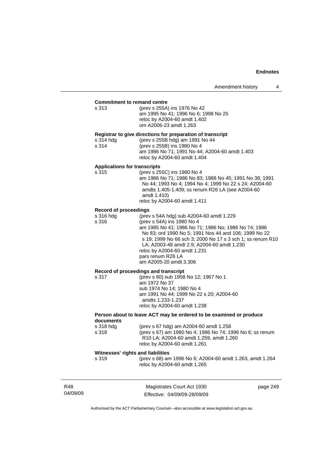| <b>Commitment to remand centre</b>                 |                                                                                                                                                                                                                                                                                                                                                                                    |
|----------------------------------------------------|------------------------------------------------------------------------------------------------------------------------------------------------------------------------------------------------------------------------------------------------------------------------------------------------------------------------------------------------------------------------------------|
| s 313                                              | (prev s 255A) ins 1976 No 42<br>am 1995 No 41; 1996 No 6; 1998 No 25<br>reloc by A2004-60 amdt 1.402<br>om A2006-23 amdt 1.263                                                                                                                                                                                                                                                     |
| s 314 hdg<br>s 314                                 | Registrar to give directions for preparation of transcript<br>(prev s 255B hdg) am 1991 No 44<br>(prev s 255B) ins 1980 No 4<br>am 1986 No 71; 1991 No 44; A2004-60 amdt 1.403<br>reloc by A2004-60 amdt 1.404                                                                                                                                                                     |
| <b>Applications for transcripts</b><br>s 315       | (prev s 255C) ins 1980 No 4<br>am 1986 No 71; 1986 No 83; 1988 No 45; 1991 No 38; 1991<br>No 44; 1993 No 4; 1994 No 4; 1999 No 22 s 24; A2004-60<br>amdts 1.405-1.409; ss renum R26 LA (see A2004-60<br>amdt 1.410)<br>reloc by A2004-60 amdt 1.411                                                                                                                                |
| <b>Record of proceedings</b><br>s 316 hdg<br>s 316 | (prev s 54A hdg) sub A2004-60 amdt 1.229<br>(prev s 54A) ins 1980 No 4<br>am 1985 No 41; 1986 No 71; 1986 No; 1986 No 74; 1986<br>No 83; ord 1990 No 5; 1991 Nos 44 and 106; 1999 No 22<br>s 19; 1999 No 66 sch 3; 2000 No 17 s 3 sch 1; ss renum R10<br>LA; A2003-48 amdt 2.9; A2004-60 amdt 1.230<br>reloc by A2004-60 amdt 1.231<br>pars renum R26 LA<br>am A2005-20 amdt 3.306 |
| s 317                                              | Record of proceedings and transcript<br>(prev s 60) sub 1958 No 12; 1967 No 1<br>am 1972 No 37<br>sub 1974 No 14; 1980 No 4<br>am 1991 No 44; 1999 No 22 s 20; A2004-60<br>amdts 1.233-1.237<br>reloc by A2004-60 amdt 1.238                                                                                                                                                       |
| documents                                          | Person about to leave ACT may be ordered to be examined or produce                                                                                                                                                                                                                                                                                                                 |
| s 318 hda<br>s 318                                 | (prev s 67 hdg) am A2004-60 amdt 1.258<br>(prev s 67) am 1980 No 4; 1986 No 74; 1996 No 6; ss renum<br>R10 LA; A2004-60 amdt 1.259, amdt 1.260<br>reloc by A2004-60 amdt 1.261                                                                                                                                                                                                     |
| Witnesses' rights and liabilities<br>s 319         | (prev s 68) am 1996 No 6; A2004-60 amdt 1.263, amdt 1.264<br>reloc by A2004-60 amdt 1.265                                                                                                                                                                                                                                                                                          |
|                                                    |                                                                                                                                                                                                                                                                                                                                                                                    |

| R48      |  |
|----------|--|
| 04/09/09 |  |

Magistrates Court Act 1930 Effective: 04/09/09-28/09/09 page 249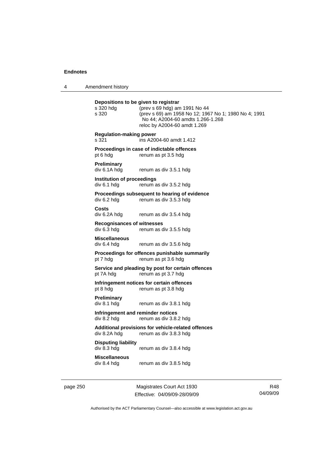4 Amendment history

| Depositions to be given to registrar<br>s 320 hda<br>s 320 | (prev s 69 hdg) am 1991 No 44<br>(prev s 69) am 1958 No 12; 1967 No 1; 1980 No 4; 1991<br>No 44; A2004-60 amdts 1.266-1.268<br>reloc by A2004-60 amdt 1.269 |
|------------------------------------------------------------|-------------------------------------------------------------------------------------------------------------------------------------------------------------|
| <b>Regulation-making power</b><br>s 321                    | ins A2004-60 amdt 1.412                                                                                                                                     |
| pt 6 hdg                                                   | Proceedings in case of indictable offences<br>renum as pt 3.5 hdg                                                                                           |
| <b>Preliminary</b><br>div 6.1A hdg                         | renum as div 3.5.1 hdg                                                                                                                                      |
| <b>Institution of proceedings</b><br>div 6.1 hdg           | renum as div 3.5.2 hdg                                                                                                                                      |
| div 6.2 hdg                                                | Proceedings subsequent to hearing of evidence<br>renum as div 3.5.3 hdg                                                                                     |
| Costs<br>div 6.2A hdg                                      | renum as div 3.5.4 hdg                                                                                                                                      |
| <b>Recognisances of witnesses</b><br>div 6.3 hdg           | renum as div 3.5.5 hdg                                                                                                                                      |
| <b>Miscellaneous</b><br>div 6.4 hda                        | renum as div 3.5.6 hdg                                                                                                                                      |
| pt 7 hdg                                                   | Proceedings for offences punishable summarily<br>renum as pt 3.6 hdg                                                                                        |
| pt 7A hdg                                                  | Service and pleading by post for certain offences<br>renum as pt 3.7 hdg                                                                                    |
| pt 8 hdg                                                   | Infringement notices for certain offences<br>renum as pt 3.8 hdg                                                                                            |
| <b>Preliminary</b><br>div 8.1 hdg                          | renum as div 3.8.1 hdg                                                                                                                                      |
| Infringement and reminder notices<br>div 8.2 hdg           | renum as div 3.8.2 hdg                                                                                                                                      |
| div 8.2A hdg                                               | Additional provisions for vehicle-related offences<br>renum as div 3.8.3 hdg                                                                                |
| <b>Disputing liability</b><br>div 8.3 hdg                  | renum as div 3.8.4 hdg                                                                                                                                      |
| <b>Miscellaneous</b><br>div 8.4 hdg                        | renum as div 3.8.5 hdg                                                                                                                                      |
|                                                            |                                                                                                                                                             |

page 250 Magistrates Court Act 1930 Effective: 04/09/09-28/09/09

R48 04/09/09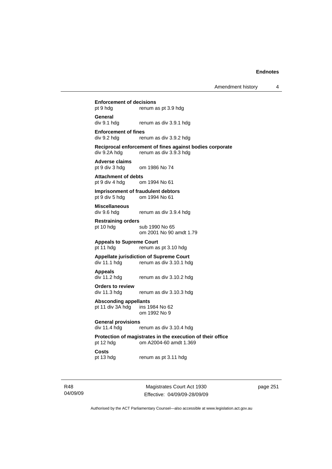#### **Enforcement of decisions**

pt 9 hdg renum as pt 3.9 hdg

**General** 

div 9.1 hdg renum as div 3.9.1 hdg

#### **Enforcement of fines**

div 9.2 hdg renum as div 3.9.2 hdg

## **Reciprocal enforcement of fines against bodies corporate**

div 9.2A hdg renum as div 3.9.3 hdg

**Adverse claims**  om 1986 No 74

#### **Attachment of debts**  pt 9 div 4 hdg om 1994 No 61

**Imprisonment of fraudulent debtors**  pt 9 div 5 hdg om 1994 No 61

**Miscellaneous** 

div 9.6 hdg renum as div 3.9.4 hdg

**Restraining orders**  pt 10 hdg sub 1990 No 65

om 2001 No 90 amdt 1.79

**Appeals to Supreme Court**  renum as pt 3.10 hdg

#### **Appellate jurisdiction of Supreme Court**  div 11.1 hdg renum as div 3.10.1 hdg

**Appeals**  renum as div 3.10.2 hdg

### **Orders to review**

div 11.3 hdg renum as div 3.10.3 hdg

Absconding appellants<br>pt 11 div 3A hdg ins 1984 No 62 pt 11 div 3A hdg om 1992 No 9

#### **General provisions**

div 11.4 hdg renum as div 3.10.4 hdg

#### **Protection of magistrates in the execution of their office**  pt 12 hdg om A2004-60 amdt 1.369

**Costs** 

pt 13 hdg renum as pt 3.11 hdg

R48 04/09/09

Magistrates Court Act 1930 Effective: 04/09/09-28/09/09 page 251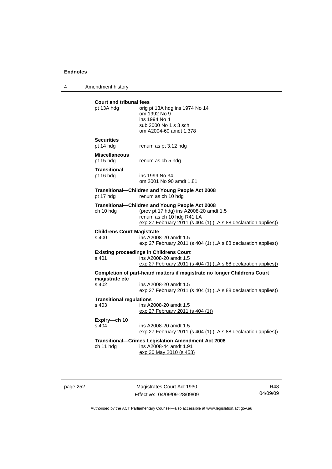4 Amendment history

| <b>Court and tribunal fees</b><br>pt 13A hdg | orig pt 13A hdg ins 1974 No 14                                           |
|----------------------------------------------|--------------------------------------------------------------------------|
|                                              | om 1992 No 9                                                             |
|                                              | ins 1994 No 4                                                            |
|                                              | sub 2000 No 1 s 3 sch<br>om A2004-60 amdt 1.378                          |
|                                              |                                                                          |
| <b>Securities</b>                            |                                                                          |
| pt 14 hdg                                    | renum as pt 3.12 hdg                                                     |
| <b>Miscellaneous</b>                         |                                                                          |
| pt 15 hdg                                    | renum as ch 5 hdg                                                        |
| <b>Transitional</b>                          |                                                                          |
| pt 16 hdg                                    | ins 1999 No 34<br>om 2001 No 90 amdt 1.81                                |
|                                              |                                                                          |
|                                              | Transitional-Children and Young People Act 2008                          |
| pt 17 hdg                                    | renum as ch 10 hdg                                                       |
|                                              | Transitional-Children and Young People Act 2008                          |
| ch 10 hdg                                    | (prev pt 17 hdg) ins A2008-20 amdt 1.5<br>renum as ch 10 hdg R41 LA      |
|                                              | exp 27 February 2011 (s 404 (1) (LA s 88 declaration applies))           |
|                                              |                                                                          |
| <b>Childrens Court Magistrate</b><br>s 400   | ins A2008-20 amdt 1.5                                                    |
|                                              | exp 27 February 2011 (s 404 (1) (LA s 88 declaration applies))           |
|                                              | <b>Existing proceedings in Childrens Court</b>                           |
| s 401                                        | ins A2008-20 amdt 1.5                                                    |
|                                              | exp 27 February 2011 (s 404 (1) (LA s 88 declaration applies))           |
|                                              | Completion of part-heard matters if magistrate no longer Childrens Court |
| magistrate etc                               |                                                                          |
| s 402                                        | ins A2008-20 amdt 1.5                                                    |
|                                              | exp 27 February 2011 (s 404 (1) (LA s 88 declaration applies))           |
| <b>Transitional regulations</b>              |                                                                          |
| s 403                                        | ins A2008-20 amdt 1.5                                                    |
|                                              | exp 27 February 2011 (s 404 (1))                                         |
| Expiry-ch 10                                 |                                                                          |
| s 404                                        | ins A2008-20 amdt 1.5                                                    |
|                                              | exp 27 February 2011 (s 404 (1) (LA s 88 declaration applies))           |
|                                              | <b>Transitional--Crimes Legislation Amendment Act 2008</b>               |
|                                              | ins A2008-44 amdt 1.91                                                   |
| ch 11 hdg                                    | exp 30 May 2010 (s 453)                                                  |

page 252 Magistrates Court Act 1930 Effective: 04/09/09-28/09/09

R48 04/09/09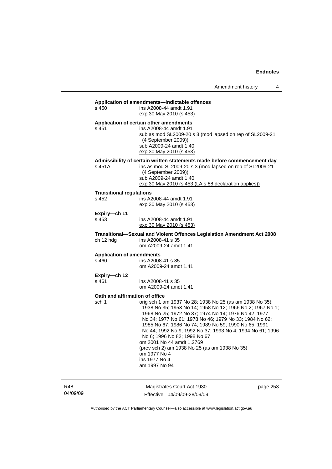### **Application of amendments—indictable offences**

|                                           | Application of americanemis—mulciable offences                                                                                                                                                                                                                                                                                                                                                                                                                                                                               |
|-------------------------------------------|------------------------------------------------------------------------------------------------------------------------------------------------------------------------------------------------------------------------------------------------------------------------------------------------------------------------------------------------------------------------------------------------------------------------------------------------------------------------------------------------------------------------------|
| s 450                                     | ins A2008-44 amdt 1.91<br>exp 30 May 2010 (s 453)                                                                                                                                                                                                                                                                                                                                                                                                                                                                            |
| s 451                                     | Application of certain other amendments<br>ins A2008-44 amdt 1.91<br>sub as mod SL2009-20 s 3 (mod lapsed on rep of SL2009-21<br>(4 September 2009))<br>sub A2009-24 amdt 1.40<br>exp 30 May 2010 (s 453)                                                                                                                                                                                                                                                                                                                    |
| s 451A                                    | Admissibility of certain written statements made before commencement day<br>ins as mod SL2009-20 s 3 (mod lapsed on rep of SL2009-21<br>(4 September 2009))<br>sub A2009-24 amdt 1.40<br>exp 30 May 2010 (s 453 (LA s 88 declaration applies))                                                                                                                                                                                                                                                                               |
| <b>Transitional regulations</b><br>s 452  | ins A2008-44 amdt 1.91<br>exp 30 May 2010 (s 453)                                                                                                                                                                                                                                                                                                                                                                                                                                                                            |
| Expiry-ch 11                              |                                                                                                                                                                                                                                                                                                                                                                                                                                                                                                                              |
| s 453                                     | ins A2008-44 amdt 1.91<br>exp 30 May 2010 (s 453)                                                                                                                                                                                                                                                                                                                                                                                                                                                                            |
| ch 12 hdg                                 | Transitional-Sexual and Violent Offences Legislation Amendment Act 2008<br>ins A2008-41 s 35<br>om A2009-24 amdt 1.41                                                                                                                                                                                                                                                                                                                                                                                                        |
| <b>Application of amendments</b><br>s 460 | ins A2008-41 s 35<br>om A2009-24 amdt 1.41                                                                                                                                                                                                                                                                                                                                                                                                                                                                                   |
| Expiry-ch 12<br>s 461                     | ins A2008-41 s 35<br>om A2009-24 amdt 1.41                                                                                                                                                                                                                                                                                                                                                                                                                                                                                   |
| Oath and affirmation of office<br>sch 1   | orig sch 1 am 1937 No 28; 1938 No 25 (as am 1938 No 35);<br>1938 No 35; 1953 No 14; 1958 No 12; 1966 No 2; 1967 No 1;<br>1968 No 25; 1972 No 37; 1974 No 14; 1976 No 42; 1977<br>No 34; 1977 No 61; 1978 No 46; 1979 No 33; 1984 No 62;<br>1985 No 67; 1986 No 74; 1989 No 59; 1990 No 65; 1991<br>No 44; 1992 No 9; 1992 No 37; 1993 No 4; 1994 No 61; 1996<br>No 6; 1996 No 82; 1998 No 67<br>om 2001 No 44 amdt 1.2769<br>(prev sch 2) am 1938 No 25 (as am 1938 No 35)<br>om 1977 No 4<br>ins 1977 No 4<br>am 1997 No 94 |

R48 04/09/09

Magistrates Court Act 1930 Effective: 04/09/09-28/09/09 page 253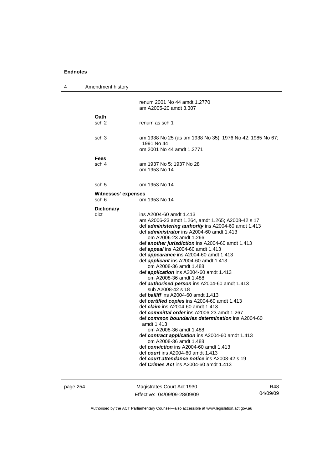|                           | renum 2001 No 44 amdt 1.2770<br>am A2005-20 amdt 3.307                                                                                                                                                                                                                                                                                                                                                                                                                                                                                                                                                                                                                                                                                                                                                                                                                                                                                                                                                                                                                                                                                       |
|---------------------------|----------------------------------------------------------------------------------------------------------------------------------------------------------------------------------------------------------------------------------------------------------------------------------------------------------------------------------------------------------------------------------------------------------------------------------------------------------------------------------------------------------------------------------------------------------------------------------------------------------------------------------------------------------------------------------------------------------------------------------------------------------------------------------------------------------------------------------------------------------------------------------------------------------------------------------------------------------------------------------------------------------------------------------------------------------------------------------------------------------------------------------------------|
| Oath<br>sch 2             | renum as sch 1                                                                                                                                                                                                                                                                                                                                                                                                                                                                                                                                                                                                                                                                                                                                                                                                                                                                                                                                                                                                                                                                                                                               |
| sch 3                     | am 1938 No 25 (as am 1938 No 35); 1976 No 42; 1985 No 67;<br>1991 No 44<br>om 2001 No 44 amdt 1.2771                                                                                                                                                                                                                                                                                                                                                                                                                                                                                                                                                                                                                                                                                                                                                                                                                                                                                                                                                                                                                                         |
|                           |                                                                                                                                                                                                                                                                                                                                                                                                                                                                                                                                                                                                                                                                                                                                                                                                                                                                                                                                                                                                                                                                                                                                              |
| sch 4                     | am 1937 No 5; 1937 No 28<br>om 1953 No 14                                                                                                                                                                                                                                                                                                                                                                                                                                                                                                                                                                                                                                                                                                                                                                                                                                                                                                                                                                                                                                                                                                    |
| sch 5                     | om 1953 No 14                                                                                                                                                                                                                                                                                                                                                                                                                                                                                                                                                                                                                                                                                                                                                                                                                                                                                                                                                                                                                                                                                                                                |
| sch 6                     | om 1953 No 14                                                                                                                                                                                                                                                                                                                                                                                                                                                                                                                                                                                                                                                                                                                                                                                                                                                                                                                                                                                                                                                                                                                                |
| <b>Dictionary</b><br>dict | ins A2004-60 amdt 1.413<br>am A2006-23 amdt 1.264, amdt 1.265; A2008-42 s 17<br>def <i>administering authority</i> ins A2004-60 amdt 1.413<br>def administrator ins A2004-60 amdt 1.413<br>om A2006-23 amdt 1.266<br>def another jurisdiction ins A2004-60 amdt 1.413<br>def appeal ins A2004-60 amdt 1.413<br>def <i>appearance</i> ins A2004-60 amdt 1.413<br>def <i>applicant</i> ins A2004-60 amdt 1.413<br>om A2008-36 amdt 1.488<br>def <i>application</i> ins A2004-60 amdt 1.413<br>om A2008-36 amdt 1.488<br>def authorised person ins A2004-60 amdt 1.413<br>sub A2008-42 s 18<br>def bailiff ins A2004-60 amdt 1.413<br>def certified copies ins A2004-60 amdt 1.413<br>def <i>claim</i> ins A2004-60 amdt 1.413<br>def committal order ins A2006-23 amdt 1.267<br>def common boundaries determination ins A2004-60<br>amdt 1.413<br>om A2008-36 amdt 1.488<br>def contract application ins A2004-60 amdt 1.413<br>om A2008-36 amdt 1.488<br>def conviction ins A2004-60 amdt 1.413<br>def <i>court</i> ins A2004-60 amdt 1.413<br>def court attendance notice ins A2008-42 s 19<br>def <i>Crimes Act</i> ins A2004-60 amdt 1.413 |
|                           | Amendment history<br>Fees<br>Witnesses' expenses                                                                                                                                                                                                                                                                                                                                                                                                                                                                                                                                                                                                                                                                                                                                                                                                                                                                                                                                                                                                                                                                                             |

page 254 Magistrates Court Act 1930 Effective: 04/09/09-28/09/09

R48 04/09/09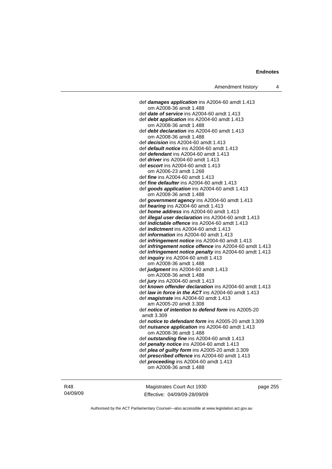def *damages application* ins A2004-60 amdt 1.413 om A2008-36 amdt 1.488 def *date of service* ins A2004-60 amdt 1.413 def *debt application* ins A2004-60 amdt 1.413 om A2008-36 amdt 1.488 def *debt declaration* ins A2004-60 amdt 1.413 om A2008-36 amdt 1.488 def *decision* ins A2004-60 amdt 1.413 def *default notice* ins A2004-60 amdt 1.413 def *defendant* ins A2004-60 amdt 1.413 def *driver* ins A2004-60 amdt 1.413 def *escort* ins A2004-60 amdt 1.413 om A2006-23 amdt 1.268 def *fine* ins A2004-60 amdt 1.413 def *fine defaulter* ins A2004-60 amdt 1.413 def *goods application* ins A2004-60 amdt 1.413 om A2008-36 amdt 1.488 def *government agency* ins A2004-60 amdt 1.413 def *hearing* ins A2004-60 amdt 1.413 def *home address* ins A2004-60 amdt 1.413 def *illegal user declaration* ins A2004-60 amdt 1.413 def *indictable offence* ins A2004-60 amdt 1.413 def *indictment* ins A2004-60 amdt 1.413 def *information* ins A2004-60 amdt 1.413 def *infringement notice* ins A2004-60 amdt 1.413 def *infringement notice offence* ins A2004-60 amdt 1.413 def *infringement notice penalty* ins A2004-60 amdt 1.413 def *inquiry* ins A2004-60 amdt 1.413 om A2008-36 amdt 1.488 def *judgment* ins A2004-60 amdt 1.413 om A2008-36 amdt 1.488 def *jury* ins A2004-60 amdt 1.413 def *known offender declaration* ins A2004-60 amdt 1.413 def *law in force in the ACT* ins A2004-60 amdt 1.413 def *magistrate* ins A2004-60 amdt 1.413 am A2005-20 amdt 3.308 def *notice of intention to defend form* ins A2005-20 amdt 3.309 def *notice to defendant form* ins A2005-20 amdt 3.309 def *nuisance application* ins A2004-60 amdt 1.413 om A2008-36 amdt 1.488 def *outstanding fine* ins A2004-60 amdt 1.413 def *penalty notice* ins A2004-60 amdt 1.413 def *plea of guilty form* ins A2005-20 amdt 3.309 def *prescribed offence* ins A2004-60 amdt 1.413 def *proceeding* ins A2004-60 amdt 1.413 om A2008-36 amdt 1.488

R48 04/09/09

Magistrates Court Act 1930 Effective: 04/09/09-28/09/09 page 255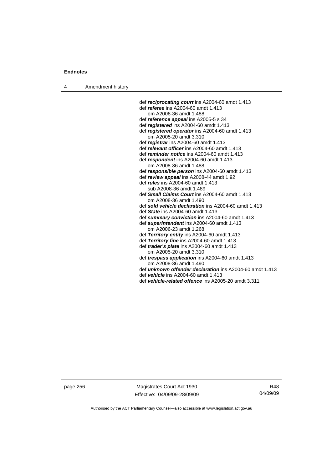4 Amendment history

 def *reciprocating court* ins A2004-60 amdt 1.413 def *referee* ins A2004-60 amdt 1.413 om A2008-36 amdt 1.488 def *reference appeal* ins A2005-5 s 34 def *registered* ins A2004-60 amdt 1.413 def *registered operator* ins A2004-60 amdt 1.413 om A2005-20 amdt 3.310 def *registrar* ins A2004-60 amdt 1.413 def *relevant officer* ins A2004-60 amdt 1.413 def *reminder notice* ins A2004-60 amdt 1.413 def *respondent* ins A2004-60 amdt 1.413 om A2008-36 amdt 1.488 def *responsible person* ins A2004-60 amdt 1.413 def *review appeal* ins A2008-44 amdt 1.92 def *rules* ins A2004-60 amdt 1.413 sub A2008-36 amdt 1.489 def *Small Claims Court* ins A2004-60 amdt 1.413 om A2008-36 amdt 1.490 def *sold vehicle declaration* ins A2004-60 amdt 1.413 def *State* ins A2004-60 amdt 1.413 def *summary conviction* ins A2004-60 amdt 1.413 def *superintendent* ins A2004-60 amdt 1.413 om A2006-23 amdt 1.268 def *Territory entity* ins A2004-60 amdt 1.413 def *Territory fine* ins A2004-60 amdt 1.413 def *trader's plate* ins A2004-60 amdt 1.413 om A2005-20 amdt 3.310 def *trespass application* ins A2004-60 amdt 1.413 om A2008-36 amdt 1.490 def *unknown offender declaration* ins A2004-60 amdt 1.413

def *vehicle* ins A2004-60 amdt 1.413

def *vehicle-related offence* ins A2005-20 amdt 3.311

page 256 Magistrates Court Act 1930 Effective: 04/09/09-28/09/09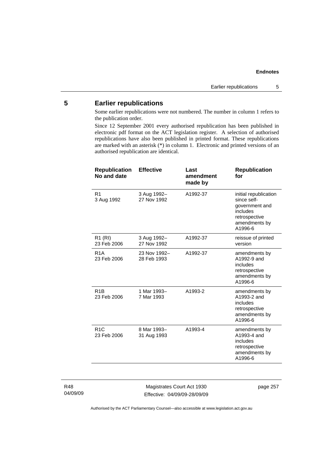## **5 Earlier republications**

Some earlier republications were not numbered. The number in column 1 refers to the publication order.

Since 12 September 2001 every authorised republication has been published in electronic pdf format on the ACT legislation register. A selection of authorised republications have also been published in printed format. These republications are marked with an asterisk (\*) in column 1. Electronic and printed versions of an authorised republication are identical.

| <b>Effective</b>            | Last<br>amendment<br>made by | <b>Republication</b><br>for                                                                                     |
|-----------------------------|------------------------------|-----------------------------------------------------------------------------------------------------------------|
| 3 Aug 1992-<br>27 Nov 1992  | A1992-37                     | initial republication<br>since self-<br>government and<br>includes<br>retrospective<br>amendments by<br>A1996-6 |
| 3 Aug 1992-<br>27 Nov 1992  | A1992-37                     | reissue of printed<br>version                                                                                   |
| 23 Nov 1992-<br>28 Feb 1993 | A1992-37                     | amendments by<br>A1992-9 and<br>includes<br>retrospective<br>amendments by<br>A1996-6                           |
| 1 Mar 1993-<br>7 Mar 1993   | A1993-2                      | amendments by<br>A1993-2 and<br>includes<br>retrospective<br>amendments by<br>A1996-6                           |
| 8 Mar 1993-<br>31 Aug 1993  | A1993-4                      | amendments by<br>A1993-4 and<br>includes<br>retrospective<br>amendments by<br>A1996-6                           |
|                             |                              |                                                                                                                 |

R48 04/09/09

Magistrates Court Act 1930 Effective: 04/09/09-28/09/09 page 257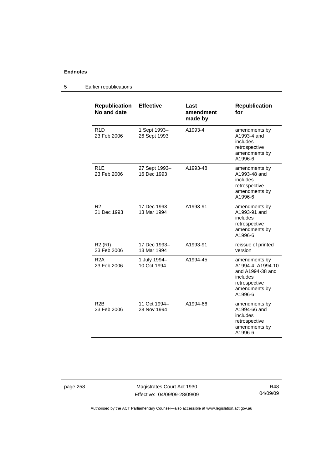#### **Republication No and date Effective Last amendment made by Republication for**  R1D 23 Feb 2006 1 Sept 1993– 26 Sept 1993 A1993-4 amendments by A1993-4 and includes retrospective amendments by A1996-6 R1E 23 Feb 2006 27 Sept 1993– 16 Dec 1993 A1993-48 amendments by A1993-48 and includes retrospective amendments by A1996-6 R2 31 Dec 1993 17 Dec 1993– 13 Mar 1994 A1993-91 amendments by A1993-91 and includes retrospective amendments by A1996-6 R2 (RI) 23 Feb 2006 17 Dec 1993– 13 Mar 1994 A1993-91 reissue of printed version R2A 23 Feb 2006 1 July 1994– 10 Oct 1994 A1994-45 amendments by A1994-4, A1994-10 and A1994-38 and includes retrospective amendments by A1996-6 R2B 23 Feb 2006 11 Oct 1994– 28 Nov 1994 A1994-66 amendments by A1994-66 and includes retrospective amendments by A1996-6

### 5 Earlier republications

page 258 Magistrates Court Act 1930 Effective: 04/09/09-28/09/09

R48 04/09/09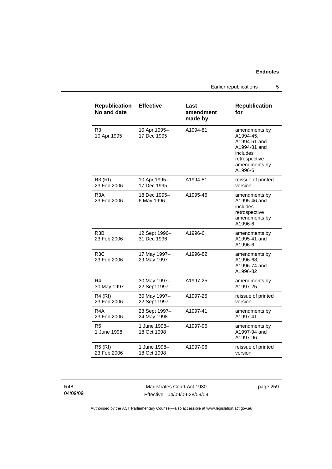Earlier republications 5

| <b>Republication</b><br>No and date | <b>Effective</b>             | Last<br>amendment<br>made by | <b>Republication</b><br>for                                                                                         |
|-------------------------------------|------------------------------|------------------------------|---------------------------------------------------------------------------------------------------------------------|
| R <sub>3</sub><br>10 Apr 1995       | 10 Apr 1995-<br>17 Dec 1995  | A1994-81                     | amendments by<br>A1994-45,<br>A1994-61 and<br>A1994-81 and<br>includes<br>retrospective<br>amendments by<br>A1996-6 |
| <b>R3 (RI)</b><br>23 Feb 2006       | 10 Apr 1995-<br>17 Dec 1995  | A1994-81                     | reissue of printed<br>version                                                                                       |
| R <sub>3</sub> A<br>23 Feb 2006     | 18 Dec 1995-<br>6 May 1996   | A1995-46                     | amendments by<br>A1995-46 and<br>includes<br>retrospective<br>amendments by<br>A1996-6                              |
| R3B<br>23 Feb 2006                  | 12 Sept 1996-<br>31 Dec 1996 | A1996-6                      | amendments by<br>A1995-41 and<br>A1996-6                                                                            |
| R3C<br>23 Feb 2006                  | 17 May 1997-<br>29 May 1997  | A1996-82                     | amendments by<br>A1996-68,<br>A1996-74 and<br>A1996-82                                                              |
| R4<br>30 May 1997                   | 30 May 1997-<br>22 Sept 1997 | A1997-25                     | amendments by<br>A1997-25                                                                                           |
| <b>R4 (RI)</b><br>23 Feb 2006       | 30 May 1997-<br>22 Sept 1997 | A1997-25                     | reissue of printed<br>version                                                                                       |
| R <sub>4</sub> A<br>23 Feb 2006     | 23 Sept 1997-<br>24 May 1998 | A1997-41                     | amendments by<br>A1997-41                                                                                           |
| R5<br>1 June 1998                   | 1 June 1998-<br>18 Oct 1998  | A1997-96                     | amendments by<br>A1997-94 and<br>A1997-96                                                                           |
| <b>R5 (RI)</b><br>23 Feb 2006       | 1 June 1998-<br>18 Oct 1998  | A1997-96                     | reissue of printed<br>version                                                                                       |

R48 04/09/09

Magistrates Court Act 1930 Effective: 04/09/09-28/09/09 page 259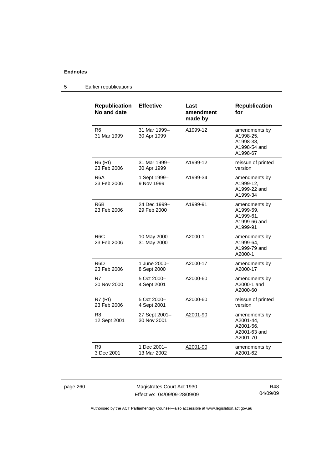### 5 Earlier republications

| <b>Republication</b><br>No and date | <b>Effective</b>             | Last<br>amendment<br>made by | <b>Republication</b><br>for                                         |
|-------------------------------------|------------------------------|------------------------------|---------------------------------------------------------------------|
| R6<br>31 Mar 1999                   | 31 Mar 1999-<br>30 Apr 1999  | A1999-12                     | amendments by<br>A1998-25,<br>A1998-38.<br>A1998-54 and<br>A1998-67 |
| R6 (RI)<br>23 Feb 2006              | 31 Mar 1999-<br>30 Apr 1999  | A1999-12                     | reissue of printed<br>version                                       |
| R6A<br>23 Feb 2006                  | 1 Sept 1999–<br>9 Nov 1999   | A1999-34                     | amendments by<br>A1999-12.<br>A1999-22 and<br>A1999-34              |
| R <sub>6</sub> B<br>23 Feb 2006     | 24 Dec 1999-<br>29 Feb 2000  | A1999-91                     | amendments by<br>A1999-59,<br>A1999-61,<br>A1999-66 and<br>A1999-91 |
| R6C<br>23 Feb 2006                  | 10 May 2000-<br>31 May 2000  | A2000-1                      | amendments by<br>A1999-64,<br>A1999-79 and<br>A2000-1               |
| R6D<br>23 Feb 2006                  | 1 June 2000-<br>8 Sept 2000  | A2000-17                     | amendments by<br>A2000-17                                           |
| R7<br>20 Nov 2000                   | 5 Oct 2000-<br>4 Sept 2001   | A2000-60                     | amendments by<br>A2000-1 and<br>A2000-60                            |
| <b>R7 (RI)</b><br>23 Feb 2006       | 5 Oct 2000-<br>4 Sept 2001   | A2000-60                     | reissue of printed<br>version                                       |
| R8<br>12 Sept 2001                  | 27 Sept 2001-<br>30 Nov 2001 | A2001-90                     | amendments by<br>A2001-44,<br>A2001-56,<br>A2001-63 and<br>A2001-70 |
| R9<br>3 Dec 2001                    | 1 Dec 2001-<br>13 Mar 2002   | A2001-90                     | amendments by<br>A2001-62                                           |

page 260 Magistrates Court Act 1930 Effective: 04/09/09-28/09/09

R48 04/09/09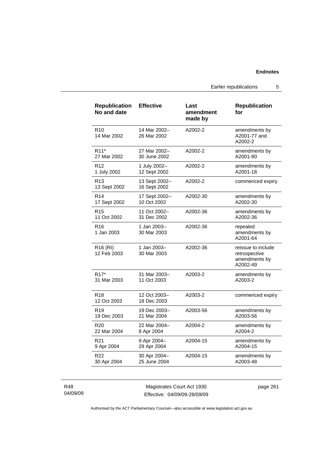Earlier republications 5

| <b>Republication</b><br>No and date | <b>Effective</b>              | Last<br>amendment<br>made by | <b>Republication</b><br>for                                      |
|-------------------------------------|-------------------------------|------------------------------|------------------------------------------------------------------|
| R <sub>10</sub><br>14 Mar 2002      | 14 Mar 2002-<br>26 Mar 2002   | A2002-2                      | amendments by<br>A2001-77 and<br>A2002-2                         |
| R <sub>11</sub> *                   | 27 Mar 2002-                  | A2002-2                      | amendments by                                                    |
| 27 Mar 2002                         | 30 June 2002                  |                              | A2001-90                                                         |
| R <sub>12</sub>                     | 1 July 2002-                  | A2002-2                      | amendments by                                                    |
| 1 July 2002                         | 12 Sept 2002                  |                              | A2001-18                                                         |
| R <sub>13</sub><br>13 Sept 2002     | 13 Sept 2002-<br>16 Sept 2002 | A2002-2                      | commenced expiry                                                 |
| R <sub>14</sub>                     | 17 Sept 2002-                 | A2002-30                     | amendments by                                                    |
| 17 Sept 2002                        | 10 Oct 2002                   |                              | A2002-30                                                         |
| R <sub>15</sub>                     | 11 Oct 2002-                  | A2002-36                     | amendments by                                                    |
| 11 Oct 2002                         | 31 Dec 2002                   |                              | A2002-36                                                         |
| R16<br>1 Jan 2003                   | 1 Jan 2003-<br>30 Mar 2003    | A2002-36                     | repealed<br>amendments by<br>A2001-64                            |
| R <sub>16</sub> (RI)<br>12 Feb 2003 | 1 Jan 2003-<br>30 Mar 2003    | A2002-36                     | reissue to include<br>retrospective<br>amendments by<br>A2002-49 |
| R <sub>17</sub> *                   | 31 Mar 2003-                  | A2003-2                      | amendments by                                                    |
| 31 Mar 2003                         | 11 Oct 2003                   |                              | A2003-2                                                          |
| R <sub>18</sub><br>12 Oct 2003      | 12 Oct 2003-<br>18 Dec 2003   | A2003-2                      | commenced expiry                                                 |
| R <sub>19</sub>                     | 19 Dec 2003-                  | A2003-56                     | amendments by                                                    |
| 19 Dec 2003                         | 21 Mar 2004                   |                              | A2003-56                                                         |
| R <sub>20</sub>                     | 22 Mar 2004-                  | A2004-2                      | amendments by                                                    |
| 22 Mar 2004                         | 8 Apr 2004                    |                              | A2004-2                                                          |
| R <sub>21</sub>                     | 9 Apr 2004-                   | A2004-15                     | amendments by                                                    |
| 9 Apr 2004                          | 29 Apr 2004                   |                              | A2004-15                                                         |
| R <sub>22</sub>                     | 30 Apr 2004-                  | A2004-15                     | amendments by                                                    |
| 30 Apr 2004                         | 25 June 2004                  |                              | A2003-48                                                         |

R48 04/09/09

Magistrates Court Act 1930 Effective: 04/09/09-28/09/09 page 261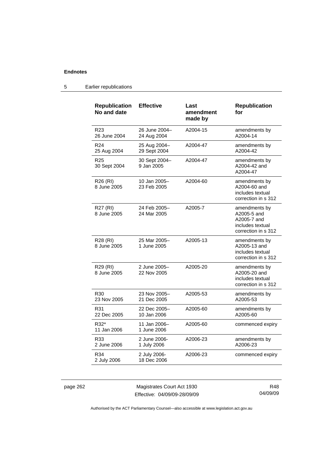| <b>Republication</b><br>No and date | <b>Effective</b>             | Last<br>amendment<br>made by | <b>Republication</b><br>for                                                            |
|-------------------------------------|------------------------------|------------------------------|----------------------------------------------------------------------------------------|
| R <sub>23</sub><br>26 June 2004     | 26 June 2004-<br>24 Aug 2004 | A2004-15                     | amendments by<br>A2004-14                                                              |
| R <sub>24</sub><br>25 Aug 2004      | 25 Aug 2004-<br>29 Sept 2004 | A2004-47                     | amendments by<br>A2004-42                                                              |
| R <sub>25</sub><br>30 Sept 2004     | 30 Sept 2004-<br>9 Jan 2005  | A2004-47                     | amendments by<br>A2004-42 and<br>A2004-47                                              |
| R26 (RI)<br>8 June 2005             | 10 Jan 2005-<br>23 Feb 2005  | A2004-60                     | amendments by<br>A2004-60 and<br>includes textual<br>correction in s 312               |
| R27 (RI)<br>8 June 2005             | 24 Feb 2005-<br>24 Mar 2005  | A2005-7                      | amendments by<br>A2005-5 and<br>A2005-7 and<br>includes textual<br>correction in s 312 |
| R28 (RI)<br>8 June 2005             | 25 Mar 2005-<br>1 June 2005  | A2005-13                     | amendments by<br>A2005-13 and<br>includes textual<br>correction in s 312               |
| R29 (RI)<br>8 June 2005             | 2 June 2005-<br>22 Nov 2005  | A2005-20                     | amendments by<br>A2005-20 and<br>includes textual<br>correction in s 312               |
| R30<br>23 Nov 2005                  | 23 Nov 2005-<br>21 Dec 2005  | A2005-53                     | amendments by<br>A2005-53                                                              |
| R31<br>22 Dec 2005                  | 22 Dec 2005-<br>10 Jan 2006  | A2005-60                     | amendments by<br>A2005-60                                                              |
| R32*<br>11 Jan 2006                 | 11 Jan 2006–<br>1 June 2006  | A2005-60                     | commenced expiry                                                                       |
| R33<br>2 June 2006                  | 2 June 2006-<br>1 July 2006  | A2006-23                     | amendments by<br>A2006-23                                                              |
| R34<br>2 July 2006                  | 2 July 2006-<br>18 Dec 2006  | A2006-23                     | commenced expiry                                                                       |

### 5 Earlier republications

page 262 Magistrates Court Act 1930 Effective: 04/09/09-28/09/09

R48 04/09/09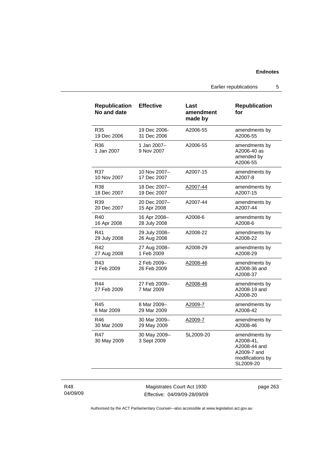Earlier republications 5

| <b>Republication</b><br>No and date | <b>Effective</b>            | Last<br>amendment<br>made by | <b>Republication</b><br>for                                                                |
|-------------------------------------|-----------------------------|------------------------------|--------------------------------------------------------------------------------------------|
| R35                                 | 19 Dec 2006-                | A2006-55                     | amendments by                                                                              |
| 19 Dec 2006                         | 31 Dec 2006                 |                              | A2006-55                                                                                   |
| R36<br>1 Jan 2007                   | 1 Jan 2007-<br>9 Nov 2007   | A2006-55                     | amendments by<br>A2006-40 as<br>amended by<br>A2006-55                                     |
| R37                                 | 10 Nov 2007-                | A2007-15                     | amendments by                                                                              |
| 10 Nov 2007                         | 17 Dec 2007                 |                              | A2007-8                                                                                    |
| R38                                 | 18 Dec 2007-                | A2007-44                     | amendments by                                                                              |
| 18 Dec 2007                         | 19 Dec 2007                 |                              | A2007-15                                                                                   |
| R39                                 | 20 Dec 2007-                | A2007-44                     | amendments by                                                                              |
| 20 Dec 2007                         | 15 Apr 2008                 |                              | A2007-44                                                                                   |
| R40                                 | 16 Apr 2008-                | A2008-6                      | amendments by                                                                              |
| 16 Apr 2008                         | 28 July 2008                |                              | A2008-6                                                                                    |
| R41                                 | 29 July 2008-               | A2008-22                     | amendments by                                                                              |
| 29 July 2008                        | 26 Aug 2008                 |                              | A2008-22                                                                                   |
| R42                                 | 27 Aug 2008-                | A2008-29                     | amendments by                                                                              |
| 27 Aug 2008                         | 1 Feb 2009                  |                              | A2008-29                                                                                   |
| R43<br>2 Feb 2009                   | 2 Feb 2009-<br>26 Feb 2009  | A2008-46                     | amendments by<br>A2008-36 and<br>A2008-37                                                  |
| R44<br>27 Feb 2009                  | 27 Feb 2009-<br>7 Mar 2009  | A2008-46                     | amendments by<br>A2008-19 and<br>A2008-20                                                  |
| R45                                 | 8 Mar 2009-                 | A2009-7                      | amendments by                                                                              |
| 8 Mar 2009                          | 29 Mar 2009                 |                              | A2008-42                                                                                   |
| R46                                 | 30 Mar 2009-                | <u>A2009-7</u>               | amendments by                                                                              |
| 30 Mar 2009                         | 29 May 2009                 |                              | A2008-46                                                                                   |
| R47<br>30 May 2009                  | 30 May 2009-<br>3 Sept 2009 | SL2009-20                    | amendments by<br>A2008-41,<br>A2008-44 and<br>A2009-7 and<br>modifications by<br>SL2009-20 |

R48 04/09/09

Magistrates Court Act 1930 Effective: 04/09/09-28/09/09 page 263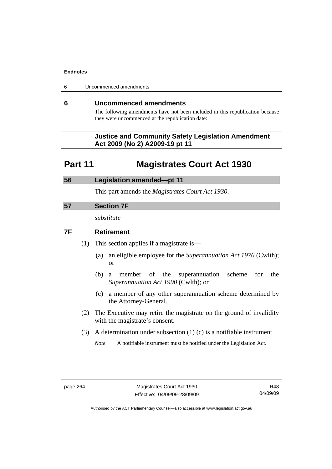| 6 | Uncommenced amendments |
|---|------------------------|
|---|------------------------|

### **6 Uncommenced amendments**

The following amendments have not been included in this republication because they were uncommenced at the republication date:

### **Justice and Community Safety Legislation Amendment Act 2009 (No 2) A2009-19 pt 11**

# **Part 11 Magistrates Court Act 1930**

# **56 Legislation amended—pt 11**  This part amends the *Magistrates Court Act 1930*.

## **57 Section 7F**

*substitute* 

## **7F Retirement**

- (1) This section applies if a magistrate is—
	- (a) an eligible employee for the *Superannuation Act 1976* (Cwlth); or
	- (b) a member of the superannuation scheme for the *Superannuation Act 1990* (Cwlth); or
	- (c) a member of any other superannuation scheme determined by the Attorney-General.
- (2) The Executive may retire the magistrate on the ground of invalidity with the magistrate's consent.
- (3) A determination under subsection (1) (c) is a notifiable instrument.

*Note* A notifiable instrument must be notified under the Legislation Act.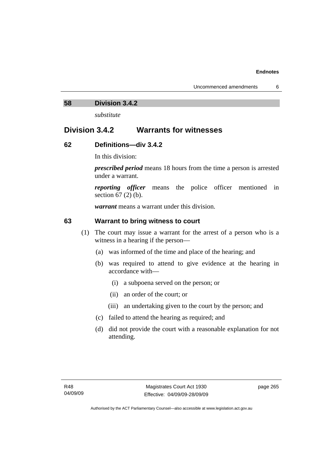### **58 Division 3.4.2**

*substitute* 

# **Division 3.4.2 Warrants for witnesses**

## **62 Definitions—div 3.4.2**

In this division:

*prescribed period* means 18 hours from the time a person is arrested under a warrant.

*reporting officer* means the police officer mentioned in section 67 (2) (b).

*warrant* means a warrant under this division.

## **63 Warrant to bring witness to court**

- (1) The court may issue a warrant for the arrest of a person who is a witness in a hearing if the person—
	- (a) was informed of the time and place of the hearing; and
	- (b) was required to attend to give evidence at the hearing in accordance with—
		- (i) a subpoena served on the person; or
		- (ii) an order of the court; or
		- (iii) an undertaking given to the court by the person; and
	- (c) failed to attend the hearing as required; and
	- (d) did not provide the court with a reasonable explanation for not attending.

page 265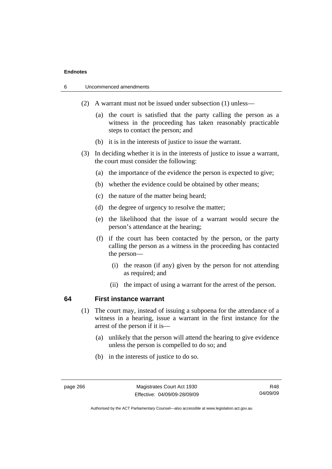| 6 |  | Uncommenced amendments |
|---|--|------------------------|
|---|--|------------------------|

- (2) A warrant must not be issued under subsection (1) unless—
	- (a) the court is satisfied that the party calling the person as a witness in the proceeding has taken reasonably practicable steps to contact the person; and
	- (b) it is in the interests of justice to issue the warrant.
- (3) In deciding whether it is in the interests of justice to issue a warrant, the court must consider the following:
	- (a) the importance of the evidence the person is expected to give;
	- (b) whether the evidence could be obtained by other means;
	- (c) the nature of the matter being heard;
	- (d) the degree of urgency to resolve the matter;
	- (e) the likelihood that the issue of a warrant would secure the person's attendance at the hearing;
	- (f) if the court has been contacted by the person, or the party calling the person as a witness in the proceeding has contacted the person—
		- (i) the reason (if any) given by the person for not attending as required; and
		- (ii) the impact of using a warrant for the arrest of the person.

### **64 First instance warrant**

- (1) The court may, instead of issuing a subpoena for the attendance of a witness in a hearing, issue a warrant in the first instance for the arrest of the person if it is—
	- (a) unlikely that the person will attend the hearing to give evidence unless the person is compelled to do so; and
	- (b) in the interests of justice to do so.

R48 04/09/09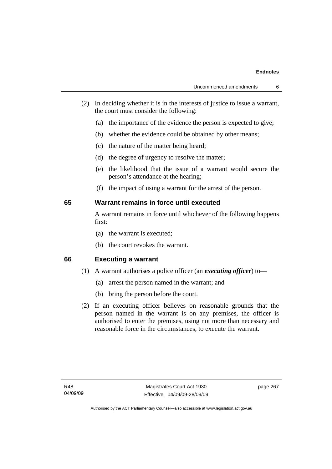- (2) In deciding whether it is in the interests of justice to issue a warrant, the court must consider the following:
	- (a) the importance of the evidence the person is expected to give;
	- (b) whether the evidence could be obtained by other means;
	- (c) the nature of the matter being heard;
	- (d) the degree of urgency to resolve the matter;
	- (e) the likelihood that the issue of a warrant would secure the person's attendance at the hearing;
	- (f) the impact of using a warrant for the arrest of the person.

### **65 Warrant remains in force until executed**

A warrant remains in force until whichever of the following happens first:

- (a) the warrant is executed;
- (b) the court revokes the warrant.

**66 Executing a warrant** 

- (1) A warrant authorises a police officer (an *executing officer*) to—
	- (a) arrest the person named in the warrant; and
	- (b) bring the person before the court.
- (2) If an executing officer believes on reasonable grounds that the person named in the warrant is on any premises, the officer is authorised to enter the premises, using not more than necessary and reasonable force in the circumstances, to execute the warrant.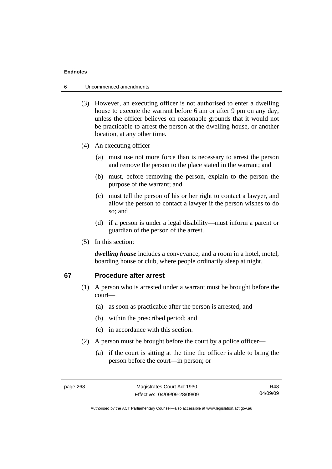### 6 Uncommenced amendments

- (3) However, an executing officer is not authorised to enter a dwelling house to execute the warrant before 6 am or after 9 pm on any day, unless the officer believes on reasonable grounds that it would not be practicable to arrest the person at the dwelling house, or another location, at any other time.
- (4) An executing officer—
	- (a) must use not more force than is necessary to arrest the person and remove the person to the place stated in the warrant; and
	- (b) must, before removing the person, explain to the person the purpose of the warrant; and
	- (c) must tell the person of his or her right to contact a lawyer, and allow the person to contact a lawyer if the person wishes to do so; and
	- (d) if a person is under a legal disability—must inform a parent or guardian of the person of the arrest.
- (5) In this section:

*dwelling house* includes a conveyance, and a room in a hotel, motel, boarding house or club, where people ordinarily sleep at night.

### **67 Procedure after arrest**

- (1) A person who is arrested under a warrant must be brought before the court—
	- (a) as soon as practicable after the person is arrested; and
	- (b) within the prescribed period; and
	- (c) in accordance with this section.
- (2) A person must be brought before the court by a police officer—
	- (a) if the court is sitting at the time the officer is able to bring the person before the court—in person; or

R48 04/09/09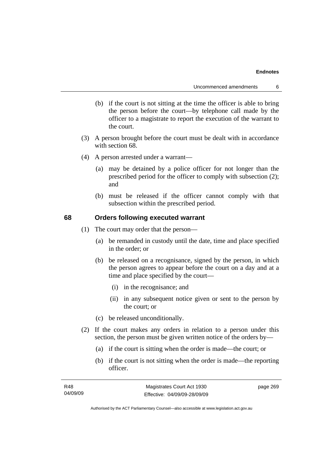- (b) if the court is not sitting at the time the officer is able to bring the person before the court—by telephone call made by the officer to a magistrate to report the execution of the warrant to the court.
- (3) A person brought before the court must be dealt with in accordance with section 68.
- (4) A person arrested under a warrant—
	- (a) may be detained by a police officer for not longer than the prescribed period for the officer to comply with subsection (2); and
	- (b) must be released if the officer cannot comply with that subsection within the prescribed period.

### **68 Orders following executed warrant**

- (1) The court may order that the person—
	- (a) be remanded in custody until the date, time and place specified in the order; or
	- (b) be released on a recognisance, signed by the person, in which the person agrees to appear before the court on a day and at a time and place specified by the court—
		- (i) in the recognisance; and
		- (ii) in any subsequent notice given or sent to the person by the court; or
	- (c) be released unconditionally.
- (2) If the court makes any orders in relation to a person under this section, the person must be given written notice of the orders by—
	- (a) if the court is sitting when the order is made—the court; or
	- (b) if the court is not sitting when the order is made—the reporting officer.

| R48      | Magistrates Court Act 1930   | page 269 |
|----------|------------------------------|----------|
| 04/09/09 | Effective: 04/09/09-28/09/09 |          |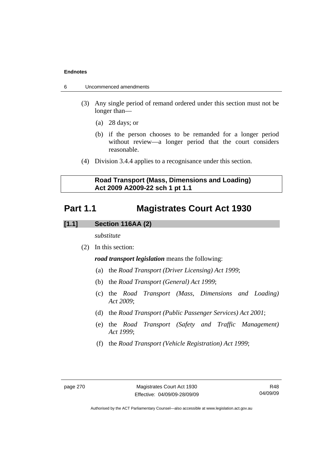- 6 Uncommenced amendments
	- (3) Any single period of remand ordered under this section must not be longer than—
		- (a) 28 days; or
		- (b) if the person chooses to be remanded for a longer period without review—a longer period that the court considers reasonable.
	- (4) Division 3.4.4 applies to a recognisance under this section.

## **Road Transport (Mass, Dimensions and Loading) Act 2009 A2009-22 sch 1 pt 1.1**

# **Part 1.1 Magistrates Court Act 1930**

## **[1.1] Section 116AA (2)**

*substitute* 

(2) In this section:

*road transport legislation* means the following:

- (a) the *Road Transport (Driver Licensing) Act 1999*;
- (b) the *Road Transport (General) Act 1999*;
- (c) the *Road Transport (Mass, Dimensions and Loading) Act 2009*;
- (d) the *Road Transport (Public Passenger Services) Act 2001*;
- (e) the *Road Transport (Safety and Traffic Management) Act 1999*;
- (f) the *Road Transport (Vehicle Registration) Act 1999*;